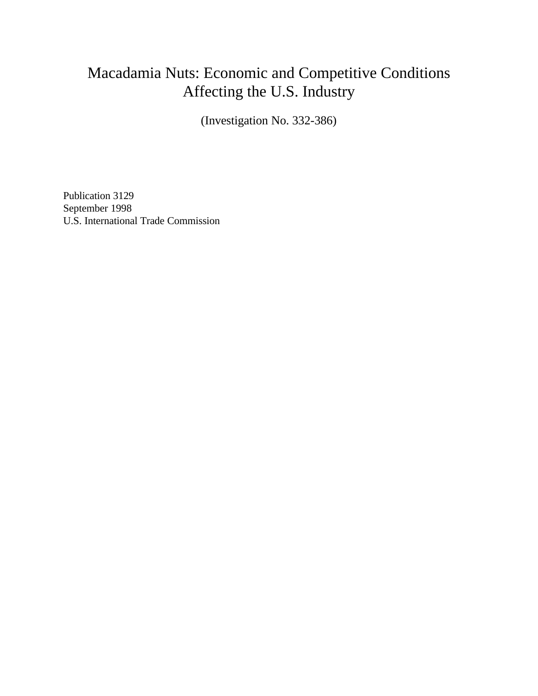## Macadamia Nuts: Economic and Competitive Conditions Affecting the U.S. Industry

(Investigation No. 332-386)

Publication 3129 September 1998 U.S. International Trade Commission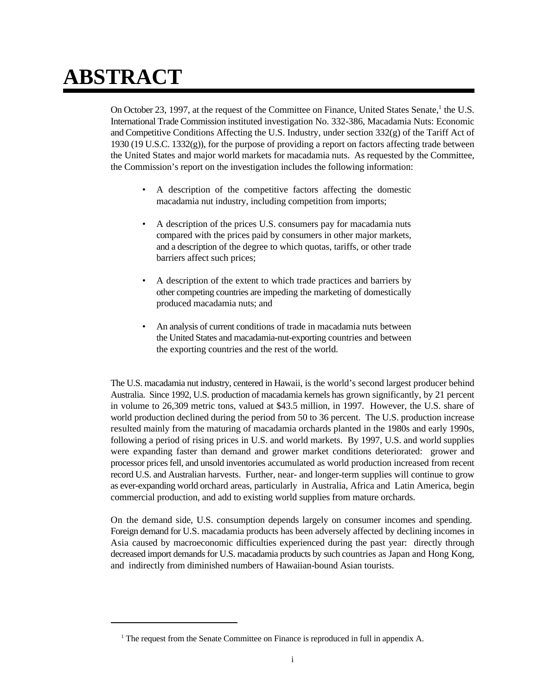# **ABSTRACT**

On October 23, 1997, at the request of the Committee on Finance, United States Senate,  $\frac{1}{1}$  the U.S. International Trade Commission instituted investigation No. 332-386, Macadamia Nuts: Economic and Competitive Conditions Affecting the U.S. Industry, under section 332(g) of the Tariff Act of 1930 (19 U.S.C. 1332(g)), for the purpose of providing a report on factors affecting trade between the United States and major world markets for macadamia nuts. As requested by the Committee, the Commission's report on the investigation includes the following information:

- A description of the competitive factors affecting the domestic macadamia nut industry, including competition from imports;
- A description of the prices U.S. consumers pay for macadamia nuts compared with the prices paid by consumers in other major markets, and a description of the degree to which quotas, tariffs, or other trade barriers affect such prices;
- A description of the extent to which trade practices and barriers by other competing countries are impeding the marketing of domestically produced macadamia nuts; and
- An analysis of current conditions of trade in macadamia nuts between the United States and macadamia-nut-exporting countries and between the exporting countries and the rest of the world.

The U.S. macadamia nut industry, centered in Hawaii, is the world's second largest producer behind Australia. Since 1992, U.S. production of macadamia kernels has grown significantly, by 21 percent in volume to 26,309 metric tons, valued at \$43.5 million, in 1997. However, the U.S. share of world production declined during the period from 50 to 36 percent. The U.S. production increase resulted mainly from the maturing of macadamia orchards planted in the 1980s and early 1990s, following a period of rising prices in U.S. and world markets. By 1997, U.S. and world supplies were expanding faster than demand and grower market conditions deteriorated: grower and processor prices fell, and unsold inventories accumulated as world production increased from recent record U.S. and Australian harvests. Further, near- and longer-term supplies will continue to grow as ever-expanding world orchard areas, particularly in Australia, Africa and Latin America, begin commercial production, and add to existing world supplies from mature orchards.

On the demand side, U.S. consumption depends largely on consumer incomes and spending. Foreign demand for U.S. macadamia products has been adversely affected by declining incomes in Asia caused by macroeconomic difficulties experienced during the past year: directly through decreased import demands for U.S. macadamia products by such countries as Japan and Hong Kong, and indirectly from diminished numbers of Hawaiian-bound Asian tourists.

 $<sup>1</sup>$  The request from the Senate Committee on Finance is reproduced in full in appendix A.</sup>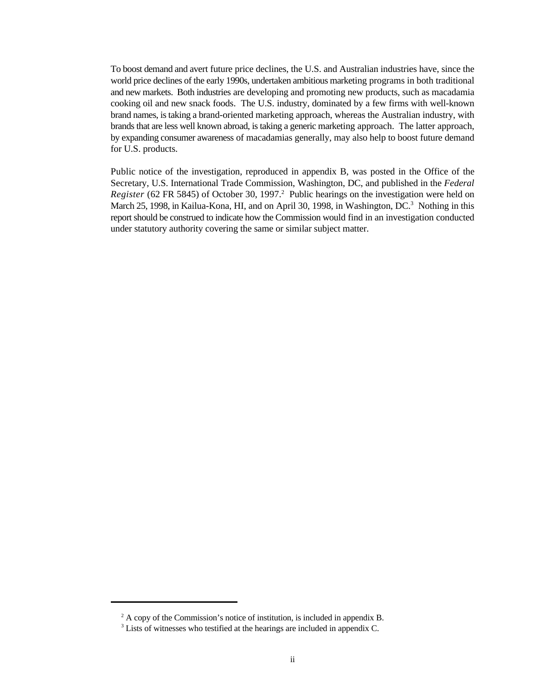To boost demand and avert future price declines, the U.S. and Australian industries have, since the world price declines of the early 1990s, undertaken ambitious marketing programs in both traditional and new markets. Both industries are developing and promoting new products, such as macadamia cooking oil and new snack foods. The U.S. industry, dominated by a few firms with well-known brand names, is taking a brand-oriented marketing approach, whereas the Australian industry, with brands that are less well known abroad, is taking a generic marketing approach. The latter approach, by expanding consumer awareness of macadamias generally, may also help to boost future demand for U.S. products.

Public notice of the investigation, reproduced in appendix B, was posted in the Office of the Secretary, U.S. International Trade Commission, Washington, DC, and published in the *Federal* Register (62 FR 5845) of October 30, 1997.<sup>2</sup> Public hearings on the investigation were held on March 25, 1998, in Kailua-Kona, HI, and on April 30, 1998, in Washington,  $DC^3$ . Nothing in this report should be construed to indicate how the Commission would find in an investigation conducted under statutory authority covering the same or similar subject matter.

 $A$  copy of the Commission's notice of institution, is included in appendix B.

<sup>&</sup>lt;sup>3</sup> Lists of witnesses who testified at the hearings are included in appendix C.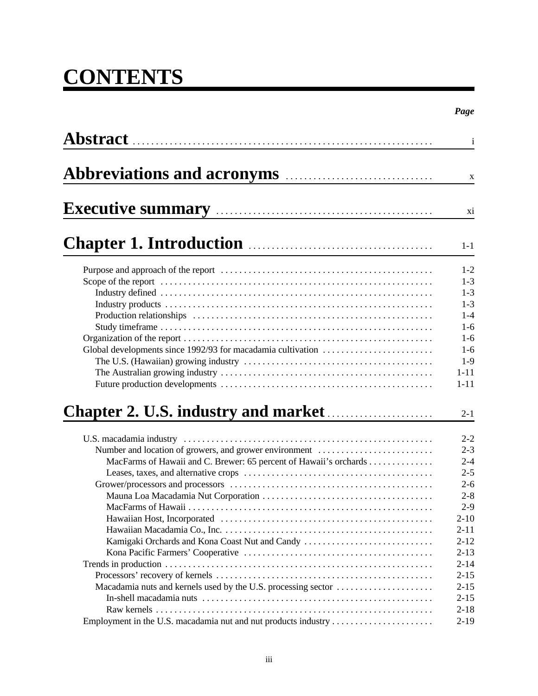## **CONTENTS**

|                                                                                                                                                                               | $\mathbf{i}$                                                                                                                                      |
|-------------------------------------------------------------------------------------------------------------------------------------------------------------------------------|---------------------------------------------------------------------------------------------------------------------------------------------------|
|                                                                                                                                                                               | $\boldsymbol{\mathrm{X}}$                                                                                                                         |
|                                                                                                                                                                               | xi                                                                                                                                                |
|                                                                                                                                                                               | $1-1$                                                                                                                                             |
|                                                                                                                                                                               | $1 - 2$<br>$1 - 3$<br>$1 - 3$<br>$1 - 3$<br>$1 - 4$<br>$1-6$<br>$1-6$<br>$1-6$<br>$1-9$<br>$1 - 11$<br>$1 - 11$                                   |
|                                                                                                                                                                               | $2 - 1$                                                                                                                                           |
| Number and location of growers, and grower environment<br>MacFarms of Hawaii and C. Brewer: 65 percent of Hawaii's orchards<br>Kamigaki Orchards and Kona Coast Nut and Candy | $2 - 2$<br>$2 - 3$<br>$2 - 4$<br>$2 - 5$<br>$2 - 6$<br>$2 - 8$<br>$2 - 9$<br>$2 - 10$<br>$2 - 11$<br>$2 - 12$<br>$2 - 13$<br>$2 - 14$<br>$2 - 15$ |
| Macadamia nuts and kernels used by the U.S. processing sector                                                                                                                 | $2 - 15$<br>$2 - 15$<br>$2 - 18$<br>$2 - 19$                                                                                                      |

*Page*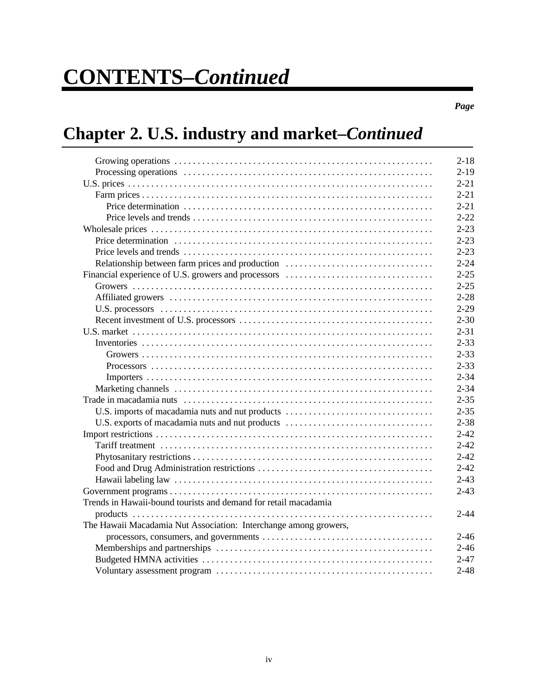*Page*

## **Chapter 2. U.S. industry and market–***Continued*

|                                                                  | $2 - 18$ |
|------------------------------------------------------------------|----------|
|                                                                  | $2 - 19$ |
|                                                                  | $2 - 21$ |
|                                                                  | $2 - 21$ |
|                                                                  | $2 - 21$ |
|                                                                  | $2 - 22$ |
|                                                                  | $2 - 23$ |
|                                                                  | $2 - 23$ |
|                                                                  | $2 - 23$ |
| Relationship between farm prices and production                  | $2 - 24$ |
|                                                                  | $2 - 25$ |
|                                                                  | $2 - 25$ |
|                                                                  | $2 - 28$ |
|                                                                  | $2 - 29$ |
|                                                                  | $2 - 30$ |
|                                                                  | $2 - 31$ |
|                                                                  | $2 - 33$ |
|                                                                  | $2 - 33$ |
|                                                                  | $2 - 33$ |
|                                                                  | $2 - 34$ |
|                                                                  | $2 - 34$ |
|                                                                  | $2 - 35$ |
| U.S. imports of macadamia nuts and nut products                  | $2 - 35$ |
| U.S. exports of macadamia nuts and nut products                  | $2 - 38$ |
|                                                                  | $2 - 42$ |
|                                                                  | $2 - 42$ |
|                                                                  | $2 - 42$ |
|                                                                  | $2 - 42$ |
|                                                                  | $2 - 43$ |
|                                                                  | $2 - 43$ |
| Trends in Hawaii-bound tourists and demand for retail macadamia  |          |
|                                                                  | $2 - 44$ |
| The Hawaii Macadamia Nut Association: Interchange among growers, |          |
|                                                                  | $2 - 46$ |
|                                                                  | $2 - 46$ |
|                                                                  | $2 - 47$ |
|                                                                  | $2 - 48$ |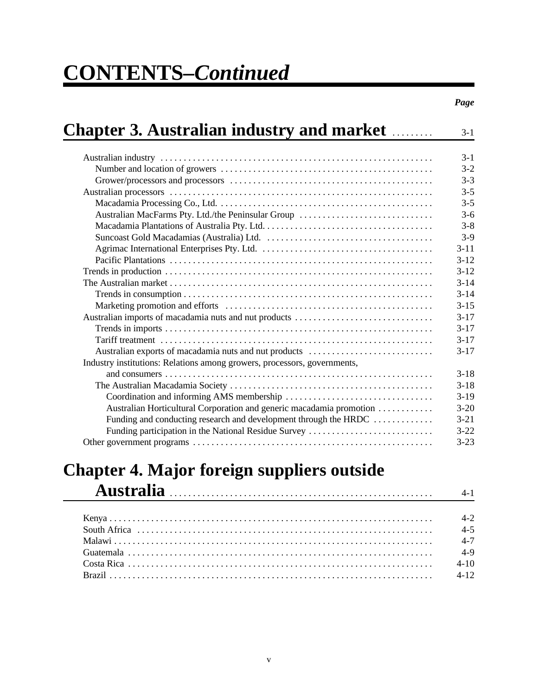| <b>Chapter 3. Australian industry and market market</b>                  |  |
|--------------------------------------------------------------------------|--|
|                                                                          |  |
|                                                                          |  |
|                                                                          |  |
|                                                                          |  |
|                                                                          |  |
| Australian MacFarms Pty. Ltd./the Peninsular Group                       |  |
|                                                                          |  |
|                                                                          |  |
|                                                                          |  |
|                                                                          |  |
|                                                                          |  |
|                                                                          |  |
|                                                                          |  |
|                                                                          |  |
| Australian imports of macadamia nuts and nut products                    |  |
|                                                                          |  |
|                                                                          |  |
| Australian exports of macadamia nuts and nut products                    |  |
| Industry institutions: Relations among growers, processors, governments, |  |
|                                                                          |  |
|                                                                          |  |
|                                                                          |  |
| Australian Horticultural Corporation and generic macadamia promotion     |  |
| Funding and conducting research and development through the HRDC         |  |
| Funding participation in the National Residue Survey                     |  |
|                                                                          |  |

### **Chapter 4. Major foreign suppliers outside Australia** ......................................................... 4-1

| 14-1 (1998) 1999 - The Communication of the Communication of the Communication of the Communication of the Communication of the Communication of the Communication of the Communication of the Communication of the Communicat |         |
|--------------------------------------------------------------------------------------------------------------------------------------------------------------------------------------------------------------------------------|---------|
|                                                                                                                                                                                                                                |         |
|                                                                                                                                                                                                                                | $4 - 2$ |
|                                                                                                                                                                                                                                | $4 - 5$ |
|                                                                                                                                                                                                                                |         |
|                                                                                                                                                                                                                                |         |
|                                                                                                                                                                                                                                |         |
|                                                                                                                                                                                                                                |         |
|                                                                                                                                                                                                                                |         |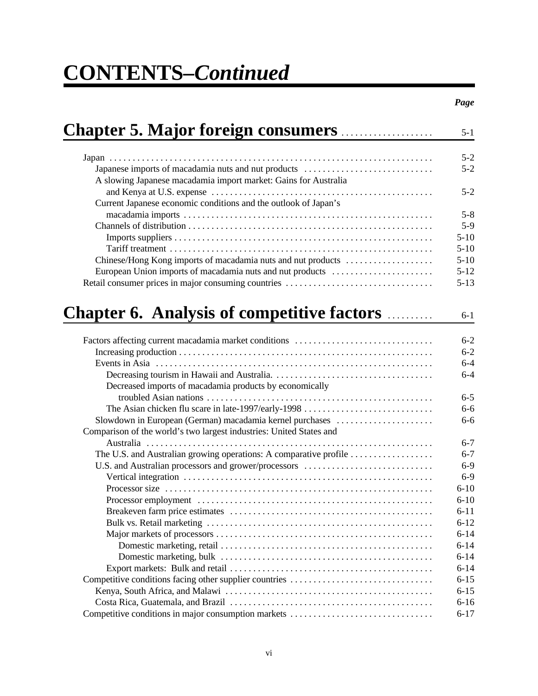| <b>Chapter 5. Major foreign consumers </b>                                                                             | $5 - 1$  |
|------------------------------------------------------------------------------------------------------------------------|----------|
|                                                                                                                        | $5 - 2$  |
| Japanese imports of macadamia nuts and nut products<br>A slowing Japanese macadamia import market: Gains for Australia | $5 - 2$  |
| Current Japanese economic conditions and the outlook of Japan's                                                        | $5 - 2$  |
|                                                                                                                        | $5 - 8$  |
|                                                                                                                        | $5-9$    |
|                                                                                                                        | $5 - 10$ |
|                                                                                                                        | $5 - 10$ |
| Chinese/Hong Kong imports of macadamia nuts and nut products                                                           | $5 - 10$ |
| European Union imports of macadamia nuts and nut products                                                              | $5 - 12$ |
|                                                                                                                        | $5 - 13$ |
| <b>Chapter 6. Analysis of competitive factors models</b>                                                               |          |
|                                                                                                                        | $6 - 1$  |
|                                                                                                                        | $6 - 2$  |
|                                                                                                                        | $6 - 2$  |
|                                                                                                                        | $6 - 4$  |
|                                                                                                                        | $6 - 4$  |
| Decreased imports of macadamia products by economically                                                                |          |
|                                                                                                                        | $6 - 5$  |
| The Asian chicken flu scare in late-1997/early-1998                                                                    | $6 - 6$  |
| Slowdown in European (German) macadamia kernel purchases                                                               | $6 - 6$  |
| Comparison of the world's two largest industries: United States and                                                    |          |
|                                                                                                                        | $6 - 7$  |
| The U.S. and Australian growing operations: A comparative profile                                                      | $6 - 7$  |
| U.S. and Australian processors and grower/processors                                                                   | $6 - 9$  |
|                                                                                                                        | $6 - 9$  |
|                                                                                                                        | $6 - 10$ |
|                                                                                                                        | $6 - 10$ |
|                                                                                                                        | $6 - 11$ |
|                                                                                                                        | $6 - 12$ |
|                                                                                                                        | $6 - 14$ |
|                                                                                                                        | $6 - 14$ |
|                                                                                                                        | $6 - 14$ |
|                                                                                                                        | $6 - 14$ |
| Competitive conditions facing other supplier countries                                                                 | $6 - 15$ |
|                                                                                                                        | $6 - 15$ |
|                                                                                                                        | $6 - 16$ |
| Competitive conditions in major consumption markets                                                                    | $6 - 17$ |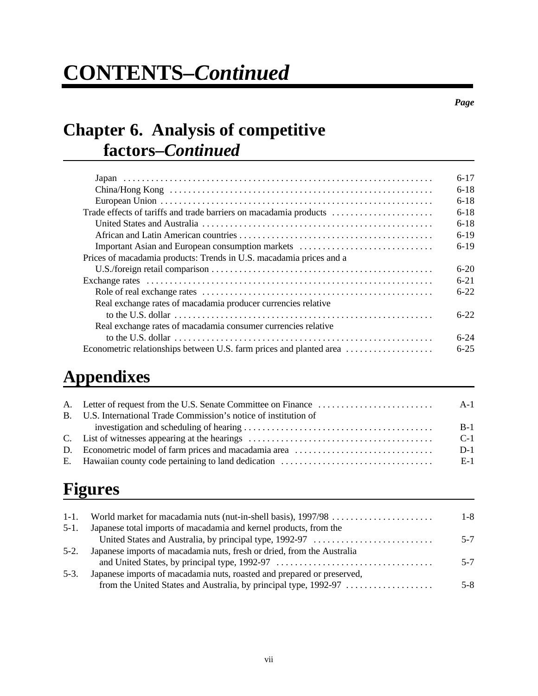*Page*

## **Chapter 6. Analysis of competitive factors–***Continued*

|                                                                                                                                | $6-17$   |
|--------------------------------------------------------------------------------------------------------------------------------|----------|
|                                                                                                                                | $6 - 18$ |
|                                                                                                                                | $6-18$   |
| Trade effects of tariffs and trade barriers on macadamia products                                                              | $6 - 18$ |
|                                                                                                                                | $6-18$   |
|                                                                                                                                | $6-19$   |
| Important Asian and European consumption markets                                                                               | $6-19$   |
| Prices of macadamia products: Trends in U.S. macadamia prices and a                                                            |          |
|                                                                                                                                | $6 - 20$ |
|                                                                                                                                | $6 - 21$ |
|                                                                                                                                | $6-22$   |
| Real exchange rates of macadamia producer currencies relative                                                                  |          |
| to the U.S. dollar $\ldots$ $\ldots$ $\ldots$ $\ldots$ $\ldots$ $\ldots$ $\ldots$ $\ldots$ $\ldots$ $\ldots$ $\ldots$ $\ldots$ | $6-22$   |
| Real exchange rates of macadamia consumer currencies relative                                                                  |          |
|                                                                                                                                | $6-24$   |
| Econometric relationships between U.S. farm prices and planted area                                                            | $6 - 25$ |

## **Appendixes**

| $A-1$                                                             |
|-------------------------------------------------------------------|
| $B-1$                                                             |
| $C-1$                                                             |
| $D-1$                                                             |
| E-1                                                               |
| B. U.S. International Trade Commission's notice of institution of |

## **Figures**

| $1-1.$ |                                                                        | $1 - 8$ |
|--------|------------------------------------------------------------------------|---------|
| $5-1.$ | Japanese total imports of macadamia and kernel products, from the      |         |
|        | United States and Australia, by principal type, 1992-97                | $5 - 7$ |
| $5-2.$ | Japanese imports of macadamia nuts, fresh or dried, from the Australia |         |
|        |                                                                        | $5 - 7$ |
| $5-3.$ | Japanese imports of macadamia nuts, roasted and prepared or preserved, |         |
|        |                                                                        | $5 - 8$ |
|        |                                                                        |         |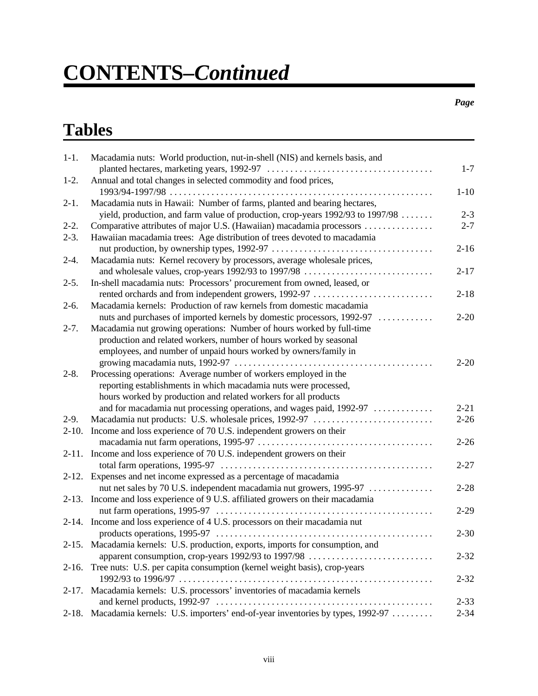#### *Page*

## **Tables**

| $1-1.$    | Macadamia nuts: World production, nut-in-shell (NIS) and kernels basis, and                                                     | $1 - 7$  |
|-----------|---------------------------------------------------------------------------------------------------------------------------------|----------|
| $1-2.$    | Annual and total changes in selected commodity and food prices,                                                                 |          |
| $2-1.$    | Macadamia nuts in Hawaii: Number of farms, planted and bearing hectares,                                                        | $1 - 10$ |
|           | yield, production, and farm value of production, crop-years 1992/93 to 1997/98                                                  | $2 - 3$  |
| $2-2.$    |                                                                                                                                 | $2 - 7$  |
| $2-3.$    | Hawaiian macadamia trees: Age distribution of trees devoted to macadamia                                                        | $2 - 16$ |
| $2-4.$    | Macadamia nuts: Kernel recovery by processors, average wholesale prices,<br>and wholesale values, crop-years 1992/93 to 1997/98 | $2 - 17$ |
| $2-5.$    | In-shell macadamia nuts: Processors' procurement from owned, leased, or                                                         |          |
|           | rented orchards and from independent growers, 1992-97                                                                           | $2 - 18$ |
| $2-6.$    | Macadamia kernels: Production of raw kernels from domestic macadamia                                                            |          |
|           | nuts and purchases of imported kernels by domestic processors, 1992-97                                                          | $2 - 20$ |
| $2 - 7$ . | Macadamia nut growing operations: Number of hours worked by full-time                                                           |          |
|           | production and related workers, number of hours worked by seasonal                                                              |          |
|           | employees, and number of unpaid hours worked by owners/family in                                                                |          |
|           |                                                                                                                                 | $2 - 20$ |
| $2 - 8.$  | Processing operations: Average number of workers employed in the                                                                |          |
|           | reporting establishments in which macadamia nuts were processed,                                                                |          |
|           | hours worked by production and related workers for all products                                                                 |          |
|           | and for macadamia nut processing operations, and wages paid, 1992-97                                                            | $2 - 21$ |
| $2-9.$    |                                                                                                                                 | $2 - 26$ |
| $2-10.$   | Income and loss experience of 70 U.S. independent growers on their                                                              |          |
|           |                                                                                                                                 | $2 - 26$ |
|           | 2-11. Income and loss experience of 70 U.S. independent growers on their                                                        |          |
|           |                                                                                                                                 | $2 - 27$ |
|           | 2-12. Expenses and net income expressed as a percentage of macadamia                                                            |          |
|           | nut net sales by 70 U.S. independent macadamia nut growers, 1995-97                                                             | $2 - 28$ |
|           | 2-13. Income and loss experience of 9 U.S. affiliated growers on their macadamia                                                |          |
|           |                                                                                                                                 | $2 - 29$ |
|           | 2-14. Income and loss experience of 4 U.S. processors on their macadamia nut                                                    |          |
|           |                                                                                                                                 | $2 - 30$ |
|           | 2-15. Macadamia kernels: U.S. production, exports, imports for consumption, and                                                 |          |
|           |                                                                                                                                 |          |
|           | apparent consumption, crop-years 1992/93 to 1997/98                                                                             | $2 - 32$ |
| $2-16.$   | Tree nuts: U.S. per capita consumption (kernel weight basis), crop-years                                                        |          |
|           |                                                                                                                                 | $2 - 32$ |
| $2 - 17.$ | Macadamia kernels: U.S. processors' inventories of macadamia kernels                                                            |          |
|           |                                                                                                                                 | $2 - 33$ |
| $2-18.$   | Macadamia kernels: U.S. importers' end-of-year inventories by types, 1992-97                                                    | $2 - 34$ |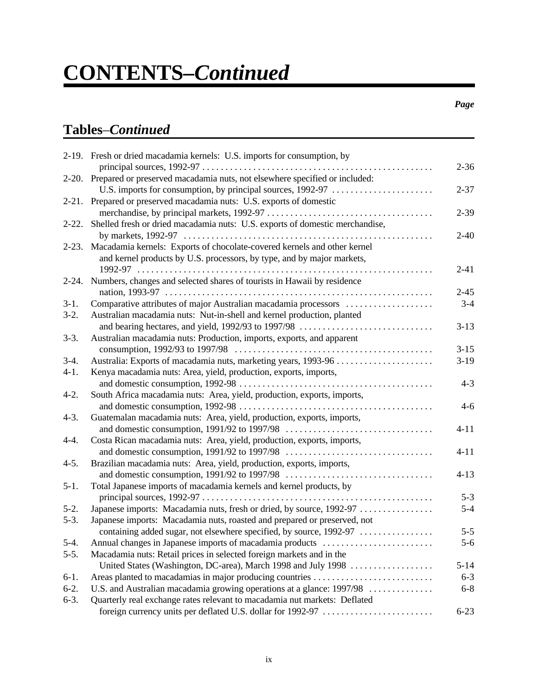#### *Page*

### **Tables**–*Continued*

|            | 2-19. Fresh or dried macadamia kernels: U.S. imports for consumption, by                                                                        | $2 - 36$ |
|------------|-------------------------------------------------------------------------------------------------------------------------------------------------|----------|
|            | 2-20. Prepared or preserved macadamia nuts, not elsewhere specified or included:<br>U.S. imports for consumption, by principal sources, 1992-97 | $2 - 37$ |
|            | 2-21. Prepared or preserved macadamia nuts: U.S. exports of domestic                                                                            |          |
| $2 - 22$ . | Shelled fresh or dried macadamia nuts: U.S. exports of domestic merchandise,                                                                    | $2 - 39$ |
|            |                                                                                                                                                 | $2 - 40$ |
| $2 - 23.$  | Macadamia kernels: Exports of chocolate-covered kernels and other kernel                                                                        |          |
|            | and kernel products by U.S. processors, by type, and by major markets,                                                                          |          |
|            |                                                                                                                                                 | $2 - 41$ |
| $2 - 24.$  | Numbers, changes and selected shares of tourists in Hawaii by residence                                                                         |          |
|            |                                                                                                                                                 | $2 - 45$ |
| $3-1.$     | Comparative attributes of major Australian macadamia processors                                                                                 | $3 - 4$  |
| $3-2.$     | Australian macadamia nuts: Nut-in-shell and kernel production, planted                                                                          |          |
|            |                                                                                                                                                 | $3 - 13$ |
| $3-3.$     | Australian macadamia nuts: Production, imports, exports, and apparent                                                                           | $3 - 15$ |
| $3-4.$     |                                                                                                                                                 | $3-19$   |
| $4-1.$     | Kenya macadamia nuts: Area, yield, production, exports, imports,                                                                                |          |
|            |                                                                                                                                                 | $4 - 3$  |
| $4-2.$     | South Africa macadamia nuts: Area, yield, production, exports, imports,                                                                         |          |
|            |                                                                                                                                                 | $4 - 6$  |
| $4 - 3$ .  | Guatemalan macadamia nuts: Area, yield, production, exports, imports,                                                                           | $4 - 11$ |
| $4-4.$     | Costa Rican macadamia nuts: Area, yield, production, exports, imports,                                                                          |          |
|            |                                                                                                                                                 | $4 - 11$ |
| $4 - 5.$   | Brazilian macadamia nuts: Area, yield, production, exports, imports,                                                                            |          |
|            |                                                                                                                                                 | $4 - 13$ |
| $5-1.$     | Total Japanese imports of macadamia kernels and kernel products, by                                                                             |          |
|            |                                                                                                                                                 | $5 - 3$  |
| $5-2.$     | Japanese imports: Macadamia nuts, fresh or dried, by source, 1992-97                                                                            | $5 - 4$  |
| $5-3.$     | Japanese imports: Macadamia nuts, roasted and prepared or preserved, not                                                                        |          |
|            | containing added sugar, not elsewhere specified, by source, 1992-97                                                                             | $5 - 5$  |
| $5-4.$     | Annual changes in Japanese imports of macadamia products                                                                                        | $5 - 6$  |
| $5-5.$     | Macadamia nuts: Retail prices in selected foreign markets and in the                                                                            |          |
|            |                                                                                                                                                 | $5 - 14$ |
| $6-1.$     |                                                                                                                                                 | $6 - 3$  |
| $6-2.$     | U.S. and Australian macadamia growing operations at a glance: 1997/98                                                                           | $6 - 8$  |
| $6-3.$     | Quarterly real exchange rates relevant to macadamia nut markets: Deflated                                                                       |          |
|            |                                                                                                                                                 | $6 - 23$ |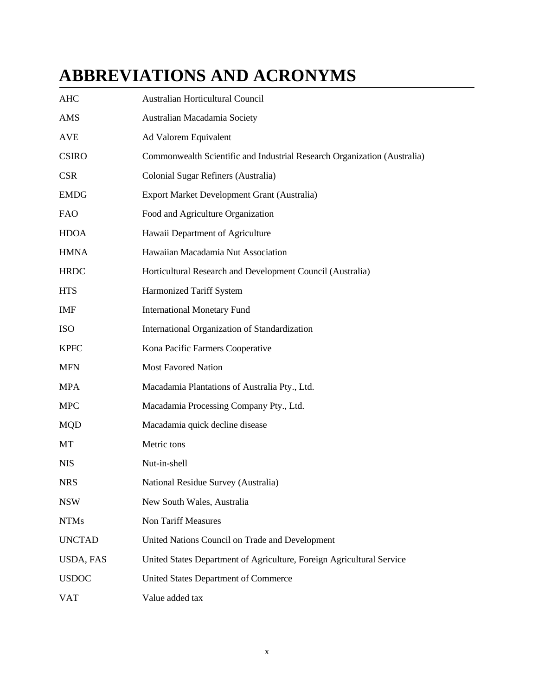## **ABBREVIATIONS AND ACRONYMS**

| <b>AHC</b>       | Australian Horticultural Council                                         |
|------------------|--------------------------------------------------------------------------|
| AMS              | Australian Macadamia Society                                             |
| AVE              | Ad Valorem Equivalent                                                    |
| <b>CSIRO</b>     | Commonwealth Scientific and Industrial Research Organization (Australia) |
| <b>CSR</b>       | Colonial Sugar Refiners (Australia)                                      |
| <b>EMDG</b>      | Export Market Development Grant (Australia)                              |
| <b>FAO</b>       | Food and Agriculture Organization                                        |
| <b>HDOA</b>      | Hawaii Department of Agriculture                                         |
| <b>HMNA</b>      | Hawaiian Macadamia Nut Association                                       |
| <b>HRDC</b>      | Horticultural Research and Development Council (Australia)               |
| <b>HTS</b>       | Harmonized Tariff System                                                 |
| <b>IMF</b>       | <b>International Monetary Fund</b>                                       |
| ISO              | International Organization of Standardization                            |
| <b>KPFC</b>      | Kona Pacific Farmers Cooperative                                         |
| <b>MFN</b>       | <b>Most Favored Nation</b>                                               |
| <b>MPA</b>       | Macadamia Plantations of Australia Pty., Ltd.                            |
| <b>MPC</b>       | Macadamia Processing Company Pty., Ltd.                                  |
| <b>MQD</b>       | Macadamia quick decline disease                                          |
| MT               | Metric tons                                                              |
| <b>NIS</b>       | Nut-in-shell                                                             |
| <b>NRS</b>       | National Residue Survey (Australia)                                      |
| <b>NSW</b>       | New South Wales, Australia                                               |
| <b>NTMs</b>      | Non Tariff Measures                                                      |
| <b>UNCTAD</b>    | United Nations Council on Trade and Development                          |
| <b>USDA, FAS</b> | United States Department of Agriculture, Foreign Agricultural Service    |
| <b>USDOC</b>     | <b>United States Department of Commerce</b>                              |
| <b>VAT</b>       | Value added tax                                                          |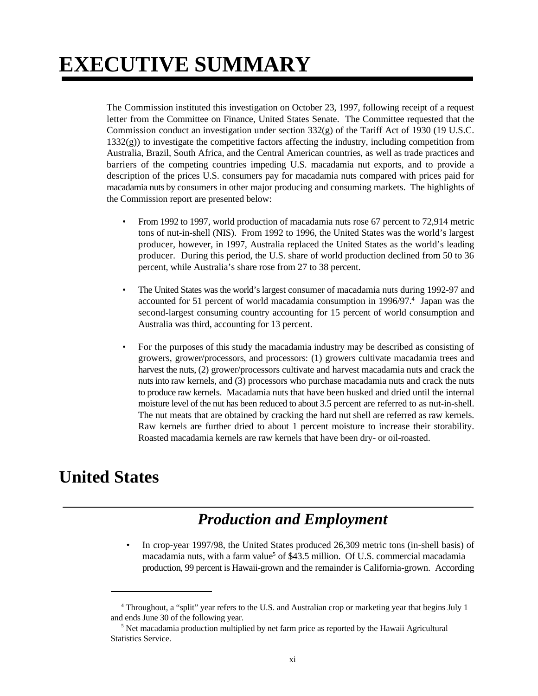## **EXECUTIVE SUMMARY**

The Commission instituted this investigation on October 23, 1997, following receipt of a request letter from the Committee on Finance, United States Senate. The Committee requested that the Commission conduct an investigation under section 332(g) of the Tariff Act of 1930 (19 U.S.C.  $1332(g)$ ) to investigate the competitive factors affecting the industry, including competition from Australia, Brazil, South Africa, and the Central American countries, as well as trade practices and barriers of the competing countries impeding U.S. macadamia nut exports, and to provide a description of the prices U.S. consumers pay for macadamia nuts compared with prices paid for macadamia nuts by consumers in other major producing and consuming markets. The highlights of the Commission report are presented below:

- From 1992 to 1997, world production of macadamia nuts rose 67 percent to 72,914 metric tons of nut-in-shell (NIS). From 1992 to 1996, the United States was the world's largest producer, however, in 1997, Australia replaced the United States as the world's leading producer. During this period, the U.S. share of world production declined from 50 to 36 percent, while Australia's share rose from 27 to 38 percent.
- The United States was the world's largest consumer of macadamia nuts during 1992-97 and accounted for 51 percent of world macadamia consumption in 1996/97.<sup>4</sup> Japan was the second-largest consuming country accounting for 15 percent of world consumption and Australia was third, accounting for 13 percent.
- For the purposes of this study the macadamia industry may be described as consisting of growers, grower/processors, and processors: (1) growers cultivate macadamia trees and harvest the nuts, (2) grower/processors cultivate and harvest macadamia nuts and crack the nuts into raw kernels, and (3) processors who purchase macadamia nuts and crack the nuts to produce raw kernels. Macadamia nuts that have been husked and dried until the internal moisture level of the nut has been reduced to about 3.5 percent are referred to as nut-in-shell. The nut meats that are obtained by cracking the hard nut shell are referred as raw kernels. Raw kernels are further dried to about 1 percent moisture to increase their storability. Roasted macadamia kernels are raw kernels that have been dry- or oil-roasted.

## **United States**

### *Production and Employment*

• In crop-year 1997/98, the United States produced 26,309 metric tons (in-shell basis) of macadamia nuts, with a farm value<sup>5</sup> of \$43.5 million. Of U.S. commercial macadamia production, 99 percent is Hawaii-grown and the remainder is California-grown. According

<sup>&</sup>lt;sup>4</sup> Throughout, a "split" year refers to the U.S. and Australian crop or marketing year that begins July 1 and ends June 30 of the following year.

 $5$  Net macadamia production multiplied by net farm price as reported by the Hawaii Agricultural Statistics Service.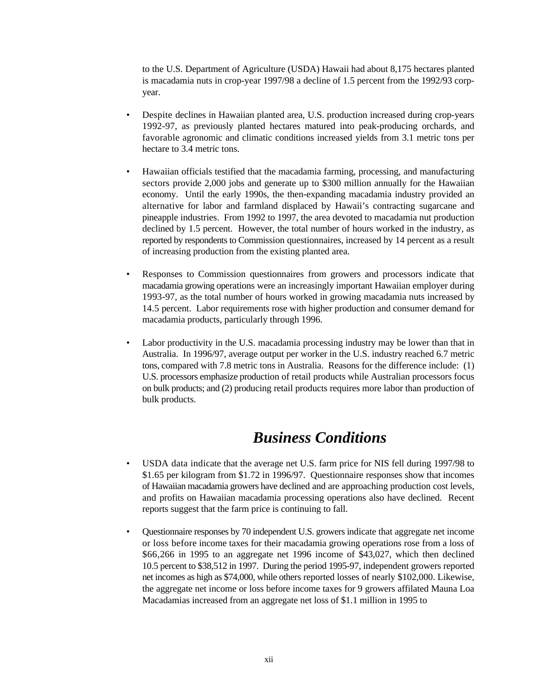to the U.S. Department of Agriculture (USDA) Hawaii had about 8,175 hectares planted is macadamia nuts in crop-year 1997/98 a decline of 1.5 percent from the 1992/93 corpyear.

- Despite declines in Hawaiian planted area, U.S. production increased during crop-years 1992-97, as previously planted hectares matured into peak-producing orchards, and favorable agronomic and climatic conditions increased yields from 3.1 metric tons per hectare to 3.4 metric tons.
- Hawaiian officials testified that the macadamia farming, processing, and manufacturing sectors provide 2,000 jobs and generate up to \$300 million annually for the Hawaiian economy. Until the early 1990s, the then-expanding macadamia industry provided an alternative for labor and farmland displaced by Hawaii's contracting sugarcane and pineapple industries. From 1992 to 1997, the area devoted to macadamia nut production declined by 1.5 percent. However, the total number of hours worked in the industry, as reported by respondents to Commission questionnaires, increased by 14 percent as a result of increasing production from the existing planted area.
- Responses to Commission questionnaires from growers and processors indicate that macadamia growing operations were an increasingly important Hawaiian employer during 1993-97, as the total number of hours worked in growing macadamia nuts increased by 14.5 percent. Labor requirements rose with higher production and consumer demand for macadamia products, particularly through 1996.
- Labor productivity in the U.S. macadamia processing industry may be lower than that in Australia. In 1996/97, average output per worker in the U.S. industry reached 6.7 metric tons, compared with 7.8 metric tons in Australia. Reasons for the difference include: (1) U.S. processors emphasize production of retail products while Australian processors focus on bulk products; and (2) producing retail products requires more labor than production of bulk products.

### *Business Conditions*

- USDA data indicate that the average net U.S. farm price for NIS fell during 1997/98 to \$1.65 per kilogram from \$1.72 in 1996/97. Questionnaire responses show that incomes of Hawaiian macadamia growers have declined and are approaching production cost levels, and profits on Hawaiian macadamia processing operations also have declined. Recent reports suggest that the farm price is continuing to fall.
- Questionnaire responses by 70 independent U.S. growers indicate that aggregate net income or loss before income taxes for their macadamia growing operations rose from a loss of \$66,266 in 1995 to an aggregate net 1996 income of \$43,027, which then declined 10.5 percent to \$38,512 in 1997. During the period 1995-97, independent growers reported net incomes as high as \$74,000, while others reported losses of nearly \$102,000. Likewise, the aggregate net income or loss before income taxes for 9 growers affilated Mauna Loa Macadamias increased from an aggregate net loss of \$1.1 million in 1995 to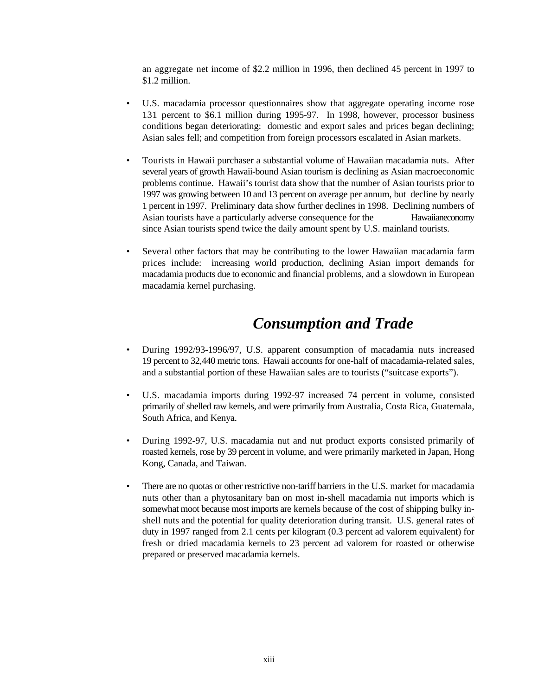an aggregate net income of \$2.2 million in 1996, then declined 45 percent in 1997 to \$1.2 million.

- U.S. macadamia processor questionnaires show that aggregate operating income rose 131 percent to \$6.1 million during 1995-97. In 1998, however, processor business conditions began deteriorating: domestic and export sales and prices began declining; Asian sales fell; and competition from foreign processors escalated in Asian markets.
- Tourists in Hawaii purchaser a substantial volume of Hawaiian macadamia nuts. After several years of growth Hawaii-bound Asian tourism is declining as Asian macroeconomic problems continue. Hawaii's tourist data show that the number of Asian tourists prior to 1997 was growing between 10 and 13 percent on average per annum, but decline by nearly 1 percent in 1997. Preliminary data show further declines in 1998. Declining numbers of Asian tourists have a particularly adverse consequence for the Hawaiian economy since Asian tourists spend twice the daily amount spent by U.S. mainland tourists.
- Several other factors that may be contributing to the lower Hawaiian macadamia farm prices include: increasing world production, declining Asian import demands for macadamia products due to economic and financial problems, and a slowdown in European macadamia kernel purchasing.

#### *Consumption and Trade*

- During 1992/93-1996/97, U.S. apparent consumption of macadamia nuts increased 19 percent to 32,440 metric tons. Hawaii accounts for one-half of macadamia-related sales, and a substantial portion of these Hawaiian sales are to tourists ("suitcase exports").
- U.S. macadamia imports during 1992-97 increased 74 percent in volume, consisted primarily of shelled raw kernels, and were primarily from Australia, Costa Rica, Guatemala, South Africa, and Kenya.
- During 1992-97, U.S. macadamia nut and nut product exports consisted primarily of roasted kernels, rose by 39 percent in volume, and were primarily marketed in Japan, Hong Kong, Canada, and Taiwan.
- There are no quotas or other restrictive non-tariff barriers in the U.S. market for macadamia nuts other than a phytosanitary ban on most in-shell macadamia nut imports which is somewhat moot because most imports are kernels because of the cost of shipping bulky inshell nuts and the potential for quality deterioration during transit. U.S. general rates of duty in 1997 ranged from 2.1 cents per kilogram (0.3 percent ad valorem equivalent) for fresh or dried macadamia kernels to 23 percent ad valorem for roasted or otherwise prepared or preserved macadamia kernels.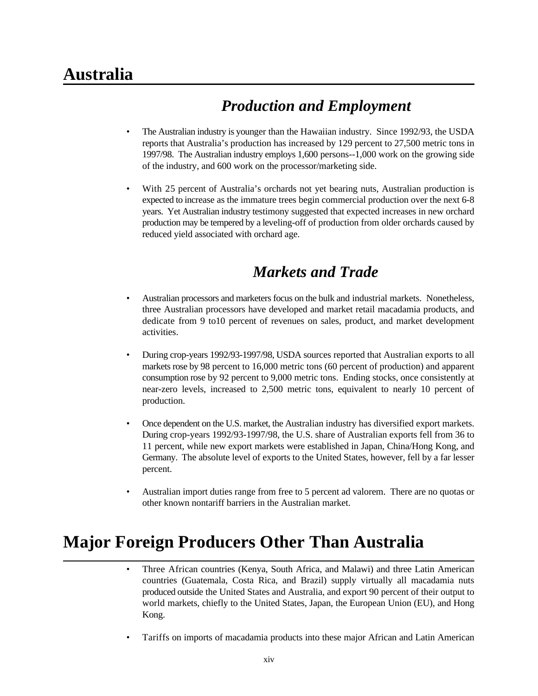## **Australia**

## *Production and Employment*

- The Australian industry is younger than the Hawaiian industry. Since 1992/93, the USDA reports that Australia's production has increased by 129 percent to 27,500 metric tons in 1997/98. The Australian industry employs 1,600 persons--1,000 work on the growing side of the industry, and 600 work on the processor/marketing side.
- With 25 percent of Australia's orchards not yet bearing nuts, Australian production is expected to increase as the immature trees begin commercial production over the next 6-8 years. Yet Australian industry testimony suggested that expected increases in new orchard production may be tempered by a leveling-off of production from older orchards caused by reduced yield associated with orchard age.

### *Markets and Trade*

- Australian processors and marketers focus on the bulk and industrial markets. Nonetheless, three Australian processors have developed and market retail macadamia products, and dedicate from 9 to10 percent of revenues on sales, product, and market development activities.
- During crop-years 1992/93-1997/98, USDA sources reported that Australian exports to all markets rose by 98 percent to 16,000 metric tons (60 percent of production) and apparent consumption rose by 92 percent to 9,000 metric tons. Ending stocks, once consistently at near-zero levels, increased to 2,500 metric tons, equivalent to nearly 10 percent of production.
- Once dependent on the U.S. market, the Australian industry has diversified export markets. During crop-years 1992/93-1997/98, the U.S. share of Australian exports fell from 36 to 11 percent, while new export markets were established in Japan, China/Hong Kong, and Germany. The absolute level of exports to the United States, however, fell by a far lesser percent.
- Australian import duties range from free to 5 percent ad valorem. There are no quotas or other known nontariff barriers in the Australian market.

## **Major Foreign Producers Other Than Australia**

- Three African countries (Kenya, South Africa, and Malawi) and three Latin American countries (Guatemala, Costa Rica, and Brazil) supply virtually all macadamia nuts produced outside the United States and Australia, and export 90 percent of their output to world markets, chiefly to the United States, Japan, the European Union (EU), and Hong Kong.
- Tariffs on imports of macadamia products into these major African and Latin American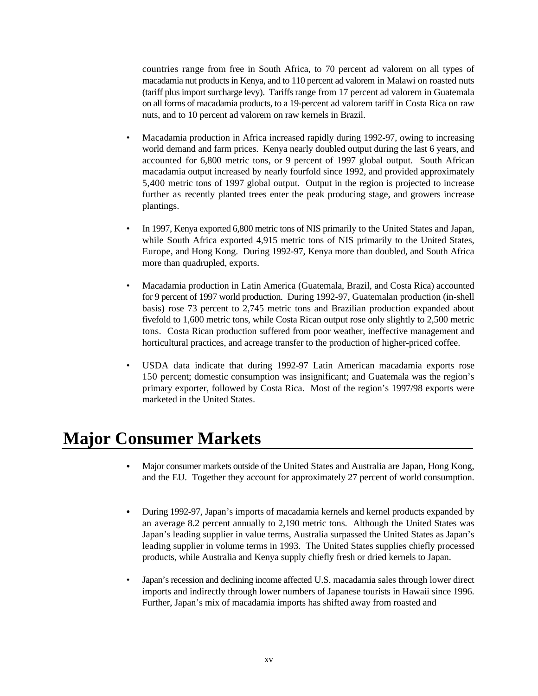countries range from free in South Africa, to 70 percent ad valorem on all types of macadamia nut products in Kenya, and to 110 percent ad valorem in Malawi on roasted nuts (tariff plus import surcharge levy). Tariffs range from 17 percent ad valorem in Guatemala on all forms of macadamia products, to a 19-percent ad valorem tariff in Costa Rica on raw nuts, and to 10 percent ad valorem on raw kernels in Brazil.

- Macadamia production in Africa increased rapidly during 1992-97, owing to increasing world demand and farm prices. Kenya nearly doubled output during the last 6 years, and accounted for 6,800 metric tons, or 9 percent of 1997 global output. South African macadamia output increased by nearly fourfold since 1992, and provided approximately 5,400 metric tons of 1997 global output. Output in the region is projected to increase further as recently planted trees enter the peak producing stage, and growers increase plantings.
- In 1997, Kenya exported 6,800 metric tons of NIS primarily to the United States and Japan, while South Africa exported 4,915 metric tons of NIS primarily to the United States, Europe, and Hong Kong. During 1992-97, Kenya more than doubled, and South Africa more than quadrupled, exports.
- Macadamia production in Latin America (Guatemala, Brazil, and Costa Rica) accounted for 9 percent of 1997 world production. During 1992-97, Guatemalan production (in-shell basis) rose 73 percent to 2,745 metric tons and Brazilian production expanded about fivefold to 1,600 metric tons, while Costa Rican output rose only slightly to 2,500 metric tons. Costa Rican production suffered from poor weather, ineffective management and horticultural practices, and acreage transfer to the production of higher-priced coffee.
- USDA data indicate that during 1992-97 Latin American macadamia exports rose 150 percent; domestic consumption was insignificant; and Guatemala was the region's primary exporter, followed by Costa Rica. Most of the region's 1997/98 exports were marketed in the United States.

### **Major Consumer Markets**

- Major consumer markets outside of the United States and Australia are Japan, Hong Kong, and the EU. Together they account for approximately 27 percent of world consumption.
- During 1992-97, Japan's imports of macadamia kernels and kernel products expanded by an average 8.2 percent annually to 2,190 metric tons. Although the United States was Japan's leading supplier in value terms, Australia surpassed the United States as Japan's leading supplier in volume terms in 1993. The United States supplies chiefly processed products, while Australia and Kenya supply chiefly fresh or dried kernels to Japan.
- Japan's recession and declining income affected U.S. macadamia sales through lower direct imports and indirectly through lower numbers of Japanese tourists in Hawaii since 1996. Further, Japan's mix of macadamia imports has shifted away from roasted and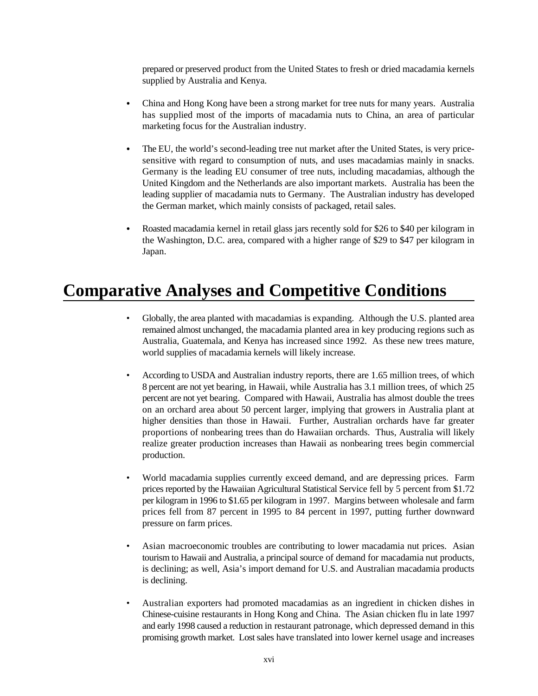prepared or preserved product from the United States to fresh or dried macadamia kernels supplied by Australia and Kenya.

- China and Hong Kong have been a strong market for tree nuts for many years. Australia has supplied most of the imports of macadamia nuts to China, an area of particular marketing focus for the Australian industry.
- The EU, the world's second-leading tree nut market after the United States, is very pricesensitive with regard to consumption of nuts, and uses macadamias mainly in snacks. Germany is the leading EU consumer of tree nuts, including macadamias, although the United Kingdom and the Netherlands are also important markets. Australia has been the leading supplier of macadamia nuts to Germany. The Australian industry has developed the German market, which mainly consists of packaged, retail sales.
- Roasted macadamia kernel in retail glass jars recently sold for \$26 to \$40 per kilogram in the Washington, D.C. area, compared with a higher range of \$29 to \$47 per kilogram in Japan.

## **Comparative Analyses and Competitive Conditions**

- Globally, the area planted with macadamias is expanding. Although the U.S. planted area remained almost unchanged, the macadamia planted area in key producing regions such as Australia, Guatemala, and Kenya has increased since 1992. As these new trees mature, world supplies of macadamia kernels will likely increase.
- According to USDA and Australian industry reports, there are 1.65 million trees, of which 8 percent are not yet bearing, in Hawaii, while Australia has 3.1 million trees, of which 25 percent are not yet bearing. Compared with Hawaii, Australia has almost double the trees on an orchard area about 50 percent larger, implying that growers in Australia plant at higher densities than those in Hawaii. Further, Australian orchards have far greater proportions of nonbearing trees than do Hawaiian orchards. Thus, Australia will likely realize greater production increases than Hawaii as nonbearing trees begin commercial production.
- World macadamia supplies currently exceed demand, and are depressing prices. Farm prices reported by the Hawaiian Agricultural Statistical Service fell by 5 percent from \$1.72 per kilogram in 1996 to \$1.65 per kilogram in 1997. Margins between wholesale and farm prices fell from 87 percent in 1995 to 84 percent in 1997, putting further downward pressure on farm prices.
- Asian macroeconomic troubles are contributing to lower macadamia nut prices. Asian tourism to Hawaii and Australia, a principal source of demand for macadamia nut products, is declining; as well, Asia's import demand for U.S. and Australian macadamia products is declining.
- Australian exporters had promoted macadamias as an ingredient in chicken dishes in Chinese-cuisine restaurants in Hong Kong and China. The Asian chicken flu in late 1997 and early 1998 caused a reduction in restaurant patronage, which depressed demand in this promising growth market. Lost sales have translated into lower kernel usage and increases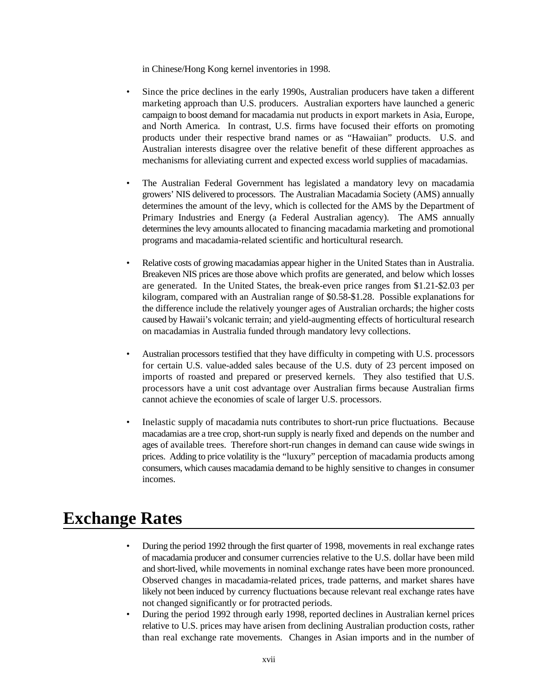in Chinese/Hong Kong kernel inventories in 1998.

- Since the price declines in the early 1990s, Australian producers have taken a different marketing approach than U.S. producers. Australian exporters have launched a generic campaign to boost demand for macadamia nut products in export markets in Asia, Europe, and North America. In contrast, U.S. firms have focused their efforts on promoting products under their respective brand names or as "Hawaiian" products. U.S. and Australian interests disagree over the relative benefit of these different approaches as mechanisms for alleviating current and expected excess world supplies of macadamias.
- The Australian Federal Government has legislated a mandatory levy on macadamia growers' NIS delivered to processors. The Australian Macadamia Society (AMS) annually determines the amount of the levy, which is collected for the AMS by the Department of Primary Industries and Energy (a Federal Australian agency). The AMS annually determines the levy amounts allocated to financing macadamia marketing and promotional programs and macadamia-related scientific and horticultural research.
- Relative costs of growing macadamias appear higher in the United States than in Australia. Breakeven NIS prices are those above which profits are generated, and below which losses are generated. In the United States, the break-even price ranges from \$1.21-\$2.03 per kilogram, compared with an Australian range of \$0.58-\$1.28. Possible explanations for the difference include the relatively younger ages of Australian orchards; the higher costs caused by Hawaii's volcanic terrain; and yield-augmenting effects of horticultural research on macadamias in Australia funded through mandatory levy collections.
- Australian processors testified that they have difficulty in competing with U.S. processors for certain U.S. value-added sales because of the U.S. duty of 23 percent imposed on imports of roasted and prepared or preserved kernels. They also testified that U.S. processors have a unit cost advantage over Australian firms because Australian firms cannot achieve the economies of scale of larger U.S. processors.
- Inelastic supply of macadamia nuts contributes to short-run price fluctuations. Because macadamias are a tree crop, short-run supply is nearly fixed and depends on the number and ages of available trees. Therefore short-run changes in demand can cause wide swings in prices. Adding to price volatility is the "luxury" perception of macadamia products among consumers, which causes macadamia demand to be highly sensitive to changes in consumer incomes.

### **Exchange Rates**

- During the period 1992 through the first quarter of 1998, movements in real exchange rates of macadamia producer and consumer currencies relative to the U.S. dollar have been mild and short-lived, while movements in nominal exchange rates have been more pronounced. Observed changes in macadamia-related prices, trade patterns, and market shares have likely not been induced by currency fluctuations because relevant real exchange rates have not changed significantly or for protracted periods.
- During the period 1992 through early 1998, reported declines in Australian kernel prices relative to U.S. prices may have arisen from declining Australian production costs, rather than real exchange rate movements. Changes in Asian imports and in the number of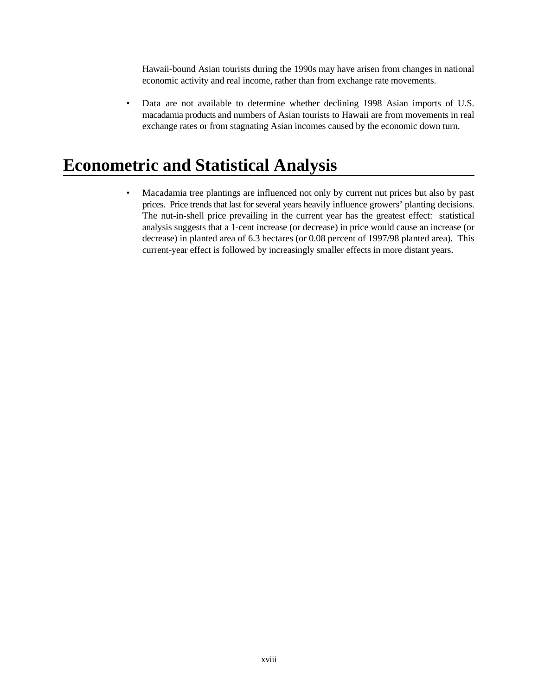Hawaii-bound Asian tourists during the 1990s may have arisen from changes in national economic activity and real income, rather than from exchange rate movements.

• Data are not available to determine whether declining 1998 Asian imports of U.S. macadamia products and numbers of Asian tourists to Hawaii are from movements in real exchange rates or from stagnating Asian incomes caused by the economic down turn.

## **Econometric and Statistical Analysis**

• Macadamia tree plantings are influenced not only by current nut prices but also by past prices. Price trends that last for several years heavily influence growers' planting decisions. The nut-in-shell price prevailing in the current year has the greatest effect: statistical analysis suggests that a 1-cent increase (or decrease) in price would cause an increase (or decrease) in planted area of 6.3 hectares (or 0.08 percent of 1997/98 planted area). This current-year effect is followed by increasingly smaller effects in more distant years.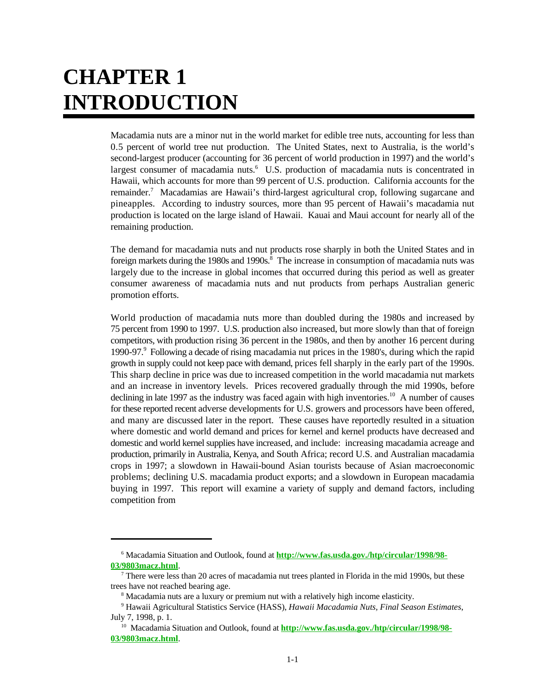## **CHAPTER 1 INTRODUCTION**

Macadamia nuts are a minor nut in the world market for edible tree nuts, accounting for less than 0.5 percent of world tree nut production. The United States, next to Australia, is the world's second-largest producer (accounting for 36 percent of world production in 1997) and the world's largest consumer of macadamia nuts.<sup>6</sup> U.S. production of macadamia nuts is concentrated in Hawaii, which accounts for more than 99 percent of U.S. production. California accounts for the remainder.<sup>7</sup> Macadamias are Hawaii's third-largest agricultural crop, following sugarcane and pineapples. According to industry sources, more than 95 percent of Hawaii's macadamia nut production is located on the large island of Hawaii. Kauai and Maui account for nearly all of the remaining production.

The demand for macadamia nuts and nut products rose sharply in both the United States and in foreign markets during the 1980s and 1990s.<sup>8</sup> The increase in consumption of macadamia nuts was largely due to the increase in global incomes that occurred during this period as well as greater consumer awareness of macadamia nuts and nut products from perhaps Australian generic promotion efforts.

World production of macadamia nuts more than doubled during the 1980s and increased by 75 percent from 1990 to 1997. U.S. production also increased, but more slowly than that of foreign competitors, with production rising 36 percent in the 1980s, and then by another 16 percent during 1990-97. Following a decade of rising macadamia nut prices in the 1980's, during which the rapid <sup>9</sup> growth in supply could not keep pace with demand, prices fell sharply in the early part of the 1990s. This sharp decline in price was due to increased competition in the world macadamia nut markets and an increase in inventory levels. Prices recovered gradually through the mid 1990s, before declining in late 1997 as the industry was faced again with high inventories.<sup>10</sup> A number of causes for these reported recent adverse developments for U.S. growers and processors have been offered, and many are discussed later in the report. These causes have reportedly resulted in a situation where domestic and world demand and prices for kernel and kernel products have decreased and domestic and world kernel supplies have increased, and include: increasing macadamia acreage and production, primarily in Australia, Kenya, and South Africa; record U.S. and Australian macadamia crops in 1997; a slowdown in Hawaii-bound Asian tourists because of Asian macroeconomic problems; declining U.S. macadamia product exports; and a slowdown in European macadamia buying in 1997. This report will examine a variety of supply and demand factors, including competition from

Macadamia Situation and Outlook, found at **http://www.fas.usda.gov./htp/circular/1998/98-** <sup>6</sup> **03/9803macz.html**.

There were less than 20 acres of macadamia nut trees planted in Florida in the mid 1990s, but these trees have not reached bearing age.

<sup>&</sup>lt;sup>8</sup> Macadamia nuts are a luxury or premium nut with a relatively high income elasticity.

<sup>&</sup>lt;sup>9</sup> Hawaii Agricultural Statistics Service (HASS), *Hawaii Macadamia Nuts, Final Season Estimates*, July 7, 1998, p. 1.

<sup>&</sup>lt;sup>10</sup> Macadamia Situation and Outlook, found at **http://www.fas.usda.gov./htp/circular/1998/98-03/9803macz.html**.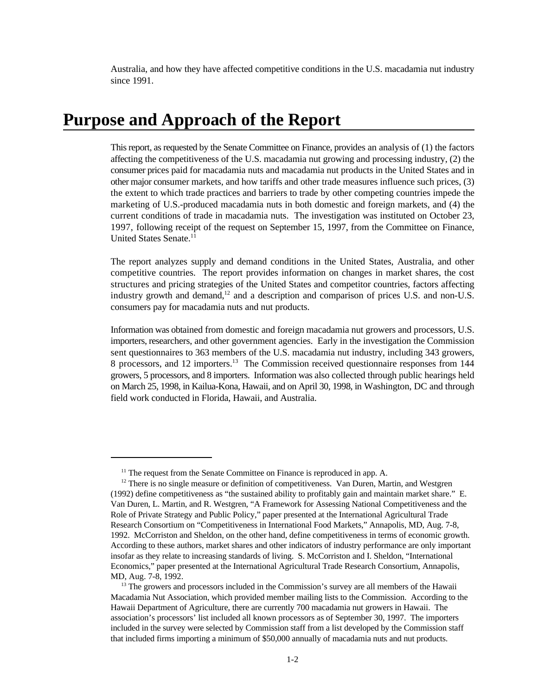Australia, and how they have affected competitive conditions in the U.S. macadamia nut industry since 1991.

#### **Purpose and Approach of the Report**

This report, as requested by the Senate Committee on Finance, provides an analysis of (1) the factors affecting the competitiveness of the U.S. macadamia nut growing and processing industry, (2) the consumer prices paid for macadamia nuts and macadamia nut products in the United States and in other major consumer markets, and how tariffs and other trade measures influence such prices, (3) the extent to which trade practices and barriers to trade by other competing countries impede the marketing of U.S.-produced macadamia nuts in both domestic and foreign markets, and (4) the current conditions of trade in macadamia nuts. The investigation was instituted on October 23, 1997, following receipt of the request on September 15, 1997, from the Committee on Finance, United States Senate.<sup>11</sup>

The report analyzes supply and demand conditions in the United States, Australia, and other competitive countries. The report provides information on changes in market shares, the cost structures and pricing strategies of the United States and competitor countries, factors affecting industry growth and demand, $12$  and a description and comparison of prices U.S. and non-U.S. consumers pay for macadamia nuts and nut products.

Information was obtained from domestic and foreign macadamia nut growers and processors, U.S. importers, researchers, and other government agencies. Early in the investigation the Commission sent questionnaires to 363 members of the U.S. macadamia nut industry, including 343 growers, 8 processors, and 12 importers.<sup>13</sup> The Commission received questionnaire responses from 144 growers, 5 processors, and 8 importers. Information was also collected through public hearings held on March 25, 1998, in Kailua-Kona, Hawaii, and on April 30, 1998, in Washington, DC and through field work conducted in Florida, Hawaii, and Australia.

 $<sup>11</sup>$  The request from the Senate Committee on Finance is reproduced in app. A.</sup>

 $12$  There is no single measure or definition of competitiveness. Van Duren, Martin, and Westgren (1992) define competitiveness as "the sustained ability to profitably gain and maintain market share." E. Van Duren, L. Martin, and R. Westgren, "A Framework for Assessing National Competitiveness and the Role of Private Strategy and Public Policy," paper presented at the International Agricultural Trade Research Consortium on "Competitiveness in International Food Markets," Annapolis, MD, Aug. 7-8, 1992. McCorriston and Sheldon, on the other hand, define competitiveness in terms of economic growth. According to these authors, market shares and other indicators of industry performance are only important insofar as they relate to increasing standards of living. S. McCorriston and I. Sheldon, "International Economics," paper presented at the International Agricultural Trade Research Consortium, Annapolis, MD, Aug. 7-8, 1992.

 $<sup>13</sup>$  The growers and processors included in the Commission's survey are all members of the Hawaii</sup> Macadamia Nut Association, which provided member mailing lists to the Commission. According to the Hawaii Department of Agriculture, there are currently 700 macadamia nut growers in Hawaii. The association's processors' list included all known processors as of September 30, 1997. The importers included in the survey were selected by Commission staff from a list developed by the Commission staff that included firms importing a minimum of \$50,000 annually of macadamia nuts and nut products.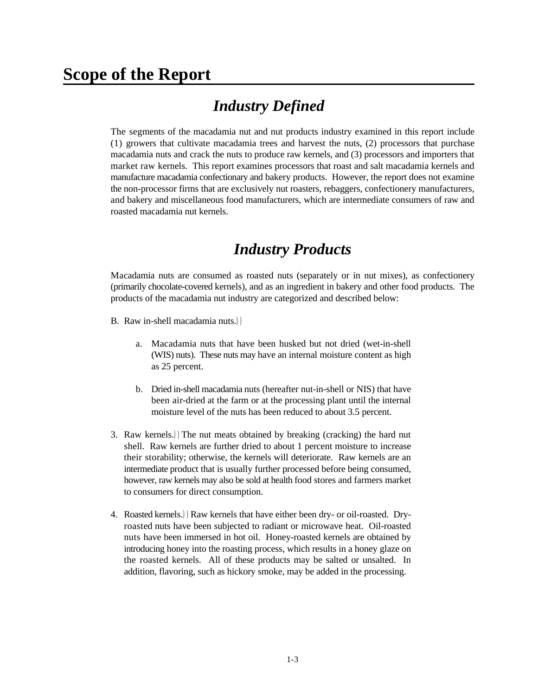### **Scope of the Report**

## *Industry Defined*

The segments of the macadamia nut and nut products industry examined in this report include (1) growers that cultivate macadamia trees and harvest the nuts, (2) processors that purchase macadamia nuts and crack the nuts to produce raw kernels, and (3) processors and importers that market raw kernels. This report examines processors that roast and salt macadamia kernels and manufacture macadamia confectionary and bakery products. However, the report does not examine the non-processor firms that are exclusively nut roasters, rebaggers, confectionery manufacturers, and bakery and miscellaneous food manufacturers, which are intermediate consumers of raw and roasted macadamia nut kernels.

#### *Industry Products*

Macadamia nuts are consumed as roasted nuts (separately or in nut mixes), as confectionery (primarily chocolate-covered kernels), and as an ingredient in bakery and other food products. The products of the macadamia nut industry are categorized and described below:

- B. Raw in-shell macadamia nuts.))
	- a. Macadamia nuts that have been husked but not dried (wet-in-shell (WIS) nuts). These nuts may have an internal moisture content as high as 25 percent.
	- b. Dried in-shell macadamia nuts (hereafter nut-in-shell or NIS) that have been air-dried at the farm or at the processing plant until the internal moisture level of the nuts has been reduced to about 3.5 percent.
- 3. Raw kernels.))The nut meats obtained by breaking (cracking) the hard nut shell. Raw kernels are further dried to about 1 percent moisture to increase their storability; otherwise, the kernels will deteriorate. Raw kernels are an intermediate product that is usually further processed before being consumed, however, raw kernels may also be sold at health food stores and farmers market to consumers for direct consumption.
- 4. Roasted kernels.))Raw kernels that have either been dry- or oil-roasted. Dryroasted nuts have been subjected to radiant or microwave heat. Oil-roasted nuts have been immersed in hot oil. Honey-roasted kernels are obtained by introducing honey into the roasting process, which results in a honey glaze on the roasted kernels. All of these products may be salted or unsalted. In addition, flavoring, such as hickory smoke, may be added in the processing.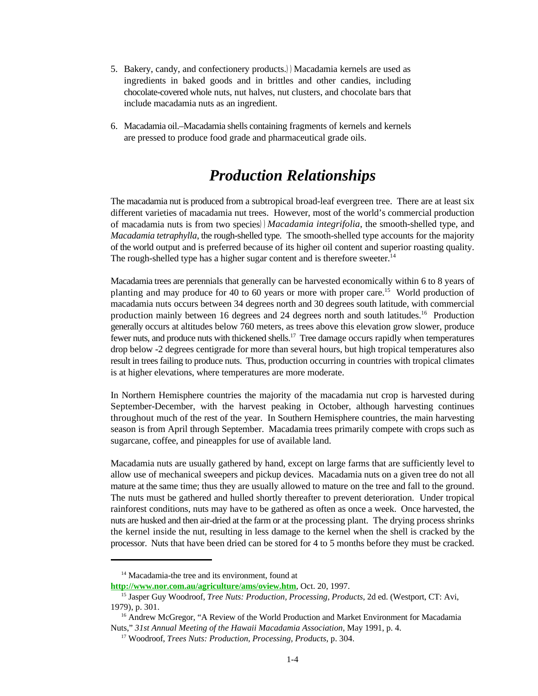- 5. Bakery, candy, and confectionery products.))Macadamia kernels are used as ingredients in baked goods and in brittles and other candies, including chocolate-covered whole nuts, nut halves, nut clusters, and chocolate bars that include macadamia nuts as an ingredient.
- 6. Macadamia oil.–Macadamia shells containing fragments of kernels and kernels are pressed to produce food grade and pharmaceutical grade oils.

### *Production Relationships*

The macadamia nut is produced from a subtropical broad-leaf evergreen tree. There are at least six different varieties of macadamia nut trees. However, most of the world's commercial production of macadamia nuts is from two species))*Macadamia integrifolia*, the smooth-shelled type, and *Macadamia tetraphylla*, the rough-shelled type. The smooth-shelled type accounts for the majority of the world output and is preferred because of its higher oil content and superior roasting quality. The rough-shelled type has a higher sugar content and is therefore sweeter.<sup>14</sup>

Macadamia trees are perennials that generally can be harvested economically within 6 to 8 years of planting and may produce for 40 to 60 years or more with proper care.<sup>15</sup> World production of macadamia nuts occurs between 34 degrees north and 30 degrees south latitude, with commercial production mainly between 16 degrees and 24 degrees north and south latitudes.<sup>16</sup> Production generally occurs at altitudes below 760 meters, as trees above this elevation grow slower, produce fewer nuts, and produce nuts with thickened shells.<sup>17</sup> Tree damage occurs rapidly when temperatures drop below -2 degrees centigrade for more than several hours, but high tropical temperatures also result in trees failing to produce nuts. Thus, production occurring in countries with tropical climates is at higher elevations, where temperatures are more moderate.

In Northern Hemisphere countries the majority of the macadamia nut crop is harvested during September-December, with the harvest peaking in October, although harvesting continues throughout much of the rest of the year. In Southern Hemisphere countries, the main harvesting season is from April through September. Macadamia trees primarily compete with crops such as sugarcane, coffee, and pineapples for use of available land.

Macadamia nuts are usually gathered by hand, except on large farms that are sufficiently level to allow use of mechanical sweepers and pickup devices. Macadamia nuts on a given tree do not all mature at the same time; thus they are usually allowed to mature on the tree and fall to the ground. The nuts must be gathered and hulled shortly thereafter to prevent deterioration. Under tropical rainforest conditions, nuts may have to be gathered as often as once a week. Once harvested, the nuts are husked and then air-dried at the farm or at the processing plant. The drying process shrinks the kernel inside the nut, resulting in less damage to the kernel when the shell is cracked by the processor. Nuts that have been dried can be stored for 4 to 5 months before they must be cracked.

 $14$  Macadamia-the tree and its environment, found at

**http://www.nor.com.au/agriculture/ams/oview.htm**, Oct. 20, 1997.

<sup>&</sup>lt;sup>15</sup> Jasper Guy Woodroof, *Tree Nuts: Production, Processing, Products*, 2d ed. (Westport, CT: Avi, 1979), p. 301.

<sup>&</sup>lt;sup>16</sup> Andrew McGregor, "A Review of the World Production and Market Environment for Macadamia Nuts," *31st Annual Meeting of the Hawaii Macadamia Association*, May 1991, p. 4.

<sup>&</sup>lt;sup>17</sup> Woodroof, *Trees Nuts: Production, Processing, Products, p.* 304.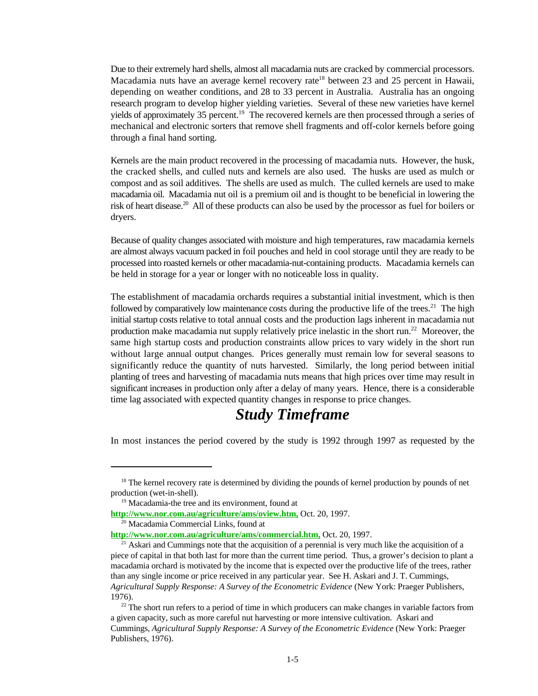Due to their extremely hard shells, almost all macadamia nuts are cracked by commercial processors. Macadamia nuts have an average kernel recovery rate<sup>18</sup> between 23 and 25 percent in Hawaii, depending on weather conditions, and 28 to 33 percent in Australia. Australia has an ongoing research program to develop higher yielding varieties. Several of these new varieties have kernel yields of approximately 35 percent.<sup>19</sup> The recovered kernels are then processed through a series of mechanical and electronic sorters that remove shell fragments and off-color kernels before going through a final hand sorting.

Kernels are the main product recovered in the processing of macadamia nuts. However, the husk, the cracked shells, and culled nuts and kernels are also used. The husks are used as mulch or compost and as soil additives. The shells are used as mulch. The culled kernels are used to make macadamia oil. Macadamia nut oil is a premium oil and is thought to be beneficial in lowering the risk of heart disease.<sup>20</sup> All of these products can also be used by the processor as fuel for boilers or dryers.

Because of quality changes associated with moisture and high temperatures, raw macadamia kernels are almost always vacuum packed in foil pouches and held in cool storage until they are ready to be processed into roasted kernels or other macadamia-nut-containing products. Macadamia kernels can be held in storage for a year or longer with no noticeable loss in quality.

The establishment of macadamia orchards requires a substantial initial investment, which is then followed by comparatively low maintenance costs during the productive life of the trees.<sup>21</sup> The high initial startup costs relative to total annual costs and the production lags inherent in macadamia nut production make macadamia nut supply relatively price inelastic in the short run.<sup>22</sup> Moreover, the same high startup costs and production constraints allow prices to vary widely in the short run without large annual output changes. Prices generally must remain low for several seasons to significantly reduce the quantity of nuts harvested. Similarly, the long period between initial planting of trees and harvesting of macadamia nuts means that high prices over time may result in significant increases in production only after a delay of many years. Hence, there is a considerable time lag associated with expected quantity changes in response to price changes.

#### *Study Timeframe*

In most instances the period covered by the study is 1992 through 1997 as requested by the

 $18$  The kernel recovery rate is determined by dividing the pounds of kernel production by pounds of net production (wet-in-shell).

<sup>&</sup>lt;sup>19</sup> Macadamia-the tree and its environment, found at

**http://www.nor.com.au/agriculture/ams/oview.htm,** Oct. 20, 1997.

<sup>&</sup>lt;sup>20</sup> Macadamia Commercial Links, found at

**http://www.nor.com.au/agriculture/ams/commercial.htm,** Oct. 20, 1997.

<sup>&</sup>lt;sup>21</sup> Askari and Cummings note that the acquisition of a perennial is very much like the acquisition of a piece of capital in that both last for more than the current time period. Thus, a grower's decision to plant a macadamia orchard is motivated by the income that is expected over the productive life of the trees, rather than any single income or price received in any particular year. See H. Askari and J. T. Cummings, *Agricultural Supply Response: A Survey of the Econometric Evidence* (New York: Praeger Publishers, 1976).

 $22$  The short run refers to a period of time in which producers can make changes in variable factors from a given capacity, such as more careful nut harvesting or more intensive cultivation. Askari and Cummings, *Agricultural Supply Response: A Survey of the Econometric Evidence* (New York: Praeger Publishers, 1976).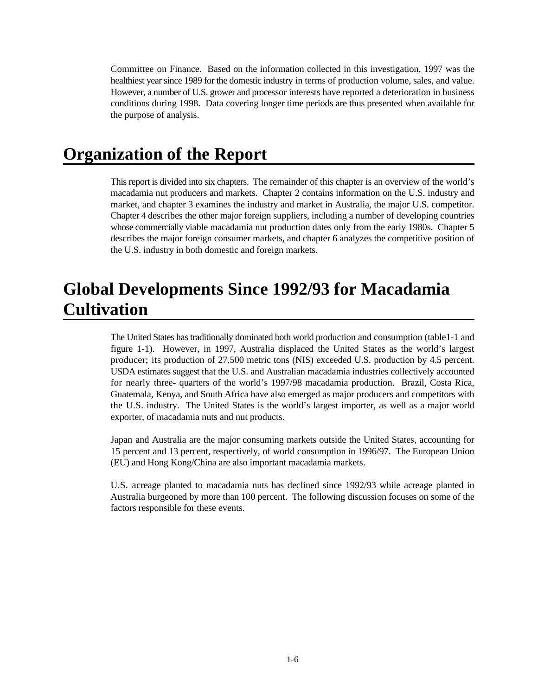Committee on Finance. Based on the information collected in this investigation, 1997 was the healthiest year since 1989 for the domestic industry in terms of production volume, sales, and value. However, a number of U.S. grower and processor interests have reported a deterioration in business conditions during 1998. Data covering longer time periods are thus presented when available for the purpose of analysis.

## **Organization of the Report**

This report is divided into six chapters. The remainder of this chapter is an overview of the world's macadamia nut producers and markets. Chapter 2 contains information on the U.S. industry and market, and chapter 3 examines the industry and market in Australia, the major U.S. competitor. Chapter 4 describes the other major foreign suppliers, including a number of developing countries whose commercially viable macadamia nut production dates only from the early 1980s. Chapter 5 describes the major foreign consumer markets, and chapter 6 analyzes the competitive position of the U.S. industry in both domestic and foreign markets.

## **Global Developments Since 1992/93 for Macadamia Cultivation**

The United States has traditionally dominated both world production and consumption (table1-1 and figure 1-1). However, in 1997, Australia displaced the United States as the world's largest producer; its production of 27,500 metric tons (NIS) exceeded U.S. production by 4.5 percent. USDA estimates suggest that the U.S. and Australian macadamia industries collectively accounted for nearly three- quarters of the world's 1997/98 macadamia production. Brazil, Costa Rica, Guatemala, Kenya, and South Africa have also emerged as major producers and competitors with the U.S. industry. The United States is the world's largest importer, as well as a major world exporter, of macadamia nuts and nut products.

Japan and Australia are the major consuming markets outside the United States, accounting for 15 percent and 13 percent, respectively, of world consumption in 1996/97. The European Union (EU) and Hong Kong/China are also important macadamia markets.

U.S. acreage planted to macadamia nuts has declined since 1992/93 while acreage planted in Australia burgeoned by more than 100 percent. The following discussion focuses on some of the factors responsible for these events.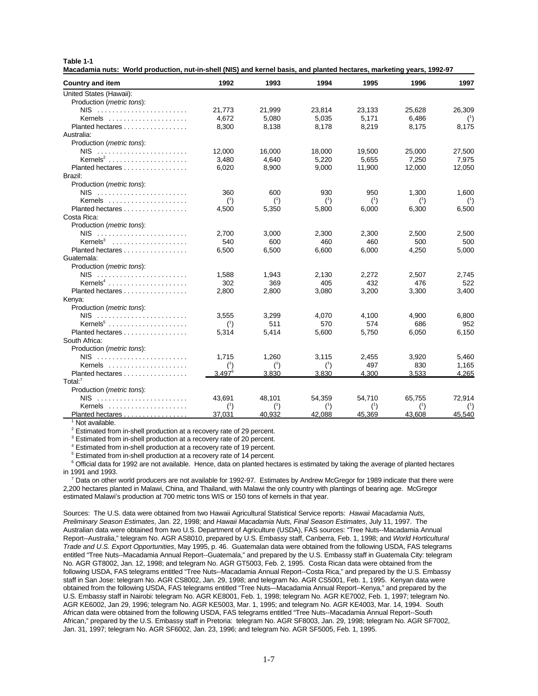| Table |  |  |
|-------|--|--|
|-------|--|--|

**Macadamia nuts: World production, nut-in-shell (NIS) and kernel basis, and planted hectares, marketing years, 1992-97**

| Country and item                   | 1992             | 1993                         | 1994         | 1995   | 1996                | 1997                |
|------------------------------------|------------------|------------------------------|--------------|--------|---------------------|---------------------|
| United States (Hawaii):            |                  |                              |              |        |                     |                     |
| Production (metric tons):          |                  |                              |              |        |                     |                     |
|                                    | 21.773           | 21,999                       | 23.814       | 23,133 | 25,628              | 26,309              |
| Kernels                            | 4,672            | 5,080                        | 5,035        | 5,171  | 6,486               | (1)                 |
| Planted hectares                   | 8,300            | 8.138                        | 8.178        | 8.219  | 8.175               | 8,175               |
| Australia:                         |                  |                              |              |        |                     |                     |
| Production (metric tons):          |                  |                              |              |        |                     |                     |
|                                    | 12,000           | 16,000                       | 18,000       | 19,500 | 25,000              | 27,500              |
| Kernels <sup>2</sup>               | 3,480            | 4.640                        | 5,220        | 5,655  | 7,250               | 7,975               |
| Planted hectares                   | 6,020            | 8,900                        | 9,000        | 11,900 | 12,000              | 12,050              |
| Brazil:                            |                  |                              |              |        |                     |                     |
| Production ( <i>metric tons</i> ): |                  |                              |              |        |                     |                     |
|                                    | 360              | 600                          | 930          | 950    | 1,300               | 1,600               |
| Kernels                            | (1)              | (1)                          | $(^{1})$     | (1)    | $^{\left(1\right)}$ | $^{\left(1\right)}$ |
| Planted hectares                   | 4,500            | 5,350                        | 5,800        | 6,000  | 6,300               | 6,500               |
| Costa Rica:                        |                  |                              |              |        |                     |                     |
| Production ( <i>metric tons</i> ): |                  |                              |              |        |                     |                     |
|                                    | 2.700            | 3,000                        | 2,300        | 2.300  | 2,500               | 2,500               |
| Kernels <sup>3</sup>               | 540              | 600                          | 460          | 460    | 500                 | 500                 |
| Planted hectares                   | 6,500            | 6,500                        | 6,600        | 6,000  | 4,250               | 5,000               |
| Guatemala:                         |                  |                              |              |        |                     |                     |
| Production ( <i>metric tons</i> ): |                  |                              |              |        |                     |                     |
|                                    | 1,588            | 1,943                        | 2,130        | 2,272  | 2,507               | 2,745               |
|                                    | 302              | 369                          | 405          | 432    | 476                 | 522                 |
| Planted hectares                   | 2,800            | 2,800                        | 3,080        | 3,200  | 3,300               | 3,400               |
| Kenya:                             |                  |                              |              |        |                     |                     |
| Production ( <i>metric tons</i> ): |                  |                              |              |        |                     |                     |
|                                    | 3,555            | 3,299                        | 4,070        | 4,100  | 4,900               | 6,800               |
|                                    | (1)              | 511                          | 570          | 574    | 686                 | 952                 |
| Planted hectares                   | 5,314            | 5,414                        | 5,600        | 5,750  | 6,050               | 6,150               |
| South Africa:                      |                  |                              |              |        |                     |                     |
| Production (metric tons):          |                  |                              |              |        |                     |                     |
|                                    | 1.715            | 1,260                        | 3,115        | 2,455  | 3,920               | 5,460               |
|                                    |                  |                              |              | 497    |                     |                     |
| Kernels<br>Planted hectares        | (1)<br>$3.497^6$ | $^{\left(1\right)}$<br>3,830 | (1)<br>3.830 | 4.300  | 830<br>3.533        | 1,165<br>4.265      |
| Total: $7$                         |                  |                              |              |        |                     |                     |
|                                    |                  |                              |              |        |                     |                     |
| Production ( <i>metric tons</i> ): |                  |                              |              |        |                     |                     |
|                                    | 43,691           | 48,101                       | 54,359       | 54,710 | 65,755              | 72,914              |
| Kernels                            | (1)              | (1)                          | (1)          | (1)    | (1)                 | (1)                 |
| Planted hectares                   | 37,031           | 40.932                       | 42.088       | 45,369 | 43,608              | 45,540              |

<sup>1</sup> Not available.

 $2$  Estimated from in-shell production at a recovery rate of 29 percent.

<sup>3</sup> Estimated from in-shell production at a recovery rate of 20 percent.

<sup>4</sup> Estimated from in-shell production at a recovery rate of 19 percent.

<sup>5</sup> Estimated from in-shell production at a recovery rate of 14 percent.

<sup>6</sup> Official data for 1992 are not available. Hence, data on planted hectares is estimated by taking the average of planted hectares in 1991 and 1993.

 $^7$  Data on other world producers are not available for 1992-97. Estimates by Andrew McGregor for 1989 indicate that there were 2,200 hectares planted in Malawi, China, and Thailand, with Malawi the only country with plantings of bearing age. McGregor estimated Malawi's production at 700 metric tons WIS or 150 tons of kernels in that year.

Sources: The U.S. data were obtained from two Hawaii Agricultural Statistical Service reports: *Hawaii Macadamia Nuts, Preliminary Season Estimates*, Jan. 22, 1998; and *Hawaii Macadamia Nuts, Final Season Estimates*, July 11, 1997. The Australian data were obtained from two U.S. Department of Agriculture (USDA), FAS sources: "Tree Nuts--Macadamia Annual Report--Australia," telegram No. AGR AS8010, prepared by U.S. Embassy staff, Canberra, Feb. 1, 1998; and *World Horticultural Trade and U.S. Export Opportunities*, May 1995, p. 46. Guatemalan data were obtained from the following USDA, FAS telegrams entitled "Tree Nuts--Macadamia Annual Report--Guatemala," and prepared by the U.S. Embassy staff in Guatemala City: telegram No. AGR GT8002, Jan. 12, 1998; and telegram No. AGR GT5003, Feb. 2, 1995. Costa Rican data were obtained from the following USDA, FAS telegrams entitled "Tree Nuts--Macadamia Annual Report--Costa Rica," and prepared by the U.S. Embassy staff in San Jose: telegram No. AGR CS8002, Jan. 29, 1998; and telegram No. AGR CS5001, Feb. 1, 1995. Kenyan data were obtained from the following USDA, FAS telegrams entitled "Tree Nuts–-Macadamia Annual Report--Kenya," and prepared by the U.S. Embassy staff in Nairobi: telegram No. AGR KE8001, Feb. 1, 1998; telegram No. AGR KE7002, Feb. 1, 1997; telegram No. AGR KE6002, Jan 29, 1996; telegram No. AGR KE5003, Mar. 1, 1995; and telegram No. AGR KE4003, Mar. 14, 1994. South African data were obtained from the following USDA, FAS telegrams entitled "Tree Nuts--Macadamia Annual Report--South African," prepared by the U.S. Embassy staff in Pretoria: telegram No. AGR SF8003, Jan. 29, 1998; telegram No. AGR SF7002, Jan. 31, 1997; telegram No. AGR SF6002, Jan. 23, 1996; and telegram No. AGR SF5005, Feb. 1, 1995.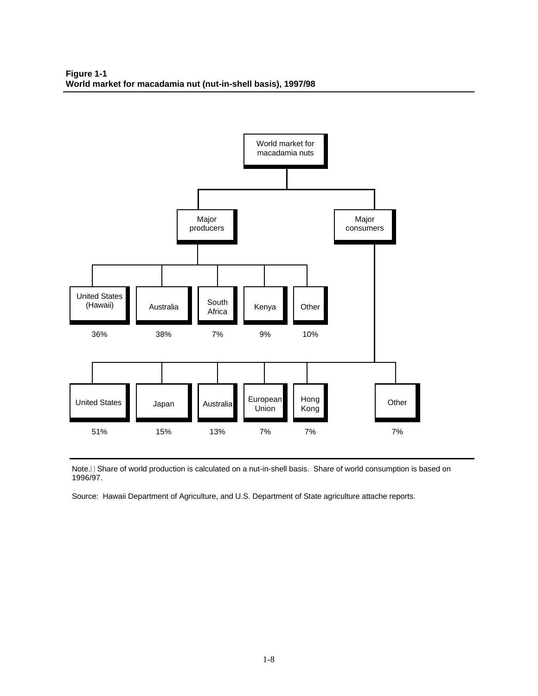

Note.))Share of world production is calculated on a nut-in-shell basis. Share of world consumption is based on 1996/97.

Source: Hawaii Department of Agriculture, and U.S. Department of State agriculture attache reports.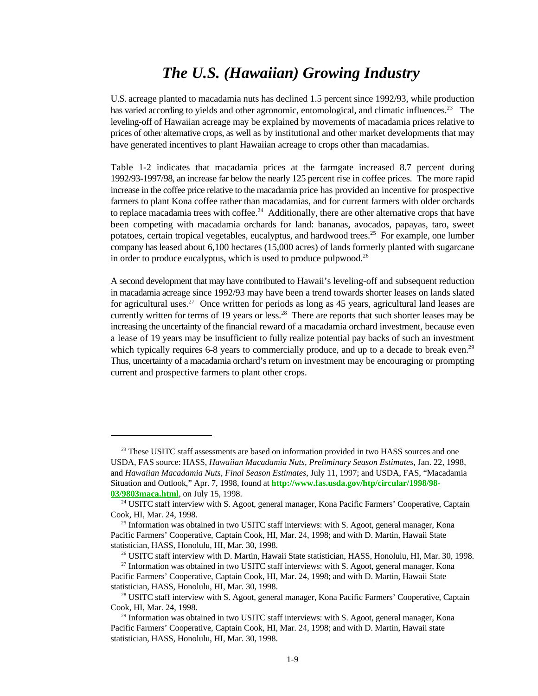#### *The U.S. (Hawaiian) Growing Industry*

U.S. acreage planted to macadamia nuts has declined 1.5 percent since 1992/93, while production has varied according to yields and other agronomic, entomological, and climatic influences.<sup>23</sup> The leveling-off of Hawaiian acreage may be explained by movements of macadamia prices relative to prices of other alternative crops, as well as by institutional and other market developments that may have generated incentives to plant Hawaiian acreage to crops other than macadamias.

Table 1-2 indicates that macadamia prices at the farmgate increased 8.7 percent during 1992/93-1997/98, an increase far below the nearly 125 percent rise in coffee prices. The more rapid increase in the coffee price relative to the macadamia price has provided an incentive for prospective farmers to plant Kona coffee rather than macadamias, and for current farmers with older orchards to replace macadamia trees with coffee.<sup>24</sup> Additionally, there are other alternative crops that have been competing with macadamia orchards for land: bananas, avocados, papayas, taro, sweet potatoes, certain tropical vegetables, eucalyptus, and hardwood trees.<sup>25</sup> For example, one lumber company has leased about 6,100 hectares (15,000 acres) of lands formerly planted with sugarcane in order to produce eucalyptus, which is used to produce pulpwood. $26$ 

A second development that may have contributed to Hawaii's leveling-off and subsequent reduction in macadamia acreage since 1992/93 may have been a trend towards shorter leases on lands slated for agricultural uses.<sup>27</sup> Once written for periods as long as 45 years, agricultural land leases are currently written for terms of 19 years or less.<sup>28</sup> There are reports that such shorter leases may be increasing the uncertainty of the financial reward of a macadamia orchard investment, because even a lease of 19 years may be insufficient to fully realize potential pay backs of such an investment which typically requires 6-8 years to commercially produce, and up to a decade to break even.<sup>29</sup> Thus, uncertainty of a macadamia orchard's return on investment may be encouraging or prompting current and prospective farmers to plant other crops.

 $23$  These USITC staff assessments are based on information provided in two HASS sources and one USDA, FAS source: HASS, *Hawaiian Macadamia Nuts, Preliminary Season Estimates*, Jan. 22, 1998, and *Hawaiian Macadamia Nuts, Final Season Estimates*, July 11, 1997; and USDA, FAS, "Macadamia Situation and Outlook," Apr. 7, 1998, found at **http://www.fas.usda.gov/htp/circular/1998/98-** 03/9803maca.html, on July 15, 1998.

<sup>&</sup>lt;sup>24</sup> USITC staff interview with S. Agoot, general manager, Kona Pacific Farmers' Cooperative, Captain Cook, HI, Mar. 24, 1998.

 $25$  Information was obtained in two USITC staff interviews: with S. Agoot, general manager, Kona Pacific Farmers' Cooperative, Captain Cook, HI, Mar. 24, 1998; and with D. Martin, Hawaii State statistician, HASS, Honolulu, HI, Mar. 30, 1998.

<sup>&</sup>lt;sup>26</sup> USITC staff interview with D. Martin, Hawaii State statistician, HASS, Honolulu, HI, Mar. 30, 1998.

 $27$  Information was obtained in two USITC staff interviews: with S. Agoot, general manager, Kona Pacific Farmers' Cooperative, Captain Cook, HI, Mar. 24, 1998; and with D. Martin, Hawaii State statistician, HASS, Honolulu, HI, Mar. 30, 1998.

<sup>&</sup>lt;sup>28</sup> USITC staff interview with S. Agoot, general manager, Kona Pacific Farmers' Cooperative, Captain Cook, HI, Mar. 24, 1998.

 $29$  Information was obtained in two USITC staff interviews: with S. Agoot, general manager, Kona Pacific Farmers' Cooperative, Captain Cook, HI, Mar. 24, 1998; and with D. Martin, Hawaii state statistician, HASS, Honolulu, HI, Mar. 30, 1998.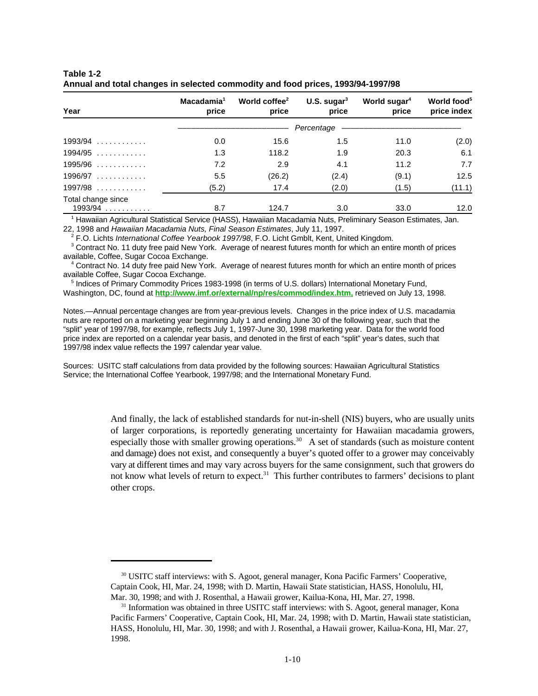| Year                            | Macadamia <sup>1</sup><br>price | World coffee <sup>2</sup><br>price | U.S. sugar $3$<br>price | World sugar <sup>4</sup><br>price | World food <sup>5</sup><br>price index |  |
|---------------------------------|---------------------------------|------------------------------------|-------------------------|-----------------------------------|----------------------------------------|--|
|                                 |                                 |                                    | Percentage              |                                   |                                        |  |
| $1993/94$                       | 0.0                             | 15.6                               | 1.5                     | 11.0                              | (2.0)                                  |  |
| $1994/95$                       | 1.3                             | 118.2                              | 1.9                     | 20.3                              | 6.1                                    |  |
| $1995/96$                       | 7.2                             | 2.9                                | 4.1                     | 11.2                              | 7.7                                    |  |
| $1996/97$                       | 5.5                             | (26.2)                             | (2.4)                   | (9.1)                             | 12.5                                   |  |
| $1997/98$                       | (5.2)                           | 17.4                               | (2.0)                   | (1.5)                             | (11.1)                                 |  |
| Total change since<br>$1993/94$ | 8.7                             | 124.7                              | 3.0                     | 33.0                              | 12.0                                   |  |

| Table 1-2                                                                       |  |
|---------------------------------------------------------------------------------|--|
| Annual and total changes in selected commodity and food prices, 1993/94-1997/98 |  |

<sup>1</sup> Hawaiian Agricultural Statistical Service (HASS), Hawaiian Macadamia Nuts, Preliminary Season Estimates, Jan. 22, 1998 and *Hawaiian Macadamia Nuts, Final Season Estimates*, July 11, 1997.

F.O. Lichts *International Coffee Yearbook 1997/98*, F.O. Licht Gmblt, Kent, United Kingdom. <sup>2</sup>

<sup>3</sup> Contract No. 11 duty free paid New York. Average of nearest futures month for which an entire month of prices available, Coffee, Sugar Cocoa Exchange.

<sup>4</sup> Contract No. 14 duty free paid New York. Average of nearest futures month for which an entire month of prices available Coffee, Sugar Cocoa Exchange.

<sup>5</sup> Indices of Primary Commodity Prices 1983-1998 (in terms of U.S. dollars) International Monetary Fund, Washington, DC, found at **http://www.imf.or/external/np/res/commod/index.htm,** retrieved on July 13, 1998.

Notes.—Annual percentage changes are from year-previous levels. Changes in the price index of U.S. macadamia nuts are reported on a marketing year beginning July 1 and ending June 30 of the following year, such that the "split" year of 1997/98, for example, reflects July 1, 1997-June 30, 1998 marketing year. Data for the world food price index are reported on a calendar year basis, and denoted in the first of each "split" year's dates, such that 1997/98 index value reflects the 1997 calendar year value.

Sources: USITC staff calculations from data provided by the following sources: Hawaiian Agricultural Statistics Service; the International Coffee Yearbook, 1997/98; and the International Monetary Fund.

> And finally, the lack of established standards for nut-in-shell (NIS) buyers, who are usually units of larger corporations, is reportedly generating uncertainty for Hawaiian macadamia growers, especially those with smaller growing operations.<sup>30</sup> A set of standards (such as moisture content and damage) does not exist, and consequently a buyer's quoted offer to a grower may conceivably vary at different times and may vary across buyers for the same consignment, such that growers do not know what levels of return to expect.<sup>31</sup> This further contributes to farmers' decisions to plant other crops.

<sup>30</sup> USITC staff interviews: with S. Agoot, general manager, Kona Pacific Farmers' Cooperative, Captain Cook, HI, Mar. 24, 1998; with D. Martin, Hawaii State statistician, HASS, Honolulu, HI, Mar. 30, 1998; and with J. Rosenthal, a Hawaii grower, Kailua-Kona, HI, Mar. 27, 1998.

 $31$  Information was obtained in three USITC staff interviews: with S. Agoot, general manager, Kona Pacific Farmers' Cooperative, Captain Cook, HI, Mar. 24, 1998; with D. Martin, Hawaii state statistician, HASS, Honolulu, HI, Mar. 30, 1998; and with J. Rosenthal, a Hawaii grower, Kailua-Kona, HI, Mar. 27, 1998.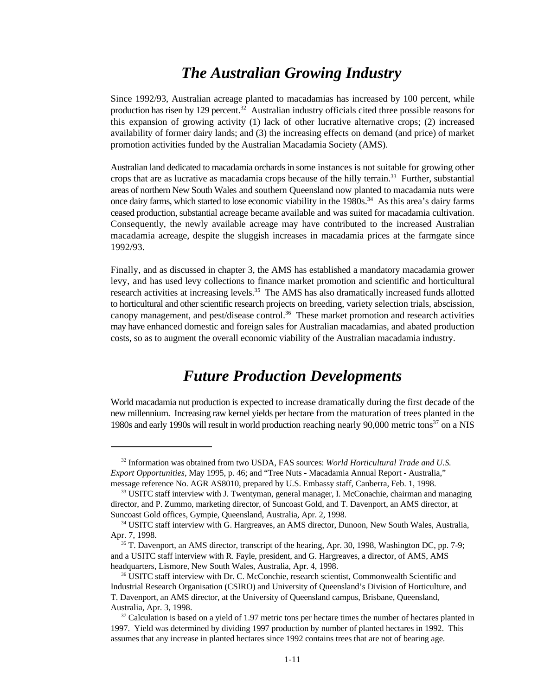#### *The Australian Growing Industry*

Since 1992/93, Australian acreage planted to macadamias has increased by 100 percent, while production has risen by 129 percent.<sup>32</sup> Australian industry officials cited three possible reasons for this expansion of growing activity (1) lack of other lucrative alternative crops; (2) increased availability of former dairy lands; and (3) the increasing effects on demand (and price) of market promotion activities funded by the Australian Macadamia Society (AMS).

Australian land dedicated to macadamia orchards in some instances is not suitable for growing other crops that are as lucrative as macadamia crops because of the hilly terrain.<sup>33</sup> Further, substantial areas of northern New South Wales and southern Queensland now planted to macadamia nuts were once dairy farms, which started to lose economic viability in the  $1980s<sup>34</sup>$  As this area's dairy farms ceased production, substantial acreage became available and was suited for macadamia cultivation. Consequently, the newly available acreage may have contributed to the increased Australian macadamia acreage, despite the sluggish increases in macadamia prices at the farmgate since 1992/93.

Finally, and as discussed in chapter 3, the AMS has established a mandatory macadamia grower levy, and has used levy collections to finance market promotion and scientific and horticultural research activities at increasing levels.<sup>35</sup> The AMS has also dramatically increased funds allotted to horticultural and other scientific research projects on breeding, variety selection trials, abscission, canopy management, and pest/disease control.<sup>36</sup> These market promotion and research activities may have enhanced domestic and foreign sales for Australian macadamias, and abated production costs, so as to augment the overall economic viability of the Australian macadamia industry.

#### *Future Production Developments*

World macadamia nut production is expected to increase dramatically during the first decade of the new millennium. Increasing raw kernel yields per hectare from the maturation of trees planted in the 1980s and early 1990s will result in world production reaching nearly 90,000 metric tons $37$  on a NIS

<sup>&</sup>lt;sup>32</sup> Information was obtained from two USDA, FAS sources: *World Horticultural Trade and U.S. Export Opportunities*, May 1995, p. 46; and "Tree Nuts - Macadamia Annual Report - Australia," message reference No. AGR AS8010, prepared by U.S. Embassy staff, Canberra, Feb. 1, 1998.

 $33$  USITC staff interview with J. Twentyman, general manager, I. McConachie, chairman and managing director, and P. Zummo, marketing director, of Suncoast Gold, and T. Davenport, an AMS director, at Suncoast Gold offices, Gympie, Queensland, Australia, Apr. 2, 1998.

<sup>&</sup>lt;sup>34</sup> USITC staff interview with G. Hargreaves, an AMS director, Dunoon, New South Wales, Australia, Apr. 7, 1998.

<sup>&</sup>lt;sup>35</sup> T. Davenport, an AMS director, transcript of the hearing, Apr. 30, 1998, Washington DC, pp. 7-9; and a USITC staff interview with R. Fayle, president, and G. Hargreaves, a director, of AMS, AMS headquarters, Lismore, New South Wales, Australia, Apr. 4, 1998.

<sup>&</sup>lt;sup>36</sup> USITC staff interview with Dr. C. McConchie, research scientist, Commonwealth Scientific and Industrial Research Organisation (CSIRO) and University of Queensland's Division of Horticulture, and T. Davenport, an AMS director, at the University of Queensland campus, Brisbane, Queensland, Australia, Apr. 3, 1998.

 $37$  Calculation is based on a yield of 1.97 metric tons per hectare times the number of hectares planted in 1997. Yield was determined by dividing 1997 production by number of planted hectares in 1992. This assumes that any increase in planted hectares since 1992 contains trees that are not of bearing age.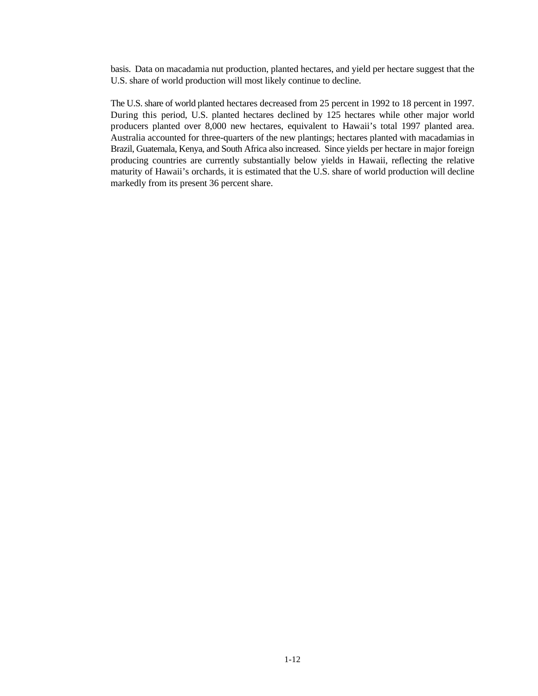basis. Data on macadamia nut production, planted hectares, and yield per hectare suggest that the U.S. share of world production will most likely continue to decline.

The U.S. share of world planted hectares decreased from 25 percent in 1992 to 18 percent in 1997. During this period, U.S. planted hectares declined by 125 hectares while other major world producers planted over 8,000 new hectares, equivalent to Hawaii's total 1997 planted area. Australia accounted for three-quarters of the new plantings; hectares planted with macadamias in Brazil, Guatemala, Kenya, and South Africa also increased. Since yields per hectare in major foreign producing countries are currently substantially below yields in Hawaii, reflecting the relative maturity of Hawaii's orchards, it is estimated that the U.S. share of world production will decline markedly from its present 36 percent share.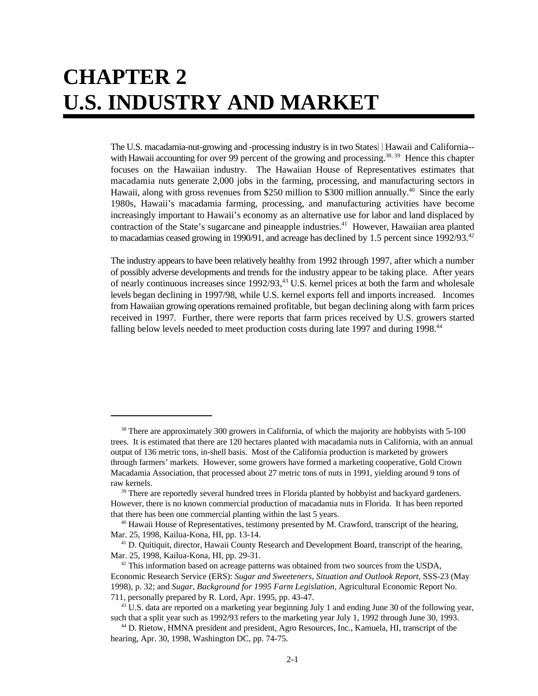## **CHAPTER 2 U.S. INDUSTRY AND MARKET**

The U.S. macadamia-nut-growing and -processing industry is in two States))Hawaii and California- with Hawaii accounting for over 99 percent of the growing and processing.<sup>38, 39</sup> Hence this chapter focuses on the Hawaiian industry. The Hawaiian House of Representatives estimates that macadamia nuts generate 2,000 jobs in the farming, processing, and manufacturing sectors in Hawaii, along with gross revenues from \$250 million to \$300 million annually.<sup>40</sup> Since the early 1980s, Hawaii's macadamia farming, processing, and manufacturing activities have become increasingly important to Hawaii's economy as an alternative use for labor and land displaced by contraction of the State's sugarcane and pineapple industries.<sup>41</sup> However, Hawaiian area planted to macadamias ceased growing in 1990/91, and acreage has declined by 1.5 percent since 1992/93.<sup>42</sup>

The industry appears to have been relatively healthy from 1992 through 1997, after which a number of possibly adverse developments and trends for the industry appear to be taking place. After years of nearly continuous increases since  $1992/93$ ,<sup>43</sup> U.S. kernel prices at both the farm and wholesale levels began declining in 1997/98, while U.S. kernel exports fell and imports increased. Incomes from Hawaiian growing operations remained profitable, but began declining along with farm prices received in 1997. Further, there were reports that farm prices received by U.S. growers started falling below levels needed to meet production costs during late 1997 and during 1998.<sup>44</sup>

 $38$  There are approximately 300 growers in California, of which the majority are hobbyists with  $5-100$ trees. It is estimated that there are 120 hectares planted with macadamia nuts in California, with an annual output of 136 metric tons, in-shell basis. Most of the California production is marketed by growers through farmers' markets. However, some growers have formed a marketing cooperative, Gold Crown Macadamia Association, that processed about 27 metric tons of nuts in 1991, yielding around 9 tons of raw kernels.

 $39$  There are reportedly several hundred trees in Florida planted by hobbyist and backyard gardeners. However, there is no known commercial production of macadamia nuts in Florida. It has been reported that there has been one commercial planting within the last 5 years.

 $40$  Hawaii House of Representatives, testimony presented by M. Crawford, transcript of the hearing, Mar. 25, 1998, Kailua-Kona, HI, pp. 13-14.

 $<sup>41</sup>$  D. Quitiquit, director, Hawaii County Research and Development Board, transcript of the hearing,</sup> Mar. 25, 1998, Kailua-Kona, HI, pp. 29-31.

 $42$  This information based on acreage patterns was obtained from two sources from the USDA, Economic Research Service (ERS): *Sugar and Sweeteners, Situation and Outlook Report*, SSS-23 (May 1998), p. 32; and *Sugar, Background for 1995 Farm Legislation*, Agricultural Economic Report No. 711, personally prepared by R. Lord, Apr. 1995, pp. 43-47.

<sup>&</sup>lt;sup>43</sup> U.S. data are reported on a marketing year beginning July 1 and ending June 30 of the following year, such that a split year such as 1992/93 refers to the marketing year July 1, 1992 through June 30, 1993.

<sup>&</sup>lt;sup>44</sup> D. Rietow, HMNA president and president, Agro Resources, Inc., Kamuela, HI, transcript of the hearing, Apr. 30, 1998, Washington DC, pp. 74-75.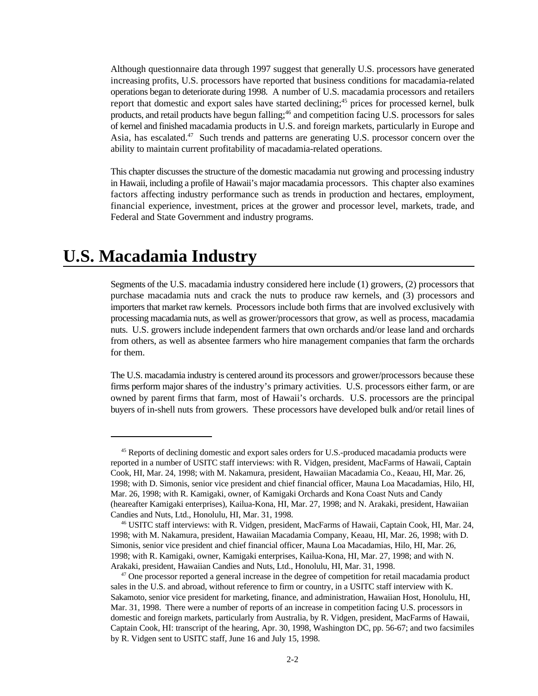Although questionnaire data through 1997 suggest that generally U.S. processors have generated increasing profits, U.S. processors have reported that business conditions for macadamia-related operations began to deteriorate during 1998. A number of U.S. macadamia processors and retailers report that domestic and export sales have started declining;<sup>45</sup> prices for processed kernel, bulk products, and retail products have begun falling;<sup>46</sup> and competition facing U.S. processors for sales of kernel and finished macadamia products in U.S. and foreign markets, particularly in Europe and Asia, has escalated.<sup>47</sup> Such trends and patterns are generating U.S. processor concern over the ability to maintain current profitability of macadamia-related operations.

This chapter discusses the structure of the domestic macadamia nut growing and processing industry in Hawaii, including a profile of Hawaii's major macadamia processors. This chapter also examines factors affecting industry performance such as trends in production and hectares, employment, financial experience, investment, prices at the grower and processor level, markets, trade, and Federal and State Government and industry programs.

#### **U.S. Macadamia Industry**

Segments of the U.S. macadamia industry considered here include (1) growers, (2) processors that purchase macadamia nuts and crack the nuts to produce raw kernels, and (3) processors and importers that market raw kernels. Processors include both firms that are involved exclusively with processing macadamia nuts, as well as grower/processors that grow, as well as process, macadamia nuts. U.S. growers include independent farmers that own orchards and/or lease land and orchards from others, as well as absentee farmers who hire management companies that farm the orchards for them.

The U.S. macadamia industry is centered around its processors and grower/processors because these firms perform major shares of the industry's primary activities. U.S. processors either farm, or are owned by parent firms that farm, most of Hawaii's orchards. U.S. processors are the principal buyers of in-shell nuts from growers. These processors have developed bulk and/or retail lines of

<sup>&</sup>lt;sup>45</sup> Reports of declining domestic and export sales orders for U.S.-produced macadamia products were reported in a number of USITC staff interviews: with R. Vidgen, president, MacFarms of Hawaii, Captain Cook, HI, Mar. 24, 1998; with M. Nakamura, president, Hawaiian Macadamia Co., Keaau, HI, Mar. 26, 1998; with D. Simonis, senior vice president and chief financial officer, Mauna Loa Macadamias, Hilo, HI, Mar. 26, 1998; with R. Kamigaki, owner, of Kamigaki Orchards and Kona Coast Nuts and Candy (heareafter Kamigaki enterprises), Kailua-Kona, HI, Mar. 27, 1998; and N. Arakaki, president, Hawaiian Candies and Nuts, Ltd., Honolulu, HI, Mar. 31, 1998.

<sup>&</sup>lt;sup>46</sup> USITC staff interviews: with R. Vidgen, president, MacFarms of Hawaii, Captain Cook, HI, Mar. 24, 1998; with M. Nakamura, president, Hawaiian Macadamia Company, Keaau, HI, Mar. 26, 1998; with D. Simonis, senior vice president and chief financial officer, Mauna Loa Macadamias, Hilo, HI, Mar. 26, 1998; with R. Kamigaki, owner, Kamigaki enterprises, Kailua-Kona, HI, Mar. 27, 1998; and with N. Arakaki, president, Hawaiian Candies and Nuts, Ltd., Honolulu, HI, Mar. 31, 1998.

 $47$  One processor reported a general increase in the degree of competition for retail macadamia product sales in the U.S. and abroad, without reference to firm or country, in a USITC staff interview with K. Sakamoto, senior vice president for marketing, finance, and administration, Hawaiian Host, Honolulu, HI, Mar. 31, 1998. There were a number of reports of an increase in competition facing U.S. processors in domestic and foreign markets, particularly from Australia, by R. Vidgen, president, MacFarms of Hawaii, Captain Cook, HI: transcript of the hearing, Apr. 30, 1998, Washington DC, pp. 56-67; and two facsimiles by R. Vidgen sent to USITC staff, June 16 and July 15, 1998.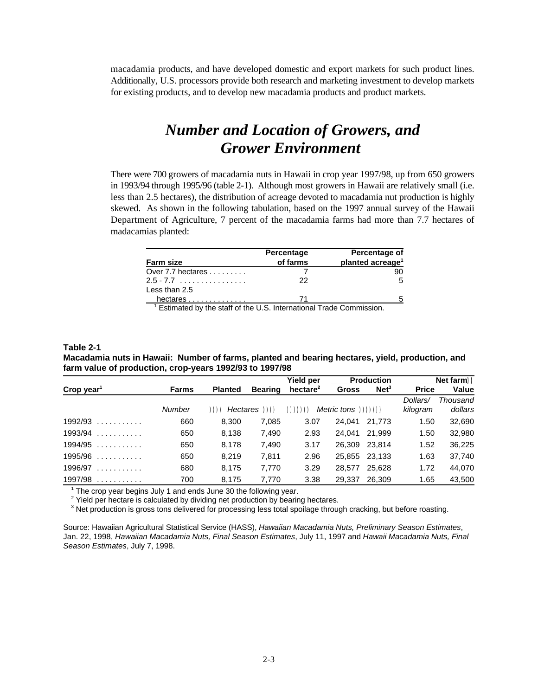macadamia products, and have developed domestic and export markets for such product lines. Additionally, U.S. processors provide both research and marketing investment to develop markets for existing products, and to develop new macadamia products and product markets.

### *Number and Location of Growers, and Grower Environment*

There were 700 growers of macadamia nuts in Hawaii in crop year 1997/98, up from 650 growers in 1993/94 through 1995/96 (table 2-1). Although most growers in Hawaii are relatively small (i.e. less than 2.5 hectares), the distribution of acreage devoted to macadamia nut production is highly skewed. As shown in the following tabulation, based on the 1997 annual survey of the Hawaii Department of Agriculture, 7 percent of the macadamia farms had more than 7.7 hectares of madacamias planted:

| <b>Farm size</b>                                                                | Percentage<br>of farms | Percentage of<br>planted acreage <sup>1</sup> |
|---------------------------------------------------------------------------------|------------------------|-----------------------------------------------|
| Over 7.7 hectares                                                               |                        | 90                                            |
| $2.5 - 7.7$                                                                     | 22                     | 5                                             |
| Less than 2.5                                                                   |                        |                                               |
| hectares                                                                        |                        |                                               |
| $\frac{1}{1}$ Estimated by the staff of the U.C. International Trade Commission |                        |                                               |

Estimated by the staff of the U.S. International Trade Commission. <sup>1</sup>

#### **Table 2-1**

**Macadamia nuts in Hawaii: Number of farms, planted and bearing hectares, yield, production, and farm value of production, crop-years 1992/93 to 1997/98** 

|                        |              |                |                | Yield per   |                            | <b>Production</b> |                      | Net farm))          |
|------------------------|--------------|----------------|----------------|-------------|----------------------------|-------------------|----------------------|---------------------|
| Crop year <sup>1</sup> | <b>Farms</b> | <b>Planted</b> | <b>Bearing</b> | hectare $2$ | Gross                      | Net <sup>3</sup>  | <b>Price</b>         | <b>Value</b>        |
|                        | Number       | ))))           | Hectares (1)   | ))))))      | $Metric \t{tons}$ $))))))$ |                   | Dollars/<br>kilogram | Thousand<br>dollars |
| $1992/93$              | 660          | 8.300          | 7,085          | 3.07        | 24.041                     | 21.773            | 1.50                 | 32,690              |
| $1993/94$              | 650          | 8,138          | 7,490          | 2.93        | 24.041                     | 21.999            | 1.50                 | 32,980              |
| $1994/95$              | 650          | 8,178          | 7,490          | 3.17        | 26,309                     | 23.814            | 1.52                 | 36,225              |
| $1995/96$              | 650          | 8.219          | 7.811          | 2.96        | 25,855                     | 23.133            | 1.63                 | 37,740              |
| 1996/97<br><u>.</u>    | 680          | 8.175          | 7.770          | 3.29        | 28.577                     | 25.628            | 1.72                 | 44,070              |
| $1997/98$              | 700          | 8,175          | 7,770          | 3.38        | 29,337                     | 26,309            | 1.65                 | 43,500              |

 $1$  The crop year begins July 1 and ends June 30 the following year.

<sup>2</sup> Yield per hectare is calculated by dividing net production by bearing hectares.

<sup>3</sup> Net production is gross tons delivered for processing less total spoilage through cracking, but before roasting.

Source: Hawaiian Agricultural Statistical Service (HASS), *Hawaiian Macadamia Nuts, Preliminary Season Estimates*, Jan. 22, 1998, *Hawaiian Macadamia Nuts, Final Season Estimates*, July 11, 1997 and *Hawaii Macadamia Nuts, Final Season Estimates*, July 7, 1998.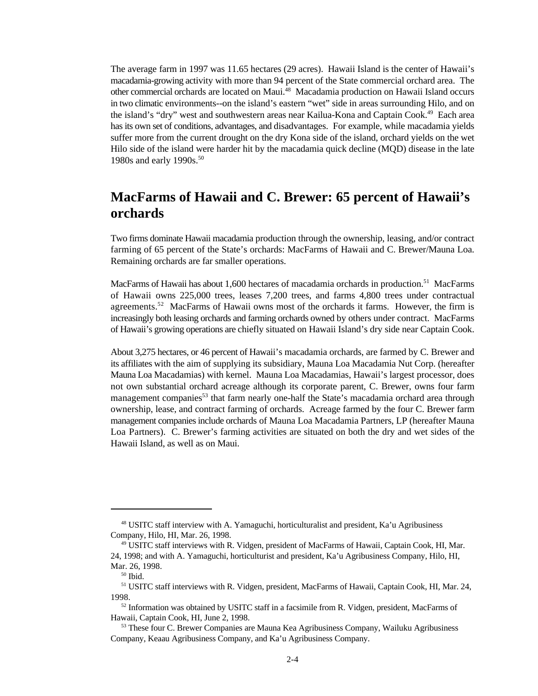The average farm in 1997 was 11.65 hectares (29 acres). Hawaii Island is the center of Hawaii's macadamia-growing activity with more than 94 percent of the State commercial orchard area. The other commercial orchards are located on Maui.<sup>48</sup> Macadamia production on Hawaii Island occurs in two climatic environments--on the island's eastern "wet" side in areas surrounding Hilo, and on the island's "dry" west and southwestern areas near Kailua-Kona and Captain Cook.<sup>49</sup> Each area has its own set of conditions, advantages, and disadvantages. For example, while macadamia yields suffer more from the current drought on the dry Kona side of the island, orchard yields on the wet Hilo side of the island were harder hit by the macadamia quick decline (MQD) disease in the late 1980s and early 1990s. 50

#### **MacFarms of Hawaii and C. Brewer: 65 percent of Hawaii's orchards**

Two firms dominate Hawaii macadamia production through the ownership, leasing, and/or contract farming of 65 percent of the State's orchards: MacFarms of Hawaii and C. Brewer/Mauna Loa. Remaining orchards are far smaller operations.

MacFarms of Hawaii has about 1,600 hectares of macadamia orchards in production.<sup>51</sup> MacFarms of Hawaii owns 225,000 trees, leases 7,200 trees, and farms 4,800 trees under contractual agreements.<sup>52</sup> MacFarms of Hawaii owns most of the orchards it farms. However, the firm is increasingly both leasing orchards and farming orchards owned by others under contract. MacFarms of Hawaii's growing operations are chiefly situated on Hawaii Island's dry side near Captain Cook.

About 3,275 hectares, or 46 percent of Hawaii's macadamia orchards, are farmed by C. Brewer and its affiliates with the aim of supplying its subsidiary, Mauna Loa Macadamia Nut Corp. (hereafter Mauna Loa Macadamias) with kernel. Mauna Loa Macadamias, Hawaii's largest processor, does not own substantial orchard acreage although its corporate parent, C. Brewer, owns four farm management companies<sup>53</sup> that farm nearly one-half the State's macadamia orchard area through ownership, lease, and contract farming of orchards. Acreage farmed by the four C. Brewer farm management companies include orchards of Mauna Loa Macadamia Partners, LP (hereafter Mauna Loa Partners). C. Brewer's farming activities are situated on both the dry and wet sides of the Hawaii Island, as well as on Maui.

 $48$  USITC staff interview with A. Yamaguchi, horticulturalist and president, Ka'u Agribusiness Company, Hilo, HI, Mar. 26, 1998.

<sup>&</sup>lt;sup>49</sup> USITC staff interviews with R. Vidgen, president of MacFarms of Hawaii, Captain Cook, HI, Mar. 24, 1998; and with A. Yamaguchi, horticulturist and president, Ka'u Agribusiness Company, Hilo, HI, Mar. 26, 1998.

 $50$  Ibid.

<sup>&</sup>lt;sup>51</sup> USITC staff interviews with R. Vidgen, president, MacFarms of Hawaii, Captain Cook, HI, Mar. 24, 1998.

 $52$  Information was obtained by USITC staff in a facsimile from R. Vidgen, president, MacFarms of Hawaii, Captain Cook, HI, June 2, 1998.

<sup>&</sup>lt;sup>53</sup> These four C. Brewer Companies are Mauna Kea Agribusiness Company, Wailuku Agribusiness Company, Keaau Agribusiness Company, and Ka'u Agribusiness Company.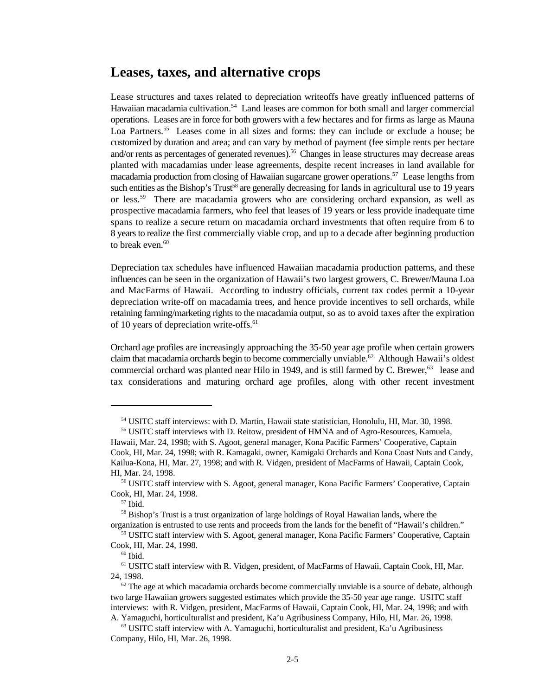#### **Leases, taxes, and alternative crops**

Lease structures and taxes related to depreciation writeoffs have greatly influenced patterns of Hawaiian macadamia cultivation.<sup>54</sup> Land leases are common for both small and larger commercial operations. Leases are in force for both growers with a few hectares and for firms as large as Mauna Loa Partners.<sup>55</sup> Leases come in all sizes and forms: they can include or exclude a house; be customized by duration and area; and can vary by method of payment (fee simple rents per hectare and/or rents as percentages of generated revenues).<sup>56</sup> Changes in lease structures may decrease areas planted with macadamias under lease agreements, despite recent increases in land available for macadamia production from closing of Hawaiian sugarcane grower operations.<sup>57</sup> Lease lengths from such entities as the Bishop's Trust<sup>58</sup> are generally decreasing for lands in agricultural use to 19 years or less.<sup>59</sup> There are macadamia growers who are considering orchard expansion, as well as prospective macadamia farmers, who feel that leases of 19 years or less provide inadequate time spans to realize a secure return on macadamia orchard investments that often require from 6 to 8 years to realize the first commercially viable crop, and up to a decade after beginning production to break even.<sup>60</sup>

Depreciation tax schedules have influenced Hawaiian macadamia production patterns, and these influences can be seen in the organization of Hawaii's two largest growers, C. Brewer/Mauna Loa and MacFarms of Hawaii. According to industry officials, current tax codes permit a 10-year depreciation write-off on macadamia trees, and hence provide incentives to sell orchards, while retaining farming/marketing rights to the macadamia output, so as to avoid taxes after the expiration of 10 years of depreciation write-offs.<sup>61</sup>

Orchard age profiles are increasingly approaching the 35-50 year age profile when certain growers claim that macadamia orchards begin to become commercially unviable.<sup>62</sup> Although Hawaii's oldest commercial orchard was planted near Hilo in 1949, and is still farmed by C. Brewer,  $63$  lease and tax considerations and maturing orchard age profiles, along with other recent investment

<sup>&</sup>lt;sup>54</sup> USITC staff interviews: with D. Martin, Hawaii state statistician, Honolulu, HI, Mar. 30, 1998.

<sup>&</sup>lt;sup>55</sup> USITC staff interviews with D. Reitow, president of HMNA and of Agro-Resources, Kamuela, Hawaii, Mar. 24, 1998; with S. Agoot, general manager, Kona Pacific Farmers' Cooperative, Captain Cook, HI, Mar. 24, 1998; with R. Kamagaki, owner, Kamigaki Orchards and Kona Coast Nuts and Candy, Kailua-Kona, HI, Mar. 27, 1998; and with R. Vidgen, president of MacFarms of Hawaii, Captain Cook, HI, Mar. 24, 1998.

<sup>&</sup>lt;sup>56</sup> USITC staff interview with S. Agoot, general manager, Kona Pacific Farmers' Cooperative, Captain Cook, HI, Mar. 24, 1998.

 $57$  Ibid.

 $58$  Bishop's Trust is a trust organization of large holdings of Royal Hawaiian lands, where the organization is entrusted to use rents and proceeds from the lands for the benefit of "Hawaii's children."

<sup>&</sup>lt;sup>59</sup> USITC staff interview with S. Agoot, general manager, Kona Pacific Farmers' Cooperative, Captain Cook, HI, Mar. 24, 1998.

 $60$  Ibid.

<sup>&</sup>lt;sup>61</sup> USITC staff interview with R. Vidgen, president, of MacFarms of Hawaii, Captain Cook, HI, Mar. 24, 1998.

 $62$  The age at which macadamia orchards become commercially unviable is a source of debate, although two large Hawaiian growers suggested estimates which provide the 35-50 year age range. USITC staff interviews: with R. Vidgen, president, MacFarms of Hawaii, Captain Cook, HI, Mar. 24, 1998; and with A. Yamaguchi, horticulturalist and president, Ka'u Agribusiness Company, Hilo, HI, Mar. 26, 1998.

 $63$  USITC staff interview with A. Yamaguchi, horticulturalist and president, Ka'u Agribusiness Company, Hilo, HI, Mar. 26, 1998.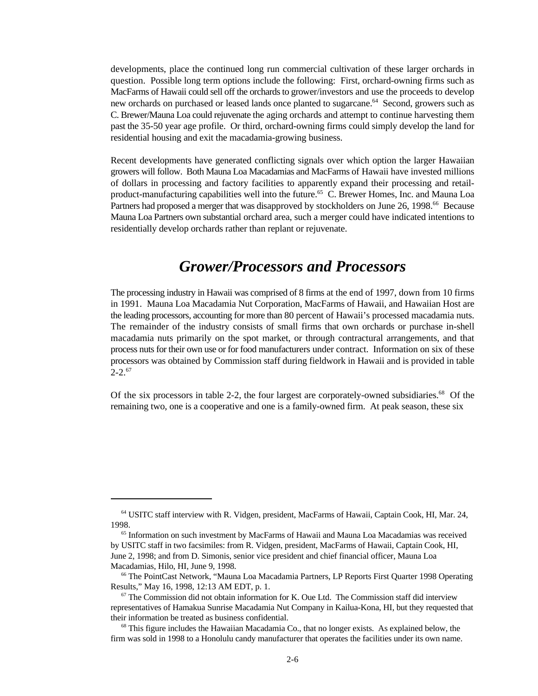developments, place the continued long run commercial cultivation of these larger orchards in question. Possible long term options include the following: First, orchard-owning firms such as MacFarms of Hawaii could sell off the orchards to grower/investors and use the proceeds to develop new orchards on purchased or leased lands once planted to sugarcane.<sup>64</sup> Second, growers such as C. Brewer/Mauna Loa could rejuvenate the aging orchards and attempt to continue harvesting them past the 35-50 year age profile. Or third, orchard-owning firms could simply develop the land for residential housing and exit the macadamia-growing business.

Recent developments have generated conflicting signals over which option the larger Hawaiian growers will follow. Both Mauna Loa Macadamias and MacFarms of Hawaii have invested millions of dollars in processing and factory facilities to apparently expand their processing and retailproduct-manufacturing capabilities well into the future.<sup>65</sup> C. Brewer Homes, Inc. and Mauna Loa Partners had proposed a merger that was disapproved by stockholders on June 26, 1998.<sup>66</sup> Because Mauna Loa Partners own substantial orchard area, such a merger could have indicated intentions to residentially develop orchards rather than replant or rejuvenate.

### *Grower/Processors and Processors*

The processing industry in Hawaii was comprised of 8 firms at the end of 1997, down from 10 firms in 1991. Mauna Loa Macadamia Nut Corporation, MacFarms of Hawaii, and Hawaiian Host are the leading processors, accounting for more than 80 percent of Hawaii's processed macadamia nuts. The remainder of the industry consists of small firms that own orchards or purchase in-shell macadamia nuts primarily on the spot market, or through contractural arrangements, and that process nuts for their own use or for food manufacturers under contract. Information on six of these processors was obtained by Commission staff during fieldwork in Hawaii and is provided in table  $2 - 2.67$ 

Of the six processors in table 2-2, the four largest are corporately-owned subsidiaries.<sup>68</sup> Of the remaining two, one is a cooperative and one is a family-owned firm. At peak season, these six

<sup>&</sup>lt;sup>64</sup> USITC staff interview with R. Vidgen, president, MacFarms of Hawaii, Captain Cook, HI, Mar. 24, 1998.

 $<sup>65</sup>$  Information on such investment by MacFarms of Hawaii and Mauna Loa Macadamias was received</sup> by USITC staff in two facsimiles: from R. Vidgen, president, MacFarms of Hawaii, Captain Cook, HI, June 2, 1998; and from D. Simonis, senior vice president and chief financial officer, Mauna Loa Macadamias, Hilo, HI, June 9, 1998.

<sup>&</sup>lt;sup>66</sup> The PointCast Network, "Mauna Loa Macadamia Partners, LP Reports First Quarter 1998 Operating Results," May 16, 1998, 12:13 AM EDT, p. 1.

 $\sigma$  The Commission did not obtain information for K. Oue Ltd. The Commission staff did interview representatives of Hamakua Sunrise Macadamia Nut Company in Kailua-Kona, HI, but they requested that their information be treated as business confidential.

 $68$  This figure includes the Hawaiian Macadamia Co., that no longer exists. As explained below, the firm was sold in 1998 to a Honolulu candy manufacturer that operates the facilities under its own name.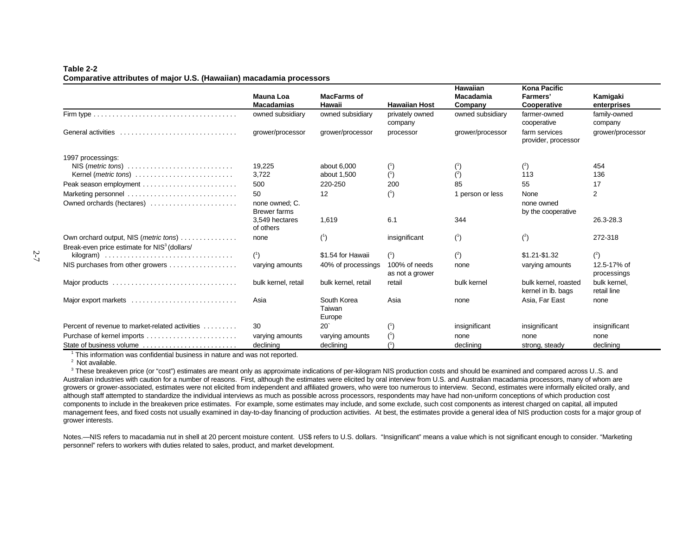#### **Comparative attributes of major U.S. (Hawaiian) macadamia processors**

|                                                                                                   | Mauna Loa<br><b>Macadamias</b>        | <b>MacFarms of</b><br>Hawaii    | <b>Hawaiian Host</b>                    | <b>Hawaiian</b><br><b>Macadamia</b><br>Company | <b>Kona Pacific</b><br><b>Farmers'</b><br>Cooperative | Kamigaki<br>enterprises     |
|---------------------------------------------------------------------------------------------------|---------------------------------------|---------------------------------|-----------------------------------------|------------------------------------------------|-------------------------------------------------------|-----------------------------|
|                                                                                                   | owned subsidiary                      | owned subsidiary                | privately owned<br>company              | owned subsidiary                               | farmer-owned<br>cooperative                           | family-owned<br>company     |
| General activities                                                                                | grower/processor                      | grower/processor                | processor                               | grower/processor                               | farm services<br>provider, processor                  | grower/processor            |
| 1997 processings:                                                                                 |                                       |                                 |                                         |                                                |                                                       |                             |
|                                                                                                   | 19,225                                | about 6,000                     | $^{\left( \mathrm{^{\prime }}\right) }$ | $^{\prime}$                                    | ${2 \choose 2}$                                       | 454                         |
| Kernel ( <i>metric tons</i> )                                                                     | 3,722                                 | about 1,500                     | (1)                                     | $(^{2})$                                       | 113                                                   | 136                         |
|                                                                                                   | 500                                   | 220-250                         | 200                                     | 85                                             | 55                                                    | 17                          |
|                                                                                                   | 50                                    | 12                              | $($ ')                                  | 1 person or less                               | None                                                  | $\overline{2}$              |
| Owned orchards (hectares)                                                                         | none owned; C.<br><b>Brewer farms</b> |                                 |                                         |                                                | none owned<br>by the cooperative                      |                             |
|                                                                                                   | 3,549 hectares<br>of others           | 1,619                           | 6.1                                     | 344                                            |                                                       | 26.3-28.3                   |
| Own orchard output, NIS (metric tons)<br>Break-even price estimate for NIS <sup>3</sup> (dollars/ | none                                  | (1)                             | insignificant                           | $(^{1})$                                       | (2)                                                   | 272-318                     |
|                                                                                                   | $(^{1})$                              | \$1.54 for Hawaii               | (1)                                     | $(^{2})$                                       | $$1.21 - $1.32$                                       | $(^{2})$                    |
| NIS purchases from other growers                                                                  | varying amounts                       | 40% of processings              | 100% of needs<br>as not a grower        | none                                           | varying amounts                                       | 12.5-17% of<br>processings  |
|                                                                                                   | bulk kernel, retail                   | bulk kernel, retail             | retail                                  | bulk kernel                                    | bulk kernel, roasted<br>kernel in lb. bags            | bulk kernel.<br>retail line |
| Major export markets                                                                              | Asia                                  | South Korea<br>Taiwan<br>Europe | Asia                                    | none                                           | Asia, Far East                                        | none                        |
| Percent of revenue to market-related activities                                                   | 30                                    | 20 <sup>°</sup>                 | (1)                                     | insignificant                                  | insignificant                                         | insignificant               |
|                                                                                                   | varying amounts                       | varying amounts                 |                                         | none                                           | none                                                  | none                        |
| State of business volume                                                                          | declining                             | declining                       |                                         | declining                                      | strong, steady                                        | declining                   |

 $1$ <sup>1</sup> This information was confidential business in nature and was not reported.

 $2$  Not available.

<sup>3</sup> These breakeven price (or "cost") estimates are meant only as approximate indications of per-kilogram NIS production costs and should be examined and compared across U.S. and Australian industries with caution for a number of reasons. First, although the estimates were elicited by oral interview from U.S. and Australian macadamia processors, many of whom are growers or grower-associated, estimates were not elicited from independent and affiliated growers, who were too numerous to interview. Second, estimates were informally elicited orally, and although staff attempted to standardize the individual interviews as much as possible across processors, respondents may have had non-uniform conceptions of which production cost components to include in the breakeven price estimates. For example, some estimates may include, and some exclude, such cost components as interest charged on capital, all imputed management fees, and fixed costs not usually examined in day-to-day financing of production activities. At best, the estimates provide a general idea of NIS production costs for a major group of grower interests.

Notes.—NIS refers to macadamia nut in shell at 20 percent moisture content. US\$ refers to U.S. dollars. "Insignificant" means a value which is not significant enough to consider. "Marketing personnel" refers to workers with duties related to sales, product, and market development.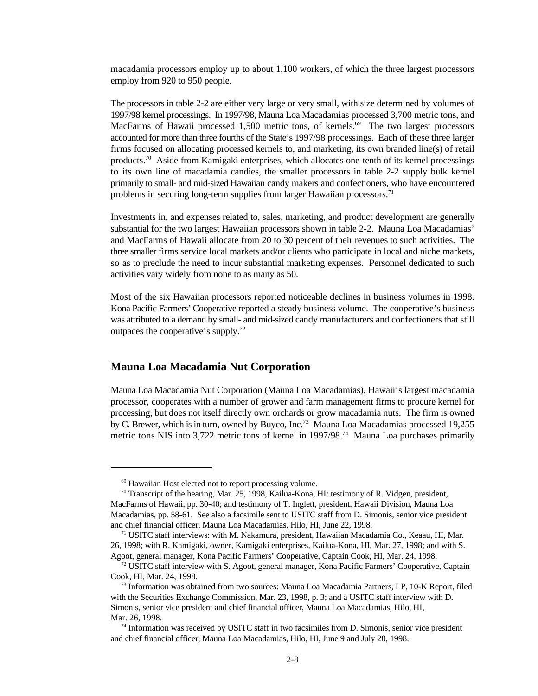macadamia processors employ up to about 1,100 workers, of which the three largest processors employ from 920 to 950 people.

The processors in table 2-2 are either very large or very small, with size determined by volumes of 1997/98 kernel processings. In 1997/98, Mauna Loa Macadamias processed 3,700 metric tons, and MacFarms of Hawaii processed 1,500 metric tons, of kernels.<sup>69</sup> The two largest processors accounted for more than three fourths of the State's 1997/98 processings. Each of these three larger firms focused on allocating processed kernels to, and marketing, its own branded line(s) of retail products.<sup>70</sup> Aside from Kamigaki enterprises, which allocates one-tenth of its kernel processings to its own line of macadamia candies, the smaller processors in table 2-2 supply bulk kernel primarily to small- and mid-sized Hawaiian candy makers and confectioners, who have encountered problems in securing long-term supplies from larger Hawaiian processors.<sup>71</sup>

Investments in, and expenses related to, sales, marketing, and product development are generally substantial for the two largest Hawaiian processors shown in table 2-2. Mauna Loa Macadamias' and MacFarms of Hawaii allocate from 20 to 30 percent of their revenues to such activities. The three smaller firms service local markets and/or clients who participate in local and niche markets, so as to preclude the need to incur substantial marketing expenses. Personnel dedicated to such activities vary widely from none to as many as 50.

Most of the six Hawaiian processors reported noticeable declines in business volumes in 1998. Kona Pacific Farmers' Cooperative reported a steady business volume. The cooperative's business was attributed to a demand by small- and mid-sized candy manufacturers and confectioners that still outpaces the cooperative's supply.<sup>72</sup>

#### **Mauna Loa Macadamia Nut Corporation**

Mauna Loa Macadamia Nut Corporation (Mauna Loa Macadamias), Hawaii's largest macadamia processor, cooperates with a number of grower and farm management firms to procure kernel for processing, but does not itself directly own orchards or grow macadamia nuts. The firm is owned by C. Brewer, which is in turn, owned by Buyco, Inc.<sup>73</sup> Mauna Loa Macadamias processed 19,255 metric tons NIS into 3,722 metric tons of kernel in 1997/98.<sup>74</sup> Mauna Loa purchases primarily

<sup>&</sup>lt;sup>69</sup> Hawaiian Host elected not to report processing volume.

 $70$  Transcript of the hearing, Mar. 25, 1998, Kailua-Kona, HI: testimony of R. Vidgen, president, MacFarms of Hawaii, pp. 30-40; and testimony of T. Inglett, president, Hawaii Division, Mauna Loa Macadamias, pp. 58-61. See also a facsimile sent to USITC staff from D. Simonis, senior vice president and chief financial officer, Mauna Loa Macadamias, Hilo, HI, June 22, 1998.

<sup>&</sup>lt;sup>71</sup> USITC staff interviews: with M. Nakamura, president, Hawaiian Macadamia Co., Keaau, HI, Mar. 26, 1998; with R. Kamigaki, owner, Kamigaki enterprises, Kailua-Kona, HI, Mar. 27, 1998; and with S. Agoot, general manager, Kona Pacific Farmers' Cooperative, Captain Cook, HI, Mar. 24, 1998.

 $72$  USITC staff interview with S. Agoot, general manager, Kona Pacific Farmers' Cooperative, Captain Cook, HI, Mar. 24, 1998.

 $^{73}$  Information was obtained from two sources: Mauna Loa Macadamia Partners, LP, 10-K Report, filed with the Securities Exchange Commission, Mar. 23, 1998, p. 3; and a USITC staff interview with D. Simonis, senior vice president and chief financial officer, Mauna Loa Macadamias, Hilo, HI, Mar. 26, 1998.

 $74$  Information was received by USITC staff in two facsimiles from D. Simonis, senior vice president and chief financial officer, Mauna Loa Macadamias, Hilo, HI, June 9 and July 20, 1998.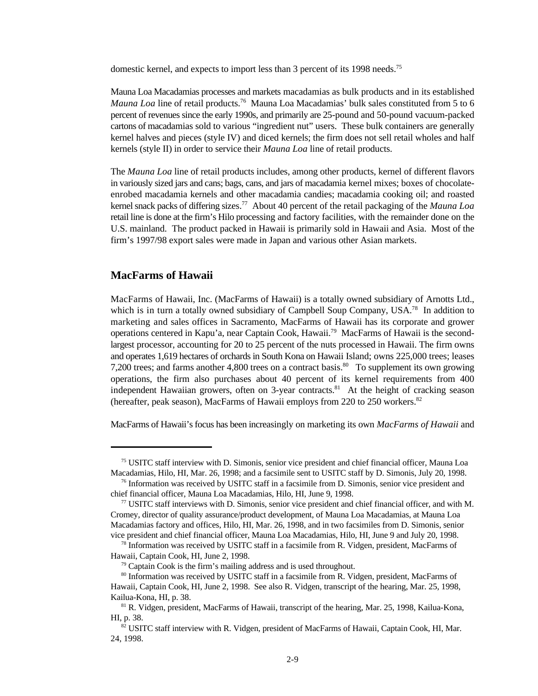domestic kernel, and expects to import less than 3 percent of its 1998 needs.<sup>75</sup>

Mauna Loa Macadamias processes and markets macadamias as bulk products and in its established *Mauna Loa* line of retail products.<sup>76</sup> Mauna Loa Macadamias' bulk sales constituted from 5 to 6 percent of revenues since the early 1990s, and primarily are 25-pound and 50-pound vacuum-packed cartons of macadamias sold to various "ingredient nut" users. These bulk containers are generally kernel halves and pieces (style IV) and diced kernels; the firm does not sell retail wholes and half kernels (style II) in order to service their *Mauna Loa* line of retail products.

The *Mauna Loa* line of retail products includes, among other products, kernel of different flavors in variously sized jars and cans; bags, cans, and jars of macadamia kernel mixes; boxes of chocolateenrobed macadamia kernels and other macadamia candies; macadamia cooking oil; and roasted kernel snack packs of differing sizes.<sup>77</sup> About 40 percent of the retail packaging of the *Mauna Loa* retail line is done at the firm's Hilo processing and factory facilities, with the remainder done on the U.S. mainland. The product packed in Hawaii is primarily sold in Hawaii and Asia. Most of the firm's 1997/98 export sales were made in Japan and various other Asian markets.

#### **MacFarms of Hawaii**

MacFarms of Hawaii, Inc. (MacFarms of Hawaii) is a totally owned subsidiary of Arnotts Ltd., which is in turn a totally owned subsidiary of Campbell Soup Company, USA.<sup>78</sup> In addition to marketing and sales offices in Sacramento, MacFarms of Hawaii has its corporate and grower operations centered in Kapu'a, near Captain Cook, Hawaii.<sup>79</sup> MacFarms of Hawaii is the secondlargest processor, accounting for 20 to 25 percent of the nuts processed in Hawaii. The firm owns and operates 1,619 hectares of orchards in South Kona on Hawaii Island; owns 225,000 trees; leases 7,200 trees; and farms another 4,800 trees on a contract basis.<sup>80</sup> To supplement its own growing operations, the firm also purchases about 40 percent of its kernel requirements from 400 independent Hawaiian growers, often on 3-year contracts.<sup>81</sup> At the height of cracking season (hereafter, peak season), MacFarms of Hawaii employs from 220 to 250 workers.<sup>82</sup>

MacFarms of Hawaii's focus has been increasingly on marketing its own *MacFarms of Hawaii* and

<sup>&</sup>lt;sup>75</sup> USITC staff interview with D. Simonis, senior vice president and chief financial officer, Mauna Loa Macadamias, Hilo, HI, Mar. 26, 1998; and a facsimile sent to USITC staff by D. Simonis, July 20, 1998.

 $76$  Information was received by USITC staff in a facsimile from D. Simonis, senior vice president and chief financial officer, Mauna Loa Macadamias, Hilo, HI, June 9, 1998.

 $\frac{77}{2}$  USITC staff interviews with D. Simonis, senior vice president and chief financial officer, and with M. Cromey, director of quality assurance/product development, of Mauna Loa Macadamias, at Mauna Loa Macadamias factory and offices, Hilo, HI, Mar. 26, 1998, and in two facsimiles from D. Simonis, senior vice president and chief financial officer, Mauna Loa Macadamias, Hilo, HI, June 9 and July 20, 1998.

 $<sup>78</sup>$  Information was received by USITC staff in a facsimile from R. Vidgen, president, MacFarms of</sup> Hawaii, Captain Cook, HI, June 2, 1998.

 $79$  Captain Cook is the firm's mailing address and is used throughout.

<sup>&</sup>lt;sup>80</sup> Information was received by USITC staff in a facsimile from R. Vidgen, president, MacFarms of Hawaii, Captain Cook, HI, June 2, 1998. See also R. Vidgen, transcript of the hearing, Mar. 25, 1998, Kailua-Kona, HI, p. 38.

 $81$  R. Vidgen, president, MacFarms of Hawaii, transcript of the hearing, Mar. 25, 1998, Kailua-Kona, HI, p. 38.

 $82^{\circ}$  USITC staff interview with R. Vidgen, president of MacFarms of Hawaii, Captain Cook, HI, Mar. 24, 1998.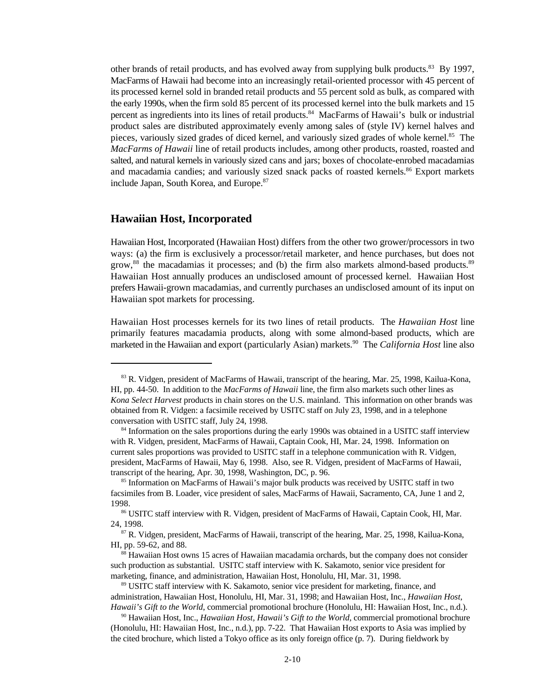other brands of retail products, and has evolved away from supplying bulk products.<sup>83</sup> By 1997, MacFarms of Hawaii had become into an increasingly retail-oriented processor with 45 percent of its processed kernel sold in branded retail products and 55 percent sold as bulk, as compared with the early 1990s, when the firm sold 85 percent of its processed kernel into the bulk markets and 15 percent as ingredients into its lines of retail products.<sup>84</sup> MacFarms of Hawaii's bulk or industrial product sales are distributed approximately evenly among sales of (style IV) kernel halves and pieces, variously sized grades of diced kernel, and variously sized grades of whole kernel.<sup>85</sup> The *MacFarms of Hawaii* line of retail products includes, among other products, roasted, roasted and salted, and natural kernels in variously sized cans and jars; boxes of chocolate-enrobed macadamias and macadamia candies; and variously sized snack packs of roasted kernels.<sup>86</sup> Export markets include Japan, South Korea, and Europe.<sup>87</sup>

#### **Hawaiian Host, Incorporated**

Hawaiian Host, Incorporated (Hawaiian Host) differs from the other two grower/processors in two ways: (a) the firm is exclusively a processor/retail marketer, and hence purchases, but does not grow, $^{88}$  the macadamias it processes; and (b) the firm also markets almond-based products. $^{89}$ Hawaiian Host annually produces an undisclosed amount of processed kernel. Hawaiian Host prefers Hawaii-grown macadamias, and currently purchases an undisclosed amount of its input on Hawaiian spot markets for processing.

Hawaiian Host processes kernels for its two lines of retail products. The *Hawaiian Host* line primarily features macadamia products, along with some almond-based products, which are marketed in the Hawaiian and export (particularly Asian) markets.<sup>90</sup> The *California Host* line also

<sup>&</sup>lt;sup>83</sup> R. Vidgen, president of MacFarms of Hawaii, transcript of the hearing, Mar. 25, 1998, Kailua-Kona, HI, pp. 44-50. In addition to the *MacFarms of Hawaii* line, the firm also markets such other lines as *Kona Select Harvest* products in chain stores on the U.S. mainland. This information on other brands was obtained from R. Vidgen: a facsimile received by USITC staff on July 23, 1998, and in a telephone conversation with USITC staff, July 24, 1998.

<sup>&</sup>lt;sup>84</sup> Information on the sales proportions during the early 1990s was obtained in a USITC staff interview with R. Vidgen, president, MacFarms of Hawaii, Captain Cook, HI, Mar. 24, 1998. Information on current sales proportions was provided to USITC staff in a telephone communication with R. Vidgen, president, MacFarms of Hawaii, May 6, 1998. Also, see R. Vidgen, president of MacFarms of Hawaii, transcript of the hearing, Apr. 30, 1998, Washington, DC, p. 96.

<sup>&</sup>lt;sup>85</sup> Information on MacFarms of Hawaii's major bulk products was received by USITC staff in two facsimiles from B. Loader, vice president of sales, MacFarms of Hawaii, Sacramento, CA, June 1 and 2, 1998.

<sup>&</sup>lt;sup>86</sup> USITC staff interview with R. Vidgen, president of MacFarms of Hawaii, Captain Cook, HI, Mar. 24, 1998.

 $87$  R. Vidgen, president, MacFarms of Hawaii, transcript of the hearing, Mar. 25, 1998, Kailua-Kona, HI, pp. 59-62, and 88.

<sup>&</sup>lt;sup>88</sup> Hawaiian Host owns 15 acres of Hawaiian macadamia orchards, but the company does not consider such production as substantial. USITC staff interview with K. Sakamoto, senior vice president for marketing, finance, and administration, Hawaiian Host, Honolulu, HI, Mar. 31, 1998.

<sup>&</sup>lt;sup>89</sup> USITC staff interview with K. Sakamoto, senior vice president for marketing, finance, and administration, Hawaiian Host, Honolulu, HI, Mar. 31, 1998; and Hawaiian Host, Inc., *Hawaiian Host*, *Hawaii's Gift to the World*, commercial promotional brochure (Honolulu, HI: Hawaiian Host, Inc., n.d.).

<sup>&</sup>lt;sup>90</sup> Hawaiian Host, Inc., *Hawaiian Host, Hawaii's Gift to the World*, commercial promotional brochure (Honolulu, HI: Hawaiian Host, Inc., n.d.), pp. 7-22. That Hawaiian Host exports to Asia was implied by the cited brochure, which listed a Tokyo office as its only foreign office (p. 7). During fieldwork by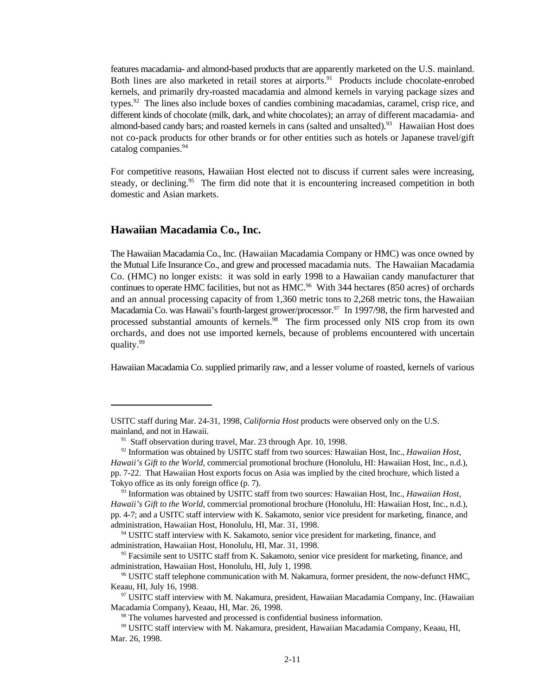features macadamia- and almond-based products that are apparently marketed on the U.S. mainland. Both lines are also marketed in retail stores at airports.<sup>91</sup> Products include chocolate-enrobed kernels, and primarily dry-roasted macadamia and almond kernels in varying package sizes and types.<sup>92</sup> The lines also include boxes of candies combining macadamias, caramel, crisp rice, and different kinds of chocolate (milk, dark, and white chocolates); an array of different macadamia- and almond-based candy bars; and roasted kernels in cans (salted and unsalted).<sup>93</sup> Hawaiian Host does not co-pack products for other brands or for other entities such as hotels or Japanese travel/gift catalog companies.<sup>94</sup>

For competitive reasons, Hawaiian Host elected not to discuss if current sales were increasing, steady, or declining.<sup>95</sup> The firm did note that it is encountering increased competition in both domestic and Asian markets.

#### **Hawaiian Macadamia Co., Inc.**

The Hawaiian Macadamia Co., Inc. (Hawaiian Macadamia Company or HMC) was once owned by the Mutual Life Insurance Co., and grew and processed macadamia nuts. The Hawaiian Macadamia Co. (HMC) no longer exists: it was sold in early 1998 to a Hawaiian candy manufacturer that continues to operate HMC facilities, but not as  $HMC<sup>96</sup>$  With 344 hectares (850 acres) of orchards and an annual processing capacity of from 1,360 metric tons to 2,268 metric tons, the Hawaiian Macadamia Co. was Hawaii's fourth-largest grower/processor.<sup>97</sup> In 1997/98, the firm harvested and processed substantial amounts of kernels.<sup>98</sup> The firm processed only NIS crop from its own orchards, and does not use imported kernels, because of problems encountered with uncertain quality.<sup>99</sup>

Hawaiian Macadamia Co. supplied primarily raw, and a lesser volume of roasted, kernels of various

USITC staff during Mar. 24-31, 1998, *California Host* products were observed only on the U.S. mainland, and not in Hawaii.

 $91$  Staff observation during travel, Mar. 23 through Apr. 10, 1998.

<sup>&</sup>lt;sup>92</sup> Information was obtained by USITC staff from two sources: Hawaiian Host, Inc., *Hawaiian Host*, *Hawaii's Gift to the World*, commercial promotional brochure (Honolulu, HI: Hawaiian Host, Inc., n.d.), pp. 7-22. That Hawaiian Host exports focus on Asia was implied by the cited brochure, which listed a Tokyo office as its only foreign office (p. 7).

<sup>&</sup>lt;sup>93</sup> Information was obtained by USITC staff from two sources: Hawaiian Host, Inc., *Hawaiian Host*, *Hawaii's Gift to the World*, commercial promotional brochure (Honolulu, HI: Hawaiian Host, Inc., n.d.), pp. 4-7; and a USITC staff interview with K. Sakamoto, senior vice president for marketing, finance, and administration, Hawaiian Host, Honolulu, HI, Mar. 31, 1998.

<sup>&</sup>lt;sup>94</sup> USITC staff interview with K. Sakamoto, senior vice president for marketing, finance, and administration, Hawaiian Host, Honolulu, HI, Mar. 31, 1998.

<sup>&</sup>lt;sup>95</sup> Facsimile sent to USITC staff from K. Sakamoto, senior vice president for marketing, finance, and administration, Hawaiian Host, Honolulu, HI, July 1, 1998.

<sup>&</sup>lt;sup>96</sup> USITC staff telephone communication with M. Nakamura, former president, the now-defunct HMC, Keaau, HI, July 16, 1998.

<sup>&</sup>lt;sup>97</sup> USITC staff interview with M. Nakamura, president, Hawaiian Macadamia Company, Inc. (Hawaiian Macadamia Company), Keaau, HI, Mar. 26, 1998.

<sup>&</sup>lt;sup>98</sup> The volumes harvested and processed is confidential business information.

<sup>&</sup>lt;sup>99</sup> USITC staff interview with M. Nakamura, president, Hawaiian Macadamia Company, Keaau, HI, Mar. 26, 1998.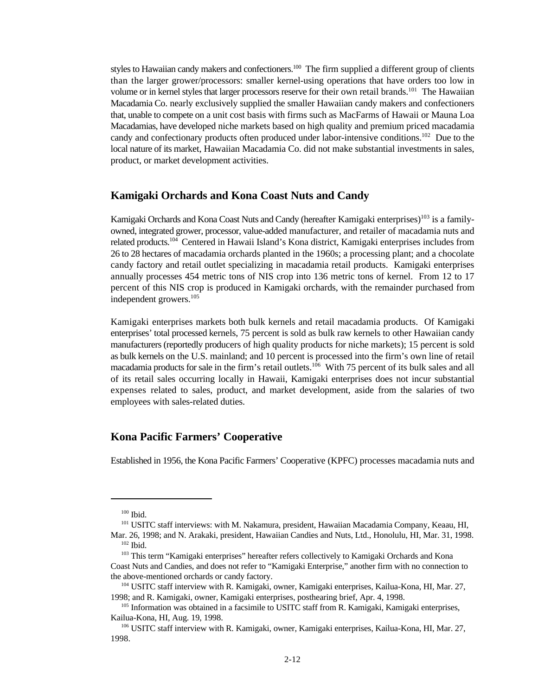styles to Hawaiian candy makers and confectioners.<sup>100</sup> The firm supplied a different group of clients than the larger grower/processors: smaller kernel-using operations that have orders too low in volume or in kernel styles that larger processors reserve for their own retail brands.<sup>101</sup> The Hawaiian Macadamia Co. nearly exclusively supplied the smaller Hawaiian candy makers and confectioners that, unable to compete on a unit cost basis with firms such as MacFarms of Hawaii or Mauna Loa Macadamias, have developed niche markets based on high quality and premium priced macadamia candy and confectionary products often produced under labor-intensive conditions.<sup>102</sup> Due to the local nature of its market, Hawaiian Macadamia Co. did not make substantial investments in sales, product, or market development activities.

#### **Kamigaki Orchards and Kona Coast Nuts and Candy**

Kamigaki Orchards and Kona Coast Nuts and Candy (hereafter Kamigaki enterprises)<sup>103</sup> is a familyowned, integrated grower, processor, value-added manufacturer, and retailer of macadamia nuts and related products.<sup>104</sup> Centered in Hawaii Island's Kona district, Kamigaki enterprises includes from 26 to 28 hectares of macadamia orchards planted in the 1960s; a processing plant; and a chocolate candy factory and retail outlet specializing in macadamia retail products. Kamigaki enterprises annually processes 454 metric tons of NIS crop into 136 metric tons of kernel. From 12 to 17 percent of this NIS crop is produced in Kamigaki orchards, with the remainder purchased from independent growers.<sup>105</sup>

Kamigaki enterprises markets both bulk kernels and retail macadamia products. Of Kamigaki enterprises' total processed kernels, 75 percent is sold as bulk raw kernels to other Hawaiian candy manufacturers (reportedly producers of high quality products for niche markets); 15 percent is sold as bulk kernels on the U.S. mainland; and 10 percent is processed into the firm's own line of retail macadamia products for sale in the firm's retail outlets.<sup>106</sup> With 75 percent of its bulk sales and all of its retail sales occurring locally in Hawaii, Kamigaki enterprises does not incur substantial expenses related to sales, product, and market development, aside from the salaries of two employees with sales-related duties.

#### **Kona Pacific Farmers' Cooperative**

Established in 1956, the Kona Pacific Farmers' Cooperative (KPFC) processes macadamia nuts and

 $100$  Ibid.

<sup>&</sup>lt;sup>101</sup> USITC staff interviews: with M. Nakamura, president, Hawaiian Macadamia Company, Keaau, HI, Mar. 26, 1998; and N. Arakaki, president, Hawaiian Candies and Nuts, Ltd., Honolulu, HI, Mar. 31, 1998.  $102$  Ibid.

<sup>&</sup>lt;sup>103</sup> This term "Kamigaki enterprises" hereafter refers collectively to Kamigaki Orchards and Kona Coast Nuts and Candies, and does not refer to "Kamigaki Enterprise," another firm with no connection to the above-mentioned orchards or candy factory.

<sup>&</sup>lt;sup>104</sup> USITC staff interview with R. Kamigaki, owner, Kamigaki enterprises, Kailua-Kona, HI, Mar. 27, 1998; and R. Kamigaki, owner, Kamigaki enterprises, posthearing brief, Apr. 4, 1998.

<sup>&</sup>lt;sup>105</sup> Information was obtained in a facsimile to USITC staff from R. Kamigaki, Kamigaki enterprises, Kailua-Kona, HI, Aug. 19, 1998.

<sup>&</sup>lt;sup>106</sup> USITC staff interview with R. Kamigaki, owner, Kamigaki enterprises, Kailua-Kona, HI, Mar. 27, 1998.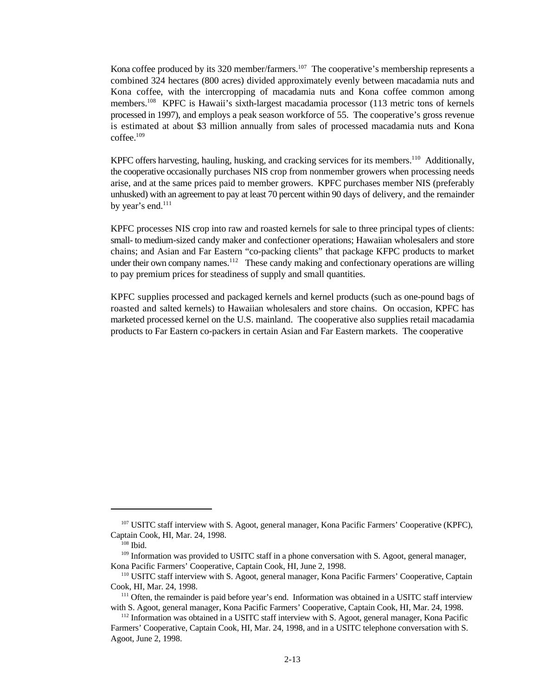Kona coffee produced by its 320 member/farmers.<sup>107</sup> The cooperative's membership represents a combined 324 hectares (800 acres) divided approximately evenly between macadamia nuts and Kona coffee, with the intercropping of macadamia nuts and Kona coffee common among members.<sup>108</sup> KPFC is Hawaii's sixth-largest macadamia processor (113 metric tons of kernels processed in 1997), and employs a peak season workforce of 55. The cooperative's gross revenue is estimated at about \$3 million annually from sales of processed macadamia nuts and Kona  $coffee$ <sup>109</sup>

KPFC offers harvesting, hauling, husking, and cracking services for its members.<sup>110</sup> Additionally, the cooperative occasionally purchases NIS crop from nonmember growers when processing needs arise, and at the same prices paid to member growers. KPFC purchases member NIS (preferably unhusked) with an agreement to pay at least 70 percent within 90 days of delivery, and the remainder by year's end.<sup>111</sup>

KPFC processes NIS crop into raw and roasted kernels for sale to three principal types of clients: small- to medium-sized candy maker and confectioner operations; Hawaiian wholesalers and store chains; and Asian and Far Eastern "co-packing clients" that package KFPC products to market under their own company names.<sup>112</sup> These candy making and confectionary operations are willing to pay premium prices for steadiness of supply and small quantities.

KPFC supplies processed and packaged kernels and kernel products (such as one-pound bags of roasted and salted kernels) to Hawaiian wholesalers and store chains. On occasion, KPFC has marketed processed kernel on the U.S. mainland. The cooperative also supplies retail macadamia products to Far Eastern co-packers in certain Asian and Far Eastern markets. The cooperative

<sup>&</sup>lt;sup>107</sup> USITC staff interview with S. Agoot, general manager, Kona Pacific Farmers' Cooperative (KPFC), Captain Cook, HI, Mar. 24, 1998.

 $108$  Ibid.

 $109$  Information was provided to USITC staff in a phone conversation with S. Agoot, general manager, Kona Pacific Farmers' Cooperative, Captain Cook, HI, June 2, 1998.

<sup>&</sup>lt;sup>110</sup> USITC staff interview with S. Agoot, general manager, Kona Pacific Farmers' Cooperative, Captain Cook, HI, Mar. 24, 1998.

 $111$  Often, the remainder is paid before year's end. Information was obtained in a USITC staff interview with S. Agoot, general manager, Kona Pacific Farmers' Cooperative, Captain Cook, HI, Mar. 24, 1998.

 $112$  Information was obtained in a USITC staff interview with S. Agoot, general manager, Kona Pacific Farmers' Cooperative, Captain Cook, HI, Mar. 24, 1998, and in a USITC telephone conversation with S. Agoot, June 2, 1998.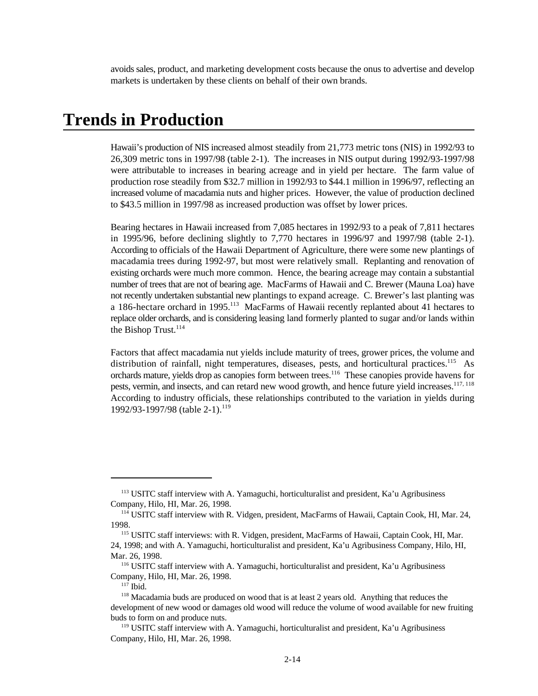avoids sales, product, and marketing development costs because the onus to advertise and develop markets is undertaken by these clients on behalf of their own brands.

## **Trends in Production**

Hawaii's production of NIS increased almost steadily from 21,773 metric tons (NIS) in 1992/93 to 26,309 metric tons in 1997/98 (table 2-1). The increases in NIS output during 1992/93-1997/98 were attributable to increases in bearing acreage and in yield per hectare. The farm value of production rose steadily from \$32.7 million in 1992/93 to \$44.1 million in 1996/97, reflecting an increased volume of macadamia nuts and higher prices. However, the value of production declined to \$43.5 million in 1997/98 as increased production was offset by lower prices.

Bearing hectares in Hawaii increased from 7,085 hectares in 1992/93 to a peak of 7,811 hectares in 1995/96, before declining slightly to 7,770 hectares in 1996/97 and 1997/98 (table 2-1). According to officials of the Hawaii Department of Agriculture, there were some new plantings of macadamia trees during 1992-97, but most were relatively small. Replanting and renovation of existing orchards were much more common. Hence, the bearing acreage may contain a substantial number of trees that are not of bearing age. MacFarms of Hawaii and C. Brewer (Mauna Loa) have not recently undertaken substantial new plantings to expand acreage. C. Brewer's last planting was a 186-hectare orchard in 1995.<sup>113</sup> MacFarms of Hawaii recently replanted about 41 hectares to replace older orchards, and is considering leasing land formerly planted to sugar and/or lands within the Bishop Trust. $^{114}$ 

Factors that affect macadamia nut yields include maturity of trees, grower prices, the volume and distribution of rainfall, night temperatures, diseases, pests, and horticultural practices.<sup>115</sup> As orchards mature, yields drop as canopies form between trees.<sup>116</sup> These canopies provide havens for pests, vermin, and insects, and can retard new wood growth, and hence future yield increases.<sup>117, 118</sup> According to industry officials, these relationships contributed to the variation in yields during 1992/93-1997/98 (table 2-1).<sup>119</sup>

<sup>&</sup>lt;sup>113</sup> USITC staff interview with A. Yamaguchi, horticulturalist and president, Ka'u Agribusiness Company, Hilo, HI, Mar. 26, 1998.

<sup>&</sup>lt;sup>114</sup> USITC staff interview with R. Vidgen, president, MacFarms of Hawaii, Captain Cook, HI, Mar. 24, 1998.

<sup>&</sup>lt;sup>115</sup> USITC staff interviews: with R. Vidgen, president, MacFarms of Hawaii, Captain Cook, HI, Mar. 24, 1998; and with A. Yamaguchi, horticulturalist and president, Ka'u Agribusiness Company, Hilo, HI, Mar. 26, 1998.

<sup>&</sup>lt;sup>116</sup> USITC staff interview with A. Yamaguchi, horticulturalist and president, Ka'u Agribusiness Company, Hilo, HI, Mar. 26, 1998.

 $117$  Ibid.

<sup>&</sup>lt;sup>118</sup> Macadamia buds are produced on wood that is at least 2 years old. Anything that reduces the development of new wood or damages old wood will reduce the volume of wood available for new fruiting buds to form on and produce nuts.

<sup>&</sup>lt;sup>119</sup> USITC staff interview with A. Yamaguchi, horticulturalist and president, Ka'u Agribusiness Company, Hilo, HI, Mar. 26, 1998.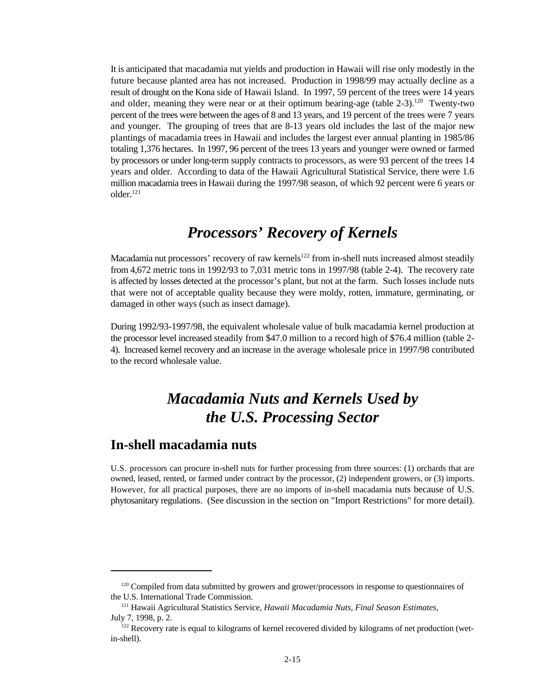It is anticipated that macadamia nut yields and production in Hawaii will rise only modestly in the future because planted area has not increased. Production in 1998/99 may actually decline as a result of drought on the Kona side of Hawaii Island. In 1997, 59 percent of the trees were 14 years and older, meaning they were near or at their optimum bearing-age (table  $2-3$ ).<sup>120</sup> Twenty-two percent of the trees were between the ages of 8 and 13 years, and 19 percent of the trees were 7 years and younger. The grouping of trees that are 8-13 years old includes the last of the major new plantings of macadamia trees in Hawaii and includes the largest ever annual planting in 1985/86 totaling 1,376 hectares. In 1997, 96 percent of the trees 13 years and younger were owned or farmed by processors or under long-term supply contracts to processors, as were 93 percent of the trees 14 years and older. According to data of the Hawaii Agricultural Statistical Service, there were 1.6 million macadamia trees in Hawaii during the 1997/98 season, of which 92 percent were 6 years or older.<sup>121</sup>

## *Processors' Recovery of Kernels*

Macadamia nut processors' recovery of raw kernels<sup>122</sup> from in-shell nuts increased almost steadily from 4,672 metric tons in 1992/93 to 7,031 metric tons in 1997/98 (table 2-4). The recovery rate is affected by losses detected at the processor's plant, but not at the farm. Such losses include nuts that were not of acceptable quality because they were moldy, rotten, immature, germinating, or damaged in other ways (such as insect damage).

During 1992/93-1997/98, the equivalent wholesale value of bulk macadamia kernel production at the processor level increased steadily from \$47.0 million to a record high of \$76.4 million (table 2- 4). Increased kernel recovery and an increase in the average wholesale price in 1997/98 contributed to the record wholesale value.

## *Macadamia Nuts and Kernels Used by the U.S. Processing Sector*

### **In-shell macadamia nuts**

U.S. processors can procure in-shell nuts for further processing from three sources: (1) orchards that are owned, leased, rented, or farmed under contract by the processor, (2) independent growers, or (3) imports. However, for all practical purposes, there are no imports of in-shell macadamia nuts because of U.S. phytosanitary regulations. (See discussion in the section on "Import Restrictions" for more detail).

 $120$  Compiled from data submitted by growers and grower/processors in response to questionnaires of the U.S. International Trade Commission.

<sup>&</sup>lt;sup>121</sup> Hawaii Agricultural Statistics Service, *Hawaii Macadamia Nuts, Final Season Estimates*, July 7, 1998, p. 2.

 $122$  Recovery rate is equal to kilograms of kernel recovered divided by kilograms of net production (wetin-shell).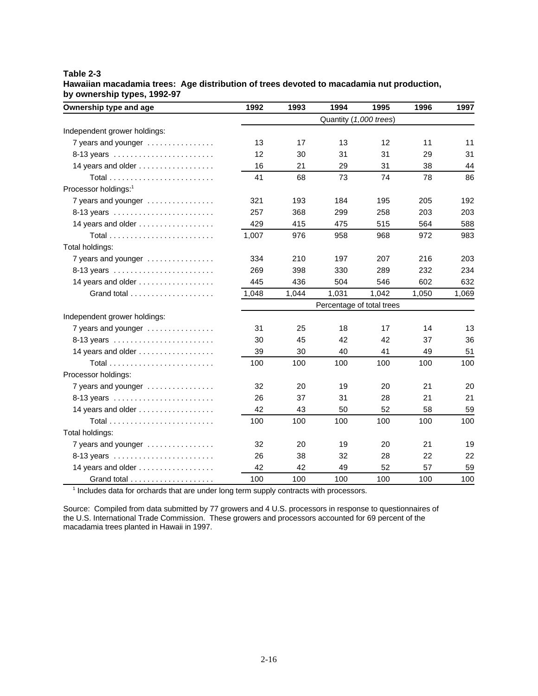#### **Table 2-3 Hawaiian macadamia trees: Age distribution of trees devoted to macadamia nut production, by ownership types, 1992-97**

| Ownership type and age                                  | 1992                   | 1993  | 1994                      | 1995  | 1996  | 1997  |
|---------------------------------------------------------|------------------------|-------|---------------------------|-------|-------|-------|
|                                                         | Quantity (1,000 trees) |       |                           |       |       |       |
| Independent grower holdings:                            |                        |       |                           |       |       |       |
| 7 years and younger                                     | 13                     | 17    | 13                        | 12    | 11    | 11    |
| 8-13 years                                              | 12                     | 30    | 31                        | 31    | 29    | 31    |
| 14 years and older                                      | 16                     | 21    | 29                        | 31    | 38    | 44    |
|                                                         | 41                     | 68    | 73                        | 74    | 78    | 86    |
| Processor holdings: <sup>1</sup>                        |                        |       |                           |       |       |       |
| 7 years and younger                                     | 321                    | 193   | 184                       | 195   | 205   | 192   |
|                                                         | 257                    | 368   | 299                       | 258   | 203   | 203   |
| 14 years and older $\ldots \ldots \ldots \ldots \ldots$ | 429                    | 415   | 475                       | 515   | 564   | 588   |
|                                                         | 1,007                  | 976   | 958                       | 968   | 972   | 983   |
| Total holdings:                                         |                        |       |                           |       |       |       |
| 7 years and younger                                     | 334                    | 210   | 197                       | 207   | 216   | 203   |
| 8-13 years                                              | 269                    | 398   | 330                       | 289   | 232   | 234   |
| 14 years and older                                      | 445                    | 436   | 504                       | 546   | 602   | 632   |
|                                                         | 1,048                  | 1,044 | 1,031                     | 1,042 | 1,050 | 1,069 |
|                                                         |                        |       | Percentage of total trees |       |       |       |
| Independent grower holdings:                            |                        |       |                           |       |       |       |
| 7 years and younger                                     | 31                     | 25    | 18                        | 17    | 14    | 13    |
| 8-13 years                                              | 30                     | 45    | 42                        | 42    | 37    | 36    |
| 14 years and older                                      | 39                     | 30    | 40                        | 41    | 49    | 51    |
|                                                         | 100                    | 100   | 100                       | 100   | 100   | 100   |
| Processor holdings:                                     |                        |       |                           |       |       |       |
| 7 years and younger                                     | 32                     | 20    | 19                        | 20    | 21    | 20    |
|                                                         | 26                     | 37    | 31                        | 28    | 21    | 21    |
| 14 years and older                                      | 42                     | 43    | 50                        | 52    | 58    | 59    |
|                                                         | 100                    | 100   | 100                       | 100   | 100   | 100   |
| Total holdings:                                         |                        |       |                           |       |       |       |
| 7 years and younger                                     | 32                     | 20    | 19                        | 20    | 21    | 19    |
|                                                         | 26                     | 38    | 32                        | 28    | 22    | 22    |
| 14 years and older                                      | 42                     | 42    | 49                        | 52    | 57    | 59    |
|                                                         | 100                    | 100   | 100                       | 100   | 100   | 100   |

 $<sup>1</sup>$  Includes data for orchards that are under long term supply contracts with processors.</sup>

Source: Compiled from data submitted by 77 growers and 4 U.S. processors in response to questionnaires of the U.S. International Trade Commission. These growers and processors accounted for 69 percent of the macadamia trees planted in Hawaii in 1997.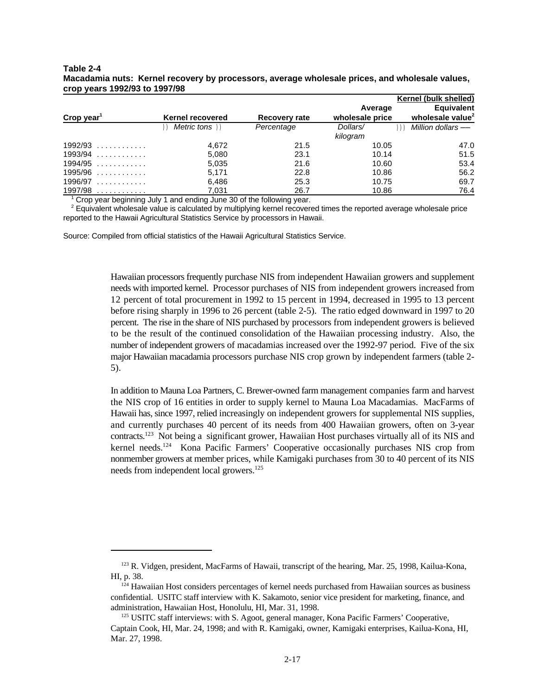#### **Table 2-4 Macadamia nuts: Kernel recovery by processors, average wholesale prices, and wholesale values, crop years 1992/93 to 1997/98**

|                        |                  |               |                 | <b>Kernel (bulk shelled)</b> |
|------------------------|------------------|---------------|-----------------|------------------------------|
|                        |                  |               | Average         | <b>Equivalent</b>            |
| Crop year <sup>1</sup> | Kernel recovered | Recovery rate | wholesale price | wholesale value <sup>2</sup> |
|                        | Metric tons ))   | Percentage    | Dollars/        | Million dollars —<br>$)$ ))  |
|                        |                  |               | kilogram        |                              |
| $1992/93$              | 4,672            | 21.5          | 10.05           | 47.0                         |
| $1993/94$              | 5,080            | 23.1          | 10.14           | 51.5                         |
| $1994/95$              | 5,035            | 21.6          | 10.60           | 53.4                         |
| $1995/96$              | 5.171            | 22.8          | 10.86           | 56.2                         |
| $1996/97$              | 6,486            | 25.3          | 10.75           | 69.7                         |
| 1997/98<br>.           | 7.031            | 26.7          | 10.86           | 76.4                         |

 $1$  Crop year beginning July 1 and ending June 30 of the following year.

 $2$  Equivalent wholesale value is calculated by multiplying kernel recovered times the reported average wholesale price reported to the Hawaii Agricultural Statistics Service by processors in Hawaii.

Source: Compiled from official statistics of the Hawaii Agricultural Statistics Service.

Hawaiian processors frequently purchase NIS from independent Hawaiian growers and supplement needs with imported kernel. Processor purchases of NIS from independent growers increased from 12 percent of total procurement in 1992 to 15 percent in 1994, decreased in 1995 to 13 percent before rising sharply in 1996 to 26 percent (table 2-5). The ratio edged downward in 1997 to 20 percent. The rise in the share of NIS purchased by processors from independent growers is believed to be the result of the continued consolidation of the Hawaiian processing industry. Also, the number of independent growers of macadamias increased over the 1992-97 period. Five of the six major Hawaiian macadamia processors purchase NIS crop grown by independent farmers (table 2- 5).

In addition to Mauna Loa Partners, C. Brewer-owned farm management companies farm and harvest the NIS crop of 16 entities in order to supply kernel to Mauna Loa Macadamias. MacFarms of Hawaii has, since 1997, relied increasingly on independent growers for supplemental NIS supplies, and currently purchases 40 percent of its needs from 400 Hawaiian growers, often on 3-year contracts.<sup>123</sup> Not being a significant grower, Hawaiian Host purchases virtually all of its NIS and kernel needs.<sup>124</sup> Kona Pacific Farmers' Cooperative occasionally purchases NIS crop from nonmember growers at member prices, while Kamigaki purchases from 30 to 40 percent of its NIS needs from independent local growers.<sup>125</sup>

<sup>&</sup>lt;sup>123</sup> R. Vidgen, president, MacFarms of Hawaii, transcript of the hearing, Mar. 25, 1998, Kailua-Kona, HI, p. 38.

 $124$  Hawaiian Host considers percentages of kernel needs purchased from Hawaiian sources as business confidential. USITC staff interview with K. Sakamoto, senior vice president for marketing, finance, and administration, Hawaiian Host, Honolulu, HI, Mar. 31, 1998.

 $125$  USITC staff interviews: with S. Agoot, general manager, Kona Pacific Farmers' Cooperative, Captain Cook, HI, Mar. 24, 1998; and with R. Kamigaki, owner, Kamigaki enterprises, Kailua-Kona, HI, Mar. 27, 1998.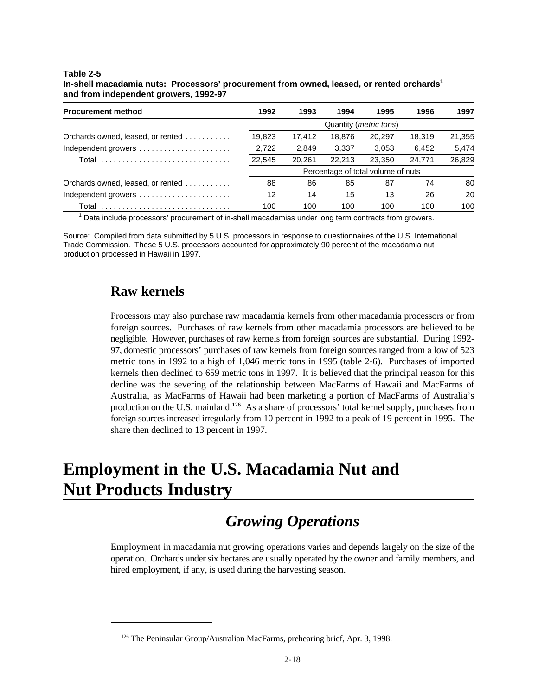| <b>Procurement method</b>         | 1992   | 1993   | 1994   | 1995                               | 1996   | 1997   |
|-----------------------------------|--------|--------|--------|------------------------------------|--------|--------|
|                                   |        |        |        | Quantity ( <i>metric tons</i> )    |        |        |
| Orchards owned, leased, or rented | 19.823 | 17.412 | 18.876 | 20.297                             | 18.319 | 21,355 |
| Independent growers               | 2,722  | 2,849  | 3,337  | 3,053                              | 6.452  | 5,474  |
|                                   | 22,545 | 20.261 | 22.213 | 23.350                             | 24.771 | 26,829 |
|                                   |        |        |        | Percentage of total volume of nuts |        |        |
| Orchards owned, leased, or rented | 88     | 86     | 85     | 87                                 | 74     | 80     |
| Independent growers               | 12     | 14     | 15     | 13                                 | 26     | 20     |
|                                   | 100    | 100    | 100    | 100                                | 100    | 100    |

**In-shell macadamia nuts: Processors' procurement from owned, leased, or rented orchards<sup>1</sup> and from independent growers, 1992-97**

<sup>1</sup> Data include processors' procurement of in-shell macadamias under long term contracts from growers.

Source: Compiled from data submitted by 5 U.S. processors in response to questionnaires of the U.S. International Trade Commission. These 5 U.S. processors accounted for approximately 90 percent of the macadamia nut production processed in Hawaii in 1997.

### **Raw kernels**

Processors may also purchase raw macadamia kernels from other macadamia processors or from foreign sources. Purchases of raw kernels from other macadamia processors are believed to be negligible. However, purchases of raw kernels from foreign sources are substantial. During 1992- 97, domestic processors' purchases of raw kernels from foreign sources ranged from a low of 523 metric tons in 1992 to a high of 1,046 metric tons in 1995 (table 2-6). Purchases of imported kernels then declined to 659 metric tons in 1997. It is believed that the principal reason for this decline was the severing of the relationship between MacFarms of Hawaii and MacFarms of Australia, as MacFarms of Hawaii had been marketing a portion of MacFarms of Australia's production on the U.S. mainland.<sup>126</sup> As a share of processors' total kernel supply, purchases from foreign sources increased irregularly from 10 percent in 1992 to a peak of 19 percent in 1995. The share then declined to 13 percent in 1997.

# **Employment in the U.S. Macadamia Nut and Nut Products Industry**

# *Growing Operations*

Employment in macadamia nut growing operations varies and depends largely on the size of the operation. Orchards under six hectares are usually operated by the owner and family members, and hired employment, if any, is used during the harvesting season.

<sup>&</sup>lt;sup>126</sup> The Peninsular Group/Australian MacFarms, prehearing brief, Apr. 3, 1998.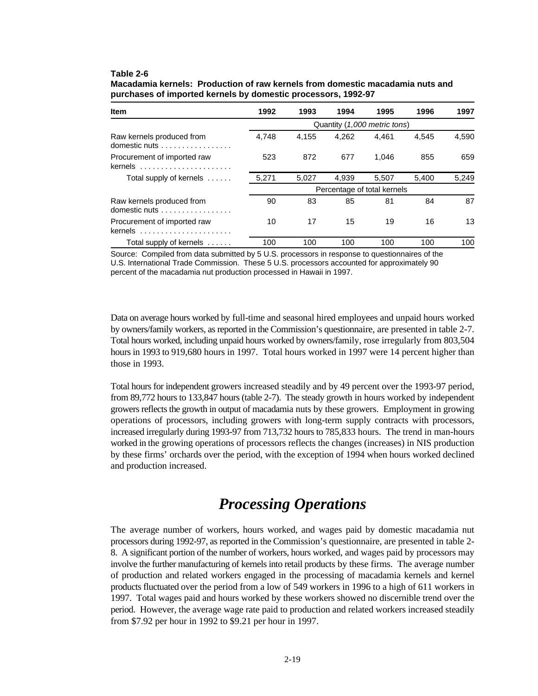| <b>Item</b>                                | 1992                        | 1993  | 1994  | 1995                         | 1996  | 1997  |  |  |  |
|--------------------------------------------|-----------------------------|-------|-------|------------------------------|-------|-------|--|--|--|
|                                            |                             |       |       | Quantity (1,000 metric tons) |       |       |  |  |  |
| Raw kernels produced from<br>domestic nuts | 4.748                       | 4.155 | 4.262 | 4.461                        | 4.545 | 4.590 |  |  |  |
| Procurement of imported raw<br>$k$ ernels  | 523                         | 872   | 677   | 1.046                        | 855   | 659   |  |  |  |
| Total supply of kernels $\dots$ .          | 5,271                       | 5.027 | 4.939 | 5.507                        | 5.400 | 5,249 |  |  |  |
|                                            | Percentage of total kernels |       |       |                              |       |       |  |  |  |
| Raw kernels produced from<br>domestic nuts | 90                          | 83    | 85    | 81                           | 84    | 87    |  |  |  |
| Procurement of imported raw<br>kernels     | 10                          | 17    | 15    | 19                           | 16    | 13    |  |  |  |
| Total supply of kernels                    | 100                         | 100   | 100   | 100                          | 100   | 100   |  |  |  |

**Macadamia kernels: Production of raw kernels from domestic macadamia nuts and purchases of imported kernels by domestic processors, 1992-97**

Source: Compiled from data submitted by 5 U.S. processors in response to questionnaires of the U.S. International Trade Commission. These 5 U.S. processors accounted for approximately 90 percent of the macadamia nut production processed in Hawaii in 1997.

Data on average hours worked by full-time and seasonal hired employees and unpaid hours worked by owners/family workers, as reported in the Commission's questionnaire, are presented in table 2-7. Total hours worked, including unpaid hours worked by owners/family, rose irregularly from 803,504 hours in 1993 to 919,680 hours in 1997. Total hours worked in 1997 were 14 percent higher than those in 1993.

Total hours for independent growers increased steadily and by 49 percent over the 1993-97 period, from 89,772 hours to 133,847 hours (table 2-7). The steady growth in hours worked by independent growers reflects the growth in output of macadamia nuts by these growers. Employment in growing operations of processors, including growers with long-term supply contracts with processors, increased irregularly during 1993-97 from 713,732 hours to 785,833 hours. The trend in man-hours worked in the growing operations of processors reflects the changes (increases) in NIS production by these firms' orchards over the period, with the exception of 1994 when hours worked declined and production increased.

### *Processing Operations*

The average number of workers, hours worked, and wages paid by domestic macadamia nut processors during 1992-97, as reported in the Commission's questionnaire, are presented in table 2- 8. A significant portion of the number of workers, hours worked, and wages paid by processors may involve the further manufacturing of kernels into retail products by these firms. The average number of production and related workers engaged in the processing of macadamia kernels and kernel products fluctuated over the period from a low of 549 workers in 1996 to a high of 611 workers in 1997. Total wages paid and hours worked by these workers showed no discernible trend over the period. However, the average wage rate paid to production and related workers increased steadily from \$7.92 per hour in 1992 to \$9.21 per hour in 1997.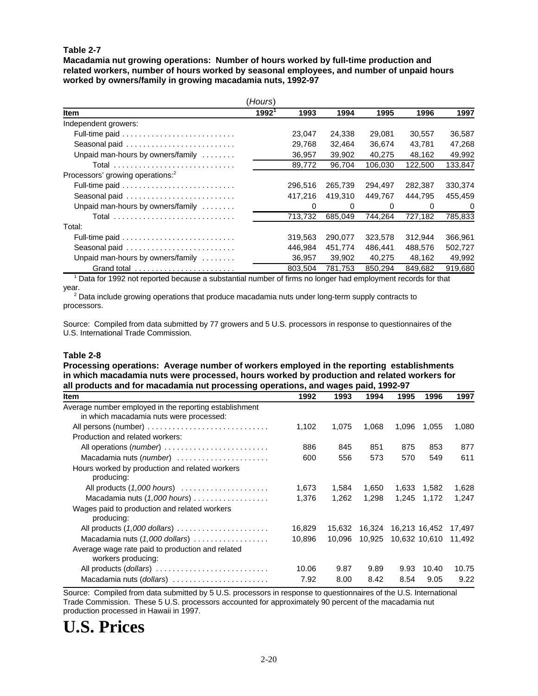**Macadamia nut growing operations: Number of hours worked by full-time production and related workers, number of hours worked by seasonal employees, and number of unpaid hours worked by owners/family in growing macadamia nuts, 1992-97**

|                                              | (Hours)  |         |         |          |          |          |
|----------------------------------------------|----------|---------|---------|----------|----------|----------|
| <b>Item</b>                                  | $1992^1$ | 1993    | 1994    | 1995     | 1996     | 1997     |
| Independent growers:                         |          |         |         |          |          |          |
|                                              |          | 23,047  | 24,338  | 29,081   | 30,557   | 36,587   |
| Seasonal paid                                |          | 29,768  | 32.464  | 36,674   | 43.781   | 47,268   |
| Unpaid man-hours by owners/family            |          | 36,957  | 39,902  | 40.275   | 48,162   | 49,992   |
|                                              |          | 89,772  | 96,704  | 106,030  | 122,500  | 133,847  |
| Processors' growing operations: <sup>2</sup> |          |         |         |          |          |          |
|                                              |          | 296.516 | 265,739 | 294.497  | 282,387  | 330,374  |
|                                              |          | 417.216 | 419.310 | 449.767  | 444.795  | 455,459  |
| Unpaid man-hours by owners/family            |          | 0       | 0       | $\Omega$ | $\Omega$ | $\Omega$ |
| Total                                        |          | 713,732 | 685,049 | 744.264  | 727,182  | 785,833  |
| Total:                                       |          |         |         |          |          |          |
|                                              |          | 319.563 | 290,077 | 323,578  | 312,944  | 366,961  |
| Seasonal paid                                |          | 446.984 | 451.774 | 486.441  | 488,576  | 502,727  |
| Unpaid man-hours by owners/family            |          | 36,957  | 39,902  | 40,275   | 48,162   | 49,992   |
|                                              |          | 803.504 | 781,753 | 850.294  | 849.682  | 919,680  |

<sup>1</sup> Data for 1992 not reported because a substantial number of firms no longer had employment records for that year.

2<br>
<sup>2</sup> Data include growing operations that produce macadamia nuts under long-term supply contracts to processors.

Source: Compiled from data submitted by 77 growers and 5 U.S. processors in response to questionnaires of the U.S. International Trade Commission.

#### **Table 2-8**

**Processing operations: Average number of workers employed in the reporting establishments in which macadamia nuts were processed, hours worked by production and related workers for all products and for macadamia nut processing operations, and wages paid, 1992-97**

| Item                                                                   | 1992   | 1993   | 1994   | 1995          | 1996  | 1997   |
|------------------------------------------------------------------------|--------|--------|--------|---------------|-------|--------|
| Average number employed in the reporting establishment                 |        |        |        |               |       |        |
| in which macadamia nuts were processed:                                |        |        |        |               |       |        |
| All persons (number)                                                   | 1,102  | 1,075  | 1,068  | 1,096         | 1,055 | 1,080  |
| Production and related workers:                                        |        |        |        |               |       |        |
| All operations (number)                                                | 886    | 845    | 851    | 875           | 853   | 877    |
| Macadamia nuts (number)                                                | 600    | 556    | 573    | 570           | 549   | 611    |
| Hours worked by production and related workers<br>producing:           |        |        |        |               |       |        |
| All products $(1,000$ hours $) \dots \dots \dots \dots \dots \dots$    | 1,673  | 1,584  | 1,650  | 1,633         | 1,582 | 1,628  |
| Macadamia nuts $(1,000$ hours $)\ldots\ldots\ldots\ldots\ldots\ldots$  | 1,376  | 1,262  | 1,298  | 1,245         | 1,172 | 1,247  |
| Wages paid to production and related workers<br>producing:             |        |        |        |               |       |        |
|                                                                        | 16,829 | 15,632 | 16,324 | 16,213 16,452 |       | 17,497 |
| Macadamia nuts (1,000 dollars)                                         | 10,896 | 10.096 | 10,925 | 10,632 10,610 |       | 11,492 |
| Average wage rate paid to production and related<br>workers producing: |        |        |        |               |       |        |
| All products (dollars)                                                 | 10.06  | 9.87   | 9.89   | 9.93          | 10.40 | 10.75  |
| Macadamia nuts (dollars)                                               | 7.92   | 8.00   | 8.42   | 8.54          | 9.05  | 9.22   |

Source: Compiled from data submitted by 5 U.S. processors in response to questionnaires of the U.S. International Trade Commission. These 5 U.S. processors accounted for approximately 90 percent of the macadamia nut production processed in Hawaii in 1997.

# **U.S. Prices**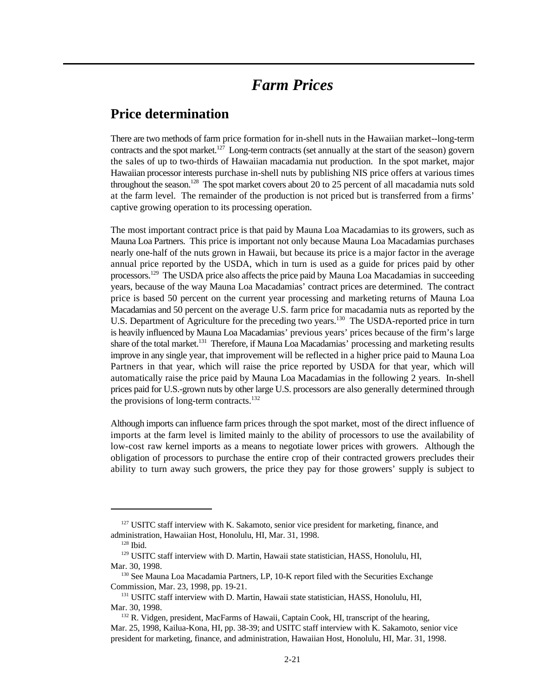### *Farm Prices*

### **Price determination**

There are two methods of farm price formation for in-shell nuts in the Hawaiian market--long-term contracts and the spot market.<sup>127</sup> Long-term contracts (set annually at the start of the season) govern the sales of up to two-thirds of Hawaiian macadamia nut production. In the spot market, major Hawaiian processor interests purchase in-shell nuts by publishing NIS price offers at various times throughout the season.<sup>128</sup> The spot market covers about 20 to 25 percent of all macadamia nuts sold at the farm level. The remainder of the production is not priced but is transferred from a firms' captive growing operation to its processing operation.

The most important contract price is that paid by Mauna Loa Macadamias to its growers, such as Mauna Loa Partners. This price is important not only because Mauna Loa Macadamias purchases nearly one-half of the nuts grown in Hawaii, but because its price is a major factor in the average annual price reported by the USDA, which in turn is used as a guide for prices paid by other processors.<sup>129</sup> The USDA price also affects the price paid by Mauna Loa Macadamias in succeeding years, because of the way Mauna Loa Macadamias' contract prices are determined. The contract price is based 50 percent on the current year processing and marketing returns of Mauna Loa Macadamias and 50 percent on the average U.S. farm price for macadamia nuts as reported by the U.S. Department of Agriculture for the preceding two years.<sup>130</sup> The USDA-reported price in turn is heavily influenced by Mauna Loa Macadamias' previous years' prices because of the firm's large share of the total market.<sup>131</sup> Therefore, if Mauna Loa Macadamias' processing and marketing results improve in any single year, that improvement will be reflected in a higher price paid to Mauna Loa Partners in that year, which will raise the price reported by USDA for that year, which will automatically raise the price paid by Mauna Loa Macadamias in the following 2 years. In-shell prices paid for U.S.-grown nuts by other large U.S. processors are also generally determined through the provisions of long-term contracts.<sup>132</sup>

Although imports can influence farm prices through the spot market, most of the direct influence of imports at the farm level is limited mainly to the ability of processors to use the availability of low-cost raw kernel imports as a means to negotiate lower prices with growers. Although the obligation of processors to purchase the entire crop of their contracted growers precludes their ability to turn away such growers, the price they pay for those growers' supply is subject to

 $127$  USITC staff interview with K. Sakamoto, senior vice president for marketing, finance, and administration, Hawaiian Host, Honolulu, HI, Mar. 31, 1998.

 $128$  Ibid.

<sup>&</sup>lt;sup>129</sup> USITC staff interview with D. Martin, Hawaii state statistician, HASS, Honolulu, HI, Mar. 30, 1998.

 $130$  See Mauna Loa Macadamia Partners, LP, 10-K report filed with the Securities Exchange Commission, Mar. 23, 1998, pp. 19-21.

<sup>&</sup>lt;sup>131</sup> USITC staff interview with D. Martin, Hawaii state statistician, HASS, Honolulu, HI, Mar. 30, 1998.

<sup>&</sup>lt;sup>132</sup> R. Vidgen, president, MacFarms of Hawaii, Captain Cook, HI, transcript of the hearing, Mar. 25, 1998, Kailua-Kona, HI, pp. 38-39; and USITC staff interview with K. Sakamoto, senior vice president for marketing, finance, and administration, Hawaiian Host, Honolulu, HI, Mar. 31, 1998.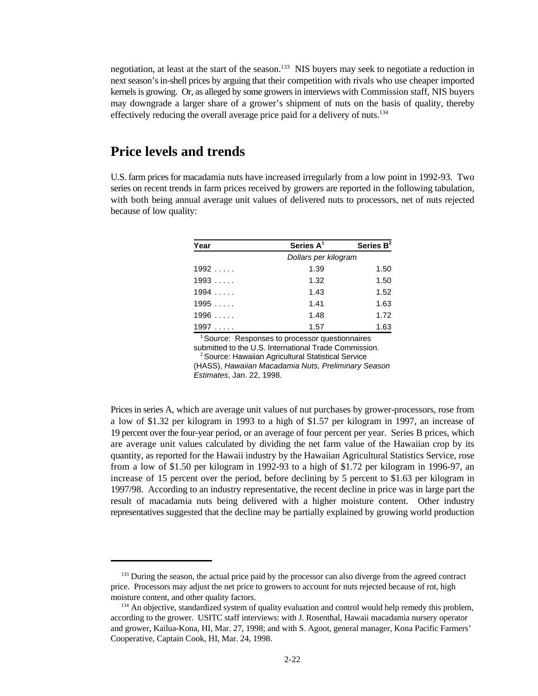negotiation, at least at the start of the season.<sup>133</sup> NIS buyers may seek to negotiate a reduction in next season's in-shell prices by arguing that their competition with rivals who use cheaper imported kernels is growing. Or, as alleged by some growers in interviews with Commission staff, NIS buyers may downgrade a larger share of a grower's shipment of nuts on the basis of quality, thereby effectively reducing the overall average price paid for a delivery of nuts.<sup>134</sup>

### **Price levels and trends**

U.S. farm prices for macadamia nuts have increased irregularly from a low point in 1992-93. Two series on recent trends in farm prices received by growers are reported in the following tabulation, with both being annual average unit values of delivered nuts to processors, net of nuts rejected because of low quality:

| Year            | Series $A^1$         | Series $B^2$ |
|-----------------|----------------------|--------------|
|                 | Dollars per kilogram |              |
| 1992            | 1.39                 | 1.50         |
| 1993            | 1.32                 | 1.50         |
| 1994            | 1.43                 | 1.52         |
| 1995            | 1.41                 | 1.63         |
| 1996            | 1.48                 | 1.72         |
| 1997<br>1.1.1.1 | 1.57                 | 1.63         |

 $1$  Source: Responses to processor questionnaires submitted to the U.S. International Trade Commission.

<sup>2</sup> Source: Hawaiian Agricultural Statistical Service

(HASS), *Hawaiian Macadamia Nuts, Preliminary Season*

*Estimates*, Jan. 22, 1998.

Prices in series A, which are average unit values of nut purchases by grower-processors, rose from a low of \$1.32 per kilogram in 1993 to a high of \$1.57 per kilogram in 1997, an increase of 19 percent over the four-year period, or an average of four percent per year. Series B prices, which are average unit values calculated by dividing the net farm value of the Hawaiian crop by its quantity, as reported for the Hawaii industry by the Hawaiian Agricultural Statistics Service, rose from a low of \$1.50 per kilogram in 1992-93 to a high of \$1.72 per kilogram in 1996-97, an increase of 15 percent over the period, before declining by 5 percent to \$1.63 per kilogram in 1997/98. According to an industry representative, the recent decline in price was in large part the result of macadamia nuts being delivered with a higher moisture content. Other industry representatives suggested that the decline may be partially explained by growing world production

<sup>&</sup>lt;sup>133</sup> During the season, the actual price paid by the processor can also diverge from the agreed contract price. Processors may adjust the net price to growers to account for nuts rejected because of rot, high moisture content, and other quality factors.

 $134$  An objective, standardized system of quality evaluation and control would help remedy this problem, according to the grower. USITC staff interviews: with J. Rosenthal, Hawaii macadamia nursery operator and grower, Kailua-Kona, HI, Mar. 27, 1998; and with S. Agoot, general manager, Kona Pacific Farmers' Cooperative, Captain Cook, HI, Mar. 24, 1998.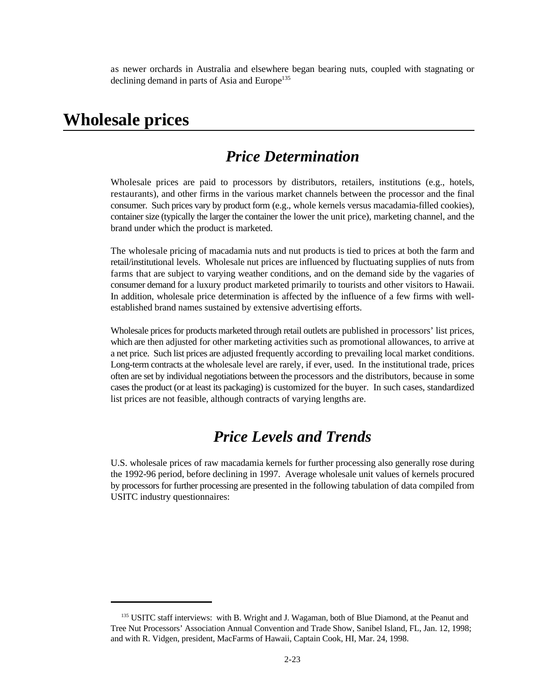as newer orchards in Australia and elsewhere began bearing nuts, coupled with stagnating or declining demand in parts of Asia and Europe<sup>135</sup>

### **Wholesale prices**

### *Price Determination*

Wholesale prices are paid to processors by distributors, retailers, institutions (e.g., hotels, restaurants), and other firms in the various market channels between the processor and the final consumer. Such prices vary by product form (e.g., whole kernels versus macadamia-filled cookies), container size (typically the larger the container the lower the unit price), marketing channel, and the brand under which the product is marketed.

The wholesale pricing of macadamia nuts and nut products is tied to prices at both the farm and retail/institutional levels. Wholesale nut prices are influenced by fluctuating supplies of nuts from farms that are subject to varying weather conditions, and on the demand side by the vagaries of consumer demand for a luxury product marketed primarily to tourists and other visitors to Hawaii. In addition, wholesale price determination is affected by the influence of a few firms with wellestablished brand names sustained by extensive advertising efforts.

Wholesale prices for products marketed through retail outlets are published in processors' list prices, which are then adjusted for other marketing activities such as promotional allowances, to arrive at a net price. Such list prices are adjusted frequently according to prevailing local market conditions. Long-term contracts at the wholesale level are rarely, if ever, used. In the institutional trade, prices often are set by individual negotiations between the processors and the distributors, because in some cases the product (or at least its packaging) is customized for the buyer. In such cases, standardized list prices are not feasible, although contracts of varying lengths are.

### *Price Levels and Trends*

U.S. wholesale prices of raw macadamia kernels for further processing also generally rose during the 1992-96 period, before declining in 1997. Average wholesale unit values of kernels procured by processors for further processing are presented in the following tabulation of data compiled from USITC industry questionnaires:

<sup>&</sup>lt;sup>135</sup> USITC staff interviews: with B. Wright and J. Wagaman, both of Blue Diamond, at the Peanut and Tree Nut Processors' Association Annual Convention and Trade Show, Sanibel Island, FL, Jan. 12, 1998; and with R. Vidgen, president, MacFarms of Hawaii, Captain Cook, HI, Mar. 24, 1998.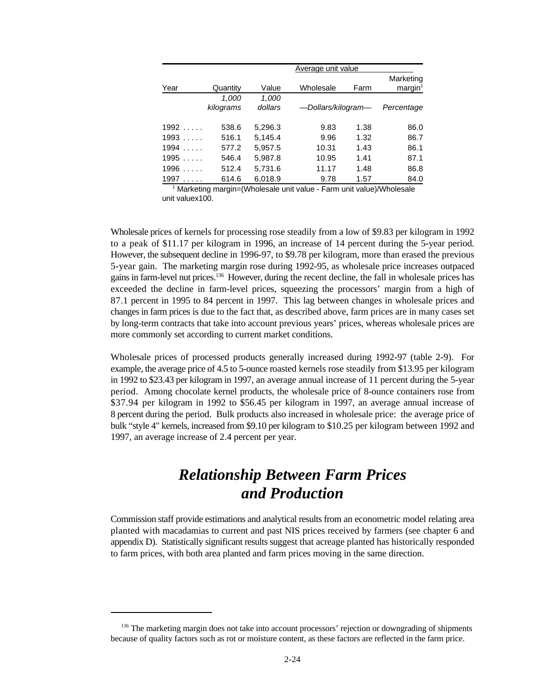|      | Average unit value |         |                    |      |                     |  |  |  |
|------|--------------------|---------|--------------------|------|---------------------|--|--|--|
|      |                    |         |                    |      | Marketing           |  |  |  |
| Year | Quantity           | Value   | Wholesale          | Farm | margin <sup>1</sup> |  |  |  |
|      | 1,000              | 1,000   |                    |      |                     |  |  |  |
|      | kilograms          | dollars | -Dollars/kilogram- |      | Percentage          |  |  |  |
| 1992 | 538.6              | 5,296.3 | 9.83               | 1.38 | 86.0                |  |  |  |
| 1993 | 516.1              | 5,145.4 | 9.96               | 1.32 | 86.7                |  |  |  |
| 1994 | 577.2              | 5,957.5 | 10.31              | 1.43 | 86.1                |  |  |  |
| 1995 | 546.4              | 5,987.8 | 10.95              | 1.41 | 87.1                |  |  |  |
| 1996 | 512.4              | 5,731.6 | 11.17              | 1.48 | 86.8                |  |  |  |
| 1997 | 614.6              | 6,018.9 | 9.78               | 1.57 | 84.0                |  |  |  |

 $1$  Marketing margin=(Wholesale unit value - Farm unit value)/Wholesale unit valuex100.

Wholesale prices of kernels for processing rose steadily from a low of \$9.83 per kilogram in 1992 to a peak of \$11.17 per kilogram in 1996, an increase of 14 percent during the 5-year period. However, the subsequent decline in 1996-97, to \$9.78 per kilogram, more than erased the previous 5-year gain. The marketing margin rose during 1992-95, as wholesale price increases outpaced gains in farm-level nut prices.<sup>136</sup> However, during the recent decline, the fall in wholesale prices has exceeded the decline in farm-level prices, squeezing the processors' margin from a high of 87.1 percent in 1995 to 84 percent in 1997. This lag between changes in wholesale prices and changes in farm prices is due to the fact that, as described above, farm prices are in many cases set by long-term contracts that take into account previous years' prices, whereas wholesale prices are more commonly set according to current market conditions.

Wholesale prices of processed products generally increased during 1992-97 (table 2-9). For example, the average price of 4.5 to 5-ounce roasted kernels rose steadily from \$13.95 per kilogram in 1992 to \$23.43 per kilogram in 1997, an average annual increase of 11 percent during the 5-year period. Among chocolate kernel products, the wholesale price of 8-ounce containers rose from \$37.94 per kilogram in 1992 to \$56.45 per kilogram in 1997, an average annual increase of 8 percent during the period. Bulk products also increased in wholesale price: the average price of bulk "style 4" kernels, increased from \$9.10 per kilogram to \$10.25 per kilogram between 1992 and 1997, an average increase of 2.4 percent per year.

## *Relationship Between Farm Prices and Production*

Commission staff provide estimations and analytical results from an econometric model relating area planted with macadamias to current and past NIS prices received by farmers (see chapter 6 and appendix D). Statistically significant results suggest that acreage planted has historically responded to farm prices, with both area planted and farm prices moving in the same direction.

<sup>&</sup>lt;sup>136</sup> The marketing margin does not take into account processors' rejection or downgrading of shipments because of quality factors such as rot or moisture content, as these factors are reflected in the farm price.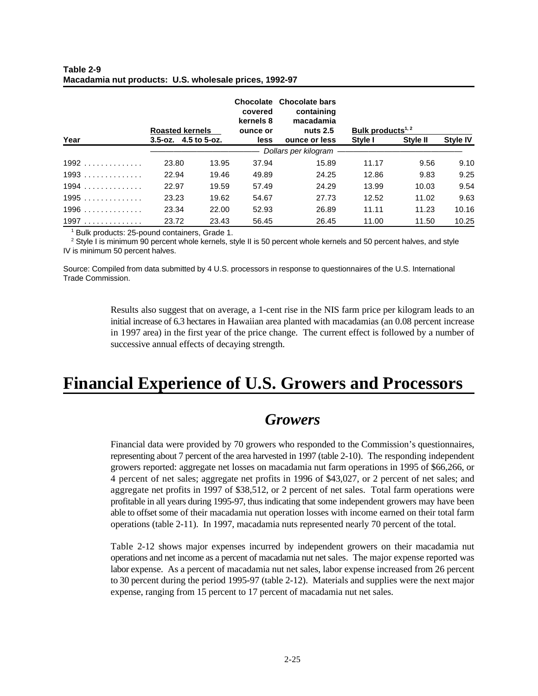|        | <b>Roasted kernels</b>           |       | Chocolate<br>covered<br>kernels 8<br>ounce or | <b>Chocolate bars</b><br>containing<br>macadamia<br>nuts $2.5$ | Bulk products <sup>1, 2</sup> |          |                 |
|--------|----------------------------------|-------|-----------------------------------------------|----------------------------------------------------------------|-------------------------------|----------|-----------------|
| Year   | $3.5 - 0z$ , $4.5$ to $5 - 0z$ . |       | <b>less</b>                                   | ounce or less                                                  | Style I                       | Style II | <b>Style IV</b> |
|        |                                  |       |                                               | - Dollars per kilogram                                         |                               |          |                 |
| $1992$ | 23.80                            | 13.95 | 37.94                                         | 15.89                                                          | 11.17                         | 9.56     | 9.10            |
| $1993$ | 22.94                            | 19.46 | 49.89                                         | 24.25                                                          | 12.86                         | 9.83     | 9.25            |
| $1994$ | 22.97                            | 19.59 | 57.49                                         | 24.29                                                          | 13.99                         | 10.03    | 9.54            |
| $1995$ | 23.23                            | 19.62 | 54.67                                         | 27.73                                                          | 12.52                         | 11.02    | 9.63            |
| $1996$ | 23.34                            | 22.00 | 52.93                                         | 26.89                                                          | 11.11                         | 11.23    | 10.16           |
| 1997   | 23.72                            | 23.43 | 56.45                                         | 26.45                                                          | 11.00                         | 11.50    | 10.25           |

#### **Table 2-9 Macadamia nut products: U.S. wholesale prices, 1992-97**

 $1$  Bulk products: 25-pound containers, Grade 1.

 $2$  Style I is minimum 90 percent whole kernels, style II is 50 percent whole kernels and 50 percent halves, and style IV is minimum 50 percent halves.

Source: Compiled from data submitted by 4 U.S. processors in response to questionnaires of the U.S. International Trade Commission.

> Results also suggest that on average, a 1-cent rise in the NIS farm price per kilogram leads to an initial increase of 6.3 hectares in Hawaiian area planted with macadamias (an 0.08 percent increase in 1997 area) in the first year of the price change. The current effect is followed by a number of successive annual effects of decaying strength.

# **Financial Experience of U.S. Growers and Processors**

### *Growers*

Financial data were provided by 70 growers who responded to the Commission's questionnaires, representing about 7 percent of the area harvested in 1997 (table 2-10). The responding independent growers reported: aggregate net losses on macadamia nut farm operations in 1995 of \$66,266, or 4 percent of net sales; aggregate net profits in 1996 of \$43,027, or 2 percent of net sales; and aggregate net profits in 1997 of \$38,512, or 2 percent of net sales. Total farm operations were profitable in all years during 1995-97, thus indicating that some independent growers may have been able to offset some of their macadamia nut operation losses with income earned on their total farm operations (table 2-11). In 1997, macadamia nuts represented nearly 70 percent of the total.

Table 2-12 shows major expenses incurred by independent growers on their macadamia nut operations and net income as a percent of macadamia nut net sales. The major expense reported was labor expense. As a percent of macadamia nut net sales, labor expense increased from 26 percent to 30 percent during the period 1995-97 (table 2-12). Materials and supplies were the next major expense, ranging from 15 percent to 17 percent of macadamia nut net sales.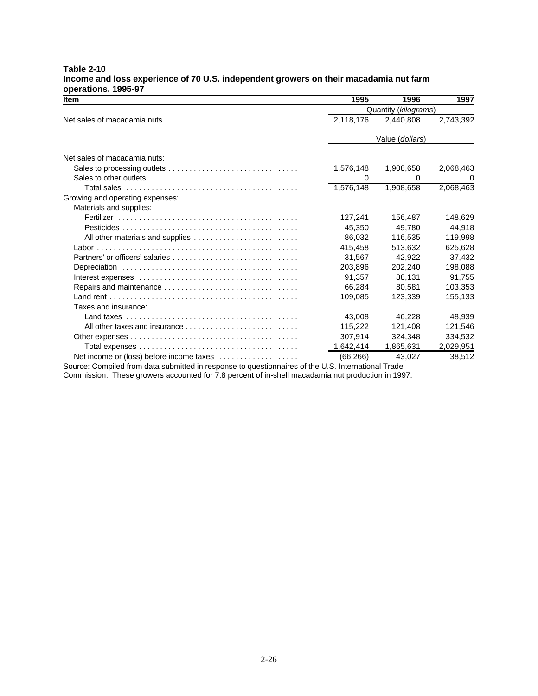| <b>Item</b>                                                                                                       | 1995                 | 1996            | 1997      |  |
|-------------------------------------------------------------------------------------------------------------------|----------------------|-----------------|-----------|--|
|                                                                                                                   | Quantity (kilograms) |                 |           |  |
| Net sales of macadamia nuts $\ldots$ , $\ldots$ , $\ldots$ , $\ldots$ , $\ldots$ , $\ldots$ , $\ldots$ , $\ldots$ | 2,118,176            | 2,440,808       | 2,743,392 |  |
|                                                                                                                   |                      | Value (dollars) |           |  |
| Net sales of macadamia nuts:                                                                                      |                      |                 |           |  |
|                                                                                                                   | 1,576,148            | 1,908,658       | 2,068,463 |  |
|                                                                                                                   | 0                    | 0               | 0         |  |
|                                                                                                                   | 1,576,148            | 1.908.658       | 2,068,463 |  |
| Growing and operating expenses:                                                                                   |                      |                 |           |  |
| Materials and supplies:                                                                                           |                      |                 |           |  |
|                                                                                                                   | 127,241              | 156,487         | 148,629   |  |
|                                                                                                                   | 45.350               | 49.780          | 44.918    |  |
| All other materials and supplies                                                                                  | 86.032               | 116.535         | 119.998   |  |
|                                                                                                                   | 415.458              | 513.632         | 625.628   |  |
| Partners' or officers' salaries                                                                                   | 31,567               | 42.922          | 37,432    |  |
|                                                                                                                   | 203.896              | 202.240         | 198.088   |  |
|                                                                                                                   | 91.357               | 88.131          | 91.755    |  |
| Repairs and maintenance                                                                                           | 66.284               | 80.581          | 103,353   |  |
|                                                                                                                   | 109,085              | 123.339         | 155,133   |  |
| Taxes and insurance:                                                                                              |                      |                 |           |  |
|                                                                                                                   | 43.008               | 46.228          | 48.939    |  |
| All other taxes and insurance                                                                                     | 115.222              | 121.408         | 121.546   |  |
|                                                                                                                   | 307,914              | 324.348         | 334,532   |  |
|                                                                                                                   | 1,642,414            | 1,865,631       | 2,029,951 |  |
|                                                                                                                   | (66, 266)            | 43,027          | 38,512    |  |

#### **Table 2-10 Income and loss experience of 70 U.S. independent growers on their macadamia nut farm operations, 1995-97**

Source: Compiled from data submitted in response to questionnaires of the U.S. International Trade

Commission. These growers accounted for 7.8 percent of in-shell macadamia nut production in 1997.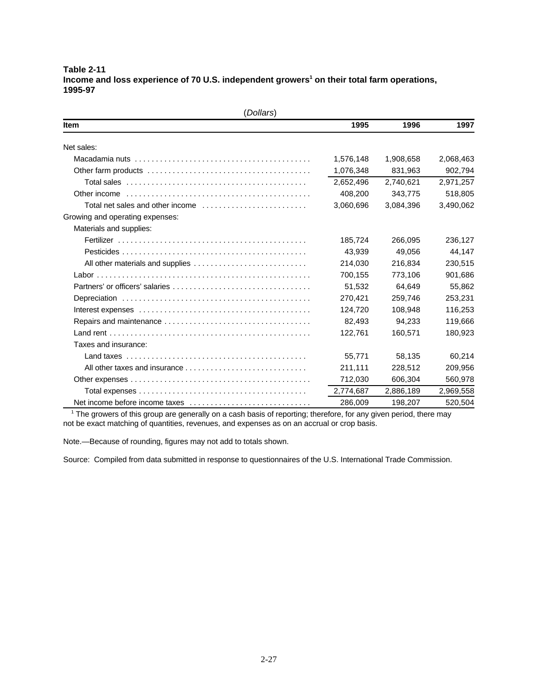**Table 2-11** Income and loss experience of 70 U.S. independent growers<sup>1</sup> on their total farm operations, **1995-97**

| (Dollars)                                                                                 |           |           |           |  |  |  |  |  |
|-------------------------------------------------------------------------------------------|-----------|-----------|-----------|--|--|--|--|--|
| <b>Item</b>                                                                               | 1995      | 1996      | 1997      |  |  |  |  |  |
| Net sales:                                                                                |           |           |           |  |  |  |  |  |
|                                                                                           | 1,576,148 | 1,908,658 | 2,068,463 |  |  |  |  |  |
|                                                                                           | 1,076,348 | 831,963   | 902,794   |  |  |  |  |  |
|                                                                                           | 2,652,496 | 2.740.621 | 2,971,257 |  |  |  |  |  |
|                                                                                           | 408,200   | 343,775   | 518,805   |  |  |  |  |  |
| Total net sales and other income $\ldots, \ldots, \ldots, \ldots, \ldots, \ldots, \ldots$ | 3,060,696 | 3,084,396 | 3,490,062 |  |  |  |  |  |
| Growing and operating expenses:                                                           |           |           |           |  |  |  |  |  |
| Materials and supplies:                                                                   |           |           |           |  |  |  |  |  |
|                                                                                           | 185,724   | 266,095   | 236,127   |  |  |  |  |  |
|                                                                                           | 43,939    | 49,056    | 44,147    |  |  |  |  |  |
|                                                                                           | 214,030   | 216,834   | 230,515   |  |  |  |  |  |
|                                                                                           | 700,155   | 773,106   | 901,686   |  |  |  |  |  |
|                                                                                           | 51,532    | 64,649    | 55,862    |  |  |  |  |  |
|                                                                                           | 270,421   | 259,746   | 253,231   |  |  |  |  |  |
|                                                                                           | 124,720   | 108,948   | 116,253   |  |  |  |  |  |
|                                                                                           | 82,493    | 94,233    | 119,666   |  |  |  |  |  |
|                                                                                           | 122,761   | 160,571   | 180,923   |  |  |  |  |  |
| Taxes and insurance:                                                                      |           |           |           |  |  |  |  |  |
|                                                                                           | 55.771    | 58.135    | 60.214    |  |  |  |  |  |
|                                                                                           | 211,111   | 228,512   | 209,956   |  |  |  |  |  |
|                                                                                           | 712,030   | 606,304   | 560,978   |  |  |  |  |  |
|                                                                                           | 2,774,687 | 2,886,189 | 2,969,558 |  |  |  |  |  |
| Net income before income taxes                                                            | 286,009   | 198,207   | 520,504   |  |  |  |  |  |

 $1$  The growers of this group are generally on a cash basis of reporting; therefore, for any given period, there may not be exact matching of quantities, revenues, and expenses as on an accrual or crop basis.

Note.—Because of rounding, figures may not add to totals shown.

Source: Compiled from data submitted in response to questionnaires of the U.S. International Trade Commission.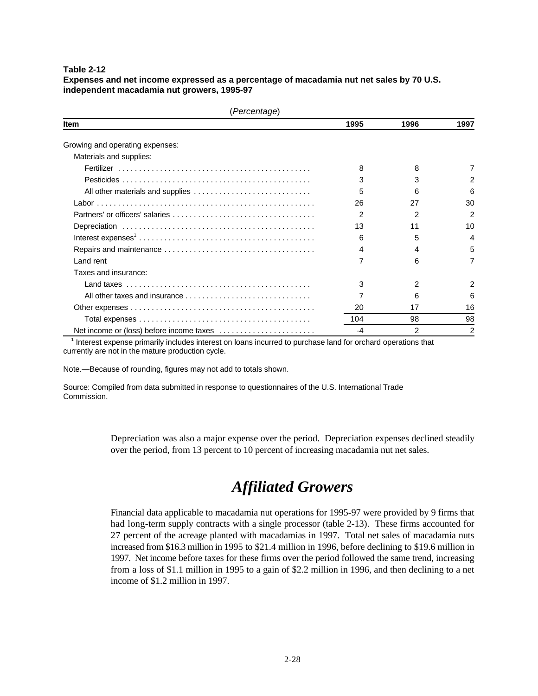**Expenses and net income expressed as a percentage of macadamia nut net sales by 70 U.S. independent macadamia nut growers, 1995-97**

| (Percentage)                    |      |      |                |  |  |
|---------------------------------|------|------|----------------|--|--|
| Item                            | 1995 | 1996 | 1997           |  |  |
| Growing and operating expenses: |      |      |                |  |  |
| Materials and supplies:         |      |      |                |  |  |
|                                 | 8    | 8    |                |  |  |
|                                 | з    | 3    | 2              |  |  |
|                                 | 5    | 6    | 6              |  |  |
|                                 | 26   | 27   | 30             |  |  |
|                                 | 2    | 2    | 2              |  |  |
|                                 | 13   | 11   | 10             |  |  |
|                                 | 6    | 5    | 4              |  |  |
|                                 | 4    | 4    | 5              |  |  |
| Land rent                       |      | 6    |                |  |  |
| Taxes and insurance:            |      |      |                |  |  |
|                                 | 3    | 2    | 2              |  |  |
|                                 |      | 6    | 6              |  |  |
|                                 | 20   | 17   | 16             |  |  |
|                                 | 104  | 98   | 98             |  |  |
|                                 | -4   | 2    | $\overline{2}$ |  |  |

<sup>1</sup> Interest expense primarily includes interest on loans incurred to purchase land for orchard operations that currently are not in the mature production cycle.

Note.—Because of rounding, figures may not add to totals shown.

Source: Compiled from data submitted in response to questionnaires of the U.S. International Trade Commission.

> Depreciation was also a major expense over the period. Depreciation expenses declined steadily over the period, from 13 percent to 10 percent of increasing macadamia nut net sales.

## *Affiliated Growers*

Financial data applicable to macadamia nut operations for 1995-97 were provided by 9 firms that had long-term supply contracts with a single processor (table 2-13). These firms accounted for 27 percent of the acreage planted with macadamias in 1997. Total net sales of macadamia nuts increased from \$16.3 million in 1995 to \$21.4 million in 1996, before declining to \$19.6 million in 1997. Net income before taxes for these firms over the period followed the same trend, increasing from a loss of \$1.1 million in 1995 to a gain of \$2.2 million in 1996, and then declining to a net income of \$1.2 million in 1997.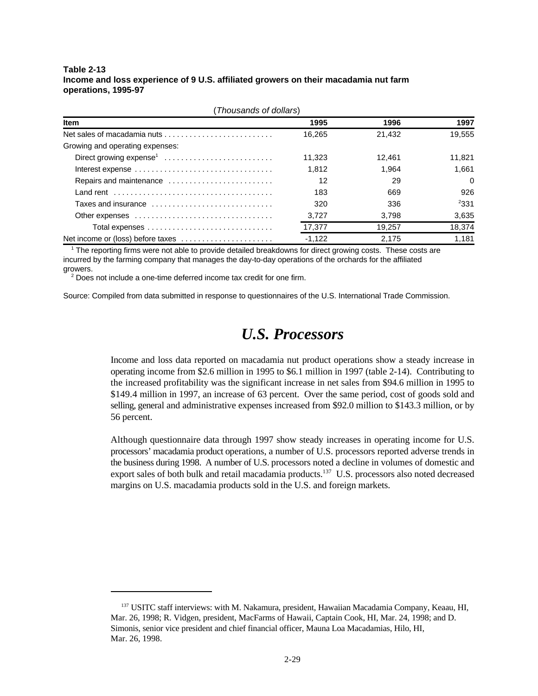#### **Table 2-13 Income and loss experience of 9 U.S. affiliated growers on their macadamia nut farm operations, 1995-97**

| (Thousands of dollars)              |          |        |        |  |  |
|-------------------------------------|----------|--------|--------|--|--|
| <b>Item</b>                         | 1995     | 1996   | 1997   |  |  |
|                                     | 16.265   | 21.432 | 19.555 |  |  |
| Growing and operating expenses:     |          |        |        |  |  |
| Direct growing expense <sup>1</sup> | 11.323   | 12.461 | 11.821 |  |  |
|                                     | 1.812    | 1.964  | 1.661  |  |  |
| Repairs and maintenance             | 12       | 29     | 0      |  |  |
|                                     | 183      | 669    | 926    |  |  |
| Taxes and insurance                 | 320      | 336    | 331    |  |  |
|                                     | 3.727    | 3.798  | 3,635  |  |  |
|                                     | 17,377   | 19.257 | 18,374 |  |  |
| Net income or (loss) before taxes   | $-1.122$ | 2,175  | 1,181  |  |  |

 $1$  The reporting firms were not able to provide detailed breakdowns for direct growing costs. These costs are incurred by the farming company that manages the day-to-day operations of the orchards for the affiliated growers.

 $2$  Does not include a one-time deferred income tax credit for one firm.

Source: Compiled from data submitted in response to questionnaires of the U.S. International Trade Commission.

## *U.S. Processors*

Income and loss data reported on macadamia nut product operations show a steady increase in operating income from \$2.6 million in 1995 to \$6.1 million in 1997 (table 2-14). Contributing to the increased profitability was the significant increase in net sales from \$94.6 million in 1995 to \$149.4 million in 1997, an increase of 63 percent. Over the same period, cost of goods sold and selling, general and administrative expenses increased from \$92.0 million to \$143.3 million, or by 56 percent.

Although questionnaire data through 1997 show steady increases in operating income for U.S. processors' macadamia product operations, a number of U.S. processors reported adverse trends in the business during 1998. A number of U.S. processors noted a decline in volumes of domestic and export sales of both bulk and retail macadamia products.<sup>137</sup> U.S. processors also noted decreased margins on U.S. macadamia products sold in the U.S. and foreign markets.

<sup>&</sup>lt;sup>137</sup> USITC staff interviews: with M. Nakamura, president, Hawaiian Macadamia Company, Keaau, HI, Mar. 26, 1998; R. Vidgen, president, MacFarms of Hawaii, Captain Cook, HI, Mar. 24, 1998; and D. Simonis, senior vice president and chief financial officer, Mauna Loa Macadamias, Hilo, HI, Mar. 26, 1998.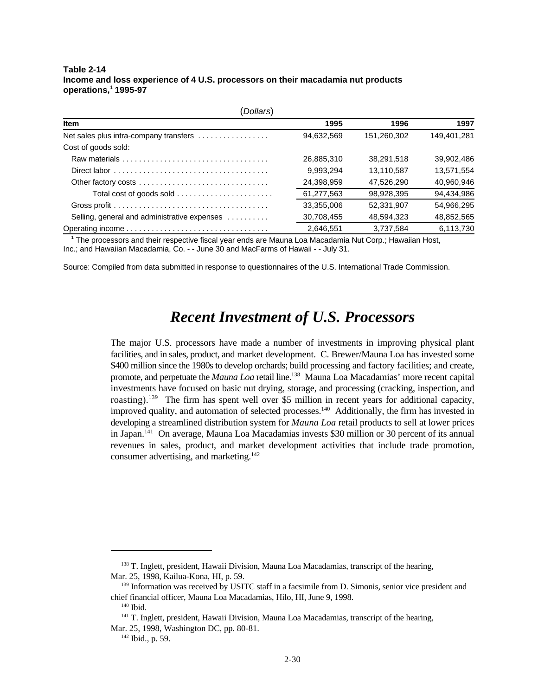**Table 2-14 Income and loss experience of 4 U.S. processors on their macadamia nut products operations, 1995-97 <sup>1</sup>**

| Dollars)                                     |            |             |             |  |  |  |
|----------------------------------------------|------------|-------------|-------------|--|--|--|
| <b>Item</b>                                  | 1995       | 1996        | 1997        |  |  |  |
| Net sales plus intra-company transfers       | 94,632,569 | 151,260,302 | 149,401,281 |  |  |  |
| Cost of goods sold:                          |            |             |             |  |  |  |
|                                              | 26.885.310 | 38.291.518  | 39.902.486  |  |  |  |
|                                              | 9.993,294  | 13,110,587  | 13,571,554  |  |  |  |
| Other factory costs                          | 24,398,959 | 47.526.290  | 40,960,946  |  |  |  |
| Total cost of goods sold                     | 61,277,563 | 98,928,395  | 94,434,986  |  |  |  |
|                                              | 33,355,006 | 52,331,907  | 54,966,295  |  |  |  |
| Selling, general and administrative expenses | 30,708,455 | 48,594,323  | 48,852,565  |  |  |  |
|                                              | 2,646,551  | 3,737,584   | 6,113,730   |  |  |  |

 $1$  The processors and their respective fiscal year ends are Mauna Loa Macadamia Nut Corp.; Hawaiian Host, Inc.; and Hawaiian Macadamia, Co. - - June 30 and MacFarms of Hawaii - - July 31.

Source: Compiled from data submitted in response to questionnaires of the U.S. International Trade Commission.

### *Recent Investment of U.S. Processors*

The major U.S. processors have made a number of investments in improving physical plant facilities, and in sales, product, and market development. C. Brewer/Mauna Loa has invested some \$400 million since the 1980s to develop orchards; build processing and factory facilities; and create, promote, and perpetuate the *Mauna Loa* retail line.<sup>138</sup> Mauna Loa Macadamias' more recent capital investments have focused on basic nut drying, storage, and processing (cracking, inspection, and roasting).<sup>139</sup> The firm has spent well over \$5 million in recent years for additional capacity, improved quality, and automation of selected processes.<sup>140</sup> Additionally, the firm has invested in developing a streamlined distribution system for *Mauna Loa* retail products to sell at lower prices in Japan.  $141$  On average, Mauna Loa Macadamias invests \$30 million or 30 percent of its annual revenues in sales, product, and market development activities that include trade promotion, consumer advertising, and marketing.<sup>142</sup>

 $138$  T. Inglett, president, Hawaii Division, Mauna Loa Macadamias, transcript of the hearing, Mar. 25, 1998, Kailua-Kona, HI, p. 59.

<sup>&</sup>lt;sup>139</sup> Information was received by USITC staff in a facsimile from D. Simonis, senior vice president and chief financial officer, Mauna Loa Macadamias, Hilo, HI, June 9, 1998.

 $140$  Ibid.

 $141$  T. Inglett, president, Hawaii Division, Mauna Loa Macadamias, transcript of the hearing, Mar. 25, 1998, Washington DC, pp. 80-81.

 $142$  Ibid., p. 59.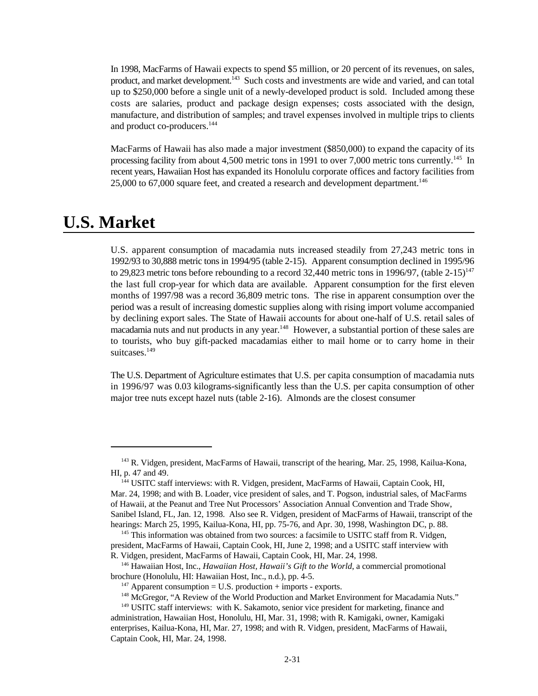In 1998, MacFarms of Hawaii expects to spend \$5 million, or 20 percent of its revenues, on sales, product, and market development.  $\frac{1}{4}$  Such costs and investments are wide and varied, and can total up to \$250,000 before a single unit of a newly-developed product is sold. Included among these costs are salaries, product and package design expenses; costs associated with the design, manufacture, and distribution of samples; and travel expenses involved in multiple trips to clients and product co-producers.<sup>144</sup>

MacFarms of Hawaii has also made a major investment (\$850,000) to expand the capacity of its processing facility from about 4,500 metric tons in 1991 to over 7,000 metric tons currently.<sup>145</sup> In recent years, Hawaiian Host has expanded its Honolulu corporate offices and factory facilities from 25,000 to 67,000 square feet, and created a research and development department.<sup>146</sup>

### **U.S. Market**

U.S. apparent consumption of macadamia nuts increased steadily from 27,243 metric tons in 1992/93 to 30,888 metric tons in 1994/95 (table 2-15). Apparent consumption declined in 1995/96 to 29,823 metric tons before rebounding to a record 32,440 metric tons in 1996/97, (table  $2-15$ )<sup>147</sup> the last full crop-year for which data are available. Apparent consumption for the first eleven months of 1997/98 was a record 36,809 metric tons. The rise in apparent consumption over the period was a result of increasing domestic supplies along with rising import volume accompanied by declining export sales. The State of Hawaii accounts for about one-half of U.S. retail sales of macadamia nuts and nut products in any year.<sup>148</sup> However, a substantial portion of these sales are to tourists, who buy gift-packed macadamias either to mail home or to carry home in their suitcases.<sup>149</sup>

The U.S. Department of Agriculture estimates that U.S. per capita consumption of macadamia nuts in 1996/97 was 0.03 kilograms-significantly less than the U.S. per capita consumption of other major tree nuts except hazel nuts (table 2-16). Almonds are the closest consumer

<sup>&</sup>lt;sup>143</sup> R. Vidgen, president, MacFarms of Hawaii, transcript of the hearing, Mar. 25, 1998, Kailua-Kona, HI, p. 47 and 49.

<sup>&</sup>lt;sup>144</sup> USITC staff interviews: with R. Vidgen, president, MacFarms of Hawaii, Captain Cook, HI, Mar. 24, 1998; and with B. Loader, vice president of sales, and T. Pogson, industrial sales, of MacFarms of Hawaii, at the Peanut and Tree Nut Processors' Association Annual Convention and Trade Show, Sanibel Island, FL, Jan. 12, 1998. Also see R. Vidgen, president of MacFarms of Hawaii, transcript of the hearings: March 25, 1995, Kailua-Kona, HI, pp. 75-76, and Apr. 30, 1998, Washington DC, p. 88.

 $145$  This information was obtained from two sources: a facsimile to USITC staff from R. Vidgen, president, MacFarms of Hawaii, Captain Cook, HI, June 2, 1998; and a USITC staff interview with R. Vidgen, president, MacFarms of Hawaii, Captain Cook, HI, Mar. 24, 1998.

<sup>&</sup>lt;sup>146</sup> Hawaiian Host, Inc., *Hawaiian Host, Hawaii's Gift to the World*, a commercial promotional brochure (Honolulu, HI: Hawaiian Host, Inc., n.d.), pp. 4-5.

<sup>&</sup>lt;sup>147</sup> Apparent consumption = U.S. production + imports - exports.

<sup>&</sup>lt;sup>148</sup> McGregor, "A Review of the World Production and Market Environment for Macadamia Nuts."

 $149$  USITC staff interviews: with K. Sakamoto, senior vice president for marketing, finance and administration, Hawaiian Host, Honolulu, HI, Mar. 31, 1998; with R. Kamigaki, owner, Kamigaki enterprises, Kailua-Kona, HI, Mar. 27, 1998; and with R. Vidgen, president, MacFarms of Hawaii, Captain Cook, HI, Mar. 24, 1998.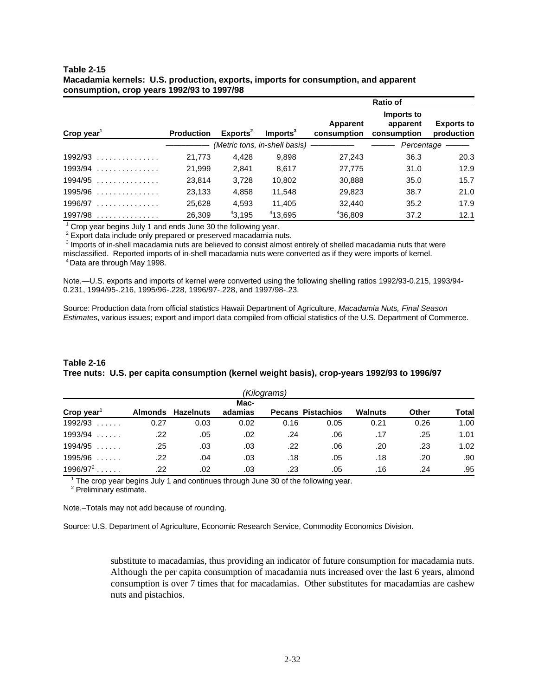| Table 2-15                                                                         |
|------------------------------------------------------------------------------------|
| Macadamia kernels: U.S. production, exports, imports for consumption, and apparent |
| consumption, crop years 1992/93 to 1997/98                                         |

|                        |                   |                      |                                 |                         | Ratio of                              |                                 |
|------------------------|-------------------|----------------------|---------------------------------|-------------------------|---------------------------------------|---------------------------------|
| Crop year <sup>1</sup> | <b>Production</b> | Exports <sup>2</sup> | Imports <sup>3</sup>            | Apparent<br>consumption | Imports to<br>apparent<br>consumption | <b>Exports to</b><br>production |
|                        |                   |                      | (Metric tons, in-shell basis) - |                         | Percentage                            |                                 |
| $1992/93$              | 21,773            | 4.428                | 9,898                           | 27.243                  | 36.3                                  | 20.3                            |
| $1993/94$              | 21,999            | 2,841                | 8.617                           | 27,775                  | 31.0                                  | 12.9                            |
| $1994/95$              | 23,814            | 3,728                | 10,802                          | 30,888                  | 35.0                                  | 15.7                            |
| $1995/96$              | 23,133            | 4,858                | 11.548                          | 29,823                  | 38.7                                  | 21.0                            |
| $1996/97$              | 25,628            | 4,593                | 11,405                          | 32,440                  | 35.2                                  | 17.9                            |
| 1997/98                | 26,309            | 43.195               | 413.695                         | 436,809                 | 37.2                                  | 12.1                            |

 $1$  Crop year begins July 1 and ends June 30 the following year.

<sup>2</sup> Export data include only prepared or preserved macadamia nuts.

<sup>3</sup> Imports of in-shell macadamia nuts are believed to consist almost entirely of shelled macadamia nuts that were misclassified. Reported imports of in-shell macadamia nuts were converted as if they were imports of kernel. <sup>4</sup> Data are through May 1998.

Note.—U.S. exports and imports of kernel were converted using the following shelling ratios 1992/93-0.215, 1993/94- 0.231, 1994/95-.216, 1995/96-.228, 1996/97-.228, and 1997/98-.23.

Source: Production data from official statistics Hawaii Department of Agriculture, *Macadamia Nuts, Final Season*

*Estimate*s, various issues; export and import data compiled from official statistics of the U.S. Department of Commerce.

### **Table 2-16 Tree nuts: U.S. per capita consumption (kernel weight basis), crop-years 1992/93 to 1996/97**

| (Kilograms)            |         |           |         |      |                          |                |       |       |
|------------------------|---------|-----------|---------|------|--------------------------|----------------|-------|-------|
|                        |         |           | Mac-    |      |                          |                |       |       |
| Crop year'             | Almonds | Hazelnuts | adamias |      | <b>Pecans Pistachios</b> | <b>Walnuts</b> | Other | Total |
| 1992/93                | 0.27    | 0.03      | 0.02    | 0.16 | 0.05                     | 0.21           | 0.26  | 1.00  |
| 1993/94<br>1.1.1.1.1.1 | .22     | .05       | .02     | .24  | .06                      | .17            | .25   | 1.01  |
| 1994/95<br>1.1.1.1.1   | .25     | .03       | .03     | .22  | .06                      | .20            | .23   | 1.02  |
| 1995/96<br>1.1.1.1.1.1 | .22     | .04       | .03     | .18  | .05                      | .18            | .20   | .90   |
| 1996/97 <sup>2</sup>   | .22     | .02       | .03     | .23  | .05                      | .16            | .24   | .95   |

 $1$ <sup>1</sup> The crop year begins July 1 and continues through June 30 of the following year.

<sup>2</sup> Preliminary estimate.

Note.–Totals may not add because of rounding.

Source: U.S. Department of Agriculture, Economic Research Service, Commodity Economics Division.

substitute to macadamias, thus providing an indicator of future consumption for macadamia nuts. Although the per capita consumption of macadamia nuts increased over the last 6 years, almond consumption is over 7 times that for macadamias. Other substitutes for macadamias are cashew nuts and pistachios.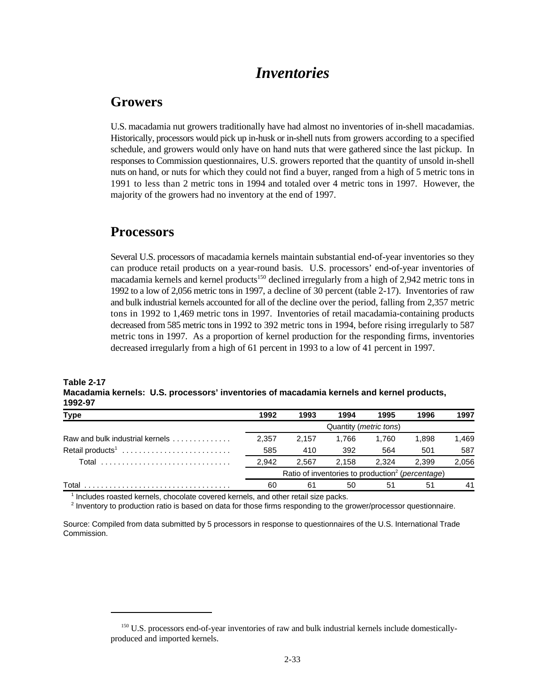### *Inventories*

### **Growers**

U.S. macadamia nut growers traditionally have had almost no inventories of in-shell macadamias. Historically, processors would pick up in-husk or in-shell nuts from growers according to a specified schedule, and growers would only have on hand nuts that were gathered since the last pickup. In responses to Commission questionnaires, U.S. growers reported that the quantity of unsold in-shell nuts on hand, or nuts for which they could not find a buyer, ranged from a high of 5 metric tons in 1991 to less than 2 metric tons in 1994 and totaled over 4 metric tons in 1997. However, the majority of the growers had no inventory at the end of 1997.

### **Processors**

Several U.S. processors of macadamia kernels maintain substantial end-of-year inventories so they can produce retail products on a year-round basis. U.S. processors' end-of-year inventories of macadamia kernels and kernel products<sup>150</sup> declined irregularly from a high of 2,942 metric tons in 1992 to a low of 2,056 metric tons in 1997, a decline of 30 percent (table 2-17). Inventories of raw and bulk industrial kernels accounted for all of the decline over the period, falling from 2,357 metric tons in 1992 to 1,469 metric tons in 1997. Inventories of retail macadamia-containing products decreased from 585 metric tons in 1992 to 392 metric tons in 1994, before rising irregularly to 587 metric tons in 1997. As a proportion of kernel production for the responding firms, inventories decreased irregularly from a high of 61 percent in 1993 to a low of 41 percent in 1997.

| <b>Table 2-17</b> |                                                                                           |
|-------------------|-------------------------------------------------------------------------------------------|
|                   | Macadamia kernels: U.S. processors' inventories of macadamia kernels and kernel products, |
| 1992-97           |                                                                                           |

| Type                            | 1992  | 1993                                                         | 1994                            | 1995  | 1996  | 1997  |
|---------------------------------|-------|--------------------------------------------------------------|---------------------------------|-------|-------|-------|
|                                 |       |                                                              | Quantity ( <i>metric tons</i> ) |       |       |       |
| Raw and bulk industrial kernels | 2.357 | 2.157                                                        | 1.766                           | 1.760 | 1.898 | 1,469 |
| Retail products <sup>1</sup>    | 585   | 410                                                          | 392                             | 564   | 501   | 587   |
| Total                           | 2.942 | 2.567                                                        | 2.158                           | 2.324 | 2.399 | 2,056 |
|                                 |       | Ratio of inventories to production <sup>2</sup> (percentage) |                                 |       |       |       |
| Total                           | 60    | 61                                                           | 50                              | 51    | 51    | 41    |

 $1$  Includes roasted kernels, chocolate covered kernels, and other retail size packs.

 $<sup>2</sup>$  Inventory to production ratio is based on data for those firms responding to the grower/processor questionnaire.</sup>

Source: Compiled from data submitted by 5 processors in response to questionnaires of the U.S. International Trade Commission.

<sup>&</sup>lt;sup>150</sup> U.S. processors end-of-year inventories of raw and bulk industrial kernels include domesticallyproduced and imported kernels.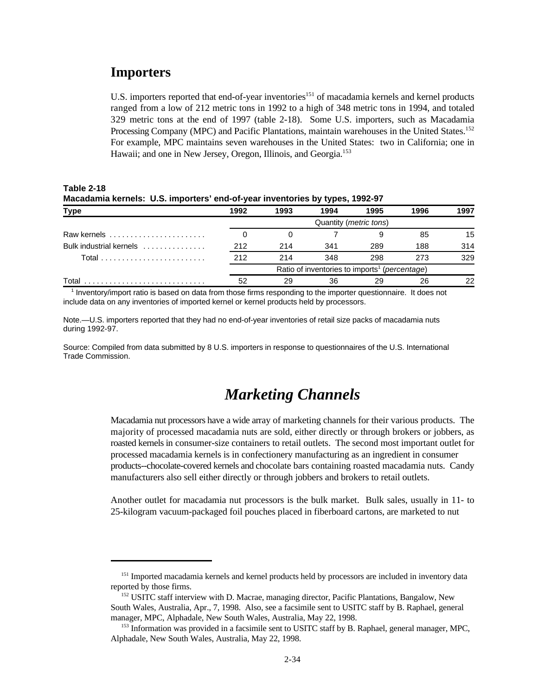### **Importers**

U.S. importers reported that end-of-year inventories<sup>151</sup> of macadamia kernels and kernel products ranged from a low of 212 metric tons in 1992 to a high of 348 metric tons in 1994, and totaled 329 metric tons at the end of 1997 (table 2-18). Some U.S. importers, such as Macadamia Processing Company (MPC) and Pacific Plantations, maintain warehouses in the United States.<sup>152</sup> For example, MPC maintains seven warehouses in the United States: two in California; one in Hawaii; and one in New Jersey, Oregon, Illinois, and Georgia.<sup>153</sup>

**Table 2-18 Macadamia kernels: U.S. importers' end-of-year inventories by types, 1992-97**

|                         |      |      | .                                                                  |                                 |      |      |
|-------------------------|------|------|--------------------------------------------------------------------|---------------------------------|------|------|
| <b>Type</b>             | 1992 | 1993 | 1994                                                               | 1995                            | 1996 | 1997 |
|                         |      |      |                                                                    | Quantity ( <i>metric tons</i> ) |      |      |
| Raw kernels             |      |      |                                                                    |                                 | 85   | 15   |
| Bulk industrial kernels | 212  | 214  | 341                                                                | 289                             | 188  | 314  |
|                         | 212  | 214  | 348                                                                | 298                             | 273  | 329  |
|                         |      |      | Ratio of inventories to imports <sup>1</sup> ( <i>percentage</i> ) |                                 |      |      |
| Total                   | 52   | 29   |                                                                    | 29                              | 26   | つつ   |
|                         |      |      |                                                                    |                                 |      |      |

 $<sup>1</sup>$  Inventory/import ratio is based on data from those firms responding to the importer questionnaire. It does not</sup> include data on any inventories of imported kernel or kernel products held by processors.

Note.—U.S. importers reported that they had no end-of-year inventories of retail size packs of macadamia nuts during 1992-97.

Source: Compiled from data submitted by 8 U.S. importers in response to questionnaires of the U.S. International Trade Commission.

### *Marketing Channels*

Macadamia nut processors have a wide array of marketing channels for their various products. The majority of processed macadamia nuts are sold, either directly or through brokers or jobbers, as roasted kernels in consumer-size containers to retail outlets. The second most important outlet for processed macadamia kernels is in confectionery manufacturing as an ingredient in consumer products--chocolate-covered kernels and chocolate bars containing roasted macadamia nuts. Candy manufacturers also sell either directly or through jobbers and brokers to retail outlets.

Another outlet for macadamia nut processors is the bulk market. Bulk sales, usually in 11- to 25-kilogram vacuum-packaged foil pouches placed in fiberboard cartons, are marketed to nut

<sup>&</sup>lt;sup>151</sup> Imported macadamia kernels and kernel products held by processors are included in inventory data reported by those firms.

<sup>&</sup>lt;sup>152</sup> USITC staff interview with D. Macrae, managing director, Pacific Plantations, Bangalow, New South Wales, Australia, Apr., 7, 1998. Also, see a facsimile sent to USITC staff by B. Raphael, general manager, MPC, Alphadale, New South Wales, Australia, May 22, 1998.

<sup>&</sup>lt;sup>153</sup> Information was provided in a facsimile sent to USITC staff by B. Raphael, general manager, MPC, Alphadale, New South Wales, Australia, May 22, 1998.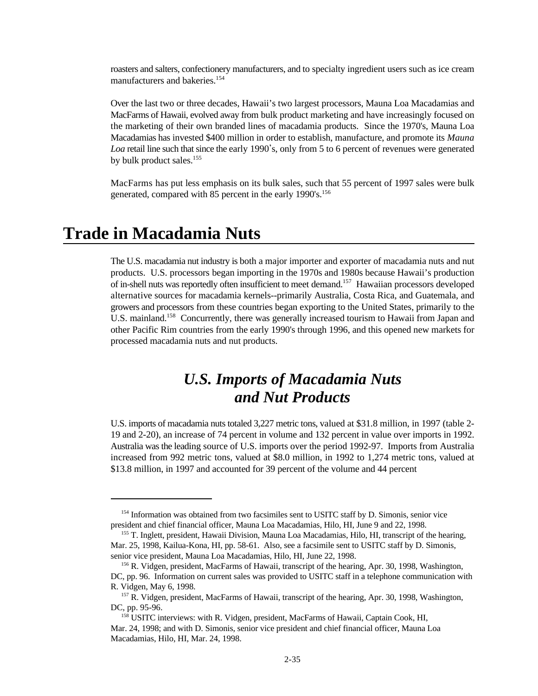roasters and salters, confectionery manufacturers, and to specialty ingredient users such as ice cream manufacturers and bakeries.<sup>154</sup>

Over the last two or three decades, Hawaii's two largest processors, Mauna Loa Macadamias and MacFarms of Hawaii, evolved away from bulk product marketing and have increasingly focused on the marketing of their own branded lines of macadamia products. Since the 1970's, Mauna Loa Macadamias has invested \$400 million in order to establish, manufacture, and promote its *Mauna* Loa retail line such that since the early 1990's, only from 5 to 6 percent of revenues were generated by bulk product sales.<sup>155</sup>

MacFarms has put less emphasis on its bulk sales, such that 55 percent of 1997 sales were bulk generated, compared with 85 percent in the early 1990's.<sup>156</sup>

## **Trade in Macadamia Nuts**

The U.S. macadamia nut industry is both a major importer and exporter of macadamia nuts and nut products. U.S. processors began importing in the 1970s and 1980s because Hawaii's production of in-shell nuts was reportedly often insufficient to meet demand.<sup>157</sup> Hawaiian processors developed alternative sources for macadamia kernels--primarily Australia, Costa Rica, and Guatemala, and growers and processors from these countries began exporting to the United States, primarily to the U.S. mainland.<sup>158</sup> Concurrently, there was generally increased tourism to Hawaii from Japan and other Pacific Rim countries from the early 1990's through 1996, and this opened new markets for processed macadamia nuts and nut products.

## *U.S. Imports of Macadamia Nuts and Nut Products*

U.S. imports of macadamia nuts totaled 3,227 metric tons, valued at \$31.8 million, in 1997 (table 2- 19 and 2-20), an increase of 74 percent in volume and 132 percent in value over imports in 1992. Australia was the leading source of U.S. imports over the period 1992-97. Imports from Australia increased from 992 metric tons, valued at \$8.0 million, in 1992 to 1,274 metric tons, valued at \$13.8 million, in 1997 and accounted for 39 percent of the volume and 44 percent

<sup>&</sup>lt;sup>154</sup> Information was obtained from two facsimiles sent to USITC staff by D. Simonis, senior vice president and chief financial officer, Mauna Loa Macadamias, Hilo, HI, June 9 and 22, 1998.

<sup>&</sup>lt;sup>155</sup> T. Inglett, president, Hawaii Division, Mauna Loa Macadamias, Hilo, HI, transcript of the hearing, Mar. 25, 1998, Kailua-Kona, HI, pp. 58-61. Also, see a facsimile sent to USITC staff by D. Simonis, senior vice president, Mauna Loa Macadamias, Hilo, HI, June 22, 1998.

<sup>&</sup>lt;sup>156</sup> R. Vidgen, president, MacFarms of Hawaii, transcript of the hearing, Apr. 30, 1998, Washington, DC, pp. 96. Information on current sales was provided to USITC staff in a telephone communication with R. Vidgen, May 6, 1998.

<sup>&</sup>lt;sup>157</sup> R. Vidgen, president, MacFarms of Hawaii, transcript of the hearing, Apr. 30, 1998, Washington, DC, pp. 95-96.

<sup>&</sup>lt;sup>158</sup> USITC interviews: with R. Vidgen, president, MacFarms of Hawaii, Captain Cook, HI, Mar. 24, 1998; and with D. Simonis, senior vice president and chief financial officer, Mauna Loa Macadamias, Hilo, HI, Mar. 24, 1998.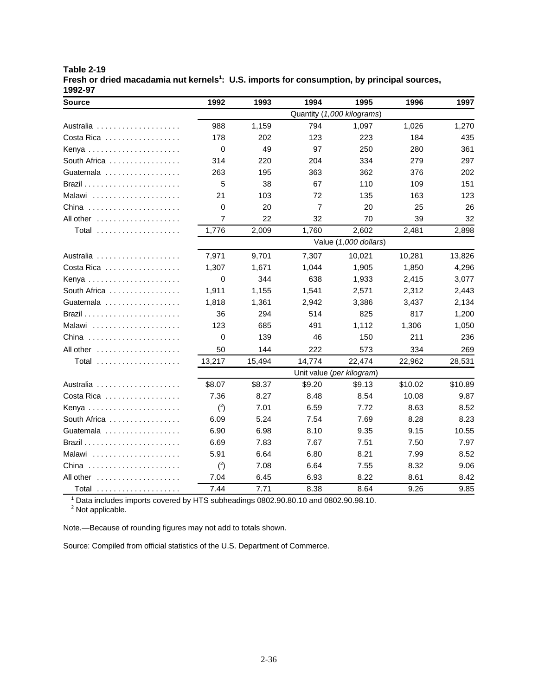| <b>Table 2-19</b> |                                                                                                         |
|-------------------|---------------------------------------------------------------------------------------------------------|
|                   | Fresh or dried macadamia nut kernels <sup>1</sup> : U.S. imports for consumption, by principal sources, |
| 1992-97           |                                                                                                         |

| <b>Source</b>                                     | 1992     | 1993   | 1994           | 1995                      | 1996    | 1997    |
|---------------------------------------------------|----------|--------|----------------|---------------------------|---------|---------|
|                                                   |          |        |                |                           |         |         |
|                                                   | 988      | 1,159  | 794            | 1,097                     | 1,026   | 1,270   |
| Costa Rica $\ldots \ldots \ldots \ldots \ldots$   | 178      | 202    | 123            | 223                       | 184     | 435     |
| Kenya                                             | 0        | 49     | 97             | 250                       | 280     | 361     |
| South Africa                                      | 314      | 220    | 204            | 334                       | 279     | 297     |
| Guatemala                                         | 263      | 195    | 363            | 362                       | 376     | 202     |
|                                                   | 5        | 38     | 67             | 110                       | 109     | 151     |
| Malawi                                            | 21       | 103    | 72             | 135                       | 163     | 123     |
| China                                             | $\Omega$ | 20     | $\overline{7}$ | 20                        | 25      | 26      |
| All other $\ldots \ldots \ldots \ldots \ldots$    | 7        | 22     | 32             | 70                        | 39      | 32      |
| Total                                             | 1,776    | 2,009  | 1,760          | 2.602                     | 2,481   | 2,898   |
|                                                   |          |        |                | Value (1,000 dollars)     |         |         |
|                                                   | 7,971    | 9,701  | 7.307          | 10,021                    | 10,281  | 13,826  |
| Costa Rica                                        | 1,307    | 1,671  | 1,044          | 1,905                     | 1,850   | 4,296   |
| Kenya                                             | 0        | 344    | 638            | 1,933                     | 2,415   | 3,077   |
| South Africa                                      | 1.911    | 1,155  | 1,541          | 2,571                     | 2,312   | 2,443   |
| Guatemala                                         | 1,818    | 1,361  | 2,942          | 3,386                     | 3,437   | 2,134   |
|                                                   | 36       | 294    | 514            | 825                       | 817     | 1,200   |
| Malawi                                            | 123      | 685    | 491            | 1,112                     | 1,306   | 1,050   |
| China $\ldots \ldots \ldots \ldots \ldots \ldots$ | 0        | 139    | 46             | 150                       | 211     | 236     |
| All other                                         | 50       | 144    | 222            | 573                       | 334     | 269     |
| Total                                             | 13,217   | 15,494 | 14,774         | 22,474                    | 22,962  | 28,531  |
|                                                   |          |        |                | Unit value (per kilogram) |         |         |
| Australia                                         | \$8.07   | \$8.37 | \$9.20         | \$9.13                    | \$10.02 | \$10.89 |
| Costa Rica                                        | 7.36     | 8.27   | 8.48           | 8.54                      | 10.08   | 9.87    |
| Kenya                                             | $2$      | 7.01   | 6.59           | 7.72                      | 8.63    | 8.52    |
| South Africa                                      | 6.09     | 5.24   | 7.54           | 7.69                      | 8.28    | 8.23    |
| Guatemala                                         | 6.90     | 6.98   | 8.10           | 9.35                      | 9.15    | 10.55   |
|                                                   | 6.69     | 7.83   | 7.67           | 7.51                      | 7.50    | 7.97    |
| Malawi                                            | 5.91     | 6.64   | 6.80           | 8.21                      | 7.99    | 8.52    |
| China                                             | $(^2)$   | 7.08   | 6.64           | 7.55                      | 8.32    | 9.06    |
| All other $\dots \dots \dots \dots \dots \dots$   | 7.04     | 6.45   | 6.93           | 8.22                      | 8.61    | 8.42    |
| Total                                             | 7.44     | 7.71   | 8.38           | 8.64                      | 9.26    | 9.85    |

 $1$  Data includes imports covered by HTS subheadings 0802.90.80.10 and 0802.90.98.10.

 $2$  Not applicable.

Note.—Because of rounding figures may not add to totals shown.

Source: Compiled from official statistics of the U.S. Department of Commerce.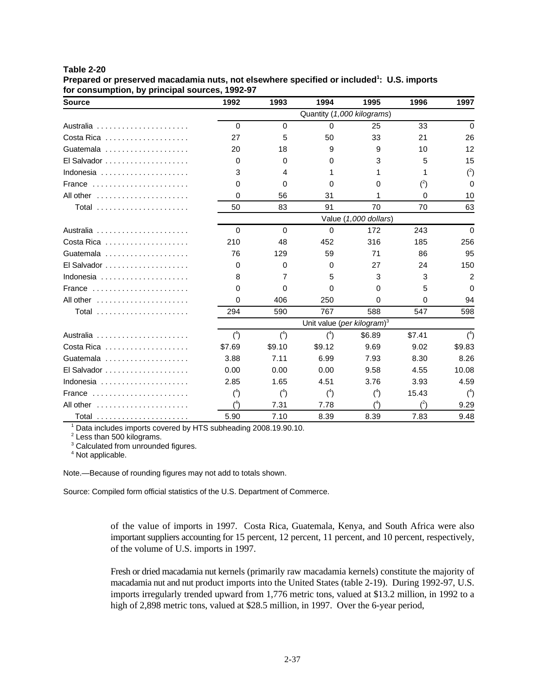| Table 2-20 |  |
|------------|--|
|------------|--|

**Prepared or preserved macadamia nuts, not elsewhere specified or included : U.S. imports <sup>1</sup> for consumption, by principal sources, 1992-97**

| <b>Source</b>                                             | 1992                                   | 1993     | 1994     | 1995   | 1996     | 1997     |  |
|-----------------------------------------------------------|----------------------------------------|----------|----------|--------|----------|----------|--|
|                                                           | Quantity (1,000 kilograms)             |          |          |        |          |          |  |
| Australia                                                 | $\Omega$                               | $\Omega$ | $\Omega$ | 25     | 33       | $\Omega$ |  |
| Costa Rica $\ldots \ldots \ldots \ldots \ldots$           | 27                                     | 5        | 50       | 33     | 21       | 26       |  |
| Guatemala                                                 | 20                                     | 18       | 9        | 9      | 10       | 12       |  |
| $El$ Salvador $\ldots \ldots \ldots \ldots \ldots \ldots$ | $\Omega$                               | 0        | 0        | 3      | 5        | 15       |  |
| Indonesia                                                 | 3                                      | 4        | 1        | 1      | 1        | $(^{2})$ |  |
| France                                                    | $\Omega$                               | 0        | 0        | 0      | $(^{2})$ | $\Omega$ |  |
| All other $\ldots \ldots \ldots \ldots \ldots$            | 0                                      | 56       | 31       | 1      | 0        | 10       |  |
| Total                                                     | 50                                     | 83       | 91       | 70     | 70       | 63       |  |
|                                                           | Value (1,000 dollars)                  |          |          |        |          |          |  |
| Australia                                                 | $\Omega$                               | $\Omega$ | $\Omega$ | 172    | 243      | $\Omega$ |  |
| Costa Rica                                                | 210                                    | 48       | 452      | 316    | 185      | 256      |  |
| Guatemala                                                 | 76                                     | 129      | 59       | 71     | 86       | 95       |  |
| $El$ Salvador $\ldots \ldots \ldots \ldots \ldots \ldots$ | $\Omega$                               | 0        | 0        | 27     | 24       | 150      |  |
| Indonesia                                                 | 8                                      | 7        | 5        | 3      | 3        | 2        |  |
| France                                                    | $\Omega$                               | 0        | $\Omega$ | 0      | 5        | $\Omega$ |  |
| All other $\ldots \ldots \ldots \ldots \ldots$            | 0                                      | 406      | 250      | 0      | $\Omega$ | 94       |  |
| Total                                                     | 294                                    | 590      | 767      | 588    | 547      | 598      |  |
|                                                           | Unit value (per kilogram) <sup>3</sup> |          |          |        |          |          |  |
|                                                           | $(^4)$                                 | $(^4)$   | $(^{4})$ | \$6.89 | \$7.41   | $(^4)$   |  |
| Costa Rica $\ldots \ldots \ldots \ldots \ldots$           | \$7.69                                 | \$9.10   | \$9.12   | 9.69   | 9.02     | \$9.83   |  |
| Guatemala                                                 | 3.88                                   | 7.11     | 6.99     | 7.93   | 8.30     | 8.26     |  |
| El Salvador                                               | 0.00                                   | 0.00     | 0.00     | 9.58   | 4.55     | 10.08    |  |
| Indonesia                                                 | 2.85                                   | 1.65     | 4.51     | 3.76   | 3.93     | 4.59     |  |
| France $\ldots \ldots \ldots \ldots \ldots \ldots \ldots$ | $(^{4})$                               | $(^4)$   | $(^{4})$ | $(^4)$ | 15.43    | $(^4)$   |  |
| All other $\ldots \ldots \ldots \ldots \ldots$            | (4)                                    | 7.31     | 7.78     | (4)    | (2)      | 9.29     |  |
| Total                                                     | 5.90                                   | 7.10     | 8.39     | 8.39   | 7.83     | 9.48     |  |

<sup>1</sup> Data includes imports covered by HTS subheading 2008.19.90.10.

<sup>2</sup> Less than 500 kilograms.

<sup>3</sup> Calculated from unrounded figures.

<sup>4</sup> Not applicable.

Note.—Because of rounding figures may not add to totals shown.

Source: Compiled form official statistics of the U.S. Department of Commerce.

of the value of imports in 1997. Costa Rica, Guatemala, Kenya, and South Africa were also important suppliers accounting for 15 percent, 12 percent, 11 percent, and 10 percent, respectively, of the volume of U.S. imports in 1997.

Fresh or dried macadamia nut kernels (primarily raw macadamia kernels) constitute the majority of macadamia nut and nut product imports into the United States (table 2-19). During 1992-97, U.S. imports irregularly trended upward from 1,776 metric tons, valued at \$13.2 million, in 1992 to a high of 2,898 metric tons, valued at \$28.5 million, in 1997. Over the 6-year period,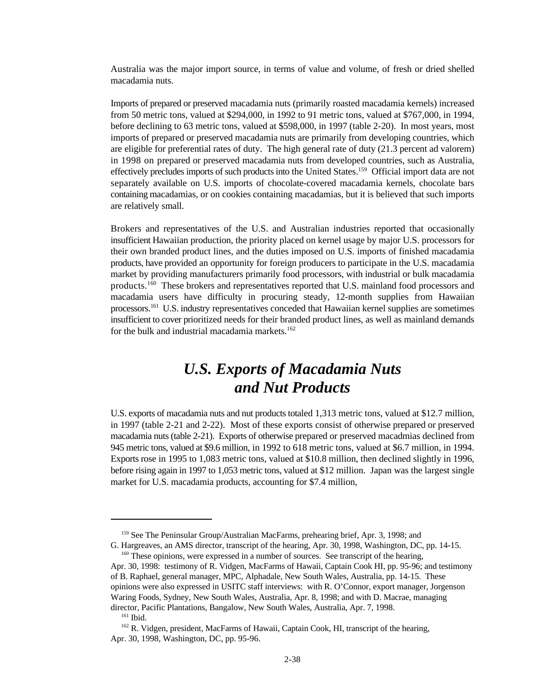Australia was the major import source, in terms of value and volume, of fresh or dried shelled macadamia nuts.

Imports of prepared or preserved macadamia nuts (primarily roasted macadamia kernels) increased from 50 metric tons, valued at \$294,000, in 1992 to 91 metric tons, valued at \$767,000, in 1994, before declining to 63 metric tons, valued at \$598,000, in 1997 (table 2-20). In most years, most imports of prepared or preserved macadamia nuts are primarily from developing countries, which are eligible for preferential rates of duty. The high general rate of duty (21.3 percent ad valorem) in 1998 on prepared or preserved macadamia nuts from developed countries, such as Australia, effectively precludes imports of such products into the United States.<sup>159</sup> Official import data are not separately available on U.S. imports of chocolate-covered macadamia kernels, chocolate bars containing macadamias, or on cookies containing macadamias, but it is believed that such imports are relatively small.

Brokers and representatives of the U.S. and Australian industries reported that occasionally insufficient Hawaiian production, the priority placed on kernel usage by major U.S. processors for their own branded product lines, and the duties imposed on U.S. imports of finished macadamia products, have provided an opportunity for foreign producers to participate in the U.S. macadamia market by providing manufacturers primarily food processors, with industrial or bulk macadamia products.<sup>160</sup> These brokers and representatives reported that U.S. mainland food processors and macadamia users have difficulty in procuring steady, 12-month supplies from Hawaiian processors.<sup>161</sup> U.S. industry representatives conceded that Hawaiian kernel supplies are sometimes insufficient to cover prioritized needs for their branded product lines, as well as mainland demands for the bulk and industrial macadamia markets.<sup>162</sup>

## *U.S. Exports of Macadamia Nuts and Nut Products*

U.S. exports of macadamia nuts and nut products totaled 1,313 metric tons, valued at \$12.7 million, in 1997 (table 2-21 and 2-22). Most of these exports consist of otherwise prepared or preserved macadamia nuts (table 2-21). Exports of otherwise prepared or preserved macadmias declined from 945 metric tons, valued at \$9.6 million, in 1992 to 618 metric tons, valued at \$6.7 million, in 1994. Exports rose in 1995 to 1,083 metric tons, valued at \$10.8 million, then declined slightly in 1996, before rising again in 1997 to 1,053 metric tons, valued at \$12 million. Japan was the largest single market for U.S. macadamia products, accounting for \$7.4 million,

 $159$  See The Peninsular Group/Australian MacFarms, prehearing brief, Apr. 3, 1998; and

G. Hargreaves, an AMS director, transcript of the hearing, Apr. 30, 1998, Washington, DC, pp. 14-15.  $160$  These opinions, were expressed in a number of sources. See transcript of the hearing,

Apr. 30, 1998: testimony of R. Vidgen, MacFarms of Hawaii, Captain Cook HI, pp. 95-96; and testimony of B. Raphael, general manager, MPC, Alphadale, New South Wales, Australia, pp. 14-15. These opinions were also expressed in USITC staff interviews: with R. O'Connor, export manager, Jorgenson Waring Foods, Sydney, New South Wales, Australia, Apr. 8, 1998; and with D. Macrae, managing director, Pacific Plantations, Bangalow, New South Wales, Australia, Apr. 7, 1998.

 $161$  Ibid.

<sup>&</sup>lt;sup>162</sup> R. Vidgen, president, MacFarms of Hawaii, Captain Cook, HI, transcript of the hearing, Apr. 30, 1998, Washington, DC, pp. 95-96.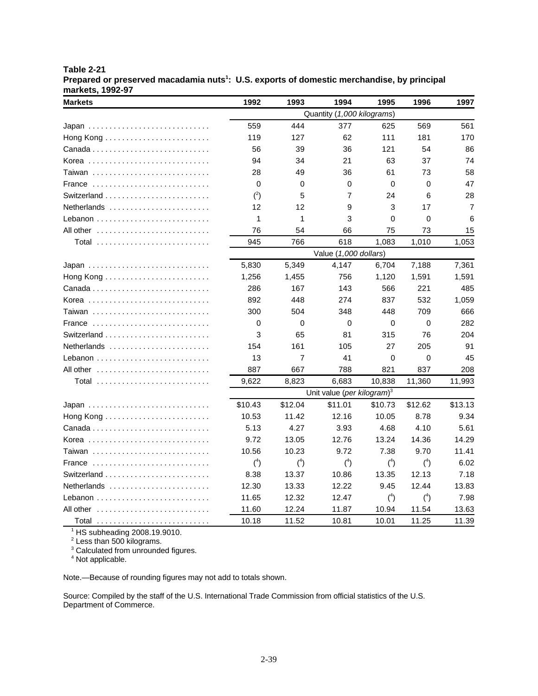| Table 2-21                                                                                             |
|--------------------------------------------------------------------------------------------------------|
| Prepared or preserved macadamia nuts <sup>1</sup> : U.S. exports of domestic merchandise, by principal |
| markets, 1992-97                                                                                       |

| <b>Markets</b>                                               | 1992                       | 1993    | 1994                  | 1995     | 1996    | 1997           |  |
|--------------------------------------------------------------|----------------------------|---------|-----------------------|----------|---------|----------------|--|
|                                                              | Quantity (1,000 kilograms) |         |                       |          |         |                |  |
| Japan                                                        | 559                        | 444     | 377                   | 625      | 569     | 561            |  |
|                                                              | 119                        | 127     | 62                    | 111      | 181     | 170            |  |
|                                                              | 56                         | 39      | 36                    | 121      | 54      | 86             |  |
| Korea                                                        | 94                         | 34      | 21                    | 63       | 37      | 74             |  |
| Taiwan                                                       | 28                         | 49      | 36                    | 61       | 73      | 58             |  |
| France                                                       | $\Omega$                   | 0       | $\Omega$              | 0        | 0       | 47             |  |
|                                                              | $(^{2})$                   | 5       | 7                     | 24       | 6       | 28             |  |
| Netherlands                                                  | 12                         | 12      | 9                     | 3        | 17      | $\overline{7}$ |  |
| Lebanon                                                      | 1                          | 1       | 3                     | 0        | 0       | 6              |  |
| All other $\ldots \ldots \ldots \ldots \ldots \ldots \ldots$ | 76                         | 54      | 66                    | 75       | 73      | 15             |  |
| Total                                                        | 945                        | 766     | 618                   | 1,083    | 1,010   | 1,053          |  |
|                                                              |                            |         | Value (1,000 dollars) |          |         |                |  |
| Japan                                                        | 5,830                      | 5,349   | 4,147                 | 6,704    | 7,188   | 7,361          |  |
|                                                              | 1,256                      | 1,455   | 756                   | 1,120    | 1,591   | 1,591          |  |
|                                                              | 286                        | 167     | 143                   | 566      | 221     | 485            |  |
| Korea                                                        | 892                        | 448     | 274                   | 837      | 532     | 1,059          |  |
| Taiwan                                                       | 300                        | 504     | 348                   | 448      | 709     | 666            |  |
| France                                                       | 0                          | 0       | $\Omega$              | $\Omega$ | 0       | 282            |  |
|                                                              | 3                          | 65      | 81                    | 315      | 76      | 204            |  |
| Netherlands                                                  | 154                        | 161     | 105                   | 27       | 205     | 91             |  |
|                                                              | 13                         | 7       | 41                    | 0        | 0       | 45             |  |
| All other                                                    | 887                        | 667     | 788                   | 821      | 837     | 208            |  |
| Total                                                        | 9,622                      | 8,823   | 6,683                 | 10,838   | 11,360  | 11,993         |  |
|                                                              |                            |         |                       |          |         |                |  |
|                                                              | \$10.43                    | \$12.04 | \$11.01               | \$10.73  | \$12.62 | \$13.13        |  |
|                                                              | 10.53                      | 11.42   | 12.16                 | 10.05    | 8.78    | 9.34           |  |
|                                                              | 5.13                       | 4.27    | 3.93                  | 4.68     | 4.10    | 5.61           |  |
| Korea                                                        | 9.72                       | 13.05   | 12.76                 | 13.24    | 14.36   | 14.29          |  |
| Taiwan                                                       | 10.56                      | 10.23   | 9.72                  | 7.38     | 9.70    | 11.41          |  |
| France                                                       | $(^4)$                     | $(^4)$  | $(^4)$                | $(^4)$   | $(^4)$  | 6.02           |  |
|                                                              | 8.38                       | 13.37   | 10.86                 | 13.35    | 12.13   | 7.18           |  |
| Netherlands                                                  | 12.30                      | 13.33   | 12.22                 | 9.45     | 12.44   | 13.83          |  |
|                                                              | 11.65                      | 12.32   | 12.47                 | $(^4)$   | $(^4)$  | 7.98           |  |
|                                                              | 11.60                      | 12.24   | 11.87                 | 10.94    | 11.54   | 13.63          |  |
| Total                                                        | 10.18                      | 11.52   | 10.81                 | 10.01    | 11.25   | 11.39          |  |

 $1$  HS subheading 2008.19.9010.

 $2$  Less than 500 kilograms.

 $3$  Calculated from unrounded figures.

<sup>4</sup> Not applicable.

Note.—Because of rounding figures may not add to totals shown.

Source: Compiled by the staff of the U.S. International Trade Commission from official statistics of the U.S. Department of Commerce.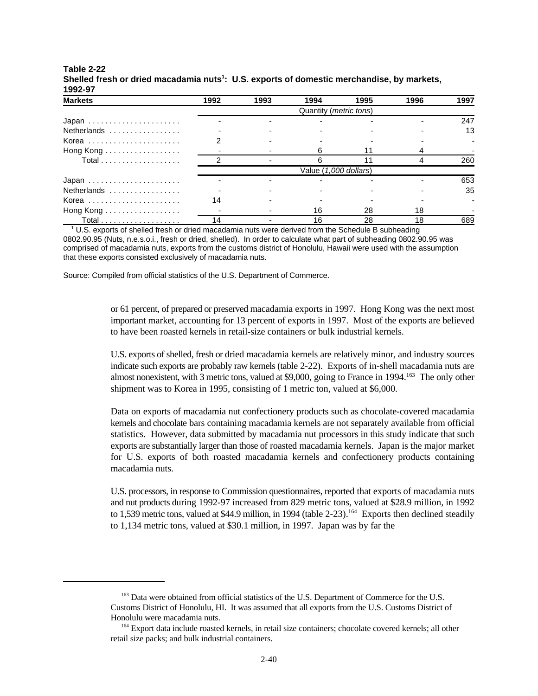| <b>Markets</b> | 1992                            | 1993 | 1994 | 1995 | 1996 | 1997 |  |
|----------------|---------------------------------|------|------|------|------|------|--|
|                | Quantity ( <i>metric tons</i> ) |      |      |      |      |      |  |
| Japan          |                                 |      |      |      |      | 247  |  |
| Netherlands    |                                 |      |      |      |      | 13   |  |
| Korea          |                                 |      |      |      |      |      |  |
| Hong Kong      |                                 |      |      |      |      |      |  |
|                |                                 |      |      |      |      | 260  |  |
|                | Value (1,000 dollars)           |      |      |      |      |      |  |
| Japan          |                                 |      |      |      |      | 653  |  |
| Netherlands    |                                 |      |      |      |      | 35   |  |
| Korea          |                                 |      |      |      |      |      |  |
| Hong Kong      |                                 |      | 16   | 28   | 18   |      |  |
|                | 14                              |      | 16   | 28   | 18   | 689  |  |

#### **Table 2-22 Shelled fresh or dried macadamia nuts : U.S. exports of domestic merchandise, by markets, <sup>1</sup> 1992-97**

 $1^{\circ}$  U.S. exports of shelled fresh or dried macadamia nuts were derived from the Schedule B subheading

0802.90.95 (Nuts, n.e.s.o.i., fresh or dried, shelled). In order to calculate what part of subheading 0802.90.95 was comprised of macadamia nuts, exports from the customs district of Honolulu, Hawaii were used with the assumption that these exports consisted exclusively of macadamia nuts.

Source: Compiled from official statistics of the U.S. Department of Commerce.

or 61 percent, of prepared or preserved macadamia exports in 1997. Hong Kong was the next most important market, accounting for 13 percent of exports in 1997. Most of the exports are believed to have been roasted kernels in retail-size containers or bulk industrial kernels.

U.S. exports of shelled, fresh or dried macadamia kernels are relatively minor, and industry sources indicate such exports are probably raw kernels (table 2-22). Exports of in-shell macadamia nuts are almost nonexistent, with 3 metric tons, valued at \$9,000, going to France in 1994.<sup>163</sup> The only other shipment was to Korea in 1995, consisting of 1 metric ton, valued at \$6,000.

Data on exports of macadamia nut confectionery products such as chocolate-covered macadamia kernels and chocolate bars containing macadamia kernels are not separately available from official statistics. However, data submitted by macadamia nut processors in this study indicate that such exports are substantially larger than those of roasted macadamia kernels. Japan is the major market for U.S. exports of both roasted macadamia kernels and confectionery products containing macadamia nuts.

U.S. processors, in response to Commission questionnaires, reported that exports of macadamia nuts and nut products during 1992-97 increased from 829 metric tons, valued at \$28.9 million, in 1992 to 1,539 metric tons, valued at \$44.9 million, in 1994 (table 2-23).<sup>164</sup> Exports then declined steadily to 1,134 metric tons, valued at \$30.1 million, in 1997. Japan was by far the

<sup>&</sup>lt;sup>163</sup> Data were obtained from official statistics of the U.S. Department of Commerce for the U.S. Customs District of Honolulu, HI. It was assumed that all exports from the U.S. Customs District of Honolulu were macadamia nuts.

<sup>&</sup>lt;sup>164</sup> Export data include roasted kernels, in retail size containers; chocolate covered kernels; all other retail size packs; and bulk industrial containers.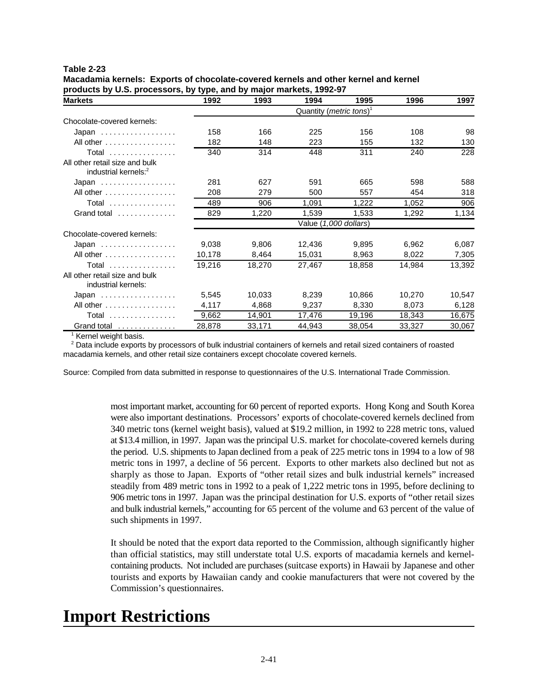| Macadamia kernels: Exports of chocolate-covered kernels and other kernel and kernel |
|-------------------------------------------------------------------------------------|
| products by U.S. processors, by type, and by major markets, 1992-97                 |

| <b>Markets</b>                                                     | 1992                                         | 1993   | 1994                  | 1995   | 1996   | 1997   |  |
|--------------------------------------------------------------------|----------------------------------------------|--------|-----------------------|--------|--------|--------|--|
|                                                                    | Quantity ( <i>metric tons</i> ) <sup>1</sup> |        |                       |        |        |        |  |
| Chocolate-covered kernels:                                         |                                              |        |                       |        |        |        |  |
| Japan                                                              | 158                                          | 166    | 225                   | 156    | 108    | 98     |  |
| All other $\dots \dots \dots \dots \dots$                          | 182                                          | 148    | 223                   | 155    | 132    | 130    |  |
| Total                                                              | 340                                          | 314    | 448                   | 311    | 240    | 228    |  |
| All other retail size and bulk<br>industrial kernels: <sup>2</sup> |                                              |        |                       |        |        |        |  |
| Japan                                                              | 281                                          | 627    | 591                   | 665    | 598    | 588    |  |
| All other                                                          | 208                                          | 279    | 500                   | 557    | 454    | 318    |  |
| <b>Total</b>                                                       | 489                                          | 906    | 1,091                 | 1,222  | 1,052  | 906    |  |
| Grand total $\ldots \ldots \ldots \ldots$                          | 829                                          | 1,220  | 1,539                 | 1,533  | 1,292  | 1,134  |  |
|                                                                    |                                              |        | Value (1,000 dollars) |        |        |        |  |
| Chocolate-covered kernels:                                         |                                              |        |                       |        |        |        |  |
| Japan                                                              | 9,038                                        | 9,806  | 12,436                | 9,895  | 6,962  | 6,087  |  |
| All other $\dots \dots \dots \dots \dots$                          | 10,178                                       | 8,464  | 15,031                | 8,963  | 8,022  | 7,305  |  |
| <b>Total</b>                                                       | 19,216                                       | 18,270 | 27,467                | 18,858 | 14,984 | 13,392 |  |
| All other retail size and bulk<br>industrial kernels:              |                                              |        |                       |        |        |        |  |
| Japan                                                              | 5,545                                        | 10,033 | 8,239                 | 10,866 | 10,270 | 10,547 |  |
| All other $\ldots \ldots \ldots \ldots$                            | 4,117                                        | 4,868  | 9,237                 | 8,330  | 8,073  | 6,128  |  |
| <b>Total</b>                                                       | 9,662                                        | 14,901 | 17,476                | 19,196 | 18,343 | 16,675 |  |
| Grand total                                                        | 28,878                                       | 33,171 | 44,943                | 38,054 | 33,327 | 30,067 |  |

 $<sup>1</sup>$  Kernel weight basis.</sup>

<sup>2</sup> Data include exports by processors of bulk industrial containers of kernels and retail sized containers of roasted macadamia kernels, and other retail size containers except chocolate covered kernels.

Source: Compiled from data submitted in response to questionnaires of the U.S. International Trade Commission.

most important market, accounting for 60 percent of reported exports. Hong Kong and South Korea were also important destinations. Processors' exports of chocolate-covered kernels declined from 340 metric tons (kernel weight basis), valued at \$19.2 million, in 1992 to 228 metric tons, valued at \$13.4 million, in 1997. Japan was the principal U.S. market for chocolate-covered kernels during the period. U.S. shipments to Japan declined from a peak of 225 metric tons in 1994 to a low of 98 metric tons in 1997, a decline of 56 percent. Exports to other markets also declined but not as sharply as those to Japan. Exports of "other retail sizes and bulk industrial kernels" increased steadily from 489 metric tons in 1992 to a peak of 1,222 metric tons in 1995, before declining to 906 metric tons in 1997. Japan was the principal destination for U.S. exports of "other retail sizes and bulk industrial kernels," accounting for 65 percent of the volume and 63 percent of the value of such shipments in 1997.

It should be noted that the export data reported to the Commission, although significantly higher than official statistics, may still understate total U.S. exports of macadamia kernels and kernelcontaining products. Not included are purchases (suitcase exports) in Hawaii by Japanese and other tourists and exports by Hawaiian candy and cookie manufacturers that were not covered by the Commission's questionnaires.

## **Import Restrictions**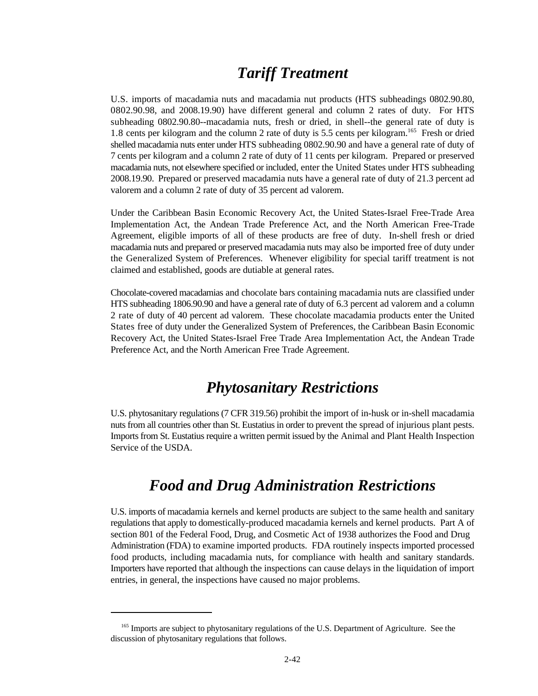## *Tariff Treatment*

U.S. imports of macadamia nuts and macadamia nut products (HTS subheadings 0802.90.80, 0802.90.98, and 2008.19.90) have different general and column 2 rates of duty. For HTS subheading 0802.90.80--macadamia nuts, fresh or dried, in shell--the general rate of duty is 1.8 cents per kilogram and the column 2 rate of duty is 5.5 cents per kilogram.<sup>165</sup> Fresh or dried shelled macadamia nuts enter under HTS subheading 0802.90.90 and have a general rate of duty of 7 cents per kilogram and a column 2 rate of duty of 11 cents per kilogram. Prepared or preserved macadamia nuts, not elsewhere specified or included, enter the United States under HTS subheading 2008.19.90. Prepared or preserved macadamia nuts have a general rate of duty of 21.3 percent ad valorem and a column 2 rate of duty of 35 percent ad valorem.

Under the Caribbean Basin Economic Recovery Act, the United States-Israel Free-Trade Area Implementation Act, the Andean Trade Preference Act, and the North American Free-Trade Agreement, eligible imports of all of these products are free of duty. In-shell fresh or dried macadamia nuts and prepared or preserved macadamia nuts may also be imported free of duty under the Generalized System of Preferences. Whenever eligibility for special tariff treatment is not claimed and established, goods are dutiable at general rates.

Chocolate-covered macadamias and chocolate bars containing macadamia nuts are classified under HTS subheading 1806.90.90 and have a general rate of duty of 6.3 percent ad valorem and a column 2 rate of duty of 40 percent ad valorem. These chocolate macadamia products enter the United States free of duty under the Generalized System of Preferences, the Caribbean Basin Economic Recovery Act, the United States-Israel Free Trade Area Implementation Act, the Andean Trade Preference Act, and the North American Free Trade Agreement.

## *Phytosanitary Restrictions*

U.S. phytosanitary regulations (7 CFR 319.56) prohibit the import of in-husk or in-shell macadamia nuts from all countries other than St. Eustatius in order to prevent the spread of injurious plant pests. Imports from St. Eustatius require a written permit issued by the Animal and Plant Health Inspection Service of the USDA.

## *Food and Drug Administration Restrictions*

U.S. imports of macadamia kernels and kernel products are subject to the same health and sanitary regulations that apply to domestically-produced macadamia kernels and kernel products. Part A of section 801 of the Federal Food, Drug, and Cosmetic Act of 1938 authorizes the Food and Drug Administration (FDA) to examine imported products. FDA routinely inspects imported processed food products, including macadamia nuts, for compliance with health and sanitary standards. Importers have reported that although the inspections can cause delays in the liquidation of import entries, in general, the inspections have caused no major problems.

<sup>&</sup>lt;sup>165</sup> Imports are subject to phytosanitary regulations of the U.S. Department of Agriculture. See the discussion of phytosanitary regulations that follows.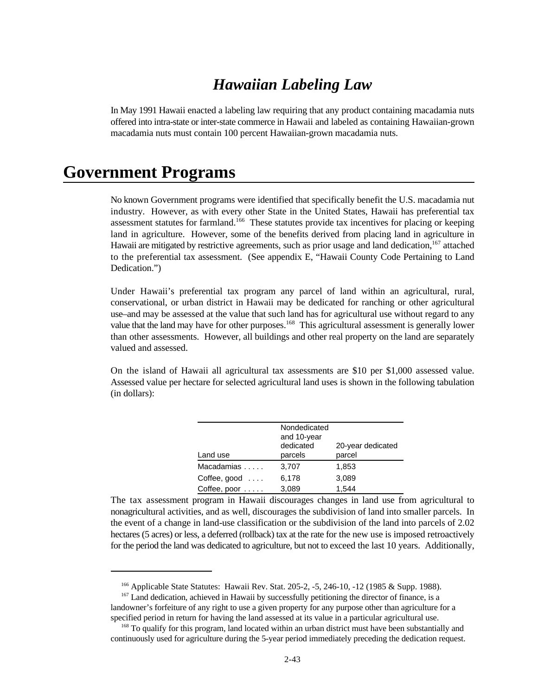## *Hawaiian Labeling Law*

In May 1991 Hawaii enacted a labeling law requiring that any product containing macadamia nuts offered into intra-state or inter-state commerce in Hawaii and labeled as containing Hawaiian-grown macadamia nuts must contain 100 percent Hawaiian-grown macadamia nuts.

## **Government Programs**

No known Government programs were identified that specifically benefit the U.S. macadamia nut industry. However, as with every other State in the United States, Hawaii has preferential tax assessment statutes for farmland.<sup>166</sup> These statutes provide tax incentives for placing or keeping land in agriculture. However, some of the benefits derived from placing land in agriculture in Hawaii are mitigated by restrictive agreements, such as prior usage and land dedication, <sup>167</sup> attached to the preferential tax assessment. (See appendix E, "Hawaii County Code Pertaining to Land Dedication.")

Under Hawaii's preferential tax program any parcel of land within an agricultural, rural, conservational, or urban district in Hawaii may be dedicated for ranching or other agricultural use–and may be assessed at the value that such land has for agricultural use without regard to any value that the land may have for other purposes.<sup>168</sup> This agricultural assessment is generally lower than other assessments. However, all buildings and other real property on the land are separately valued and assessed.

On the island of Hawaii all agricultural tax assessments are \$10 per \$1,000 assessed value. Assessed value per hectare for selected agricultural land uses is shown in the following tabulation (in dollars):

| Land use               | Nondedicated<br>and 10-year<br>dedicated<br>parcels | 20-year dedicated<br>parcel |
|------------------------|-----------------------------------------------------|-----------------------------|
| Macadamias             | 3,707                                               | 1,853                       |
| Coffee, good $\dots$   | 6,178                                               | 3,089                       |
| Coffee, poor $\dots$ . | 3,089                                               | 1.544                       |

The tax assessment program in Hawaii discourages changes in land use from agricultural to nonagricultural activities, and as well, discourages the subdivision of land into smaller parcels. In the event of a change in land-use classification or the subdivision of the land into parcels of 2.02 hectares (5 acres) or less, a deferred (rollback) tax at the rate for the new use is imposed retroactively for the period the land was dedicated to agriculture, but not to exceed the last 10 years. Additionally,

<sup>&</sup>lt;sup>166</sup> Applicable State Statutes: Hawaii Rev. Stat. 205-2, -5, 246-10, -12 (1985 & Supp. 1988).

 $167$  Land dedication, achieved in Hawaii by successfully petitioning the director of finance, is a landowner's forfeiture of any right to use a given property for any purpose other than agriculture for a specified period in return for having the land assessed at its value in a particular agricultural use.

<sup>&</sup>lt;sup>168</sup> To qualify for this program, land located within an urban district must have been substantially and continuously used for agriculture during the 5-year period immediately preceding the dedication request.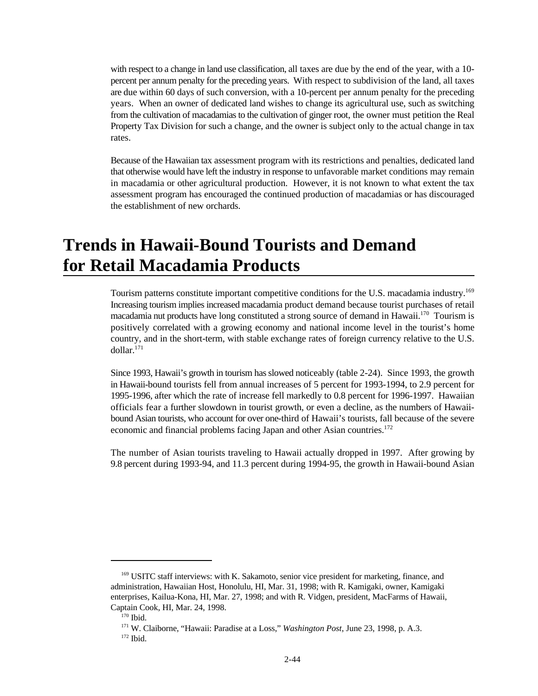with respect to a change in land use classification, all taxes are due by the end of the year, with a 10 percent per annum penalty for the preceding years. With respect to subdivision of the land, all taxes are due within 60 days of such conversion, with a 10-percent per annum penalty for the preceding years. When an owner of dedicated land wishes to change its agricultural use, such as switching from the cultivation of macadamias to the cultivation of ginger root, the owner must petition the Real Property Tax Division for such a change, and the owner is subject only to the actual change in tax rates.

Because of the Hawaiian tax assessment program with its restrictions and penalties, dedicated land that otherwise would have left the industry in response to unfavorable market conditions may remain in macadamia or other agricultural production. However, it is not known to what extent the tax assessment program has encouraged the continued production of macadamias or has discouraged the establishment of new orchards.

## **Trends in Hawaii-Bound Tourists and Demand for Retail Macadamia Products**

Tourism patterns constitute important competitive conditions for the U.S. macadamia industry.<sup>169</sup> Increasing tourism implies increased macadamia product demand because tourist purchases of retail macadamia nut products have long constituted a strong source of demand in Hawaii.<sup>170</sup> Tourism is positively correlated with a growing economy and national income level in the tourist's home country, and in the short-term, with stable exchange rates of foreign currency relative to the U.S. dollar.<sup>171</sup>

Since 1993, Hawaii's growth in tourism has slowed noticeably (table 2-24). Since 1993, the growth in Hawaii-bound tourists fell from annual increases of 5 percent for 1993-1994, to 2.9 percent for 1995-1996, after which the rate of increase fell markedly to 0.8 percent for 1996-1997. Hawaiian officials fear a further slowdown in tourist growth, or even a decline, as the numbers of Hawaiibound Asian tourists, who account for over one-third of Hawaii's tourists, fall because of the severe economic and financial problems facing Japan and other Asian countries.<sup>172</sup>

The number of Asian tourists traveling to Hawaii actually dropped in 1997. After growing by 9.8 percent during 1993-94, and 11.3 percent during 1994-95, the growth in Hawaii-bound Asian

<sup>&</sup>lt;sup>169</sup> USITC staff interviews: with K. Sakamoto, senior vice president for marketing, finance, and administration, Hawaiian Host, Honolulu, HI, Mar. 31, 1998; with R. Kamigaki, owner, Kamigaki enterprises, Kailua-Kona, HI, Mar. 27, 1998; and with R. Vidgen, president, MacFarms of Hawaii, Captain Cook, HI, Mar. 24, 1998.

 $170$  Ibid.

<sup>&</sup>lt;sup>171</sup> W. Claiborne, "Hawaii: Paradise at a Loss," *Washington Post*, June 23, 1998, p. A.3.  $172$  Ibid.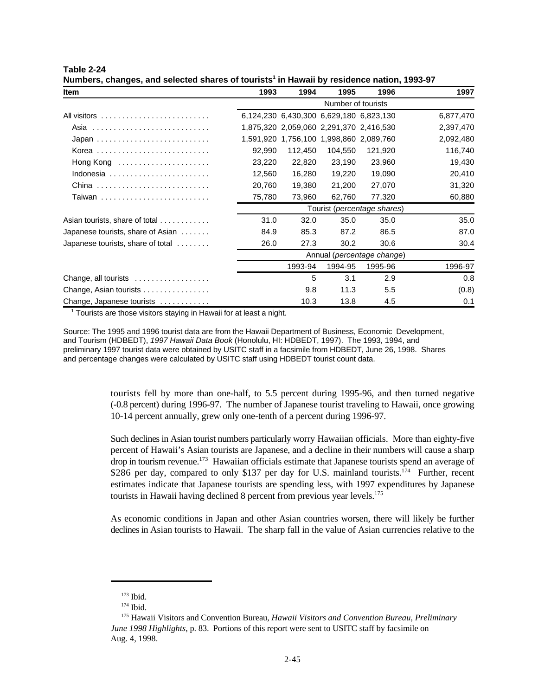| Item                              | 1993   | 1994                                    | 1995               | 1996                                 | 1997      |  |  |
|-----------------------------------|--------|-----------------------------------------|--------------------|--------------------------------------|-----------|--|--|
|                                   |        |                                         | Number of tourists |                                      |           |  |  |
|                                   |        | 6,124,230 6,430,300 6,629,180 6,823,130 |                    |                                      | 6,877,470 |  |  |
|                                   |        | 1,875,320 2,059,060 2,291,370 2,416,530 |                    |                                      | 2,397,470 |  |  |
|                                   |        | 1,591,920 1,756,100 1,998,860 2,089,760 |                    |                                      | 2,092,480 |  |  |
|                                   | 92,990 | 112,450                                 | 104,550            | 121,920                              | 116,740   |  |  |
| Hong Kong                         | 23,220 | 22,820                                  | 23,190             | 23,960                               | 19,430    |  |  |
| Indonesia                         | 12,560 | 16,280                                  | 19,220             | 19,090                               | 20,410    |  |  |
| China                             | 20,760 | 19,380                                  | 21,200             | 27,070                               | 31,320    |  |  |
| Taiwan                            | 75,780 | 73,960                                  | 62,760             | 77,320                               | 60,880    |  |  |
|                                   |        |                                         |                    | Tourist ( <i>percentage shares</i> ) |           |  |  |
| Asian tourists, share of total    | 31.0   | 32.0                                    | 35.0               | 35.0                                 | 35.0      |  |  |
| Japanese tourists, share of Asian | 84.9   | 85.3                                    | 87.2               | 86.5                                 | 87.0      |  |  |
| Japanese tourists, share of total | 26.0   | 27.3                                    | 30.2               | 30.6                                 | 30.4      |  |  |
|                                   |        | Annual (percentage change)              |                    |                                      |           |  |  |
|                                   |        | 1993-94                                 | 1994-95            | 1995-96                              | 1996-97   |  |  |
| Change, all tourists              |        | 5                                       | 3.1                | 2.9                                  | 0.8       |  |  |
| Change, Asian tourists            |        | 9.8                                     | 11.3               | 5.5                                  | (0.8)     |  |  |
| Change, Japanese tourists         |        | 10.3                                    | 13.8               | 4.5                                  | 0.1       |  |  |

**Table 2-24 Numbers, changes, and selected shares of tourists in Hawaii by residence nation, 1993-97 <sup>1</sup>**

 $1$  Tourists are those visitors staying in Hawaii for at least a night.

Source: The 1995 and 1996 tourist data are from the Hawaii Department of Business, Economic Development, and Tourism (HDBEDT), *1997 Hawaii Data Book* (Honolulu, HI: HDBEDT, 1997). The 1993, 1994, and preliminary 1997 tourist data were obtained by USITC staff in a facsimile from HDBEDT, June 26, 1998. Shares and percentage changes were calculated by USITC staff using HDBEDT tourist count data.

> tourists fell by more than one-half, to 5.5 percent during 1995-96, and then turned negative (-0.8 percent) during 1996-97. The number of Japanese tourist traveling to Hawaii, once growing 10-14 percent annually, grew only one-tenth of a percent during 1996-97.

> Such declines in Asian tourist numbers particularly worry Hawaiian officials. More than eighty-five percent of Hawaii's Asian tourists are Japanese, and a decline in their numbers will cause a sharp drop in tourism revenue.<sup>173</sup> Hawaiian officials estimate that Japanese tourists spend an average of \$286 per day, compared to only \$137 per day for U.S. mainland tourists.<sup>174</sup> Further, recent estimates indicate that Japanese tourists are spending less, with 1997 expenditures by Japanese tourists in Hawaii having declined 8 percent from previous year levels.<sup>175</sup>

> As economic conditions in Japan and other Asian countries worsen, there will likely be further declines in Asian tourists to Hawaii. The sharp fall in the value of Asian currencies relative to the

 $173$  Ibid.

 $174$  Ibid.

<sup>&</sup>lt;sup>175</sup> Hawaii Visitors and Convention Bureau, *Hawaii Visitors and Convention Bureau, Preliminary June 1998 Highlights*, p. 83. Portions of this report were sent to USITC staff by facsimile on Aug. 4, 1998.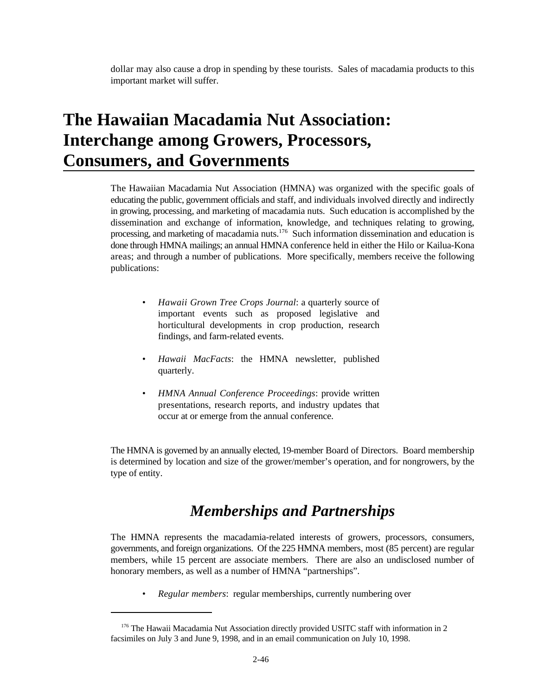dollar may also cause a drop in spending by these tourists. Sales of macadamia products to this important market will suffer.

## **The Hawaiian Macadamia Nut Association: Interchange among Growers, Processors, Consumers, and Governments**

The Hawaiian Macadamia Nut Association (HMNA) was organized with the specific goals of educating the public, government officials and staff, and individuals involved directly and indirectly in growing, processing, and marketing of macadamia nuts. Such education is accomplished by the dissemination and exchange of information, knowledge, and techniques relating to growing, processing, and marketing of macadamia nuts.<sup>176</sup> Such information dissemination and education is done through HMNA mailings; an annual HMNA conference held in either the Hilo or Kailua-Kona areas; and through a number of publications. More specifically, members receive the following publications:

- *Hawaii Grown Tree Crops Journal*: a quarterly source of important events such as proposed legislative and horticultural developments in crop production, research findings, and farm-related events.
- *Hawaii MacFacts*: the HMNA newsletter, published quarterly.
- *HMNA Annual Conference Proceedings*: provide written presentations, research reports, and industry updates that occur at or emerge from the annual conference.

The HMNA is governed by an annually elected, 19-member Board of Directors. Board membership is determined by location and size of the grower/member's operation, and for nongrowers, by the type of entity.

## *Memberships and Partnerships*

The HMNA represents the macadamia-related interests of growers, processors, consumers, governments, and foreign organizations. Of the 225 HMNA members, most (85 percent) are regular members, while 15 percent are associate members. There are also an undisclosed number of honorary members, as well as a number of HMNA "partnerships".

• *Regular members*: regular memberships, currently numbering over

 $176$  The Hawaii Macadamia Nut Association directly provided USITC staff with information in 2 facsimiles on July 3 and June 9, 1998, and in an email communication on July 10, 1998.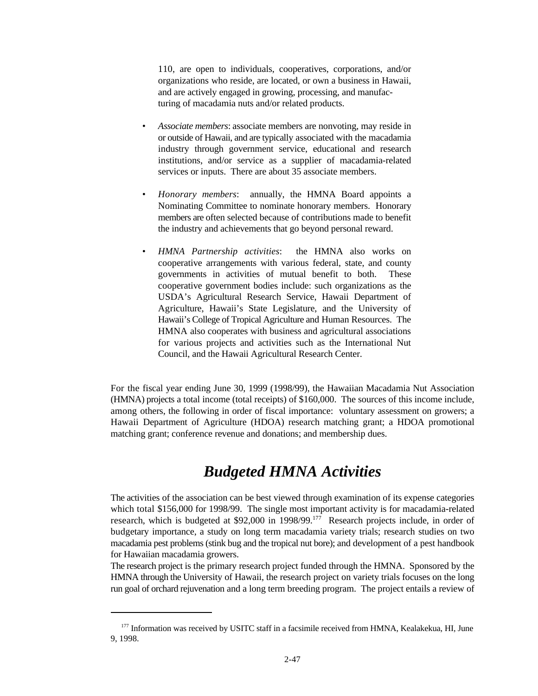110, are open to individuals, cooperatives, corporations, and/or organizations who reside, are located, or own a business in Hawaii, and are actively engaged in growing, processing, and manufacturing of macadamia nuts and/or related products.

- *Associate members*: associate members are nonvoting, may reside in or outside of Hawaii, and are typically associated with the macadamia industry through government service, educational and research institutions, and/or service as a supplier of macadamia-related services or inputs. There are about 35 associate members.
- *Honorary members*: annually, the HMNA Board appoints a Nominating Committee to nominate honorary members. Honorary members are often selected because of contributions made to benefit the industry and achievements that go beyond personal reward.
- *HMNA Partnership activities*: the HMNA also works on cooperative arrangements with various federal, state, and county governments in activities of mutual benefit to both. These cooperative government bodies include: such organizations as the USDA's Agricultural Research Service, Hawaii Department of Agriculture, Hawaii's State Legislature, and the University of Hawaii's College of Tropical Agriculture and Human Resources. The HMNA also cooperates with business and agricultural associations for various projects and activities such as the International Nut Council, and the Hawaii Agricultural Research Center.

For the fiscal year ending June 30, 1999 (1998/99), the Hawaiian Macadamia Nut Association (HMNA) projects a total income (total receipts) of \$160,000. The sources of this income include, among others, the following in order of fiscal importance: voluntary assessment on growers; a Hawaii Department of Agriculture (HDOA) research matching grant; a HDOA promotional matching grant; conference revenue and donations; and membership dues.

## *Budgeted HMNA Activities*

The activities of the association can be best viewed through examination of its expense categories which total \$156,000 for 1998/99. The single most important activity is for macadamia-related research, which is budgeted at \$92,000 in 1998/99.<sup>177</sup> Research projects include, in order of budgetary importance, a study on long term macadamia variety trials; research studies on two macadamia pest problems (stink bug and the tropical nut bore); and development of a pest handbook for Hawaiian macadamia growers.

The research project is the primary research project funded through the HMNA. Sponsored by the HMNA through the University of Hawaii, the research project on variety trials focuses on the long run goal of orchard rejuvenation and a long term breeding program. The project entails a review of

<sup>&</sup>lt;sup>177</sup> Information was received by USITC staff in a facsimile received from HMNA, Kealakekua, HI, June 9, 1998.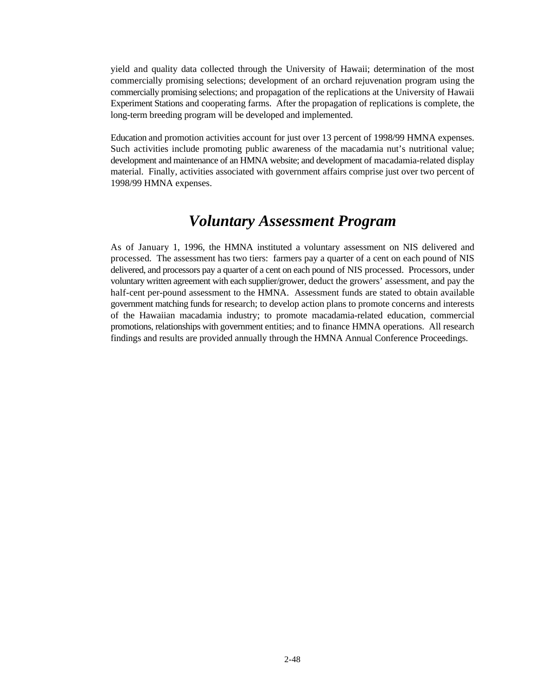yield and quality data collected through the University of Hawaii; determination of the most commercially promising selections; development of an orchard rejuvenation program using the commercially promising selections; and propagation of the replications at the University of Hawaii Experiment Stations and cooperating farms. After the propagation of replications is complete, the long-term breeding program will be developed and implemented.

Education and promotion activities account for just over 13 percent of 1998/99 HMNA expenses. Such activities include promoting public awareness of the macadamia nut's nutritional value; development and maintenance of an HMNA website; and development of macadamia-related display material. Finally, activities associated with government affairs comprise just over two percent of 1998/99 HMNA expenses.

### *Voluntary Assessment Program*

As of January 1, 1996, the HMNA instituted a voluntary assessment on NIS delivered and processed. The assessment has two tiers: farmers pay a quarter of a cent on each pound of NIS delivered, and processors pay a quarter of a cent on each pound of NIS processed. Processors, under voluntary written agreement with each supplier/grower, deduct the growers' assessment, and pay the half-cent per-pound assessment to the HMNA. Assessment funds are stated to obtain available government matching funds for research; to develop action plans to promote concerns and interests of the Hawaiian macadamia industry; to promote macadamia-related education, commercial promotions, relationships with government entities; and to finance HMNA operations. All research findings and results are provided annually through the HMNA Annual Conference Proceedings.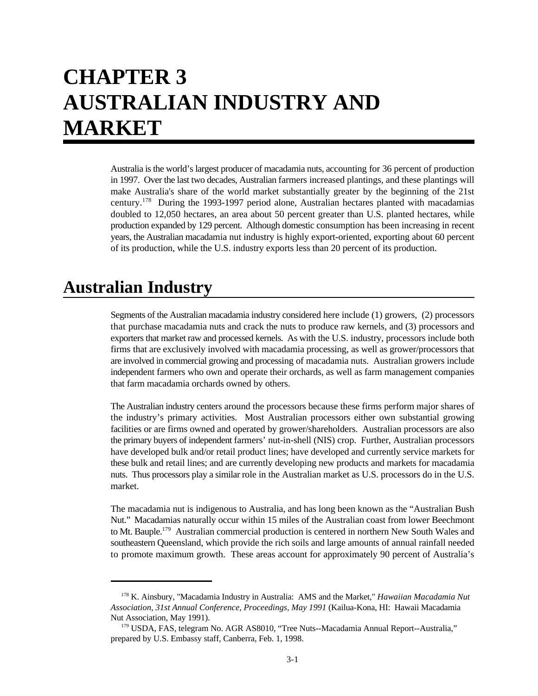# **CHAPTER 3 AUSTRALIAN INDUSTRY AND MARKET**

Australia is the world's largest producer of macadamia nuts, accounting for 36 percent of production in 1997. Over the last two decades, Australian farmers increased plantings, and these plantings will make Australia's share of the world market substantially greater by the beginning of the 21st century.<sup>178</sup> During the 1993-1997 period alone, Australian hectares planted with macadamias doubled to 12,050 hectares, an area about 50 percent greater than U.S. planted hectares, while production expanded by 129 percent. Although domestic consumption has been increasing in recent years, the Australian macadamia nut industry is highly export-oriented, exporting about 60 percent of its production, while the U.S. industry exports less than 20 percent of its production.

## **Australian Industry**

Segments of the Australian macadamia industry considered here include (1) growers, (2) processors that purchase macadamia nuts and crack the nuts to produce raw kernels, and (3) processors and exporters that market raw and processed kernels. As with the U.S. industry, processors include both firms that are exclusively involved with macadamia processing, as well as grower/processors that are involved in commercial growing and processing of macadamia nuts. Australian growers include independent farmers who own and operate their orchards, as well as farm management companies that farm macadamia orchards owned by others.

The Australian industry centers around the processors because these firms perform major shares of the industry's primary activities. Most Australian processors either own substantial growing facilities or are firms owned and operated by grower/shareholders. Australian processors are also the primary buyers of independent farmers' nut-in-shell (NIS) crop. Further, Australian processors have developed bulk and/or retail product lines; have developed and currently service markets for these bulk and retail lines; and are currently developing new products and markets for macadamia nuts. Thus processors play a similar role in the Australian market as U.S. processors do in the U.S. market.

The macadamia nut is indigenous to Australia, and has long been known as the "Australian Bush Nut." Macadamias naturally occur within 15 miles of the Australian coast from lower Beechmont to Mt. Bauple.<sup>179</sup> Australian commercial production is centered in northern New South Wales and southeastern Queensland, which provide the rich soils and large amounts of annual rainfall needed to promote maximum growth. These areas account for approximately 90 percent of Australia's

<sup>&</sup>lt;sup>178</sup> K. Ainsbury, "Macadamia Industry in Australia: AMS and the Market," *Hawaiian Macadamia Nut Association, 31st Annual Conference, Proceedings, May 1991* (Kailua-Kona, HI: Hawaii Macadamia Nut Association, May 1991).

USDA, FAS, telegram No. AGR AS8010, "Tree Nuts--Macadamia Annual Report--Australia," <sup>179</sup> prepared by U.S. Embassy staff, Canberra, Feb. 1, 1998.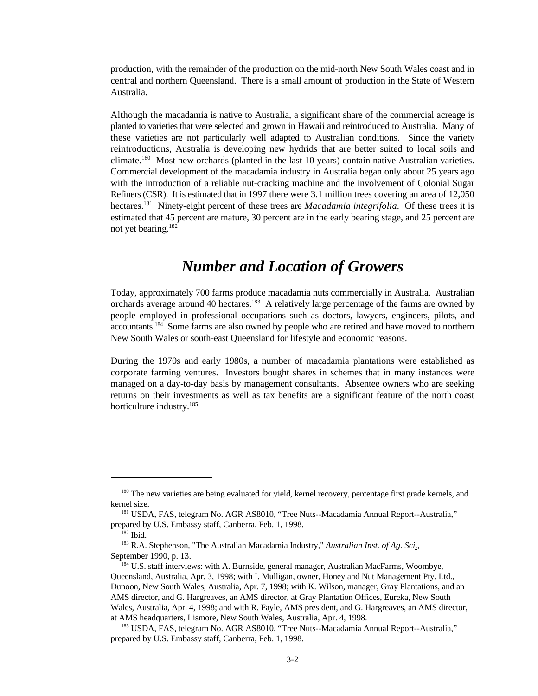production, with the remainder of the production on the mid-north New South Wales coast and in central and northern Queensland. There is a small amount of production in the State of Western Australia.

Although the macadamia is native to Australia, a significant share of the commercial acreage is planted to varieties that were selected and grown in Hawaii and reintroduced to Australia. Many of these varieties are not particularly well adapted to Australian conditions. Since the variety reintroductions, Australia is developing new hydrids that are better suited to local soils and climate.<sup>180</sup> Most new orchards (planted in the last 10 years) contain native Australian varieties. Commercial development of the macadamia industry in Australia began only about 25 years ago with the introduction of a reliable nut-cracking machine and the involvement of Colonial Sugar Refiners (CSR). It is estimated that in 1997 there were 3.1 million trees covering an area of 12,050 hectares.<sup>181</sup> Ninety-eight percent of these trees are *Macadamia integrifolia*. Of these trees it is estimated that 45 percent are mature, 30 percent are in the early bearing stage, and 25 percent are not yet bearing.<sup>182</sup>

#### *Number and Location of Growers*

Today, approximately 700 farms produce macadamia nuts commercially in Australia. Australian orchards average around 40 hectares.<sup>183</sup> A relatively large percentage of the farms are owned by people employed in professional occupations such as doctors, lawyers, engineers, pilots, and accountants.<sup>184</sup> Some farms are also owned by people who are retired and have moved to northern New South Wales or south-east Queensland for lifestyle and economic reasons.

During the 1970s and early 1980s, a number of macadamia plantations were established as corporate farming ventures. Investors bought shares in schemes that in many instances were managed on a day-to-day basis by management consultants. Absentee owners who are seeking returns on their investments as well as tax benefits are a significant feature of the north coast horticulture industry.<sup>185</sup>

<sup>&</sup>lt;sup>180</sup> The new varieties are being evaluated for yield, kernel recovery, percentage first grade kernels, and kernel size.

USDA, FAS, telegram No. AGR AS8010, "Tree Nuts--Macadamia Annual Report--Australia," <sup>181</sup> prepared by U.S. Embassy staff, Canberra, Feb. 1, 1998.

 $^{182}$  Ibid.

<sup>&</sup>lt;sup>183</sup> R.A. Stephenson, "The Australian Macadamia Industry," *Australian Inst. of Ag. Sci*., September 1990, p. 13.

<sup>&</sup>lt;sup>184</sup> U.S. staff interviews: with A. Burnside, general manager, Australian MacFarms, Woombye, Queensland, Australia, Apr. 3, 1998; with I. Mulligan, owner, Honey and Nut Management Pty. Ltd., Dunoon, New South Wales, Australia, Apr. 7, 1998; with K. Wilson, manager, Gray Plantations, and an AMS director, and G. Hargreaves, an AMS director, at Gray Plantation Offices, Eureka, New South Wales, Australia, Apr. 4, 1998; and with R. Fayle, AMS president, and G. Hargreaves, an AMS director, at AMS headquarters, Lismore, New South Wales, Australia, Apr. 4, 1998.

<sup>&</sup>lt;sup>185</sup> USDA, FAS, telegram No. AGR AS8010, "Tree Nuts--Macadamia Annual Report--Australia," prepared by U.S. Embassy staff, Canberra, Feb. 1, 1998.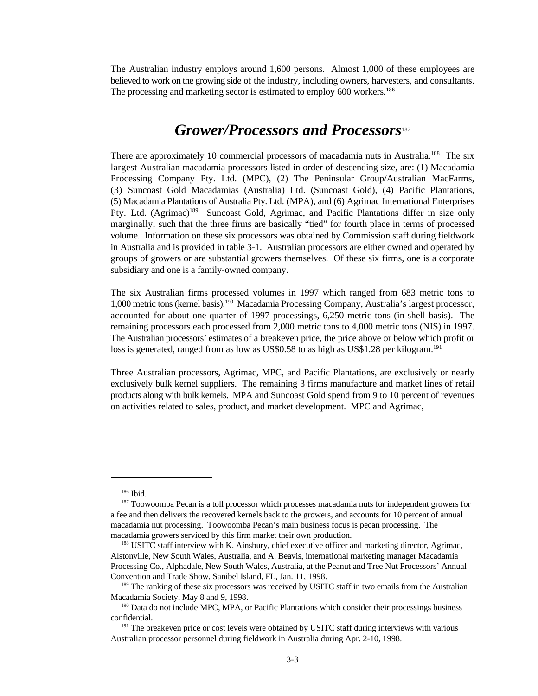The Australian industry employs around 1,600 persons. Almost 1,000 of these employees are believed to work on the growing side of the industry, including owners, harvesters, and consultants. The processing and marketing sector is estimated to employ 600 workers.<sup>186</sup>

#### *Grower/Processors and Processors*<sup>187</sup>

There are approximately 10 commercial processors of macadamia nuts in Australia.<sup>188</sup> The six largest Australian macadamia processors listed in order of descending size, are: (1) Macadamia Processing Company Pty. Ltd. (MPC), (2) The Peninsular Group/Australian MacFarms, (3) Suncoast Gold Macadamias (Australia) Ltd. (Suncoast Gold), (4) Pacific Plantations, (5) Macadamia Plantations of Australia Pty. Ltd. (MPA), and (6) Agrimac International Enterprises Pty. Ltd. (Agrimac)<sup>189</sup> Suncoast Gold, Agrimac, and Pacific Plantations differ in size only marginally, such that the three firms are basically "tied" for fourth place in terms of processed volume. Information on these six processors was obtained by Commission staff during fieldwork in Australia and is provided in table 3-1. Australian processors are either owned and operated by groups of growers or are substantial growers themselves. Of these six firms, one is a corporate subsidiary and one is a family-owned company.

The six Australian firms processed volumes in 1997 which ranged from 683 metric tons to 1,000 metric tons (kernel basis).<sup>190</sup> Macadamia Processing Company, Australia's largest processor, accounted for about one-quarter of 1997 processings, 6,250 metric tons (in-shell basis). The remaining processors each processed from 2,000 metric tons to 4,000 metric tons (NIS) in 1997. The Australian processors' estimates of a breakeven price, the price above or below which profit or loss is generated, ranged from as low as US\$0.58 to as high as US\$1.28 per kilogram.<sup>191</sup>

Three Australian processors, Agrimac, MPC, and Pacific Plantations, are exclusively or nearly exclusively bulk kernel suppliers. The remaining 3 firms manufacture and market lines of retail products along with bulk kernels. MPA and Suncoast Gold spend from 9 to 10 percent of revenues on activities related to sales, product, and market development. MPC and Agrimac,

<sup>&</sup>lt;sup>186</sup> Ibid.

 $187$  Toowoomba Pecan is a toll processor which processes macadamia nuts for independent growers for a fee and then delivers the recovered kernels back to the growers, and accounts for 10 percent of annual macadamia nut processing. Toowoomba Pecan's main business focus is pecan processing. The macadamia growers serviced by this firm market their own production.

<sup>&</sup>lt;sup>188</sup> USITC staff interview with K. Ainsbury, chief executive officer and marketing director, Agrimac, Alstonville, New South Wales, Australia, and A. Beavis, international marketing manager Macadamia Processing Co., Alphadale, New South Wales, Australia, at the Peanut and Tree Nut Processors' Annual Convention and Trade Show, Sanibel Island, FL, Jan. 11, 1998.

<sup>&</sup>lt;sup>189</sup> The ranking of these six processors was received by USITC staff in two emails from the Australian Macadamia Society, May 8 and 9, 1998.

 $190$  Data do not include MPC, MPA, or Pacific Plantations which consider their processings business confidential.

 $191$  The breakeven price or cost levels were obtained by USITC staff during interviews with various Australian processor personnel during fieldwork in Australia during Apr. 2-10, 1998.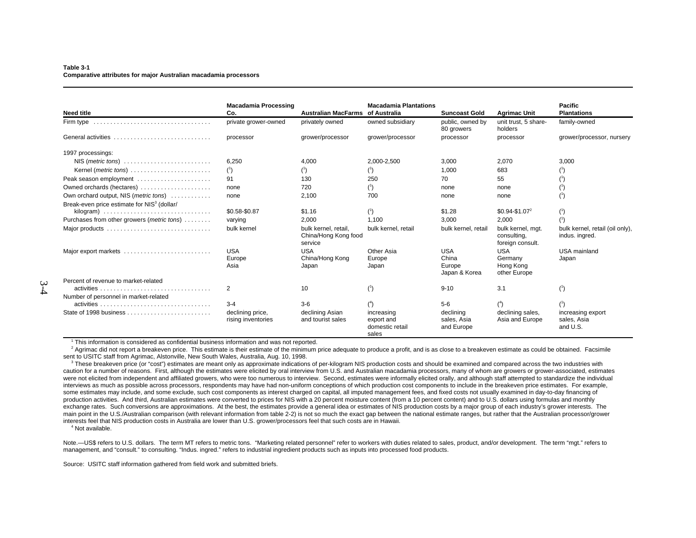#### **Table 3-1 Comparative attributes for major Australian macadamia processors**

| <b>Need title</b>                                                                 | <b>Macadamia Processing</b><br>Co.     | Australian MacFarms of Australia                        | <b>Macadamia Plantations</b>                         | <b>Suncoast Gold</b>                   | <b>Agrimac Unit</b>                                  | <b>Pacific</b><br><b>Plantations</b>              |
|-----------------------------------------------------------------------------------|----------------------------------------|---------------------------------------------------------|------------------------------------------------------|----------------------------------------|------------------------------------------------------|---------------------------------------------------|
| Firm type $\ldots \ldots \ldots \ldots \ldots \ldots \ldots \ldots \ldots \ldots$ | private grower-owned                   | privately owned                                         | owned subsidiary                                     | public, owned by<br>80 growers         | unit trust, 5 share-<br>holders                      | family-owned                                      |
| General activities                                                                | processor                              | grower/processor                                        | grower/processor                                     | processor                              | processor                                            | grower/processor, nursery                         |
| 1997 processings:                                                                 |                                        |                                                         |                                                      |                                        |                                                      |                                                   |
| $NIS$ ( <i>metric tons</i> ) $\ldots \ldots \ldots \ldots \ldots \ldots \ldots$   | 6,250                                  | 4,000                                                   | 2.000-2.500                                          | 3.000                                  | 2,070                                                | 3,000                                             |
| Kernel ( <i>metric tons</i> )                                                     | $(^{1})$                               | $^{\circ}$                                              |                                                      | 1,000                                  | 683                                                  |                                                   |
| Peak season employment                                                            | 91                                     | 130                                                     | 250                                                  | 70                                     | 55                                                   | $^{\left(1\right)}$                               |
| Owned orchards (hectares)                                                         | none                                   | 720                                                     | (1)                                                  | none                                   | none                                                 | (1)                                               |
| Own orchard output, NIS (metric tons)                                             | none                                   | 2,100                                                   | 700                                                  | none                                   | none                                                 | (1)                                               |
| Break-even price estimate for NIS <sup>3</sup> (dollar/                           |                                        |                                                         |                                                      |                                        |                                                      |                                                   |
|                                                                                   | \$0.58-\$0.87                          | \$1.16                                                  | (1)                                                  | \$1.28                                 | $$0.94-S1.07^2$                                      | (1)                                               |
| Purchases from other growers (metric tons)                                        | varying                                | 2.000                                                   | 1.100                                                | 3.000                                  | 2,000                                                | (1)                                               |
|                                                                                   | bulk kernel                            | bulk kernel, retail,<br>China/Hong Kong food<br>service | bulk kernel, retail                                  | bulk kernel, retail                    | bulk kernel, mgt.<br>consulting,<br>foreign consult. | bulk kernel, retail (oil only),<br>indus. ingred. |
| Major export markets                                                              | <b>USA</b>                             | <b>USA</b>                                              | Other Asia                                           | USA                                    | <b>USA</b>                                           | USA mainland                                      |
|                                                                                   | Europe                                 | China/Hong Kong                                         | Europe                                               | China                                  | Germany                                              | Japan                                             |
|                                                                                   | Asia                                   | Japan                                                   | Japan                                                | Europe<br>Japan & Korea                | Hong Kong<br>other Europe                            |                                                   |
| Percent of revenue to market-related                                              |                                        |                                                         |                                                      |                                        |                                                      |                                                   |
|                                                                                   | $\overline{2}$                         | 10                                                      | (1)                                                  | $9 - 10$                               | 3.1                                                  | (1)                                               |
| Number of personnel in market-related                                             |                                        |                                                         |                                                      |                                        |                                                      |                                                   |
|                                                                                   | $3 - 4$                                | $3-6$                                                   | $(^{4})$                                             | $5-6$                                  | (4)                                                  | (1)                                               |
|                                                                                   | declining price,<br>rising inventories | declining Asian<br>and tourist sales                    | increasing<br>export and<br>domestic retail<br>sales | declining<br>sales, Asia<br>and Europe | declining sales,<br>Asia and Europe                  | increasing export<br>sales, Asia<br>and U.S.      |

 $1$  This information is considered as confidential business information and was not reported.

<sup>2</sup> Agrimac did not report a breakeven price. This estimate is their estimate of the minimum price adequate to produce a profit, and is as close to a breakeven estimate as could be obtained. Facsimile sent to USITC staff from Agrimac, Alstonville, New South Wales, Australia, Aug. 10, 1998.

<sup>3</sup> These breakeven price (or "cost") estimates are meant only as approximate indications of per-kilogram NIS production costs and should be examined and compared across the two industries with caution for a number of reasons. First, although the estimates were elicited by oral interview from U.S. and Australian macadamia processors, many of whom are growers or grower-associated, estimates were not elicited from independent and affiliated growers, who were too numerous to interview. Second, estimates were informally elicited orally, and although staff attempted to standardize the individual interviews as much as possible across processors, respondents may have had non-uniform conceptions of which production cost components to include in the breakeven price estimates. For example, some estimates may include, and some exclude, such cost components as interest charged on capital, all imputed management fees, and fixed costs not usually examined in day-to-day financing of production activities. And third, Australian estimates were converted to prices for NIS with a 20 percent moisture content (from a 10 percent content) and to U.S. dollars using formulas and monthly exchange rates. Such conversions are approximations. At the best, the estimates provide a general idea or estimates of NIS production costs by a major group of each industry's grower interests. The main point in the U.S./Australian comparison (with relevant information from table 2-2) is not so much the exact gap between the national estimate ranges, but rather that the Australian processor/grower interests feel that NIS production costs in Australia are lower than U.S. grower/processors feel that such costs are in Hawaii.

<sup>4</sup> Not available.

Note.—US\$ refers to U.S. dollars. The term MT refers to metric tons. "Marketing related personnel" refer to workers with duties related to sales, product, and/or development. The term "mgt." refers to management, and "consult." to consulting. "Indus. ingred." refers to industrial ingredient products such as inputs into processed food products.

Source: USITC staff information gathered from field work and submitted briefs.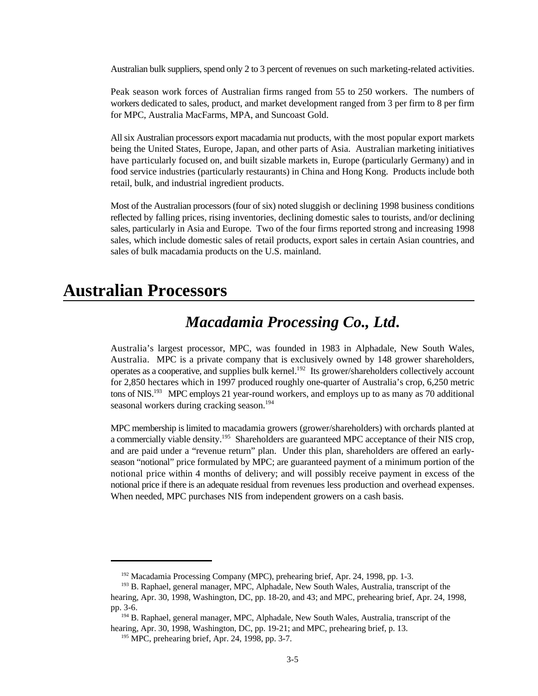Australian bulk suppliers, spend only 2 to 3 percent of revenues on such marketing-related activities.

Peak season work forces of Australian firms ranged from 55 to 250 workers. The numbers of workers dedicated to sales, product, and market development ranged from 3 per firm to 8 per firm for MPC, Australia MacFarms, MPA, and Suncoast Gold.

All six Australian processors export macadamia nut products, with the most popular export markets being the United States, Europe, Japan, and other parts of Asia. Australian marketing initiatives have particularly focused on, and built sizable markets in, Europe (particularly Germany) and in food service industries (particularly restaurants) in China and Hong Kong. Products include both retail, bulk, and industrial ingredient products.

Most of the Australian processors (four of six) noted sluggish or declining 1998 business conditions reflected by falling prices, rising inventories, declining domestic sales to tourists, and/or declining sales, particularly in Asia and Europe. Two of the four firms reported strong and increasing 1998 sales, which include domestic sales of retail products, export sales in certain Asian countries, and sales of bulk macadamia products on the U.S. mainland.

## **Australian Processors**

## *Macadamia Processing Co., Ltd***.**

Australia's largest processor, MPC, was founded in 1983 in Alphadale, New South Wales, Australia. MPC is a private company that is exclusively owned by 148 grower shareholders, operates as a cooperative, and supplies bulk kernel.<sup>192</sup> Its grower/shareholders collectively account for 2,850 hectares which in 1997 produced roughly one-quarter of Australia's crop, 6,250 metric tons of NIS.<sup>193</sup> MPC employs 21 year-round workers, and employs up to as many as 70 additional seasonal workers during cracking season.<sup>194</sup>

MPC membership is limited to macadamia growers (grower/shareholders) with orchards planted at a commercially viable density.<sup>195</sup> Shareholders are guaranteed MPC acceptance of their NIS crop, and are paid under a "revenue return" plan. Under this plan, shareholders are offered an earlyseason "notional" price formulated by MPC; are guaranteed payment of a minimum portion of the notional price within 4 months of delivery; and will possibly receive payment in excess of the notional price if there is an adequate residual from revenues less production and overhead expenses. When needed, MPC purchases NIS from independent growers on a cash basis.

 $192$  Macadamia Processing Company (MPC), prehearing brief, Apr. 24, 1998, pp. 1-3.

<sup>&</sup>lt;sup>193</sup> B. Raphael, general manager, MPC, Alphadale, New South Wales, Australia, transcript of the hearing, Apr. 30, 1998, Washington, DC, pp. 18-20, and 43; and MPC, prehearing brief, Apr. 24, 1998, pp. 3-6.

<sup>&</sup>lt;sup>194</sup> B. Raphael, general manager, MPC, Alphadale, New South Wales, Australia, transcript of the hearing, Apr. 30, 1998, Washington, DC, pp. 19-21; and MPC, prehearing brief, p. 13.

 $195$  MPC, prehearing brief, Apr. 24, 1998, pp. 3-7.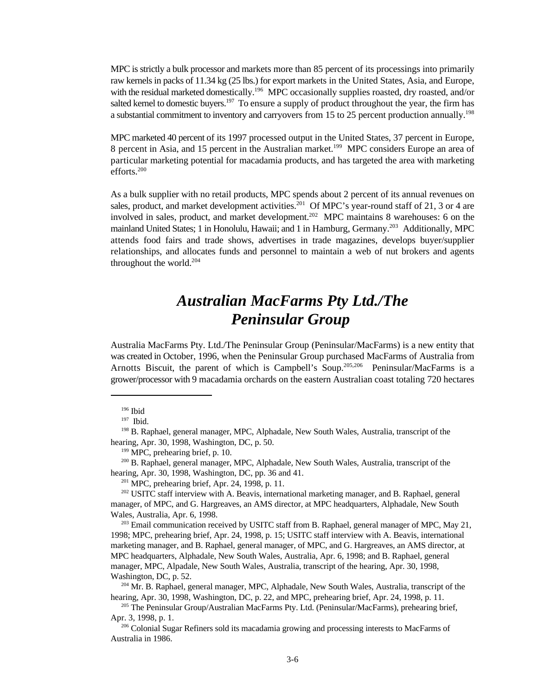MPC is strictly a bulk processor and markets more than 85 percent of its processings into primarily raw kernels in packs of 11.34 kg (25 lbs.) for export markets in the United States, Asia, and Europe, with the residual marketed domestically.<sup>196</sup> MPC occasionally supplies roasted, dry roasted, and/or salted kernel to domestic buyers.<sup>197</sup> To ensure a supply of product throughout the year, the firm has a substantial commitment to inventory and carryovers from 15 to 25 percent production annually.<sup>198</sup>

MPC marketed 40 percent of its 1997 processed output in the United States, 37 percent in Europe, 8 percent in Asia, and 15 percent in the Australian market.<sup>199</sup> MPC considers Europe an area of particular marketing potential for macadamia products, and has targeted the area with marketing efforts.<sup>200</sup>

As a bulk supplier with no retail products, MPC spends about 2 percent of its annual revenues on sales, product, and market development activities.<sup>201</sup> Of MPC's year-round staff of 21, 3 or 4 are involved in sales, product, and market development.<sup>202</sup> MPC maintains 8 warehouses: 6 on the mainland United States; 1 in Honolulu, Hawaii; and 1 in Hamburg, Germany.<sup>203</sup> Additionally, MPC attends food fairs and trade shows, advertises in trade magazines, develops buyer/supplier relationships, and allocates funds and personnel to maintain a web of nut brokers and agents throughout the world. $204$ 

## *Australian MacFarms Pty Ltd./The Peninsular Group*

Australia MacFarms Pty. Ltd./The Peninsular Group (Peninsular/MacFarms) is a new entity that was created in October, 1996, when the Peninsular Group purchased MacFarms of Australia from Arnotts Biscuit, the parent of which is Campbell's Soup.<sup>205,206</sup> Peninsular/MacFarms is a grower/processor with 9 macadamia orchards on the eastern Australian coast totaling 720 hectares

 $199$  MPC, prehearing brief, p. 10.

<sup>200</sup> B. Raphael, general manager, MPC, Alphadale, New South Wales, Australia, transcript of the hearing, Apr. 30, 1998, Washington, DC, pp. 36 and 41.

 $201$  MPC, prehearing brief, Apr. 24, 1998, p. 11.

<sup>202</sup> USITC staff interview with A. Beavis, international marketing manager, and B. Raphael, general manager, of MPC, and G. Hargreaves, an AMS director, at MPC headquarters, Alphadale, New South Wales, Australia, Apr. 6, 1998.

 $^{203}$  Email communication received by USITC staff from B. Raphael, general manager of MPC, May 21, 1998; MPC, prehearing brief, Apr. 24, 1998, p. 15; USITC staff interview with A. Beavis, international marketing manager, and B. Raphael, general manager, of MPC, and G. Hargreaves, an AMS director, at MPC headquarters, Alphadale, New South Wales, Australia, Apr. 6, 1998; and B. Raphael, general manager, MPC, Alpadale, New South Wales, Australia, transcript of the hearing, Apr. 30, 1998, Washington, DC, p. 52.

 $204$  Mr. B. Raphael, general manager, MPC, Alphadale, New South Wales, Australia, transcript of the hearing, Apr. 30, 1998, Washington, DC, p. 22, and MPC, prehearing brief, Apr. 24, 1998, p. 11.

<sup>205</sup> The Peninsular Group/Australian MacFarms Pty. Ltd. (Peninsular/MacFarms), prehearing brief, Apr. 3, 1998, p. 1.

<sup>206</sup> Colonial Sugar Refiners sold its macadamia growing and processing interests to MacFarms of Australia in 1986.

 $196$  Ibid

 $197$  Ibid.

<sup>&</sup>lt;sup>198</sup> B. Raphael, general manager, MPC, Alphadale, New South Wales, Australia, transcript of the hearing, Apr. 30, 1998, Washington, DC, p. 50.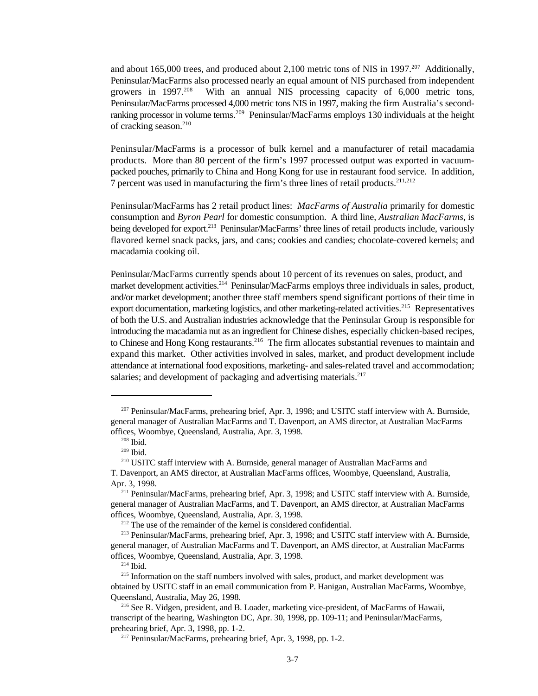and about 165,000 trees, and produced about 2,100 metric tons of NIS in 1997.<sup>207</sup> Additionally, Peninsular/MacFarms also processed nearly an equal amount of NIS purchased from independent With an annual NIS processing capacity of 6,000 metric tons, growers in  $1997.^{208}$ Peninsular/MacFarms processed 4,000 metric tons NIS in 1997, making the firm Australia's secondranking processor in volume terms. <sup>209</sup> Peninsular/MacFarms employs 130 individuals at the height of cracking season.<sup>210</sup>

Peninsular/MacFarms is a processor of bulk kernel and a manufacturer of retail macadamia products. More than 80 percent of the firm's 1997 processed output was exported in vacuumpacked pouches, primarily to China and Hong Kong for use in restaurant food service. In addition, 7 percent was used in manufacturing the firm's three lines of retail products.<sup>211,212</sup>

Peninsular/MacFarms has 2 retail product lines: *MacFarms of Australia* primarily for domestic consumption and *Byron Pearl* for domestic consumption. A third line, *Australian MacFarms*, is being developed for export.<sup>213</sup> Peninsular/MacFarms' three lines of retail products include, variously flavored kernel snack packs, jars, and cans; cookies and candies; chocolate-covered kernels; and macadamia cooking oil.

Peninsular/MacFarms currently spends about 10 percent of its revenues on sales, product, and market development activities.<sup>214</sup> Peninsular/MacFarms employs three individuals in sales, product, and/or market development; another three staff members spend significant portions of their time in export documentation, marketing logistics, and other marketing-related activities.<sup>215</sup> Representatives of both the U.S. and Australian industries acknowledge that the Peninsular Group is responsible for introducing the macadamia nut as an ingredient for Chinese dishes, especially chicken-based recipes, to Chinese and Hong Kong restaurants.<sup>216</sup> The firm allocates substantial revenues to maintain and expand this market. Other activities involved in sales, market, and product development include attendance at international food expositions, marketing- and sales-related travel and accommodation; salaries; and development of packaging and advertising materials.<sup>217</sup>

 $207$  Peninsular/MacFarms, prehearing brief, Apr. 3, 1998; and USITC staff interview with A. Burnside, general manager of Australian MacFarms and T. Davenport, an AMS director, at Australian MacFarms offices, Woombye, Queensland, Australia, Apr. 3, 1998.

 $208$  Ibid.

 $^{209}$  Ibid.

<sup>&</sup>lt;sup>210</sup> USITC staff interview with A. Burnside, general manager of Australian MacFarms and T. Davenport, an AMS director, at Australian MacFarms offices, Woombye, Queensland, Australia, Apr. 3, 1998.

<sup>&</sup>lt;sup>211</sup> Peninsular/MacFarms, prehearing brief, Apr. 3, 1998; and USITC staff interview with A. Burnside, general manager of Australian MacFarms, and T. Davenport, an AMS director, at Australian MacFarms offices, Woombye, Queensland, Australia, Apr. 3, 1998.

 $212$  The use of the remainder of the kernel is considered confidential.

<sup>&</sup>lt;sup>213</sup> Peninsular/MacFarms, prehearing brief, Apr. 3, 1998; and USITC staff interview with A. Burnside, general manager, of Australian MacFarms and T. Davenport, an AMS director, at Australian MacFarms offices, Woombye, Queensland, Australia, Apr. 3, 1998.

 $214$  Ibid.

 $215$  Information on the staff numbers involved with sales, product, and market development was obtained by USITC staff in an email communication from P. Hanigan, Australian MacFarms, Woombye, Queensland, Australia, May 26, 1998.

 $2^{16}$  See R. Vidgen, president, and B. Loader, marketing vice-president, of MacFarms of Hawaii, transcript of the hearing, Washington DC, Apr. 30, 1998, pp. 109-11; and Peninsular/MacFarms, prehearing brief, Apr. 3, 1998, pp. 1-2.

<sup>&</sup>lt;sup>217</sup> Peninsular/MacFarms, prehearing brief, Apr. 3, 1998, pp. 1-2.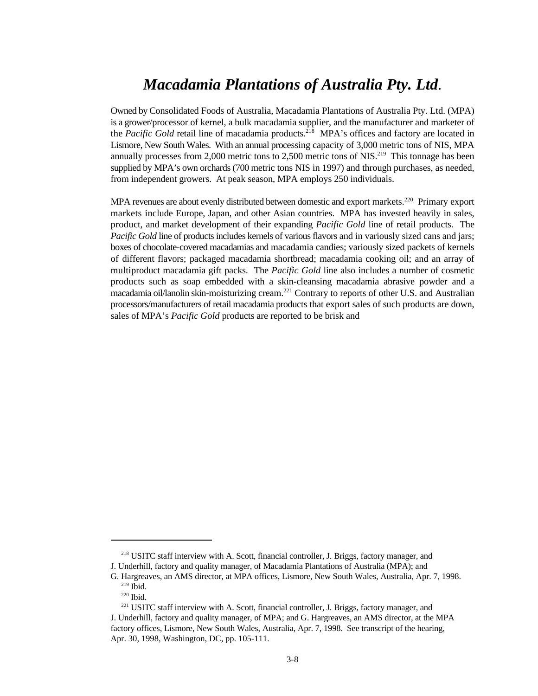## *Macadamia Plantations of Australia Pty. Ltd.*

Owned by Consolidated Foods of Australia, Macadamia Plantations of Australia Pty. Ltd. (MPA) is a grower/processor of kernel, a bulk macadamia supplier, and the manufacturer and marketer of the *Pacific Gold* retail line of macadamia products.<sup>218</sup> MPA's offices and factory are located in Lismore, New South Wales. With an annual processing capacity of 3,000 metric tons of NIS, MPA annually processes from 2,000 metric tons to 2,500 metric tons of NIS.<sup>219</sup> This tonnage has been supplied by MPA's own orchards (700 metric tons NIS in 1997) and through purchases, as needed, from independent growers. At peak season, MPA employs 250 individuals.

MPA revenues are about evenly distributed between domestic and export markets.<sup>220</sup> Primary export markets include Europe, Japan, and other Asian countries. MPA has invested heavily in sales, product, and market development of their expanding *Pacific Gold* line of retail products. The *Pacific Gold* line of products includes kernels of various flavors and in variously sized cans and jars; boxes of chocolate-covered macadamias and macadamia candies; variously sized packets of kernels of different flavors; packaged macadamia shortbread; macadamia cooking oil; and an array of multiproduct macadamia gift packs. The *Pacific Gold* line also includes a number of cosmetic products such as soap embedded with a skin-cleansing macadamia abrasive powder and a macadamia oil/lanolin skin-moisturizing cream.<sup>221</sup> Contrary to reports of other U.S. and Australian processors/manufacturers of retail macadamia products that export sales of such products are down, sales of MPA's *Pacific Gold* products are reported to be brisk and

 $218$  USITC staff interview with A. Scott, financial controller, J. Briggs, factory manager, and J. Underhill, factory and quality manager, of Macadamia Plantations of Australia (MPA); and

G. Hargreaves, an AMS director, at MPA offices, Lismore, New South Wales, Australia, Apr. 7, 1998.  $219$  Ibid.

 $220$  Ibid.

<sup>&</sup>lt;sup>221</sup> USITC staff interview with A. Scott, financial controller, J. Briggs, factory manager, and J. Underhill, factory and quality manager, of MPA; and G. Hargreaves, an AMS director, at the MPA factory offices, Lismore, New South Wales, Australia, Apr. 7, 1998. See transcript of the hearing, Apr. 30, 1998, Washington, DC, pp. 105-111.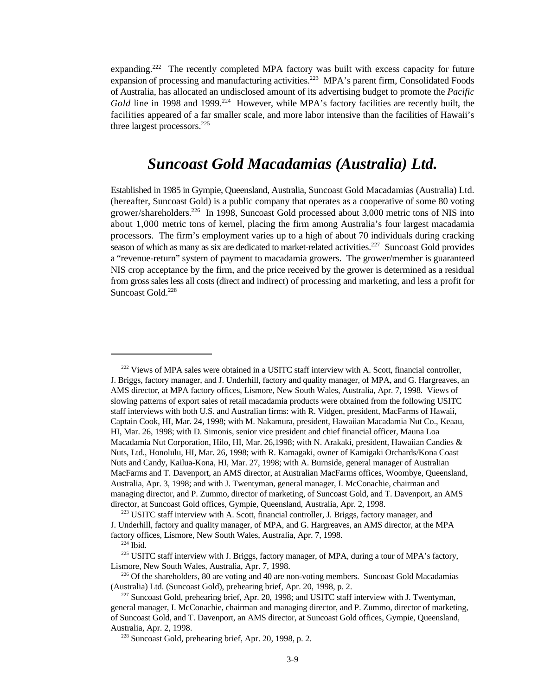expanding.<sup>222</sup> The recently completed MPA factory was built with excess capacity for future expansion of processing and manufacturing activities.<sup>223</sup> MPA's parent firm, Consolidated Foods of Australia, has allocated an undisclosed amount of its advertising budget to promote the *Pacific* Gold line in 1998 and 1999.<sup>224</sup> However, while MPA's factory facilities are recently built, the facilities appeared of a far smaller scale, and more labor intensive than the facilities of Hawaii's three largest processors.<sup>225</sup>

### *Suncoast Gold Macadamias (Australia) Ltd.*

Established in 1985 in Gympie, Queensland, Australia, Suncoast Gold Macadamias (Australia) Ltd. (hereafter, Suncoast Gold) is a public company that operates as a cooperative of some 80 voting grower/shareholders.<sup>226</sup> In 1998, Suncoast Gold processed about 3,000 metric tons of NIS into about 1,000 metric tons of kernel, placing the firm among Australia's four largest macadamia processors. The firm's employment varies up to a high of about 70 individuals during cracking season of which as many as six are dedicated to market-related activities.<sup>227</sup> Suncoast Gold provides a "revenue-return" system of payment to macadamia growers. The grower/member is guaranteed NIS crop acceptance by the firm, and the price received by the grower is determined as a residual from gross sales less all costs (direct and indirect) of processing and marketing, and less a profit for Suncoast Gold.<sup>228</sup>

 $222$  Views of MPA sales were obtained in a USITC staff interview with A. Scott, financial controller, J. Briggs, factory manager, and J. Underhill, factory and quality manager, of MPA, and G. Hargreaves, an AMS director, at MPA factory offices, Lismore, New South Wales, Australia, Apr. 7, 1998. Views of slowing patterns of export sales of retail macadamia products were obtained from the following USITC staff interviews with both U.S. and Australian firms: with R. Vidgen, president, MacFarms of Hawaii, Captain Cook, HI, Mar. 24, 1998; with M. Nakamura, president, Hawaiian Macadamia Nut Co., Keaau, HI, Mar. 26, 1998; with D. Simonis, senior vice president and chief financial officer, Mauna Loa Macadamia Nut Corporation, Hilo, HI, Mar. 26,1998; with N. Arakaki, president, Hawaiian Candies & Nuts, Ltd., Honolulu, HI, Mar. 26, 1998; with R. Kamagaki, owner of Kamigaki Orchards/Kona Coast Nuts and Candy, Kailua-Kona, HI, Mar. 27, 1998; with A. Burnside, general manager of Australian MacFarms and T. Davenport, an AMS director, at Australian MacFarms offices, Woombye, Queensland, Australia, Apr. 3, 1998; and with J. Twentyman, general manager, I. McConachie, chairman and managing director, and P. Zummo, director of marketing, of Suncoast Gold, and T. Davenport, an AMS director, at Suncoast Gold offices, Gympie, Queensland, Australia, Apr. 2, 1998.

<sup>&</sup>lt;sup>223</sup> USITC staff interview with A. Scott, financial controller, J. Briggs, factory manager, and J. Underhill, factory and quality manager, of MPA, and G. Hargreaves, an AMS director, at the MPA factory offices, Lismore, New South Wales, Australia, Apr. 7, 1998.

 $224$  Ibid.

<sup>&</sup>lt;sup>225</sup> USITC staff interview with J. Briggs, factory manager, of MPA, during a tour of MPA's factory, Lismore, New South Wales, Australia, Apr. 7, 1998.

 $226$  Of the shareholders, 80 are voting and 40 are non-voting members. Suncoast Gold Macadamias (Australia) Ltd. (Suncoast Gold), prehearing brief, Apr. 20, 1998, p. 2.

 $227$  Suncoast Gold, prehearing brief, Apr. 20, 1998; and USITC staff interview with J. Twentyman, general manager, I. McConachie, chairman and managing director, and P. Zummo, director of marketing, of Suncoast Gold, and T. Davenport, an AMS director, at Suncoast Gold offices, Gympie, Queensland, Australia, Apr. 2, 1998.

 $228$  Suncoast Gold, prehearing brief, Apr. 20, 1998, p. 2.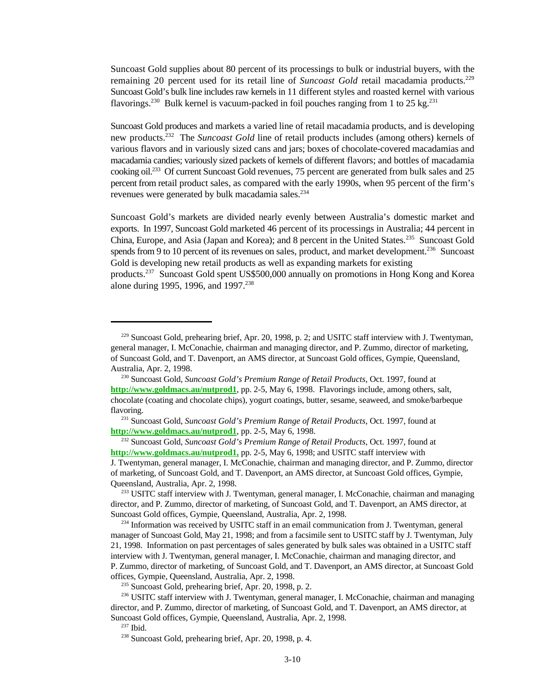Suncoast Gold supplies about 80 percent of its processings to bulk or industrial buyers, with the remaining 20 percent used for its retail line of *Suncoast Gold* retail macadamia products.<sup>229</sup> Suncoast Gold's bulk line includes raw kernels in 11 different styles and roasted kernel with various flavorings.<sup>230</sup> Bulk kernel is vacuum-packed in foil pouches ranging from 1 to 25 kg.<sup>231</sup>

Suncoast Gold produces and markets a varied line of retail macadamia products, and is developing new products.<sup>232</sup> The Suncoast Gold line of retail products includes (among others) kernels of various flavors and in variously sized cans and jars; boxes of chocolate-covered macadamias and macadamia candies; variously sized packets of kernels of different flavors; and bottles of macadamia cooking oil.<sup>233</sup> Of current Suncoast Gold revenues, 75 percent are generated from bulk sales and 25 percent from retail product sales, as compared with the early 1990s, when 95 percent of the firm's revenues were generated by bulk macadamia sales.<sup>234</sup>

Suncoast Gold's markets are divided nearly evenly between Australia's domestic market and exports. In 1997, Suncoast Gold marketed 46 percent of its processings in Australia; 44 percent in China, Europe, and Asia (Japan and Korea); and 8 percent in the United States.<sup>235</sup> Suncoast Gold spends from 9 to 10 percent of its revenues on sales, product, and market development.<sup>236</sup> Suncoast Gold is developing new retail products as well as expanding markets for existing products.<sup>237</sup> Suncoast Gold spent US\$500,000 annually on promotions in Hong Kong and Korea alone during 1995, 1996, and 1997.<sup>238</sup>

 $229$  Suncoast Gold, prehearing brief, Apr. 20, 1998, p. 2; and USITC staff interview with J. Twentyman, general manager, I. McConachie, chairman and managing director, and P. Zummo, director of marketing, of Suncoast Gold, and T. Davenport, an AMS director, at Suncoast Gold offices, Gympie, Queensland, Australia, Apr. 2, 1998.

<sup>&</sup>lt;sup>230</sup> Suncoast Gold, *Suncoast Gold's Premium Range of Retail Products*, Oct. 1997, found at **http://www.goldmacs.au/nutprod1**, pp. 2-5, May 6, 1998. Flavorings include, among others, salt, chocolate (coating and chocolate chips), yogurt coatings, butter, sesame, seaweed, and smoke/barbeque flavoring.

<sup>&</sup>lt;sup>231</sup> Suncoast Gold, *Suncoast Gold's Premium Range of Retail Products*, Oct. 1997, found at **http://www.goldmacs.au/nutprod1**, pp. 2-5, May 6, 1998.

<sup>&</sup>lt;sup>232</sup> Suncoast Gold, *Suncoast Gold's Premium Range of Retail Products*, Oct. 1997, found at **http://www.goldmacs.au/nutprod1,** pp. 2-5, May 6, 1998; and USITC staff interview with J. Twentyman, general manager, I. McConachie, chairman and managing director, and P. Zummo, director of marketing, of Suncoast Gold, and T. Davenport, an AMS director, at Suncoast Gold offices, Gympie, Queensland, Australia, Apr. 2, 1998.

<sup>&</sup>lt;sup>233</sup> USITC staff interview with J. Twentyman, general manager, I. McConachie, chairman and managing director, and P. Zummo, director of marketing, of Suncoast Gold, and T. Davenport, an AMS director, at Suncoast Gold offices, Gympie, Queensland, Australia, Apr. 2, 1998.

 $234$  Information was received by USITC staff in an email communication from J. Twentyman, general manager of Suncoast Gold, May 21, 1998; and from a facsimile sent to USITC staff by J. Twentyman, July 21, 1998. Information on past percentages of sales generated by bulk sales was obtained in a USITC staff interview with J. Twentyman, general manager, I. McConachie, chairman and managing director, and P. Zummo, director of marketing, of Suncoast Gold, and T. Davenport, an AMS director, at Suncoast Gold offices, Gympie, Queensland, Australia, Apr. 2, 1998.

 $235$  Suncoast Gold, prehearing brief, Apr. 20, 1998, p. 2.

 $236$  USITC staff interview with J. Twentyman, general manager, I. McConachie, chairman and managing director, and P. Zummo, director of marketing, of Suncoast Gold, and T. Davenport, an AMS director, at Suncoast Gold offices, Gympie, Queensland, Australia, Apr. 2, 1998.

 $237$  Ibid.

 $238$  Suncoast Gold, prehearing brief, Apr. 20, 1998, p. 4.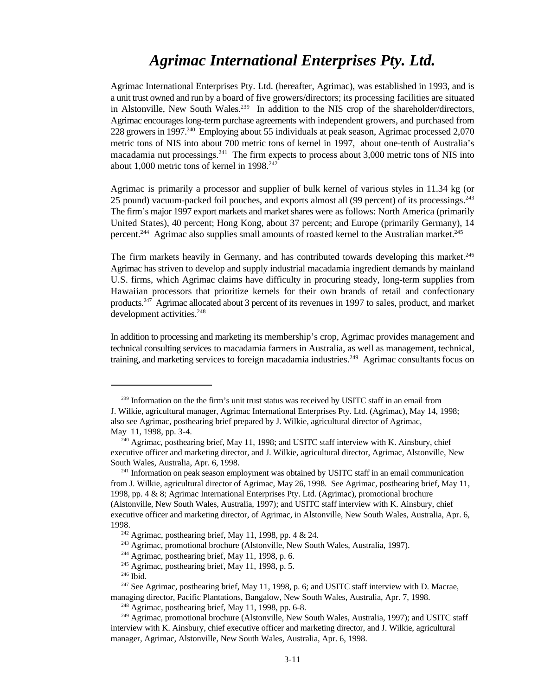## *Agrimac International Enterprises Pty. Ltd.*

Agrimac International Enterprises Pty. Ltd. (hereafter, Agrimac), was established in 1993, and is a unit trust owned and run by a board of five growers/directors; its processing facilities are situated in Alstonville, New South Wales.<sup>239</sup> In addition to the NIS crop of the shareholder/directors, Agrimac encourages long-term purchase agreements with independent growers, and purchased from 228 growers in 1997.<sup>240</sup> Employing about 55 individuals at peak season, Agrimac processed 2,070 metric tons of NIS into about 700 metric tons of kernel in 1997, about one-tenth of Australia's macadamia nut processings. $241$  The firm expects to process about 3,000 metric tons of NIS into about 1,000 metric tons of kernel in  $1998.<sup>242</sup>$ 

Agrimac is primarily a processor and supplier of bulk kernel of various styles in 11.34 kg (or 25 pound) vacuum-packed foil pouches, and exports almost all (99 percent) of its processings.<sup>243</sup> The firm's major 1997 export markets and market shares were as follows: North America (primarily United States), 40 percent; Hong Kong, about 37 percent; and Europe (primarily Germany), 14 percent.<sup>244</sup> Agrimac also supplies small amounts of roasted kernel to the Australian market.<sup>245</sup>

The firm markets heavily in Germany, and has contributed towards developing this market. $246$ Agrimac has striven to develop and supply industrial macadamia ingredient demands by mainland U.S. firms, which Agrimac claims have difficulty in procuring steady, long-term supplies from Hawaiian processors that prioritize kernels for their own brands of retail and confectionary products.<sup>247</sup> Agrimac allocated about 3 percent of its revenues in 1997 to sales, product, and market development activities.<sup>248</sup>

In addition to processing and marketing its membership's crop, Agrimac provides management and technical consulting services to macadamia farmers in Australia, as well as management, technical, training, and marketing services to foreign macadamia industries.<sup>249</sup> Agrimac consultants focus on

 $239$  Information on the the firm's unit trust status was received by USITC staff in an email from J. Wilkie, agricultural manager, Agrimac International Enterprises Pty. Ltd. (Agrimac), May 14, 1998; also see Agrimac, posthearing brief prepared by J. Wilkie, agricultural director of Agrimac, May 11, 1998, pp. 3-4.

 $\lambda^{240}$  Agrimac, posthearing brief, May 11, 1998; and USITC staff interview with K. Ainsbury, chief executive officer and marketing director, and J. Wilkie, agricultural director, Agrimac, Alstonville, New South Wales, Australia, Apr. 6, 1998.

 $241$  Information on peak season employment was obtained by USITC staff in an email communication from J. Wilkie, agricultural director of Agrimac, May 26, 1998. See Agrimac, posthearing brief, May 11, 1998, pp. 4 & 8; Agrimac International Enterprises Pty. Ltd. (Agrimac), promotional brochure (Alstonville, New South Wales, Australia, 1997); and USITC staff interview with K. Ainsbury, chief executive officer and marketing director, of Agrimac, in Alstonville, New South Wales, Australia, Apr. 6, 1998.

<sup>&</sup>lt;sup>242</sup> Agrimac, posthearing brief, May 11, 1998, pp. 4 & 24.

<sup>&</sup>lt;sup>243</sup> Agrimac, promotional brochure (Alstonville, New South Wales, Australia, 1997).

 $244$  Agrimac, posthearing brief, May 11, 1998, p. 6.

 $^{245}$  Agrimac, posthearing brief, May 11, 1998, p. 5.

 $246$  Ibid.

 $247$  See Agrimac, posthearing brief, May 11, 1998, p. 6; and USITC staff interview with D. Macrae, managing director, Pacific Plantations, Bangalow, New South Wales, Australia, Apr. 7, 1998.

 $248$  Agrimac, posthearing brief, May 11, 1998, pp. 6-8.

<sup>&</sup>lt;sup>249</sup> Agrimac, promotional brochure (Alstonville, New South Wales, Australia, 1997); and USITC staff interview with K. Ainsbury, chief executive officer and marketing director, and J. Wilkie, agricultural manager, Agrimac, Alstonville, New South Wales, Australia, Apr. 6, 1998.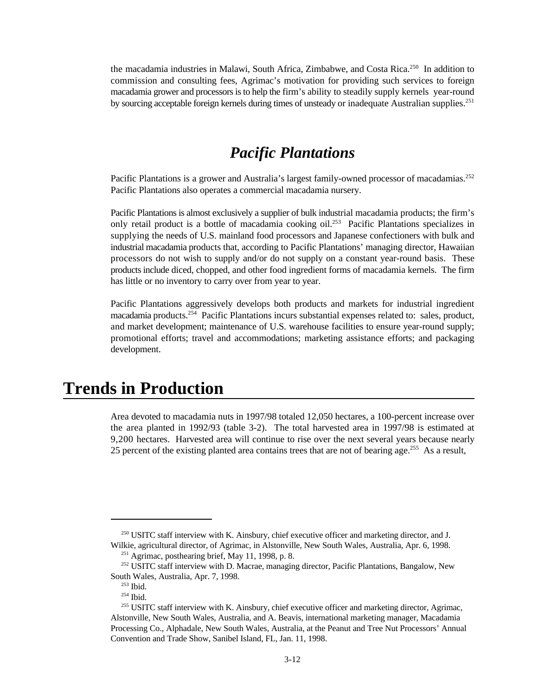the macadamia industries in Malawi, South Africa, Zimbabwe, and Costa Rica.<sup>250</sup> In addition to commission and consulting fees, Agrimac's motivation for providing such services to foreign macadamia grower and processors is to help the firm's ability to steadily supply kernels year-round by sourcing acceptable foreign kernels during times of unsteady or inadequate Australian supplies.<sup>251</sup>

### *Pacific Plantations*

Pacific Plantations is a grower and Australia's largest family-owned processor of macadamias.<sup>252</sup> Pacific Plantations also operates a commercial macadamia nursery.

Pacific Plantations is almost exclusively a supplier of bulk industrial macadamia products; the firm's only retail product is a bottle of macadamia cooking oil.<sup>253</sup> Pacific Plantations specializes in supplying the needs of U.S. mainland food processors and Japanese confectioners with bulk and industrial macadamia products that, according to Pacific Plantations' managing director, Hawaiian processors do not wish to supply and/or do not supply on a constant year-round basis. These products include diced, chopped, and other food ingredient forms of macadamia kernels. The firm has little or no inventory to carry over from year to year.

Pacific Plantations aggressively develops both products and markets for industrial ingredient macadamia products. $254$  Pacific Plantations incurs substantial expenses related to: sales, product, and market development; maintenance of U.S. warehouse facilities to ensure year-round supply; promotional efforts; travel and accommodations; marketing assistance efforts; and packaging development.

## **Trends in Production**

Area devoted to macadamia nuts in 1997/98 totaled 12,050 hectares, a 100-percent increase over the area planted in 1992/93 (table 3-2). The total harvested area in 1997/98 is estimated at 9,200 hectares. Harvested area will continue to rise over the next several years because nearly 25 percent of the existing planted area contains trees that are not of bearing age.<sup>255</sup> As a result,

 $250$  USITC staff interview with K. Ainsbury, chief executive officer and marketing director, and J. Wilkie, agricultural director, of Agrimac, in Alstonville, New South Wales, Australia, Apr. 6, 1998.

 $251$  Agrimac, posthearing brief, May 11, 1998, p. 8.

<sup>&</sup>lt;sup>252</sup> USITC staff interview with D. Macrae, managing director, Pacific Plantations, Bangalow, New South Wales, Australia, Apr. 7, 1998.

 $253$  Ibid.

 $254$  Ibid.

<sup>&</sup>lt;sup>255</sup> USITC staff interview with K. Ainsbury, chief executive officer and marketing director, Agrimac, Alstonville, New South Wales, Australia, and A. Beavis, international marketing manager, Macadamia Processing Co., Alphadale, New South Wales, Australia, at the Peanut and Tree Nut Processors' Annual Convention and Trade Show, Sanibel Island, FL, Jan. 11, 1998.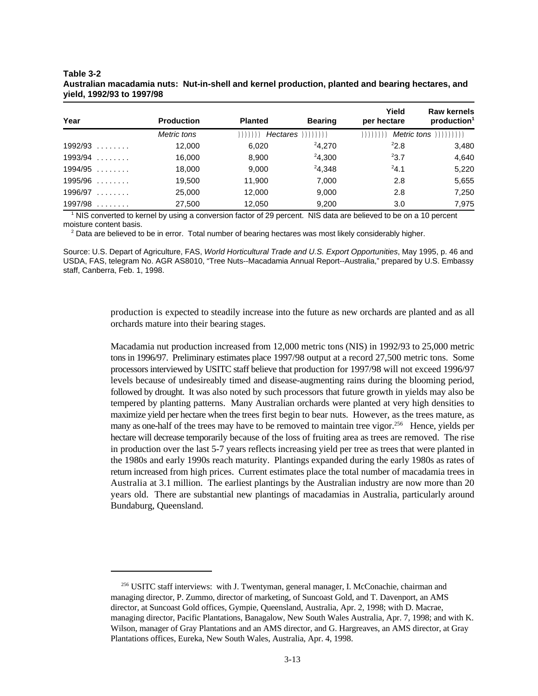| Year         | <b>Production</b> | <b>Planted</b> | <b>Bearing</b> | Yield<br>per hectare | <b>Raw kernels</b><br>production <sup>1</sup> |
|--------------|-------------------|----------------|----------------|----------------------|-----------------------------------------------|
|              | Metric tons       |                |                | ,,,,,,,,,            | $Metric \t{tons}$ $))))))))$                  |
| $1992/93$    | 12,000            | 6,020          | 24.270         | $^{2}2.8$            | 3,480                                         |
| $1993/94$    | 16,000            | 8,900          | 24.300         | $^{2}3.7$            | 4,640                                         |
| $1994/95$    | 18,000            | 9,000          | 24,348         | $^{2}4.1$            | 5,220                                         |
| $1995/96$    | 19,500            | 11,900         | 7,000          | 2.8                  | 5,655                                         |
| 1996/97<br>. | 25,000            | 12,000         | 9,000          | 2.8                  | 7.250                                         |
| 1997/98<br>. | 27,500            | 12.050         | 9.200          | 3.0                  | 7.975                                         |

#### **Table 3-2 Australian macadamia nuts: Nut-in-shell and kernel production, planted and bearing hectares, and yield, 1992/93 to 1997/98**

<sup>1</sup> NIS converted to kernel by using a conversion factor of 29 percent. NIS data are believed to be on a 10 percent moisture content basis.

 $<sup>2</sup>$  Data are believed to be in error. Total number of bearing hectares was most likely considerably higher.</sup>

Source: U.S. Depart of Agriculture, FAS, *World Horticultural Trade and U.S. Export Opportunities*, May 1995, p. 46 and USDA, FAS, telegram No. AGR AS8010, "Tree Nuts--Macadamia Annual Report--Australia," prepared by U.S. Embassy staff, Canberra, Feb. 1, 1998.

> production is expected to steadily increase into the future as new orchards are planted and as all orchards mature into their bearing stages.

> Macadamia nut production increased from 12,000 metric tons (NIS) in 1992/93 to 25,000 metric tons in 1996/97. Preliminary estimates place 1997/98 output at a record 27,500 metric tons. Some processors interviewed by USITC staff believe that production for 1997/98 will not exceed 1996/97 levels because of undesireably timed and disease-augmenting rains during the blooming period, followed by drought. It was also noted by such processors that future growth in yields may also be tempered by planting patterns. Many Australian orchards were planted at very high densities to maximize yield per hectare when the trees first begin to bear nuts. However, as the trees mature, as many as one-half of the trees may have to be removed to maintain tree vigor.<sup>256</sup> Hence, yields per hectare will decrease temporarily because of the loss of fruiting area as trees are removed. The rise in production over the last 5-7 years reflects increasing yield per tree as trees that were planted in the 1980s and early 1990s reach maturity. Plantings expanded during the early 1980s as rates of return increased from high prices. Current estimates place the total number of macadamia trees in Australia at 3.1 million. The earliest plantings by the Australian industry are now more than 20 years old. There are substantial new plantings of macadamias in Australia, particularly around Bundaburg, Queensland.

<sup>&</sup>lt;sup>256</sup> USITC staff interviews: with J. Twentyman, general manager, I. McConachie, chairman and managing director, P. Zummo, director of marketing, of Suncoast Gold, and T. Davenport, an AMS director, at Suncoast Gold offices, Gympie, Queensland, Australia, Apr. 2, 1998; with D. Macrae, managing director, Pacific Plantations, Banagalow, New South Wales Australia, Apr. 7, 1998; and with K. Wilson, manager of Gray Plantations and an AMS director, and G. Hargreaves, an AMS director, at Gray Plantations offices, Eureka, New South Wales, Australia, Apr. 4, 1998.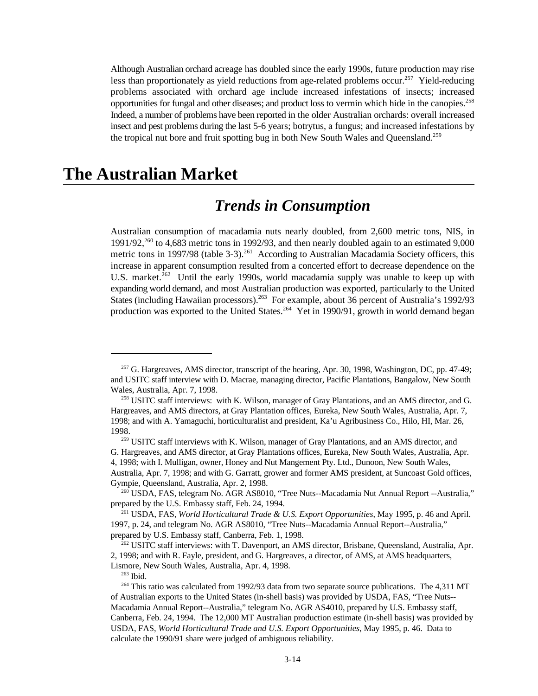Although Australian orchard acreage has doubled since the early 1990s, future production may rise less than proportionately as yield reductions from age-related problems occur.<sup>257</sup> Yield-reducing problems associated with orchard age include increased infestations of insects; increased opportunities for fungal and other diseases; and product loss to vermin which hide in the canopies.<sup>258</sup> Indeed, a number of problems have been reported in the older Australian orchards: overall increased insect and pest problems during the last 5-6 years; botrytus, a fungus; and increased infestations by the tropical nut bore and fruit spotting bug in both New South Wales and Queensland.<sup>259</sup>

## **The Australian Market**

## *Trends in Consumption*

Australian consumption of macadamia nuts nearly doubled, from 2,600 metric tons, NIS, in  $1991/92$ ,  $260$  to 4,683 metric tons in 1992/93, and then nearly doubled again to an estimated 9,000 metric tons in 1997/98 (table 3-3).<sup>261</sup> According to Australian Macadamia Society officers, this increase in apparent consumption resulted from a concerted effort to decrease dependence on the U.S. market.<sup>262</sup> Until the early 1990s, world macadamia supply was unable to keep up with expanding world demand, and most Australian production was exported, particularly to the United States (including Hawaiian processors).<sup>263</sup> For example, about 36 percent of Australia's 1992/93 production was exported to the United States.<sup>264</sup> Yet in 1990/91, growth in world demand began

 $263$  Ibid.

<sup>&</sup>lt;sup>257</sup> G. Hargreaves, AMS director, transcript of the hearing, Apr. 30, 1998, Washington, DC, pp. 47-49; and USITC staff interview with D. Macrae, managing director, Pacific Plantations, Bangalow, New South Wales, Australia, Apr. 7, 1998.

<sup>&</sup>lt;sup>258</sup> USITC staff interviews: with K. Wilson, manager of Gray Plantations, and an AMS director, and G. Hargreaves, and AMS directors, at Gray Plantation offices, Eureka, New South Wales, Australia, Apr. 7, 1998; and with A. Yamaguchi, horticulturalist and president, Ka'u Agribusiness Co., Hilo, HI, Mar. 26, 1998.

<sup>&</sup>lt;sup>259</sup> USITC staff interviews with K. Wilson, manager of Gray Plantations, and an AMS director, and G. Hargreaves, and AMS director, at Gray Plantations offices, Eureka, New South Wales, Australia, Apr. 4, 1998; with I. Mulligan, owner, Honey and Nut Mangement Pty. Ltd., Dunoon, New South Wales, Australia, Apr. 7, 1998; and with G. Garratt, grower and former AMS president, at Suncoast Gold offices, Gympie, Queensland, Australia, Apr. 2, 1998.

<sup>&</sup>lt;sup>260</sup> USDA, FAS, telegram No. AGR AS8010, "Tree Nuts--Macadamia Nut Annual Report --Australia," prepared by the U.S. Embassy staff, Feb. 24, 1994.

<sup>&</sup>lt;sup>261</sup> USDA, FAS, *World Horticultural Trade & U.S. Export Opportunities*, May 1995, p. 46 and April. 1997, p. 24, and telegram No. AGR AS8010, "Tree Nuts--Macadamia Annual Report--Australia," prepared by U.S. Embassy staff, Canberra, Feb. 1, 1998.

<sup>&</sup>lt;sup>262</sup> USITC staff interviews: with T. Davenport, an AMS director, Brisbane, Queensland, Australia, Apr. 2, 1998; and with R. Fayle, president, and G. Hargreaves, a director, of AMS, at AMS headquarters, Lismore, New South Wales, Australia, Apr. 4, 1998.

 $264$  This ratio was calculated from 1992/93 data from two separate source publications. The 4,311 MT of Australian exports to the United States (in-shell basis) was provided by USDA, FAS, "Tree Nuts-- Macadamia Annual Report--Australia," telegram No. AGR AS4010, prepared by U.S. Embassy staff, Canberra, Feb. 24, 1994. The 12,000 MT Australian production estimate (in-shell basis) was provided by USDA, FAS, *World Horticultural Trade and U.S. Export Opportunities*, May 1995, p. 46. Data to calculate the 1990/91 share were judged of ambiguous reliability.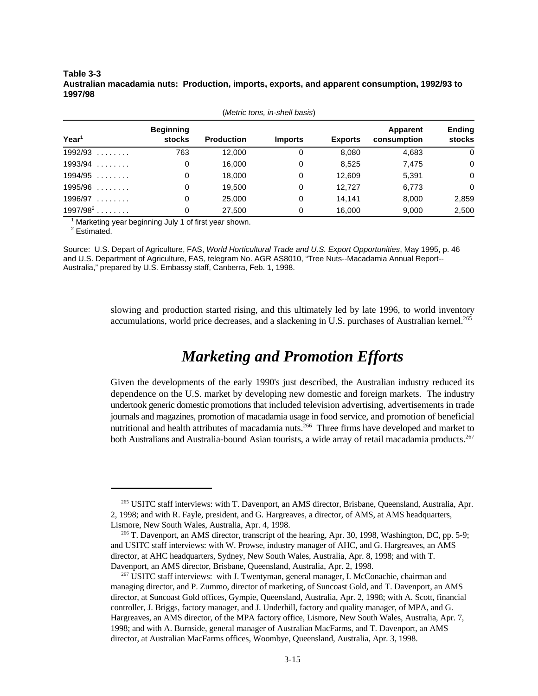**Table 3-3 Australian macadamia nuts: Production, imports, exports, and apparent consumption, 1992/93 to 1997/98**

| Year <sup>1</sup> | <b>Beginning</b><br><b>stocks</b> | <b>Production</b> | <b>Imports</b> | <b>Exports</b> | Apparent<br>consumption | <b>Ending</b><br>stocks |  |  |  |  |  |
|-------------------|-----------------------------------|-------------------|----------------|----------------|-------------------------|-------------------------|--|--|--|--|--|
| $1992/93$         | 763                               | 12,000            | 0              | 8,080          | 4,683                   | $\mathbf 0$             |  |  |  |  |  |
| $1993/94$         | 0                                 | 16,000            | 0              | 8,525          | 7,475                   | $\mathbf 0$             |  |  |  |  |  |
| $1994/95$         | 0                                 | 18,000            | 0              | 12,609         | 5,391                   | $\mathbf 0$             |  |  |  |  |  |
| $1995/96$         | 0                                 | 19.500            | 0              | 12.727         | 6,773                   | $\Omega$                |  |  |  |  |  |
| $1996/97$         | 0                                 | 25,000            | 0              | 14.141         | 8.000                   | 2,859                   |  |  |  |  |  |
| $1997/98^2$       | 0                                 | 27,500            | 0              | 16,000         | 9,000                   | 2,500                   |  |  |  |  |  |

(*Metric tons, in-shell basis*)

 $1$  Marketing year beginning July 1 of first year shown.

 $2$  Estimated.

Source: U.S. Depart of Agriculture, FAS, *World Horticultural Trade and U.S. Export Opportunities*, May 1995, p. 46 and U.S. Department of Agriculture, FAS, telegram No. AGR AS8010, "Tree Nuts--Macadamia Annual Report-- Australia," prepared by U.S. Embassy staff, Canberra, Feb. 1, 1998.

> slowing and production started rising, and this ultimately led by late 1996, to world inventory accumulations, world price decreases, and a slackening in U.S. purchases of Australian kernel.<sup>265</sup>

## *Marketing and Promotion Efforts*

Given the developments of the early 1990's just described, the Australian industry reduced its dependence on the U.S. market by developing new domestic and foreign markets. The industry undertook generic domestic promotions that included television advertising, advertisements in trade journals and magazines, promotion of macadamia usage in food service, and promotion of beneficial nutritional and health attributes of macadamia nuts.<sup>266</sup> Three firms have developed and market to both Australians and Australia-bound Asian tourists, a wide array of retail macadamia products.<sup>267</sup>

<sup>&</sup>lt;sup>265</sup> USITC staff interviews: with T. Davenport, an AMS director, Brisbane, Queensland, Australia, Apr. 2, 1998; and with R. Fayle, president, and G. Hargreaves, a director, of AMS, at AMS headquarters, Lismore, New South Wales, Australia, Apr. 4, 1998.

<sup>&</sup>lt;sup>266</sup> T. Davenport, an AMS director, transcript of the hearing, Apr. 30, 1998, Washington, DC, pp. 5-9; and USITC staff interviews: with W. Prowse, industry manager of AHC, and G. Hargreaves, an AMS director, at AHC headquarters, Sydney, New South Wales, Australia, Apr. 8, 1998; and with T. Davenport, an AMS director, Brisbane, Queensland, Australia, Apr. 2, 1998.

 $267$  USITC staff interviews: with J. Twentyman, general manager, I. McConachie, chairman and managing director, and P. Zummo, director of marketing, of Suncoast Gold, and T. Davenport, an AMS director, at Suncoast Gold offices, Gympie, Queensland, Australia, Apr. 2, 1998; with A. Scott, financial controller, J. Briggs, factory manager, and J. Underhill, factory and quality manager, of MPA, and G. Hargreaves, an AMS director, of the MPA factory office, Lismore, New South Wales, Australia, Apr. 7, 1998; and with A. Burnside, general manager of Australian MacFarms, and T. Davenport, an AMS director, at Australian MacFarms offices, Woombye, Queensland, Australia, Apr. 3, 1998.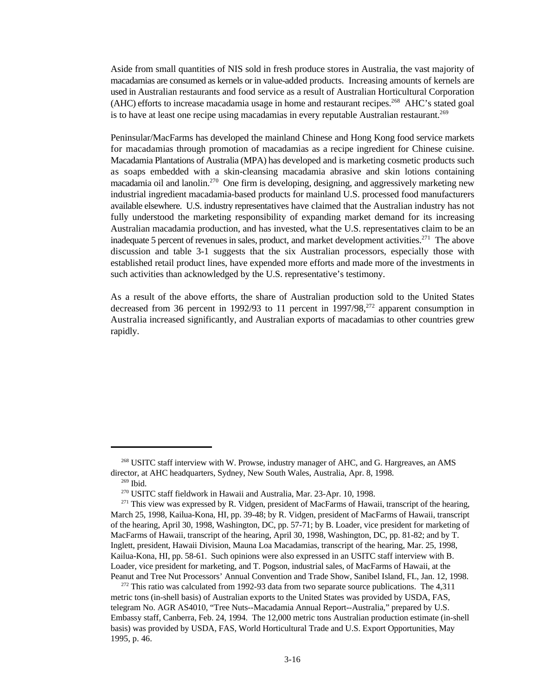Aside from small quantities of NIS sold in fresh produce stores in Australia, the vast majority of macadamias are consumed as kernels or in value-added products. Increasing amounts of kernels are used in Australian restaurants and food service as a result of Australian Horticultural Corporation (AHC) efforts to increase macadamia usage in home and restaurant recipes.<sup>268</sup> AHC's stated goal is to have at least one recipe using macadamias in every reputable Australian restaurant.<sup>269</sup>

Peninsular/MacFarms has developed the mainland Chinese and Hong Kong food service markets for macadamias through promotion of macadamias as a recipe ingredient for Chinese cuisine. Macadamia Plantations of Australia (MPA) has developed and is marketing cosmetic products such as soaps embedded with a skin-cleansing macadamia abrasive and skin lotions containing macadamia oil and lanolin.<sup>270</sup> One firm is developing, designing, and aggressively marketing new industrial ingredient macadamia-based products for mainland U.S. processed food manufacturers available elsewhere. U.S. industry representatives have claimed that the Australian industry has not fully understood the marketing responsibility of expanding market demand for its increasing Australian macadamia production, and has invested, what the U.S. representatives claim to be an inadequate 5 percent of revenues in sales, product, and market development activities.<sup>271</sup> The above discussion and table 3-1 suggests that the six Australian processors, especially those with established retail product lines, have expended more efforts and made more of the investments in such activities than acknowledged by the U.S. representative's testimony.

As a result of the above efforts, the share of Australian production sold to the United States decreased from 36 percent in 1992/93 to 11 percent in 1997/98,<sup>272</sup> apparent consumption in Australia increased significantly, and Australian exports of macadamias to other countries grew rapidly.

<sup>&</sup>lt;sup>268</sup> USITC staff interview with W. Prowse, industry manager of AHC, and G. Hargreaves, an AMS director, at AHC headquarters, Sydney, New South Wales, Australia, Apr. 8, 1998.

 $269$  Ibid.

<sup>&</sup>lt;sup>270</sup> USITC staff fieldwork in Hawaii and Australia, Mar. 23-Apr. 10, 1998.

 $271$  This view was expressed by R. Vidgen, president of MacFarms of Hawaii, transcript of the hearing, March 25, 1998, Kailua-Kona, HI, pp. 39-48; by R. Vidgen, president of MacFarms of Hawaii, transcript of the hearing, April 30, 1998, Washington, DC, pp. 57-71; by B. Loader, vice president for marketing of MacFarms of Hawaii, transcript of the hearing, April 30, 1998, Washington, DC, pp. 81-82; and by T. Inglett, president, Hawaii Division, Mauna Loa Macadamias, transcript of the hearing, Mar. 25, 1998, Kailua-Kona, HI, pp. 58-61. Such opinions were also expressed in an USITC staff interview with B. Loader, vice president for marketing, and T. Pogson, industrial sales, of MacFarms of Hawaii, at the Peanut and Tree Nut Processors' Annual Convention and Trade Show, Sanibel Island, FL, Jan. 12, 1998.

 $272$  This ratio was calculated from 1992-93 data from two separate source publications. The 4,311 metric tons (in-shell basis) of Australian exports to the United States was provided by USDA, FAS, telegram No. AGR AS4010, "Tree Nuts--Macadamia Annual Report--Australia," prepared by U.S. Embassy staff, Canberra, Feb. 24, 1994. The 12,000 metric tons Australian production estimate (in-shell basis) was provided by USDA, FAS, World Horticultural Trade and U.S. Export Opportunities, May 1995, p. 46.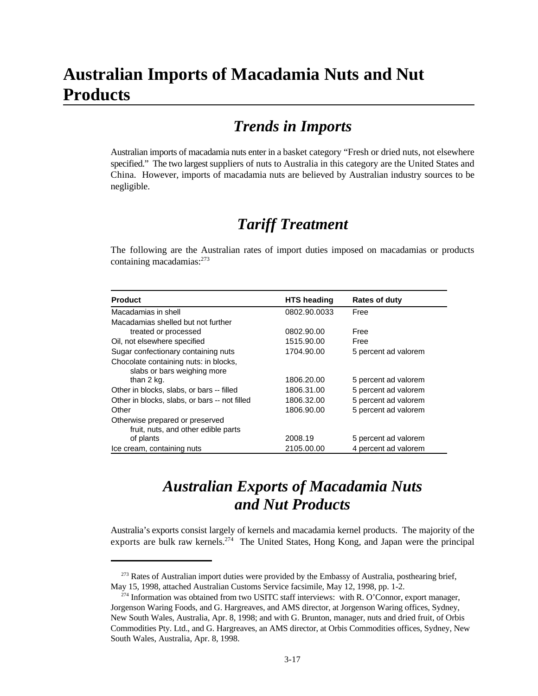## **Australian Imports of Macadamia Nuts and Nut Products**

## *Trends in Imports*

Australian imports of macadamia nuts enter in a basket category "Fresh or dried nuts, not elsewhere specified." The two largest suppliers of nuts to Australia in this category are the United States and China. However, imports of macadamia nuts are believed by Australian industry sources to be negligible.

## *Tariff Treatment*

The following are the Australian rates of import duties imposed on macadamias or products containing macadamias:<sup>273</sup>

| <b>Product</b>                                | <b>HTS</b> heading | <b>Rates of duty</b> |
|-----------------------------------------------|--------------------|----------------------|
| Macadamias in shell                           | 0802.90.0033       | Free                 |
| Macadamias shelled but not further            |                    |                      |
| treated or processed                          | 0802.90.00         | Free                 |
| Oil, not elsewhere specified                  | 1515.90.00         | Free                 |
| Sugar confectionary containing nuts           | 1704.90.00         | 5 percent ad valorem |
| Chocolate containing nuts: in blocks,         |                    |                      |
| slabs or bars weighing more                   |                    |                      |
| than 2 kg.                                    | 1806.20.00         | 5 percent ad valorem |
| Other in blocks, slabs, or bars -- filled     | 1806.31.00         | 5 percent ad valorem |
| Other in blocks, slabs, or bars -- not filled | 1806.32.00         | 5 percent ad valorem |
| Other                                         | 1806.90.00         | 5 percent ad valorem |
| Otherwise prepared or preserved               |                    |                      |
| fruit, nuts, and other edible parts           |                    |                      |
| of plants                                     | 2008.19            | 5 percent ad valorem |
| Ice cream, containing nuts                    | 2105.00.00         | 4 percent ad valorem |

## *Australian Exports of Macadamia Nuts and Nut Products*

Australia's exports consist largely of kernels and macadamia kernel products. The majority of the exports are bulk raw kernels.<sup>274</sup> The United States, Hong Kong, and Japan were the principal

<sup>&</sup>lt;sup>273</sup> Rates of Australian import duties were provided by the Embassy of Australia, posthearing brief, May 15, 1998, attached Australian Customs Service facsimile, May 12, 1998, pp. 1-2.

 $274$  Information was obtained from two USITC staff interviews: with R. O'Connor, export manager, Jorgenson Waring Foods, and G. Hargreaves, and AMS director, at Jorgenson Waring offices, Sydney, New South Wales, Australia, Apr. 8, 1998; and with G. Brunton, manager, nuts and dried fruit, of Orbis Commodities Pty. Ltd., and G. Hargreaves, an AMS director, at Orbis Commodities offices, Sydney, New South Wales, Australia, Apr. 8, 1998.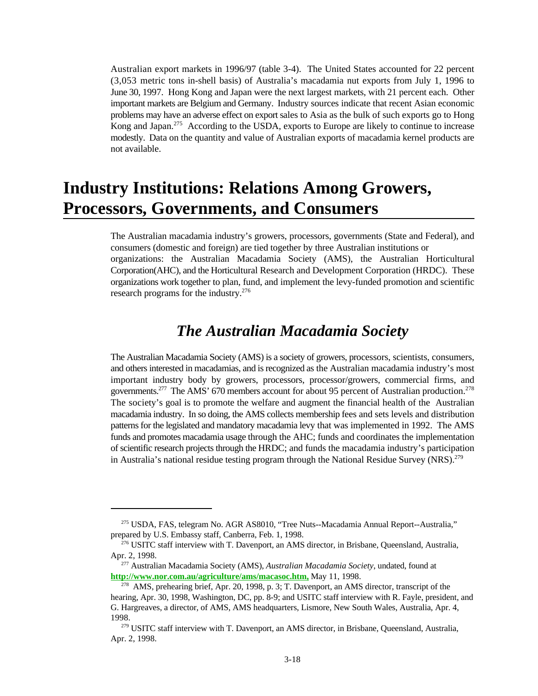Australian export markets in 1996/97 (table 3-4). The United States accounted for 22 percent (3,053 metric tons in-shell basis) of Australia's macadamia nut exports from July 1, 1996 to June 30, 1997. Hong Kong and Japan were the next largest markets, with 21 percent each. Other important markets are Belgium and Germany. Industry sources indicate that recent Asian economic problems may have an adverse effect on export sales to Asia as the bulk of such exports go to Hong Kong and Japan. $275$  According to the USDA, exports to Europe are likely to continue to increase modestly. Data on the quantity and value of Australian exports of macadamia kernel products are not available.

## **Industry Institutions: Relations Among Growers, Processors, Governments, and Consumers**

The Australian macadamia industry's growers, processors, governments (State and Federal), and consumers (domestic and foreign) are tied together by three Australian institutions or organizations: the Australian Macadamia Society (AMS), the Australian Horticultural Corporation(AHC), and the Horticultural Research and Development Corporation (HRDC). These organizations work together to plan, fund, and implement the levy-funded promotion and scientific research programs for the industry.<sup>276</sup>

### *The Australian Macadamia Society*

The Australian Macadamia Society (AMS) is a society of growers, processors, scientists, consumers, and others interested in macadamias, and is recognized as the Australian macadamia industry's most important industry body by growers, processors, processor/growers, commercial firms, and governments.<sup>277</sup> The AMS' 670 members account for about 95 percent of Australian production.<sup>278</sup> The society's goal is to promote the welfare and augment the financial health of the Australian macadamia industry. In so doing, the AMS collects membership fees and sets levels and distribution patterns for the legislated and mandatory macadamia levy that was implemented in 1992. The AMS funds and promotes macadamia usage through the AHC; funds and coordinates the implementation of scientific research projects through the HRDC; and funds the macadamia industry's participation in Australia's national residue testing program through the National Residue Survey (NRS).<sup>279</sup>

<sup>&</sup>lt;sup>275</sup> USDA, FAS, telegram No. AGR AS8010, "Tree Nuts--Macadamia Annual Report--Australia," prepared by U.S. Embassy staff, Canberra, Feb. 1, 1998.

 $^{276}$  USITC staff interview with T. Davenport, an AMS director, in Brisbane, Queensland, Australia, Apr. 2, 1998.

Australian Macadamia Society (AMS), *Australian Macadamia Society*, undated, found at <sup>277</sup> **http://www.nor.com.au/agriculture/ams/macasoc.htm,** May 11, 1998.

<sup>&</sup>lt;sup>278</sup> AMS, prehearing brief, Apr. 20, 1998, p. 3; T. Davenport, an AMS director, transcript of the hearing, Apr. 30, 1998, Washington, DC, pp. 8-9; and USITC staff interview with R. Fayle, president, and G. Hargreaves, a director, of AMS, AMS headquarters, Lismore, New South Wales, Australia, Apr. 4, 1998.

<sup>&</sup>lt;sup>279</sup> USITC staff interview with T. Davenport, an AMS director, in Brisbane, Queensland, Australia, Apr. 2, 1998.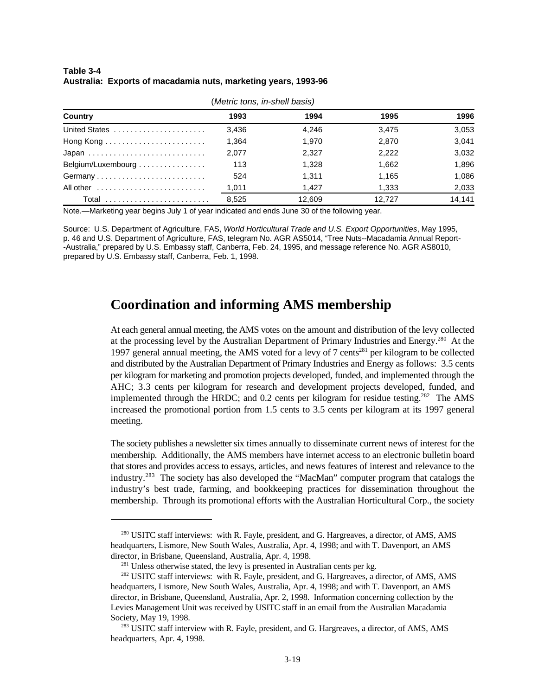#### **Table 3-4 Australia: Exports of macadamia nuts, marketing years, 1993-96**

| (Metric tons, in-shell basis) |       |        |        |        |  |  |  |  |
|-------------------------------|-------|--------|--------|--------|--|--|--|--|
| Country                       | 1993  | 1994   | 1995   | 1996   |  |  |  |  |
| United States                 | 3.436 | 4.246  | 3.475  | 3,053  |  |  |  |  |
|                               | 1.364 | 1.970  | 2.870  | 3,041  |  |  |  |  |
|                               | 2,077 | 2.327  | 2,222  | 3,032  |  |  |  |  |
| Belgium/Luxembourg            | 113   | 1.328  | 1.662  | 1.896  |  |  |  |  |
| Germany                       | 524   | 1.311  | 1.165  | 1,086  |  |  |  |  |
| All other                     | 1,011 | 1.427  | 1,333  | 2,033  |  |  |  |  |
| Total                         | 8.525 | 12.609 | 12.727 | 14.141 |  |  |  |  |

#### (*Metric tons, in-shell basis)*

Note.—Marketing year begins July 1 of year indicated and ends June 30 of the following year.

Source: U.S. Department of Agriculture, FAS, *World Horticultural Trade and U.S. Export Opportunities*, May 1995, p. 46 and U.S. Department of Agriculture, FAS, telegram No. AGR AS5014, "Tree Nuts--Macadamia Annual Report- -Australia," prepared by U.S. Embassy staff, Canberra, Feb. 24, 1995, and message reference No. AGR AS8010, prepared by U.S. Embassy staff, Canberra, Feb. 1, 1998.

#### **Coordination and informing AMS membership**

At each general annual meeting, the AMS votes on the amount and distribution of the levy collected at the processing level by the Australian Department of Primary Industries and Energy.<sup>280</sup> At the 1997 general annual meeting, the AMS voted for a levy of 7 cents<sup>281</sup> per kilogram to be collected and distributed by the Australian Department of Primary Industries and Energy as follows: 3.5 cents per kilogram for marketing and promotion projects developed, funded, and implemented through the AHC; 3.3 cents per kilogram for research and development projects developed, funded, and implemented through the HRDC; and  $0.2$  cents per kilogram for residue testing.<sup>282</sup> The AMS increased the promotional portion from 1.5 cents to 3.5 cents per kilogram at its 1997 general meeting.

The society publishes a newsletter six times annually to disseminate current news of interest for the membership. Additionally, the AMS members have internet access to an electronic bulletin board that stores and provides access to essays, articles, and news features of interest and relevance to the industry.<sup>283</sup> The society has also developed the "MacMan" computer program that catalogs the industry's best trade, farming, and bookkeeping practices for dissemination throughout the membership. Through its promotional efforts with the Australian Horticultural Corp., the society

 $^{280}$  USITC staff interviews: with R. Fayle, president, and G. Hargreaves, a director, of AMS, AMS headquarters, Lismore, New South Wales, Australia, Apr. 4, 1998; and with T. Davenport, an AMS director, in Brisbane, Queensland, Australia, Apr. 4, 1998.

 $281$  Unless otherwise stated, the levy is presented in Australian cents per kg.

<sup>&</sup>lt;sup>282</sup> USITC staff interviews: with R. Fayle, president, and G. Hargreaves, a director, of AMS, AMS headquarters, Lismore, New South Wales, Australia, Apr. 4, 1998; and with T. Davenport, an AMS director, in Brisbane, Queensland, Australia, Apr. 2, 1998. Information concerning collection by the Levies Management Unit was received by USITC staff in an email from the Australian Macadamia Society, May 19, 1998.

<sup>&</sup>lt;sup>283</sup> USITC staff interview with R. Fayle, president, and G. Hargreaves, a director, of AMS, AMS headquarters, Apr. 4, 1998.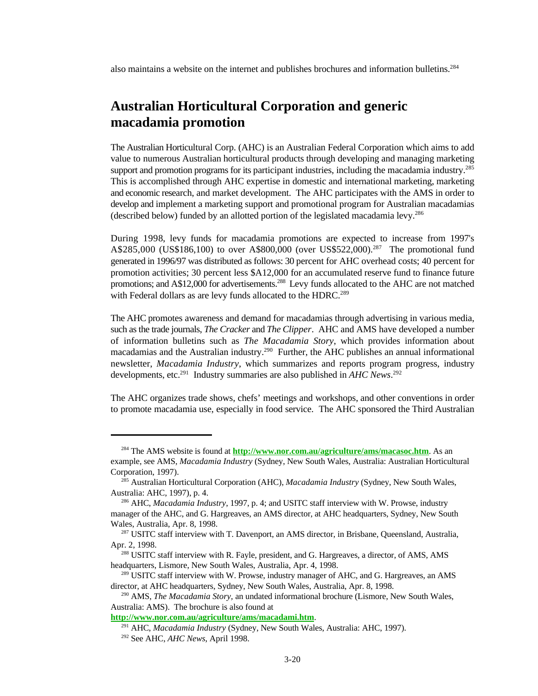also maintains a website on the internet and publishes brochures and information bulletins.<sup>284</sup>

#### **Australian Horticultural Corporation and generic macadamia promotion**

The Australian Horticultural Corp. (AHC) is an Australian Federal Corporation which aims to add value to numerous Australian horticultural products through developing and managing marketing support and promotion programs for its participant industries, including the macadamia industry.<sup>285</sup> This is accomplished through AHC expertise in domestic and international marketing, marketing and economic research, and market development. The AHC participates with the AMS in order to develop and implement a marketing support and promotional program for Australian macadamias (described below) funded by an allotted portion of the legislated macadamia levy.<sup>286</sup>

During 1998, levy funds for macadamia promotions are expected to increase from 1997's A\$285,000 (US\$186,100) to over A\$800,000 (over US\$522,000).<sup>287</sup> The promotional fund generated in 1996/97 was distributed as follows: 30 percent for AHC overhead costs; 40 percent for promotion activities; 30 percent less \$A12,000 for an accumulated reserve fund to finance future promotions; and A\$12,000 for advertisements.<sup>288</sup> Levy funds allocated to the AHC are not matched with Federal dollars as are levy funds allocated to the HDRC.<sup>289</sup>

The AHC promotes awareness and demand for macadamias through advertising in various media, such as the trade journals, *The Cracker* and *The Clipper*. AHC and AMS have developed a number of information bulletins such as *The Macadamia Story*, which provides information about macadamias and the Australian industry.<sup>290</sup> Further, the AHC publishes an annual informational newsletter, *Macadamia Industry*, which summarizes and reports program progress, industry developments, etc.<sup>291</sup> Industry summaries are also published in *AHC News*.<sup>292</sup>

The AHC organizes trade shows, chefs' meetings and workshops, and other conventions in order to promote macadamia use, especially in food service. The AHC sponsored the Third Australian

<sup>&</sup>lt;sup>284</sup> The AMS website is found at **http://www.nor.com.au/agriculture/ams/macasoc.htm**. As an example, see AMS, *Macadamia Industry* (Sydney, New South Wales, Australia: Australian Horticultural Corporation, 1997).

<sup>&</sup>lt;sup>285</sup> Australian Horticultural Corporation (AHC), *Macadamia Industry* (Sydney, New South Wales, Australia: AHC, 1997), p. 4.

<sup>&</sup>lt;sup>286</sup> AHC, *Macadamia Industry*, 1997, p. 4; and USITC staff interview with W. Prowse, industry manager of the AHC, and G. Hargreaves, an AMS director, at AHC headquarters, Sydney, New South Wales, Australia, Apr. 8, 1998.

<sup>&</sup>lt;sup>287</sup> USITC staff interview with T. Davenport, an AMS director, in Brisbane, Queensland, Australia, Apr. 2, 1998.

<sup>&</sup>lt;sup>288</sup> USITC staff interview with R. Fayle, president, and G. Hargreaves, a director, of AMS, AMS headquarters, Lismore, New South Wales, Australia, Apr. 4, 1998.

 $^{289}$  USITC staff interview with W. Prowse, industry manager of AHC, and G. Hargreaves, an AMS director, at AHC headquarters, Sydney, New South Wales, Australia, Apr. 8, 1998.

<sup>&</sup>lt;sup>290</sup> AMS, *The Macadamia Story*, an undated informational brochure (Lismore, New South Wales, Australia: AMS). The brochure is also found at

**http://www.nor.com.au/agriculture/ams/macadami.htm**.

<sup>&</sup>lt;sup>291</sup> AHC, *Macadamia Industry* (Sydney, New South Wales, Australia: AHC, 1997).

<sup>&</sup>lt;sup>292</sup> See AHC, *AHC News*, April 1998.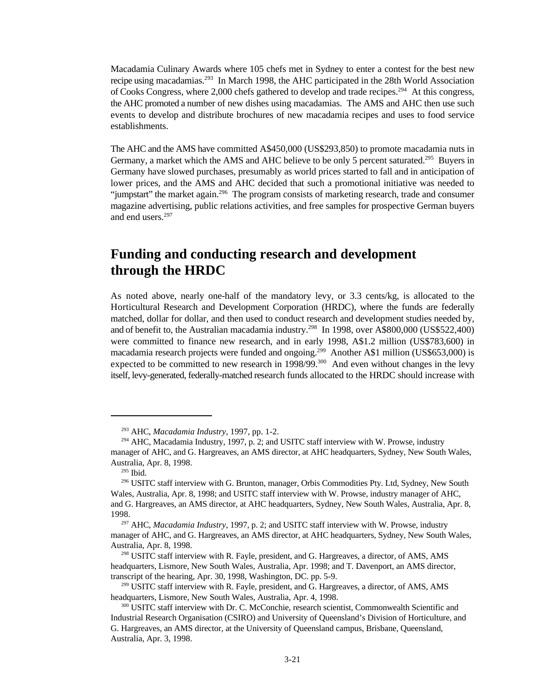Macadamia Culinary Awards where 105 chefs met in Sydney to enter a contest for the best new recipe using macadamias.<sup>293</sup> In March 1998, the AHC participated in the 28th World Association of Cooks Congress, where 2,000 chefs gathered to develop and trade recipes.<sup>294</sup> At this congress, the AHC promoted a number of new dishes using macadamias. The AMS and AHC then use such events to develop and distribute brochures of new macadamia recipes and uses to food service establishments.

The AHC and the AMS have committed A\$450,000 (US\$293,850) to promote macadamia nuts in Germany, a market which the AMS and AHC believe to be only 5 percent saturated.<sup>295</sup> Buvers in Germany have slowed purchases, presumably as world prices started to fall and in anticipation of lower prices, and the AMS and AHC decided that such a promotional initiative was needed to "jumpstart" the market again.<sup>296</sup> The program consists of marketing research, trade and consumer magazine advertising, public relations activities, and free samples for prospective German buyers and end users.<sup>297</sup>

#### **Funding and conducting research and development through the HRDC**

As noted above, nearly one-half of the mandatory levy, or 3.3 cents/kg, is allocated to the Horticultural Research and Development Corporation (HRDC), where the funds are federally matched, dollar for dollar, and then used to conduct research and development studies needed by, and of benefit to, the Australian macadamia industry.<sup>298</sup> In 1998, over A\$800,000 (US\$522,400) were committed to finance new research, and in early 1998, A\$1.2 million (US\$783,600) in macadamia research projects were funded and ongoing.<sup>299</sup> Another A\$1 million (US\$653,000) is expected to be committed to new research in 1998/99.<sup>300</sup> And even without changes in the levy itself, levy-generated, federally-matched research funds allocated to the HRDC should increase with

<sup>&</sup>lt;sup>293</sup> AHC, *Macadamia Industry*, 1997, pp. 1-2.

 $294$  AHC, Macadamia Industry, 1997, p. 2; and USITC staff interview with W. Prowse, industry manager of AHC, and G. Hargreaves, an AMS director, at AHC headquarters, Sydney, New South Wales, Australia, Apr. 8, 1998.

 $295$  Ibid.

<sup>&</sup>lt;sup>296</sup> USITC staff interview with G. Brunton, manager, Orbis Commodities Pty. Ltd, Sydney, New South Wales, Australia, Apr. 8, 1998; and USITC staff interview with W. Prowse, industry manager of AHC, and G. Hargreaves, an AMS director, at AHC headquarters, Sydney, New South Wales, Australia, Apr. 8, 1998.

<sup>&</sup>lt;sup>297</sup> AHC, *Macadamia Industry*, 1997, p. 2; and USITC staff interview with W. Prowse, industry manager of AHC, and G. Hargreaves, an AMS director, at AHC headquarters, Sydney, New South Wales, Australia, Apr. 8, 1998.

<sup>&</sup>lt;sup>298</sup> USITC staff interview with R. Fayle, president, and G. Hargreaves, a director, of AMS, AMS headquarters, Lismore, New South Wales, Australia, Apr. 1998; and T. Davenport, an AMS director, transcript of the hearing, Apr. 30, 1998, Washington, DC. pp. 5-9.

 $299$  USITC staff interview with R. Fayle, president, and G. Hargreaves, a director, of AMS, AMS headquarters, Lismore, New South Wales, Australia, Apr. 4, 1998.

<sup>300</sup> USITC staff interview with Dr. C. McConchie, research scientist, Commonwealth Scientific and Industrial Research Organisation (CSIRO) and University of Queensland's Division of Horticulture, and G. Hargreaves, an AMS director, at the University of Queensland campus, Brisbane, Queensland, Australia, Apr. 3, 1998.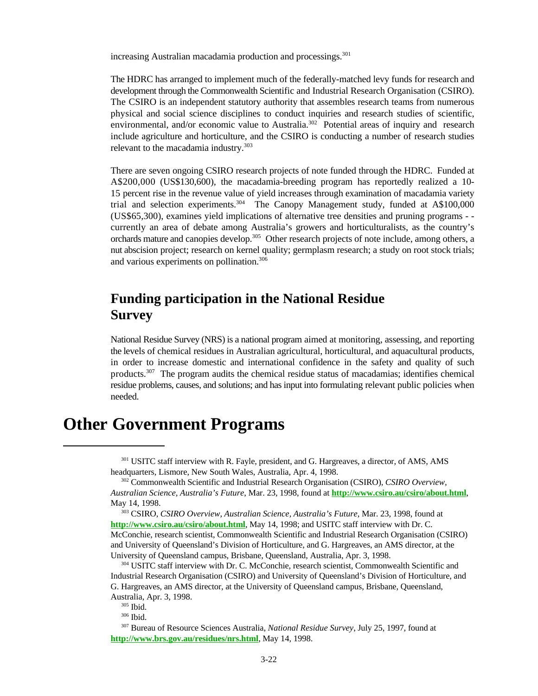increasing Australian macadamia production and processings.<sup>301</sup>

The HDRC has arranged to implement much of the federally-matched levy funds for research and development through the Commonwealth Scientific and Industrial Research Organisation (CSIRO). The CSIRO is an independent statutory authority that assembles research teams from numerous physical and social science disciplines to conduct inquiries and research studies of scientific, environmental, and/or economic value to Australia.<sup>302</sup> Potential areas of inquiry and research include agriculture and horticulture, and the CSIRO is conducting a number of research studies relevant to the macadamia industry.<sup>303</sup>

There are seven ongoing CSIRO research projects of note funded through the HDRC. Funded at A\$200,000 (US\$130,600), the macadamia-breeding program has reportedly realized a 10- 15 percent rise in the revenue value of yield increases through examination of macadamia variety trial and selection experiments.<sup>304</sup> The Canopy Management study, funded at A\$100,000 (US\$65,300), examines yield implications of alternative tree densities and pruning programs - currently an area of debate among Australia's growers and horticulturalists, as the country's orchards mature and canopies develop.<sup>305</sup> Other research projects of note include, among others, a nut abscision project; research on kernel quality; germplasm research; a study on root stock trials; and various experiments on pollination.<sup>306</sup>

#### **Funding participation in the National Residue Survey**

National Residue Survey (NRS) is a national program aimed at monitoring, assessing, and reporting the levels of chemical residues in Australian agricultural, horticultural, and aquacultural products, in order to increase domestic and international confidence in the safety and quality of such products.<sup>307</sup> The program audits the chemical residue status of macadamias; identifies chemical residue problems, causes, and solutions; and has input into formulating relevant public policies when needed.

## **Other Government Programs**

<sup>301</sup> USITC staff interview with R. Fayle, president, and G. Hargreaves, a director, of AMS, AMS headquarters, Lismore, New South Wales, Australia, Apr. 4, 1998.

<sup>302</sup> Commonwealth Scientific and Industrial Research Organisation (CSIRO), *CSIRO Overview*, *Australian Science, Australia's Future*, Mar. 23, 1998, found at **http://www.csiro.au/csiro/about.html**, May 14, 1998.

<sup>303</sup> CSIRO, *CSIRO Overview, Australian Science, Australia's Future*, Mar. 23, 1998, found at **http://www.csiro.au/csiro/about.html**, May 14, 1998; and USITC staff interview with Dr. C. McConchie, research scientist, Commonwealth Scientific and Industrial Research Organisation (CSIRO) and University of Queensland's Division of Horticulture, and G. Hargreaves, an AMS director, at the University of Queensland campus, Brisbane, Queensland, Australia, Apr. 3, 1998.

304 USITC staff interview with Dr. C. McConchie, research scientist, Commonwealth Scientific and Industrial Research Organisation (CSIRO) and University of Queensland's Division of Horticulture, and G. Hargreaves, an AMS director, at the University of Queensland campus, Brisbane, Queensland, Australia, Apr. 3, 1998.

<sup>305</sup> Ibid.

<sup>306</sup> Ibid.

<sup>307</sup> Bureau of Resource Sciences Australia, *National Residue Survey*, July 25, 1997, found at **http://www.brs.gov.au/residues/nrs.html**, May 14, 1998.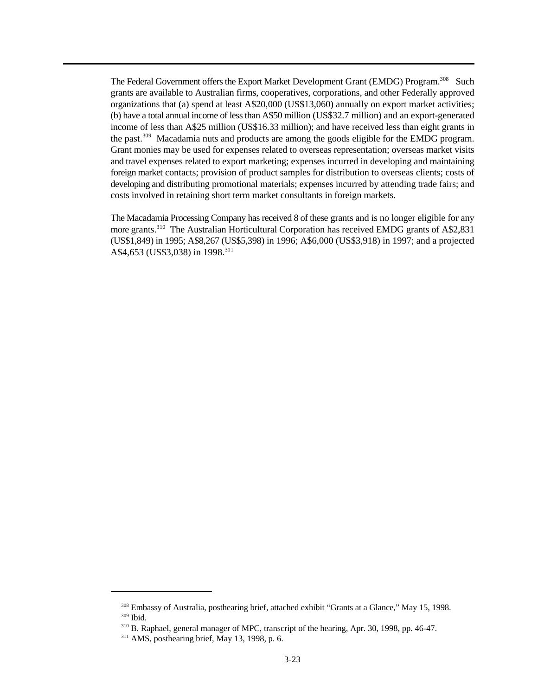The Federal Government offers the Export Market Development Grant (EMDG) Program.<sup>308</sup> Such grants are available to Australian firms, cooperatives, corporations, and other Federally approved organizations that (a) spend at least A\$20,000 (US\$13,060) annually on export market activities; (b) have a total annual income of less than A\$50 million (US\$32.7 million) and an export-generated income of less than A\$25 million (US\$16.33 million); and have received less than eight grants in the past.  $309$  Macadamia nuts and products are among the goods eligible for the EMDG program. Grant monies may be used for expenses related to overseas representation; overseas market visits and travel expenses related to export marketing; expenses incurred in developing and maintaining foreign market contacts; provision of product samples for distribution to overseas clients; costs of developing and distributing promotional materials; expenses incurred by attending trade fairs; and costs involved in retaining short term market consultants in foreign markets.

The Macadamia Processing Company has received 8 of these grants and is no longer eligible for any more grants.<sup>310</sup> The Australian Horticultural Corporation has received EMDG grants of A\$2,831 (US\$1,849) in 1995; A\$8,267 (US\$5,398) in 1996; A\$6,000 (US\$3,918) in 1997; and a projected A\$4,653 (US\$3,038) in 1998.<sup>311</sup>

<sup>&</sup>lt;sup>308</sup> Embassy of Australia, posthearing brief, attached exhibit "Grants at a Glance," May 15, 1998.  $309$  Ibid.

 $310$  B. Raphael, general manager of MPC, transcript of the hearing, Apr. 30, 1998, pp. 46-47.

 $311$  AMS, posthearing brief, May 13, 1998, p. 6.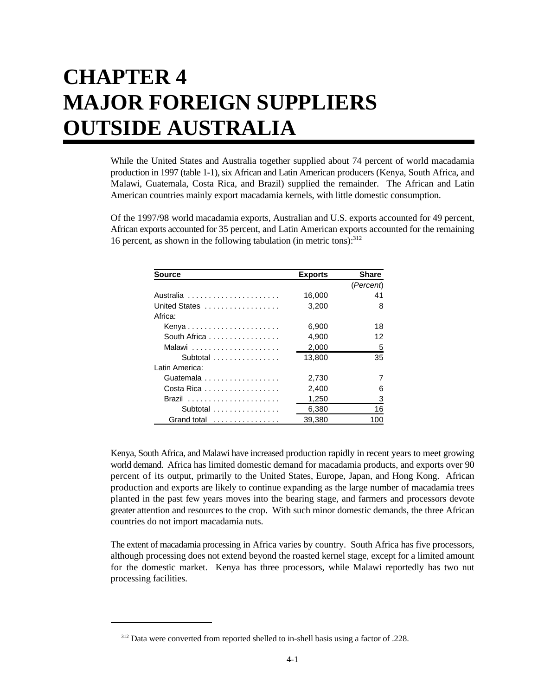# **CHAPTER 4 MAJOR FOREIGN SUPPLIERS OUTSIDE AUSTRALIA**

While the United States and Australia together supplied about 74 percent of world macadamia production in 1997 (table 1-1), six African and Latin American producers (Kenya, South Africa, and Malawi, Guatemala, Costa Rica, and Brazil) supplied the remainder. The African and Latin American countries mainly export macadamia kernels, with little domestic consumption.

Of the 1997/98 world macadamia exports, Australian and U.S. exports accounted for 49 percent, African exports accounted for 35 percent, and Latin American exports accounted for the remaining 16 percent, as shown in the following tabulation (in metric tons): $312$ 

| <b>Source</b>  | <b>Exports</b> | Share     |
|----------------|----------------|-----------|
|                |                | (Percent) |
| Australia      | 16,000         | 41        |
| United States  | 3,200          | 8         |
| Africa:        |                |           |
| Kenya          | 6,900          | 18        |
| South Africa   | 4,900          | 12        |
|                | 2,000          | 5         |
| Subtotal       | 13,800         | 35        |
| Latin America: |                |           |
| Guatemala      | 2,730          | 7         |
| Costa Rica     | 2,400          | 6         |
|                | 1,250          | 3         |
| Subtotal       | 6,380          | 16        |
| Grand total    | 39.380         | 100       |

Kenya, South Africa, and Malawi have increased production rapidly in recent years to meet growing world demand. Africa has limited domestic demand for macadamia products, and exports over 90 percent of its output, primarily to the United States, Europe, Japan, and Hong Kong. African production and exports are likely to continue expanding as the large number of macadamia trees planted in the past few years moves into the bearing stage, and farmers and processors devote greater attention and resources to the crop. With such minor domestic demands, the three African countries do not import macadamia nuts.

The extent of macadamia processing in Africa varies by country. South Africa has five processors, although processing does not extend beyond the roasted kernel stage, except for a limited amount for the domestic market. Kenya has three processors, while Malawi reportedly has two nut processing facilities.

<sup>&</sup>lt;sup>312</sup> Data were converted from reported shelled to in-shell basis using a factor of .228.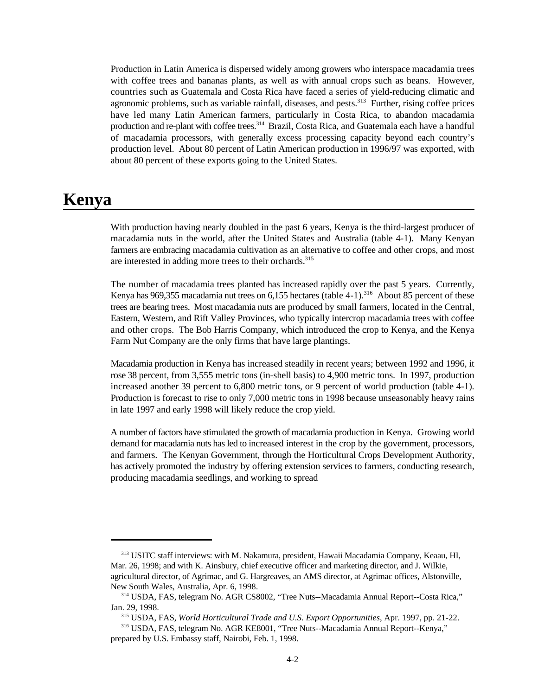Production in Latin America is dispersed widely among growers who interspace macadamia trees with coffee trees and bananas plants, as well as with annual crops such as beans. However, countries such as Guatemala and Costa Rica have faced a series of yield-reducing climatic and agronomic problems, such as variable rainfall, diseases, and pests. $313$  Further, rising coffee prices have led many Latin American farmers, particularly in Costa Rica, to abandon macadamia production and re-plant with coffee trees.<sup>314</sup> Brazil, Costa Rica, and Guatemala each have a handful of macadamia processors, with generally excess processing capacity beyond each country's production level. About 80 percent of Latin American production in 1996/97 was exported, with about 80 percent of these exports going to the United States.

## **Kenya**

With production having nearly doubled in the past 6 years, Kenya is the third-largest producer of macadamia nuts in the world, after the United States and Australia (table 4-1). Many Kenyan farmers are embracing macadamia cultivation as an alternative to coffee and other crops, and most are interested in adding more trees to their orchards.<sup>315</sup>

The number of macadamia trees planted has increased rapidly over the past 5 years. Currently, Kenya has 969,355 macadamia nut trees on 6,155 hectares (table 4-1).<sup>316</sup> About 85 percent of these trees are bearing trees. Most macadamia nuts are produced by small farmers, located in the Central, Eastern, Western, and Rift Valley Provinces, who typically intercrop macadamia trees with coffee and other crops. The Bob Harris Company, which introduced the crop to Kenya, and the Kenya Farm Nut Company are the only firms that have large plantings.

Macadamia production in Kenya has increased steadily in recent years; between 1992 and 1996, it rose 38 percent, from 3,555 metric tons (in-shell basis) to 4,900 metric tons. In 1997, production increased another 39 percent to 6,800 metric tons, or 9 percent of world production (table 4-1). Production is forecast to rise to only 7,000 metric tons in 1998 because unseasonably heavy rains in late 1997 and early 1998 will likely reduce the crop yield.

A number of factors have stimulated the growth of macadamia production in Kenya. Growing world demand for macadamia nuts has led to increased interest in the crop by the government, processors, and farmers. The Kenyan Government, through the Horticultural Crops Development Authority, has actively promoted the industry by offering extension services to farmers, conducting research, producing macadamia seedlings, and working to spread

<sup>&</sup>lt;sup>313</sup> USITC staff interviews: with M. Nakamura, president, Hawaii Macadamia Company, Keaau, HI, Mar. 26, 1998; and with K. Ainsbury, chief executive officer and marketing director, and J. Wilkie, agricultural director, of Agrimac, and G. Hargreaves, an AMS director, at Agrimac offices, Alstonville, New South Wales, Australia, Apr. 6, 1998.

<sup>&</sup>lt;sup>314</sup> USDA, FAS, telegram No. AGR CS8002, "Tree Nuts--Macadamia Annual Report--Costa Rica," Jan. 29, 1998.

<sup>&</sup>lt;sup>315</sup> USDA, FAS, *World Horticultural Trade and U.S. Export Opportunities*, Apr. 1997, pp. 21-22.

USDA, FAS, telegram No. AGR KE8001, "Tree Nuts--Macadamia Annual Report--Kenya," <sup>316</sup> prepared by U.S. Embassy staff, Nairobi, Feb. 1, 1998.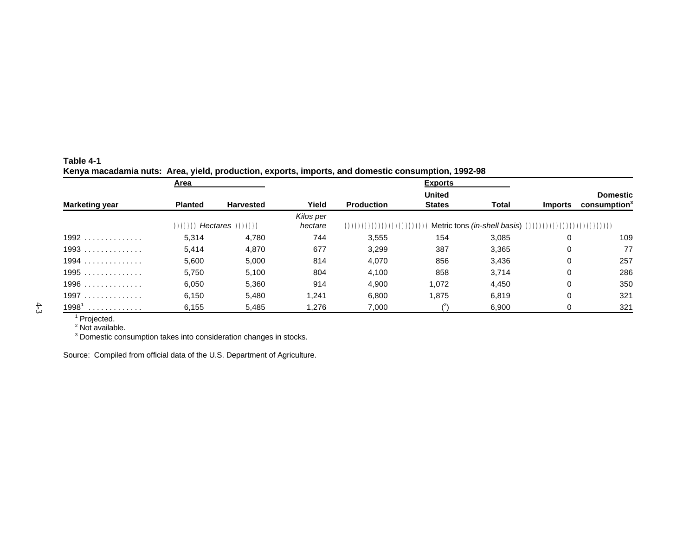|                       | Area           |                  |           |                            | <b>Exports</b> |              |                |                                        |
|-----------------------|----------------|------------------|-----------|----------------------------|----------------|--------------|----------------|----------------------------------------|
|                       |                |                  |           |                            | <b>United</b>  |              |                | <b>Domestic</b>                        |
| <b>Marketing year</b> | <b>Planted</b> | <b>Harvested</b> | Yield     | <b>Production</b>          | <b>States</b>  | <b>Total</b> | <b>Imports</b> | $\frac{1}{2}$ consumption <sup>3</sup> |
|                       |                |                  | Kilos per |                            |                |              |                |                                        |
|                       | $))$ )         |                  | hectare   | ,,,,,,,,,,,,,,,,,,,,,,,,,, |                |              |                |                                        |
| $1992$                | 5.314          | 4,780            | 744       | 3,555                      | 154            | 3.085        | 0              | 109                                    |
| $1993$                | 5.414          | 4,870            | 677       | 3,299                      | 387            | 3,365        | 0              | 77                                     |
| $1994$                | 5,600          | 5,000            | 814       | 4,070                      | 856            | 3,436        | 0              | 257                                    |
| 1995                  | 5,750          | 5,100            | 804       | 4,100                      | 858            | 3,714        | 0              | 286                                    |
| $1996$                | 6,050          | 5,360            | 914       | 4,900                      | 1,072          | 4,450        | 0              | 350                                    |
| 1997                  | 6,150          | 5,480            | 1,241     | 6,800                      | 1,875          | 6,819        | 0              | 321                                    |
| 19981<br>.            | 6,155          | 5,485            | 1,276     | 7,000                      |                | 6,900        | 0              | 321                                    |

#### **Table 4-1 Kenya macadamia nuts: Area, yield, production, exports, imports, and domestic consumption, 1992-98**

<sup>1</sup> Projected.  $2$  Not available.

 $3$  Domestic consumption takes into consideration changes in stocks.

Source: Compiled from official data of the U.S. Department of Agriculture.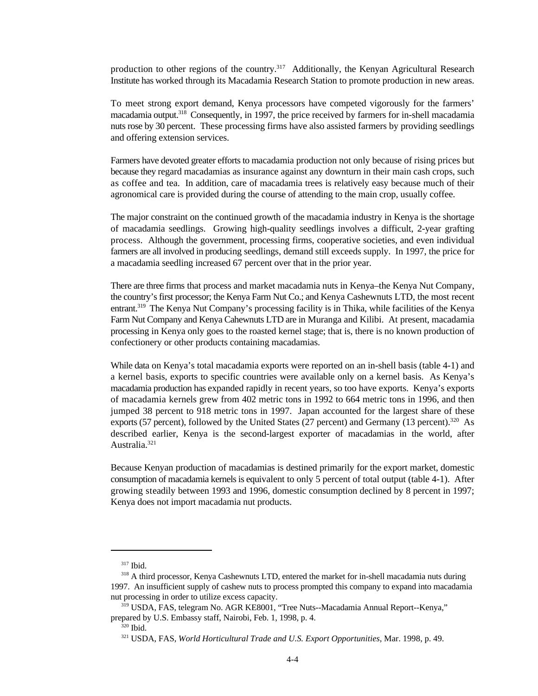production to other regions of the country.<sup>317</sup> Additionally, the Kenyan Agricultural Research Institute has worked through its Macadamia Research Station to promote production in new areas.

To meet strong export demand, Kenya processors have competed vigorously for the farmers' macadamia output.<sup>318</sup> Consequently, in 1997, the price received by farmers for in-shell macadamia nuts rose by 30 percent. These processing firms have also assisted farmers by providing seedlings and offering extension services.

Farmers have devoted greater efforts to macadamia production not only because of rising prices but because they regard macadamias as insurance against any downturn in their main cash crops, such as coffee and tea. In addition, care of macadamia trees is relatively easy because much of their agronomical care is provided during the course of attending to the main crop, usually coffee.

The major constraint on the continued growth of the macadamia industry in Kenya is the shortage of macadamia seedlings. Growing high-quality seedlings involves a difficult, 2-year grafting process. Although the government, processing firms, cooperative societies, and even individual farmers are all involved in producing seedlings, demand still exceeds supply. In 1997, the price for a macadamia seedling increased 67 percent over that in the prior year.

There are three firms that process and market macadamia nuts in Kenya–the Kenya Nut Company, the country's first processor; the Kenya Farm Nut Co.; and Kenya Cashewnuts LTD, the most recent entrant.<sup>319</sup> The Kenya Nut Company's processing facility is in Thika, while facilities of the Kenya Farm Nut Company and Kenya Cahewnuts LTD are in Muranga and Kilibi. At present, macadamia processing in Kenya only goes to the roasted kernel stage; that is, there is no known production of confectionery or other products containing macadamias.

While data on Kenya's total macadamia exports were reported on an in-shell basis (table 4-1) and a kernel basis, exports to specific countries were available only on a kernel basis. As Kenya's macadamia production has expanded rapidly in recent years, so too have exports. Kenya's exports of macadamia kernels grew from 402 metric tons in 1992 to 664 metric tons in 1996, and then jumped 38 percent to 918 metric tons in 1997. Japan accounted for the largest share of these exports (57 percent), followed by the United States (27 percent) and Germany (13 percent).  $320$  As described earlier, Kenya is the second-largest exporter of macadamias in the world, after Australia.<sup>321</sup>

Because Kenyan production of macadamias is destined primarily for the export market, domestic consumption of macadamia kernels is equivalent to only 5 percent of total output (table 4-1). After growing steadily between 1993 and 1996, domestic consumption declined by 8 percent in 1997; Kenya does not import macadamia nut products.

<sup>&</sup>lt;sup>317</sup> Ibid.

<sup>&</sup>lt;sup>318</sup> A third processor, Kenya Cashewnuts LTD, entered the market for in-shell macadamia nuts during 1997. An insufficient supply of cashew nuts to process prompted this company to expand into macadamia nut processing in order to utilize excess capacity.

USDA, FAS, telegram No. AGR KE8001, "Tree Nuts--Macadamia Annual Report--Kenya," <sup>319</sup> prepared by U.S. Embassy staff, Nairobi, Feb. 1, 1998, p. 4.

 $320$  Ibid.

USDA, FAS, *World Horticultural Trade and U.S. Export Opportunities,* Mar. 1998, p. 49. <sup>321</sup>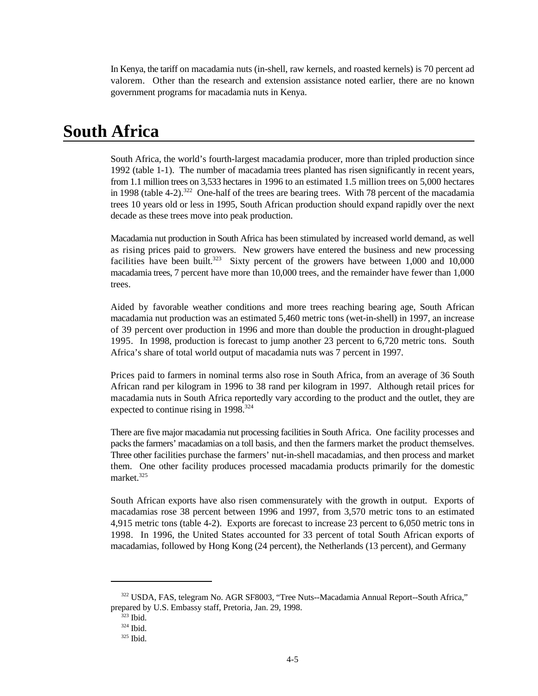In Kenya, the tariff on macadamia nuts (in-shell, raw kernels, and roasted kernels) is 70 percent ad valorem. Other than the research and extension assistance noted earlier, there are no known government programs for macadamia nuts in Kenya.

## **South Africa**

South Africa, the world's fourth-largest macadamia producer, more than tripled production since 1992 (table 1-1). The number of macadamia trees planted has risen significantly in recent years, from 1.1 million trees on 3,533 hectares in 1996 to an estimated 1.5 million trees on 5,000 hectares in 1998 (table 4-2).<sup>322</sup> One-half of the trees are bearing trees. With 78 percent of the macadamia trees 10 years old or less in 1995, South African production should expand rapidly over the next decade as these trees move into peak production.

Macadamia nut production in South Africa has been stimulated by increased world demand, as well as rising prices paid to growers. New growers have entered the business and new processing facilities have been built.<sup>323</sup> Sixty percent of the growers have between  $1,000$  and  $10,000$ macadamia trees, 7 percent have more than 10,000 trees, and the remainder have fewer than 1,000 trees.

Aided by favorable weather conditions and more trees reaching bearing age, South African macadamia nut production was an estimated 5,460 metric tons (wet-in-shell) in 1997, an increase of 39 percent over production in 1996 and more than double the production in drought-plagued 1995. In 1998, production is forecast to jump another 23 percent to 6,720 metric tons. South Africa's share of total world output of macadamia nuts was 7 percent in 1997.

Prices paid to farmers in nominal terms also rose in South Africa, from an average of 36 South African rand per kilogram in 1996 to 38 rand per kilogram in 1997. Although retail prices for macadamia nuts in South Africa reportedly vary according to the product and the outlet, they are expected to continue rising in 1998.<sup>324</sup>

There are five major macadamia nut processing facilities in South Africa. One facility processes and packs the farmers' macadamias on a toll basis, and then the farmers market the product themselves. Three other facilities purchase the farmers' nut-in-shell macadamias, and then process and market them. One other facility produces processed macadamia products primarily for the domestic market.<sup>325</sup>

South African exports have also risen commensurately with the growth in output. Exports of macadamias rose 38 percent between 1996 and 1997, from 3,570 metric tons to an estimated 4,915 metric tons (table 4-2). Exports are forecast to increase 23 percent to 6,050 metric tons in 1998. In 1996, the United States accounted for 33 percent of total South African exports of macadamias, followed by Hong Kong (24 percent), the Netherlands (13 percent), and Germany

<sup>&</sup>lt;sup>322</sup> USDA, FAS, telegram No. AGR SF8003, "Tree Nuts--Macadamia Annual Report--South Africa," prepared by U.S. Embassy staff, Pretoria, Jan. 29, 1998.

 $323$  Ibid.

<sup>324</sup> Ibid.

<sup>325</sup> Ibid.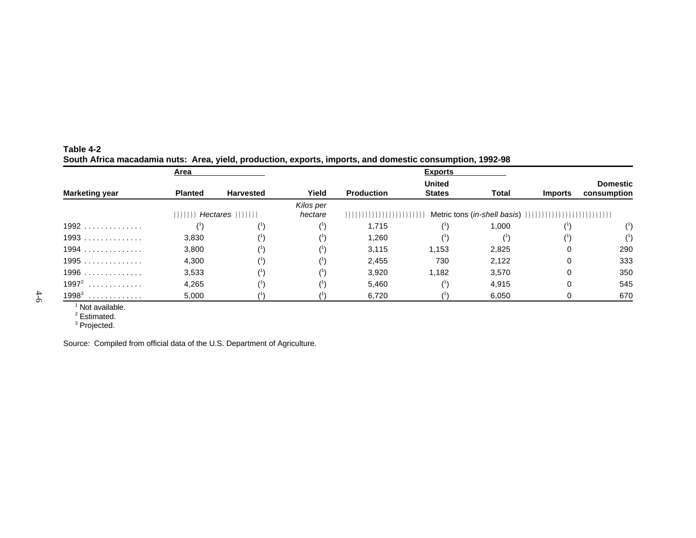|                       | Area           |                            |           |                   | <b>Exports</b> |              |                |                    |
|-----------------------|----------------|----------------------------|-----------|-------------------|----------------|--------------|----------------|--------------------|
|                       |                |                            |           |                   | <b>United</b>  |              |                | <b>Domestic</b>    |
| <b>Marketing year</b> | <b>Planted</b> | <b>Harvested</b>           | Yield     | <b>Production</b> | States         | <b>Total</b> | <b>Imports</b> | consumption        |
|                       |                |                            | Kilos per |                   |                |              |                |                    |
|                       |                | $))))))$ Hectares $))))))$ | hectare   |                   |                |              |                |                    |
| $1992$                |                |                            |           | 1.715             |                | 1,000        |                |                    |
| $1993$                | 3,830          |                            |           | 1,260             |                |              |                | $^{\prime\prime})$ |
| $1994$                | 3,800          |                            |           | 3,115             | 1.153          | 2,825        | 0              | 290                |
| 1995                  | 4,300          |                            |           | 2,455             | 730            | 2,122        | $\Omega$       | 333                |
| $1996$                | 3,533          |                            |           | 3,920             | 1,182          | 3,570        | 0              | 350                |
| $1997^2$              | 4,265          |                            |           | 5,460             |                | 4,915        | 0              | 545                |
| $1998^3$              | 5,000          |                            |           | 6,720             |                | 6,050        |                | 670                |

#### **Table 4-2 South Africa macadamia nuts: Area, yield, production, exports, imports, and domestic consumption, 1992-98**

 $1$  Not available.

 $2$  Estimated.

<sup>3</sup> Projected.

Source: Compiled from official data of the U.S. Department of Agriculture.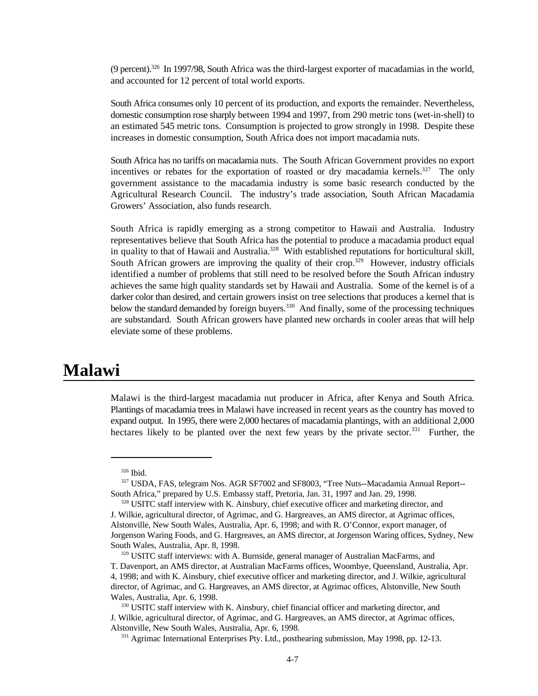$(9 \text{ percent})$ .  $326 \text{ In } 1997/98$ . South Africa was the third-largest exporter of macadamias in the world, and accounted for 12 percent of total world exports.

South Africa consumes only 10 percent of its production, and exports the remainder. Nevertheless, domestic consumption rose sharply between 1994 and 1997, from 290 metric tons (wet-in-shell) to an estimated 545 metric tons. Consumption is projected to grow strongly in 1998. Despite these increases in domestic consumption, South Africa does not import macadamia nuts.

South Africa has no tariffs on macadamia nuts. The South African Government provides no export incentives or rebates for the exportation of roasted or dry macadamia kernels.<sup>327</sup> The only government assistance to the macadamia industry is some basic research conducted by the Agricultural Research Council. The industry's trade association, South African Macadamia Growers' Association, also funds research.

South Africa is rapidly emerging as a strong competitor to Hawaii and Australia. Industry representatives believe that South Africa has the potential to produce a macadamia product equal in quality to that of Hawaii and Australia.<sup>328</sup> With established reputations for horticultural skill, South African growers are improving the quality of their crop.<sup>329</sup> However, industry officials identified a number of problems that still need to be resolved before the South African industry achieves the same high quality standards set by Hawaii and Australia. Some of the kernel is of a darker color than desired, and certain growers insist on tree selections that produces a kernel that is below the standard demanded by foreign buyers.<sup>330</sup> And finally, some of the processing techniques are substandard. South African growers have planted new orchards in cooler areas that will help eleviate some of these problems.

### **Malawi**

Malawi is the third-largest macadamia nut producer in Africa, after Kenya and South Africa. Plantings of macadamia trees in Malawi have increased in recent years as the country has moved to expand output. In 1995, there were 2,000 hectares of macadamia plantings, with an additional 2,000 hectares likely to be planted over the next few years by the private sector.<sup>331</sup> Further, the

327 USDA, FAS, telegram Nos. AGR SF7002 and SF8003, "Tree Nuts--Macadamia Annual Report--South Africa," prepared by U.S. Embassy staff, Pretoria, Jan. 31, 1997 and Jan. 29, 1998.

<sup>&</sup>lt;sup>326</sup> Ibid.

<sup>&</sup>lt;sup>328</sup> USITC staff interview with K. Ainsbury, chief executive officer and marketing director, and J. Wilkie, agricultural director, of Agrimac, and G. Hargreaves, an AMS director, at Agrimac offices, Alstonville, New South Wales, Australia, Apr. 6, 1998; and with R. O'Connor, export manager, of Jorgenson Waring Foods, and G. Hargreaves, an AMS director, at Jorgenson Waring offices, Sydney, New South Wales, Australia, Apr. 8, 1998.

<sup>329</sup> USITC staff interviews: with A. Burnside, general manager of Australian MacFarms, and T. Davenport, an AMS director, at Australian MacFarms offices, Woombye, Queensland, Australia, Apr. 4, 1998; and with K. Ainsbury, chief executive officer and marketing director, and J. Wilkie, agricultural director, of Agrimac, and G. Hargreaves, an AMS director, at Agrimac offices, Alstonville, New South Wales, Australia, Apr. 6, 1998.

<sup>330</sup> USITC staff interview with K. Ainsbury, chief financial officer and marketing director, and J. Wilkie, agricultural director, of Agrimac, and G. Hargreaves, an AMS director, at Agrimac offices, Alstonville, New South Wales, Australia, Apr. 6, 1998.

<sup>&</sup>lt;sup>331</sup> Agrimac International Enterprises Pty. Ltd., posthearing submission, May 1998, pp. 12-13.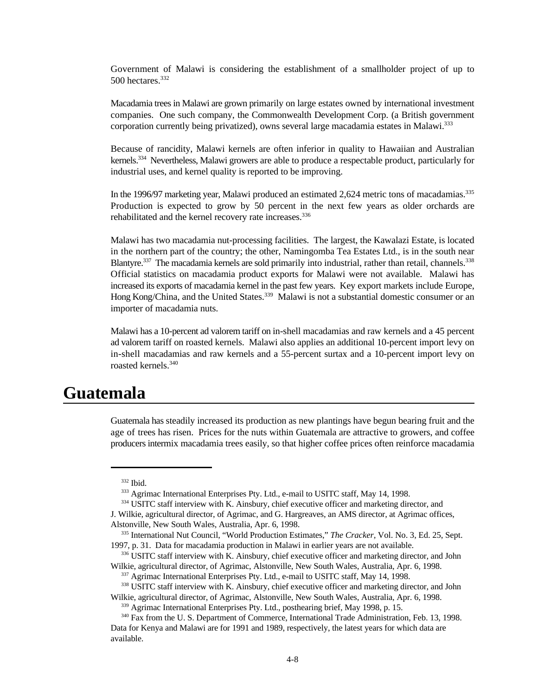Government of Malawi is considering the establishment of a smallholder project of up to 500 hectares.<sup>332</sup>

Macadamia trees in Malawi are grown primarily on large estates owned by international investment companies. One such company, the Commonwealth Development Corp. (a British government corporation currently being privatized), owns several large macadamia estates in Malawi.<sup>333</sup>

Because of rancidity, Malawi kernels are often inferior in quality to Hawaiian and Australian kernels.<sup>334</sup> Nevertheless, Malawi growers are able to produce a respectable product, particularly for industrial uses, and kernel quality is reported to be improving.

In the 1996/97 marketing year, Malawi produced an estimated 2,624 metric tons of macadamias.<sup>335</sup> Production is expected to grow by 50 percent in the next few years as older orchards are rehabilitated and the kernel recovery rate increases.<sup>336</sup>

Malawi has two macadamia nut-processing facilities. The largest, the Kawalazi Estate, is located in the northern part of the country; the other, Namingomba Tea Estates Ltd., is in the south near Blantyre.<sup>337</sup> The macadamia kernels are sold primarily into industrial, rather than retail, channels.<sup>338</sup> Official statistics on macadamia product exports for Malawi were not available. Malawi has increased its exports of macadamia kernel in the past few years. Key export markets include Europe, Hong Kong/China, and the United States.<sup>339</sup> Malawi is not a substantial domestic consumer or an importer of macadamia nuts.

Malawi has a 10-percent ad valorem tariff on in-shell macadamias and raw kernels and a 45 percent ad valorem tariff on roasted kernels. Malawi also applies an additional 10-percent import levy on in-shell macadamias and raw kernels and a 55-percent surtax and a 10-percent import levy on roasted kernels.<sup>340</sup>

## **Guatemala**

Guatemala has steadily increased its production as new plantings have begun bearing fruit and the age of trees has risen. Prices for the nuts within Guatemala are attractive to growers, and coffee producers intermix macadamia trees easily, so that higher coffee prices often reinforce macadamia

<sup>332</sup> Ibid.

<sup>&</sup>lt;sup>333</sup> Agrimac International Enterprises Pty. Ltd., e-mail to USITC staff, May 14, 1998.

<sup>&</sup>lt;sup>334</sup> USITC staff interview with K. Ainsbury, chief executive officer and marketing director, and

J. Wilkie, agricultural director, of Agrimac, and G. Hargreaves, an AMS director, at Agrimac offices, Alstonville, New South Wales, Australia, Apr. 6, 1998.

<sup>&</sup>lt;sup>335</sup> International Nut Council, "World Production Estimates," *The Cracker*, Vol. No. 3, Ed. 25, Sept. 1997, p. 31. Data for macadamia production in Malawi in earlier years are not available.

<sup>336</sup> USITC staff interview with K. Ainsbury, chief executive officer and marketing director, and John Wilkie, agricultural director, of Agrimac, Alstonville, New South Wales, Australia, Apr. 6, 1998.

<sup>&</sup>lt;sup>337</sup> Agrimac International Enterprises Pty. Ltd., e-mail to USITC staff, May 14, 1998.

<sup>&</sup>lt;sup>338</sup> USITC staff interview with K. Ainsbury, chief executive officer and marketing director, and John Wilkie, agricultural director, of Agrimac, Alstonville, New South Wales, Australia, Apr. 6, 1998.

<sup>&</sup>lt;sup>339</sup> Agrimac International Enterprises Pty. Ltd., posthearing brief, May 1998, p. 15.

<sup>&</sup>lt;sup>340</sup> Fax from the U. S. Department of Commerce, International Trade Administration, Feb. 13, 1998. Data for Kenya and Malawi are for 1991 and 1989, respectively, the latest years for which data are available.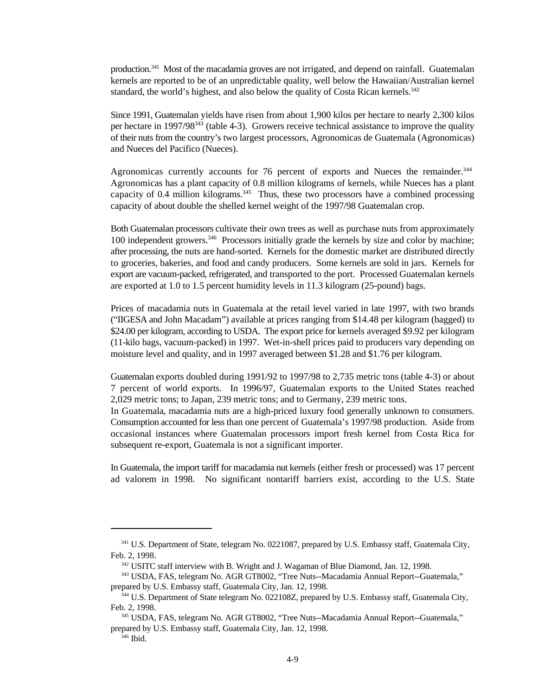production.<sup>341</sup> Most of the macadamia groves are not irrigated, and depend on rainfall. Guatemalan kernels are reported to be of an unpredictable quality, well below the Hawaiian/Australian kernel standard, the world's highest, and also below the quality of Costa Rican kernels.<sup>342</sup>

Since 1991, Guatemalan yields have risen from about 1,900 kilos per hectare to nearly 2,300 kilos per hectare in 1997/98 $343$  (table 4-3). Growers receive technical assistance to improve the quality of their nuts from the country's two largest processors, Agronomicas de Guatemala (Agronomicas) and Nueces del Pacifico (Nueces).

Agronomicas currently accounts for 76 percent of exports and Nueces the remainder.<sup>344</sup> Agronomicas has a plant capacity of 0.8 million kilograms of kernels, while Nueces has a plant capacity of 0.4 million kilograms.<sup>345</sup> Thus, these two processors have a combined processing capacity of about double the shelled kernel weight of the 1997/98 Guatemalan crop.

Both Guatemalan processors cultivate their own trees as well as purchase nuts from approximately 100 independent growers.<sup>346</sup> Processors initially grade the kernels by size and color by machine; after processing, the nuts are hand-sorted. Kernels for the domestic market are distributed directly to groceries, bakeries, and food and candy producers. Some kernels are sold in jars. Kernels for export are vacuum-packed, refrigerated, and transported to the port. Processed Guatemalan kernels are exported at 1.0 to 1.5 percent humidity levels in 11.3 kilogram (25-pound) bags.

Prices of macadamia nuts in Guatemala at the retail level varied in late 1997, with two brands ("IIGESA and John Macadam") available at prices ranging from \$14.48 per kilogram (bagged) to \$24.00 per kilogram, according to USDA. The export price for kernels averaged \$9.92 per kilogram (11-kilo bags, vacuum-packed) in 1997. Wet-in-shell prices paid to producers vary depending on moisture level and quality, and in 1997 averaged between \$1.28 and \$1.76 per kilogram.

Guatemalan exports doubled during 1991/92 to 1997/98 to 2,735 metric tons (table 4-3) or about 7 percent of world exports. In 1996/97, Guatemalan exports to the United States reached 2,029 metric tons; to Japan, 239 metric tons; and to Germany, 239 metric tons.

In Guatemala, macadamia nuts are a high-priced luxury food generally unknown to consumers. Consumption accounted for less than one percent of Guatemala's 1997/98 production. Aside from occasional instances where Guatemalan processors import fresh kernel from Costa Rica for subsequent re-export, Guatemala is not a significant importer.

In Guatemala, the import tariff for macadamia nut kernels (either fresh or processed) was 17 percent ad valorem in 1998. No significant nontariff barriers exist, according to the U.S. State

<sup>&</sup>lt;sup>341</sup> U.S. Department of State, telegram No. 0221087, prepared by U.S. Embassy staff, Guatemala City, Feb. 2, 1998.

<sup>&</sup>lt;sup>342</sup> USITC staff interview with B. Wright and J. Wagaman of Blue Diamond, Jan. 12, 1998.

<sup>343</sup> USDA, FAS, telegram No. AGR GT8002, "Tree Nuts--Macadamia Annual Report--Guatemala," prepared by U.S. Embassy staff, Guatemala City, Jan. 12, 1998.

<sup>&</sup>lt;sup>344</sup> U.S. Department of State telegram No. 022108Z, prepared by U.S. Embassy staff, Guatemala City, Feb. 2, 1998.

USDA, FAS, telegram No. AGR GT8002, "Tree Nuts--Macadamia Annual Report--Guatemala," <sup>345</sup> prepared by U.S. Embassy staff, Guatemala City, Jan. 12, 1998.

 $346$  Ibid.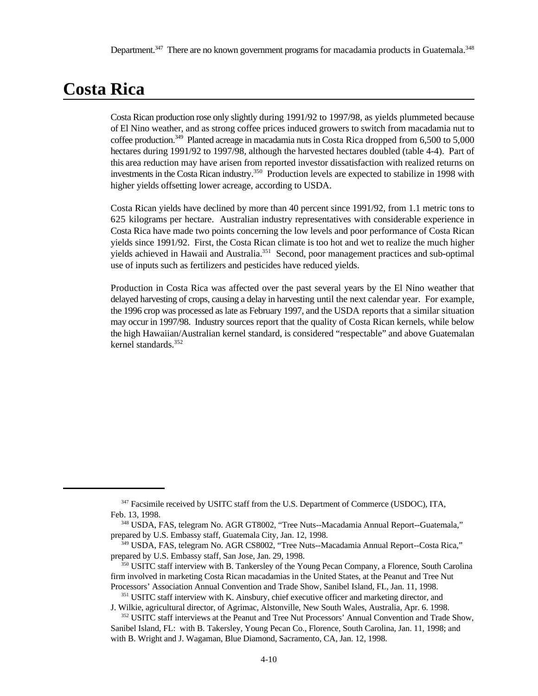# **Costa Rica**

Costa Rican production rose only slightly during 1991/92 to 1997/98, as yields plummeted because of El Nino weather, and as strong coffee prices induced growers to switch from macadamia nut to coffee production.<sup>349</sup> Planted acreage in macadamia nuts in Costa Rica dropped from  $6,500$  to  $5,000$ hectares during 1991/92 to 1997/98, although the harvested hectares doubled (table 4-4). Part of this area reduction may have arisen from reported investor dissatisfaction with realized returns on investments in the Costa Rican industry.<sup>350</sup> Production levels are expected to stabilize in 1998 with higher yields offsetting lower acreage, according to USDA.

Costa Rican yields have declined by more than 40 percent since 1991/92, from 1.1 metric tons to 625 kilograms per hectare. Australian industry representatives with considerable experience in Costa Rica have made two points concerning the low levels and poor performance of Costa Rican yields since 1991/92. First, the Costa Rican climate is too hot and wet to realize the much higher yields achieved in Hawaii and Australia.<sup>351</sup> Second, poor management practices and sub-optimal use of inputs such as fertilizers and pesticides have reduced yields.

Production in Costa Rica was affected over the past several years by the El Nino weather that delayed harvesting of crops, causing a delay in harvesting until the next calendar year. For example, the 1996 crop was processed as late as February 1997, and the USDA reports that a similar situation may occur in 1997/98. Industry sources report that the quality of Costa Rican kernels, while below the high Hawaiian/Australian kernel standard, is considered "respectable" and above Guatemalan kernel standards.<sup>352</sup>

<sup>&</sup>lt;sup>347</sup> Facsimile received by USITC staff from the U.S. Department of Commerce (USDOC), ITA, Feb. 13, 1998.

USDA, FAS, telegram No. AGR GT8002, "Tree Nuts--Macadamia Annual Report--Guatemala," <sup>348</sup> prepared by U.S. Embassy staff, Guatemala City, Jan. 12, 1998.

USDA, FAS, telegram No. AGR CS8002, "Tree Nuts--Macadamia Annual Report--Costa Rica," <sup>349</sup> prepared by U.S. Embassy staff, San Jose, Jan. 29, 1998.

<sup>&</sup>lt;sup>350</sup> USITC staff interview with B. Tankersley of the Young Pecan Company, a Florence, South Carolina firm involved in marketing Costa Rican macadamias in the United States, at the Peanut and Tree Nut Processors' Association Annual Convention and Trade Show, Sanibel Island, FL, Jan. 11, 1998.

<sup>&</sup>lt;sup>351</sup> USITC staff interview with K. Ainsbury, chief executive officer and marketing director, and J. Wilkie, agricultural director, of Agrimac, Alstonville, New South Wales, Australia, Apr. 6. 1998.

 $352$  USITC staff interviews at the Peanut and Tree Nut Processors' Annual Convention and Trade Show, Sanibel Island, FL: with B. Takersley, Young Pecan Co., Florence, South Carolina, Jan. 11, 1998; and with B. Wright and J. Wagaman, Blue Diamond, Sacramento, CA, Jan. 12, 1998.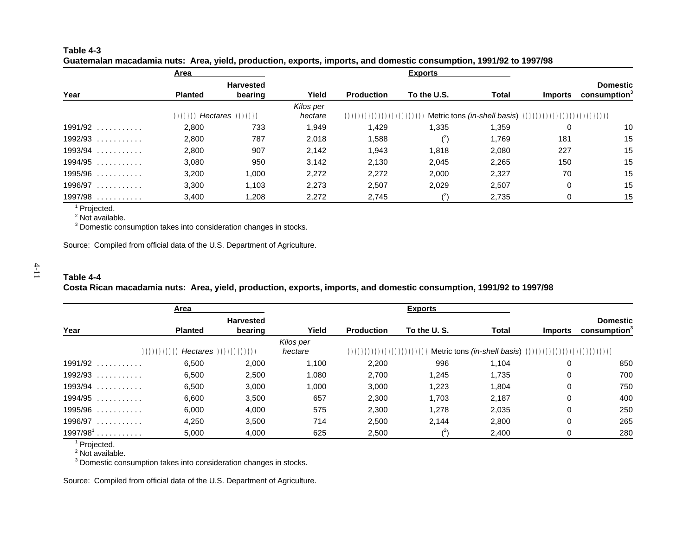| Table 4-3 |                                                                                                                    |  |
|-----------|--------------------------------------------------------------------------------------------------------------------|--|
|           | Guatemalan macadamia nuts: Area, yield, production, exports, imports, and domestic consumption, 1991/92 to 1997/98 |  |

|              | Area           |                             |                      |                           | <b>Exports</b> |              |                |                                             |
|--------------|----------------|-----------------------------|----------------------|---------------------------|----------------|--------------|----------------|---------------------------------------------|
| Year         | <b>Planted</b> | <b>Harvested</b><br>bearing | Yield                | <b>Production</b>         | To the U.S.    | <b>Total</b> | <b>Imports</b> | <b>Domestic</b><br>consumption <sup>3</sup> |
|              |                | $))))))$ Hectares $))))))$  | Kilos per<br>hectare | ,,,,,,,,,,,,,,,,,,,,,,,,, |                |              |                |                                             |
| $1991/92$    | 2,800          | 733                         | 1,949                | 1.429                     | 1,335          | 1,359        |                | 10                                          |
| $1992/93$    | 2,800          | 787                         | 2,018                | 1,588                     |                | 1,769        | 181            | 15                                          |
| $1993/94$    | 2,800          | 907                         | 2,142                | 1.943                     | 1.818          | 2,080        | 227            | 15                                          |
| $1994/95$    | 3,080          | 950                         | 3,142                | 2,130                     | 2,045          | 2,265        | 150            | 15                                          |
| $1995/96$    | 3,200          | 1,000                       | 2.272                | 2.272                     | 2,000          | 2,327        | 70             | 15                                          |
| 1996/97<br>. | 3,300          | 1.103                       | 2.273                | 2,507                     | 2,029          | 2,507        | 0              | 15                                          |
| 1997/98<br>. | 3,400          | .208                        | 2,272                | 2,745                     |                | 2,735        | 0              | 15                                          |

<sup>1</sup> Projected.

 $2$  Not available.

 $3$  Domestic consumption takes into consideration changes in stocks.

Source: Compiled from official data of the U.S. Department of Agriculture.

#### **Table 4-4**

**Costa Rican macadamia nuts: Area, yield, production, exports, imports, and domestic consumption, 1991/92 to 1997/98**

|                       | Area           |                             |                      |                   | <b>Exports</b>                                                                                            |              |                |                                             |
|-----------------------|----------------|-----------------------------|----------------------|-------------------|-----------------------------------------------------------------------------------------------------------|--------------|----------------|---------------------------------------------|
| Year                  | <b>Planted</b> | <b>Harvested</b><br>bearing | Yield                | <b>Production</b> | To the U.S.                                                                                               | <b>Total</b> | <b>Imports</b> | <b>Domestic</b><br>consumption <sup>3</sup> |
| ( ( ) ( ) ( ) ( ) ( ) |                |                             | Kilos per<br>hectare |                   | $(1)(1)(1)(1)(1)(1)(1)(1)(1)(1)$ Metric tons <i>(in-shell basis</i> ) $(1)(1)(1)(1)(1)(1)(1)(1)(1)(1)(1)$ |              |                |                                             |
| $1991/92$             | 6,500          | 2,000                       | 1,100                | 2,200             | 996                                                                                                       | 1.104        | 0              | 850                                         |
| $1992/93$             | 6,500          | 2,500                       | 1,080                | 2.700             | 1.245                                                                                                     | 1,735        | 0              | 700                                         |
| $1993/94$             | 6,500          | 3,000                       | 1,000                | 3,000             | 1,223                                                                                                     | 1,804        | 0              | 750                                         |
| $1994/95$             | 6,600          | 3,500                       | 657                  | 2,300             | 1,703                                                                                                     | 2,187        | 0              | 400                                         |
| $1995/96$             | 6,000          | 4,000                       | 575                  | 2,300             | 1,278                                                                                                     | 2,035        | 0              | 250                                         |
| $1996/97$             | 4,250          | 3,500                       | 714                  | 2,500             | 2,144                                                                                                     | 2,800        | 0              | 265                                         |
| $1997/981$            | 5,000          | 4,000                       | 625                  | 2,500             |                                                                                                           | 2,400        |                | 280                                         |

<sup>1</sup> Projected.

 $2$  Not available.

<sup>3</sup> Domestic consumption takes into consideration changes in stocks.

Source: Compiled from official data of the U.S. Department of Agriculture.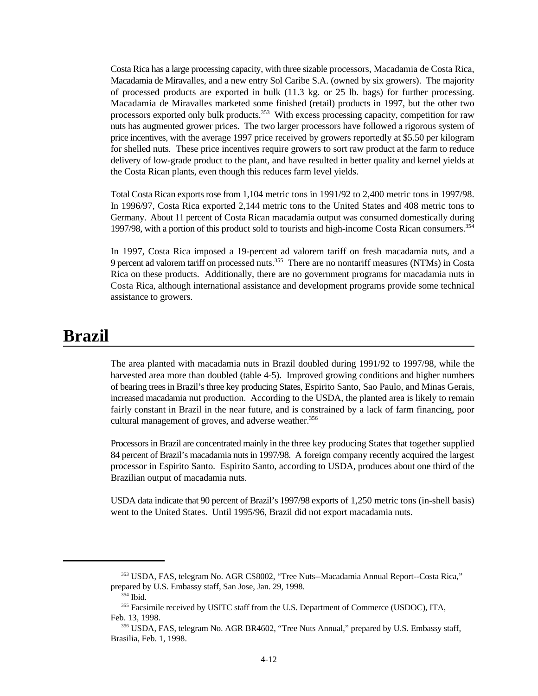Costa Rica has a large processing capacity, with three sizable processors, Macadamia de Costa Rica, Macadamia de Miravalles, and a new entry Sol Caribe S.A. (owned by six growers). The majority of processed products are exported in bulk (11.3 kg. or 25 lb. bags) for further processing. Macadamia de Miravalles marketed some finished (retail) products in 1997, but the other two processors exported only bulk products.<sup>353</sup> With excess processing capacity, competition for raw nuts has augmented grower prices. The two larger processors have followed a rigorous system of price incentives, with the average 1997 price received by growers reportedly at \$5.50 per kilogram for shelled nuts. These price incentives require growers to sort raw product at the farm to reduce delivery of low-grade product to the plant, and have resulted in better quality and kernel yields at the Costa Rican plants, even though this reduces farm level yields.

Total Costa Rican exports rose from 1,104 metric tons in 1991/92 to 2,400 metric tons in 1997/98. In 1996/97, Costa Rica exported 2,144 metric tons to the United States and 408 metric tons to Germany. About 11 percent of Costa Rican macadamia output was consumed domestically during 1997/98, with a portion of this product sold to tourists and high-income Costa Rican consumers.<sup>354</sup>

In 1997, Costa Rica imposed a 19-percent ad valorem tariff on fresh macadamia nuts, and a 9 percent ad valorem tariff on processed nuts.<sup>355</sup> There are no nontariff measures (NTMs) in Costa Rica on these products. Additionally, there are no government programs for macadamia nuts in Costa Rica, although international assistance and development programs provide some technical assistance to growers.

# **Brazil**

The area planted with macadamia nuts in Brazil doubled during 1991/92 to 1997/98, while the harvested area more than doubled (table 4-5). Improved growing conditions and higher numbers of bearing trees in Brazil's three key producing States, Espirito Santo, Sao Paulo, and Minas Gerais, increased macadamia nut production. According to the USDA, the planted area is likely to remain fairly constant in Brazil in the near future, and is constrained by a lack of farm financing, poor cultural management of groves, and adverse weather.<sup>356</sup>

Processors in Brazil are concentrated mainly in the three key producing States that together supplied 84 percent of Brazil's macadamia nuts in 1997/98. A foreign company recently acquired the largest processor in Espirito Santo. Espirito Santo, according to USDA, produces about one third of the Brazilian output of macadamia nuts.

USDA data indicate that 90 percent of Brazil's 1997/98 exports of 1,250 metric tons (in-shell basis) went to the United States. Until 1995/96, Brazil did not export macadamia nuts.

USDA, FAS, telegram No. AGR CS8002, "Tree Nuts--Macadamia Annual Report--Costa Rica," <sup>353</sup> prepared by U.S. Embassy staff, San Jose, Jan. 29, 1998.

 $354$  Ibid.

<sup>&</sup>lt;sup>355</sup> Facsimile received by USITC staff from the U.S. Department of Commerce (USDOC), ITA, Feb. 13, 1998.

<sup>&</sup>lt;sup>356</sup> USDA, FAS, telegram No. AGR BR4602, "Tree Nuts Annual," prepared by U.S. Embassy staff, Brasilia, Feb. 1, 1998.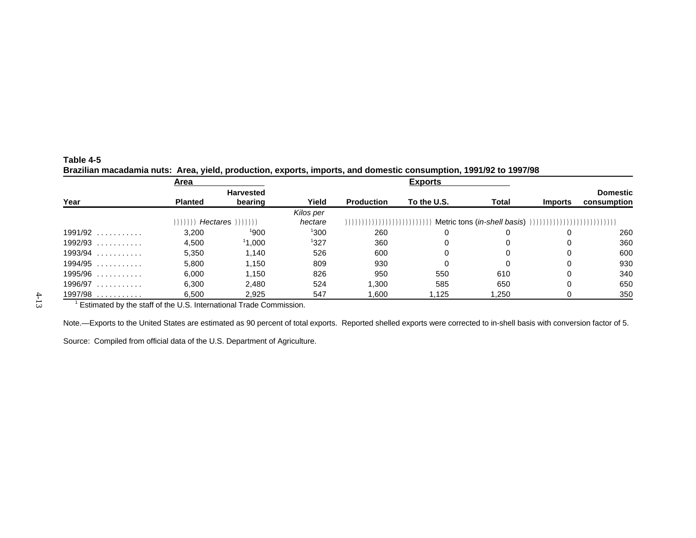| Table 4-5 |                                                                                                                   |  |
|-----------|-------------------------------------------------------------------------------------------------------------------|--|
|           | Brazilian macadamia nuts: Area, yield, production, exports, imports, and domestic consumption, 1991/92 to 1997/98 |  |

|              | Area           |                  |           |                   | <b>Exports</b> |       |                |                 |
|--------------|----------------|------------------|-----------|-------------------|----------------|-------|----------------|-----------------|
|              |                | <b>Harvested</b> |           |                   |                |       |                | <b>Domestic</b> |
| Year         | <b>Planted</b> | bearing          | Yield     | <b>Production</b> | To the U.S.    | Total | <b>Imports</b> | consumption     |
|              |                |                  | Kilos per |                   |                |       |                |                 |
|              | ))))))         |                  | hectare   |                   |                |       |                |                 |
| $1991/92$    | 3.200          | 1900             | 1300      | 260               | 0              | 0     |                | 260             |
| 1992/93<br>. | 4.500          | 11.000           | 1327      | 360               | 0              | 0     | 0              | 360             |
| 1993/94<br>. | 5,350          | 1.140            | 526       | 600               | 0              | 0     | 0              | 600             |
| $1994/95$    | 5,800          | 1,150            | 809       | 930               | 0              | 0     | 0              | 930             |
| 1995/96<br>. | 6,000          | 1,150            | 826       | 950               | 550            | 610   | $\Omega$       | 340             |
| 1996/97<br>. | 6.300          | 2.480            | 524       | .300              | 585            | 650   | 0              | 650             |
| 1997/98<br>. | 6,500          | 2,925            | 547       | .600              | .125           | .250  |                | 350             |

<sup>1</sup> Estimated by the staff of the U.S. International Trade Commission.

Note.—Exports to the United States are estimated as 90 percent of total exports. Reported shelled exports were corrected to in-shell basis with conversion factor of 5.

Source: Compiled from official data of the U.S. Department of Agriculture.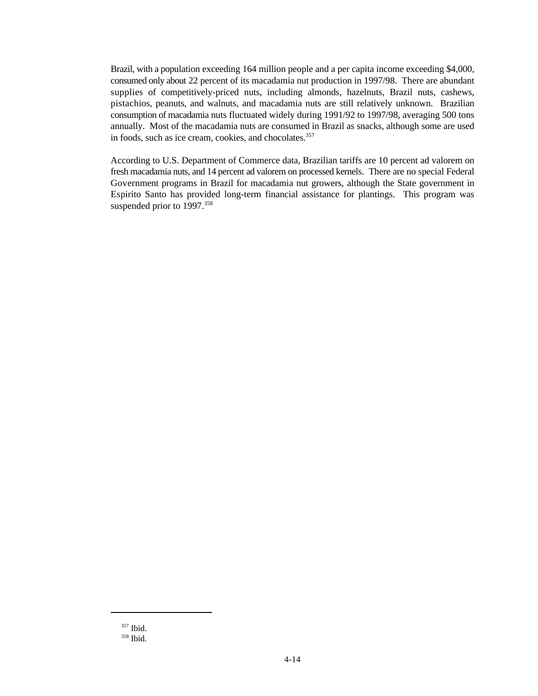Brazil, with a population exceeding 164 million people and a per capita income exceeding \$4,000, consumed only about 22 percent of its macadamia nut production in 1997/98. There are abundant supplies of competitively-priced nuts, including almonds, hazelnuts, Brazil nuts, cashews, pistachios, peanuts, and walnuts, and macadamia nuts are still relatively unknown. Brazilian consumption of macadamia nuts fluctuated widely during 1991/92 to 1997/98, averaging 500 tons annually. Most of the macadamia nuts are consumed in Brazil as snacks, although some are used in foods, such as ice cream, cookies, and chocolates.<sup>357</sup>

According to U.S. Department of Commerce data, Brazilian tariffs are 10 percent ad valorem on fresh macadamia nuts, and 14 percent ad valorem on processed kernels. There are no special Federal Government programs in Brazil for macadamia nut growers, although the State government in Espirito Santo has provided long-term financial assistance for plantings. This program was suspended prior to 1997.<sup>358</sup>

 $357$  Ibid.

<sup>&</sup>lt;sup>358</sup> Ibid.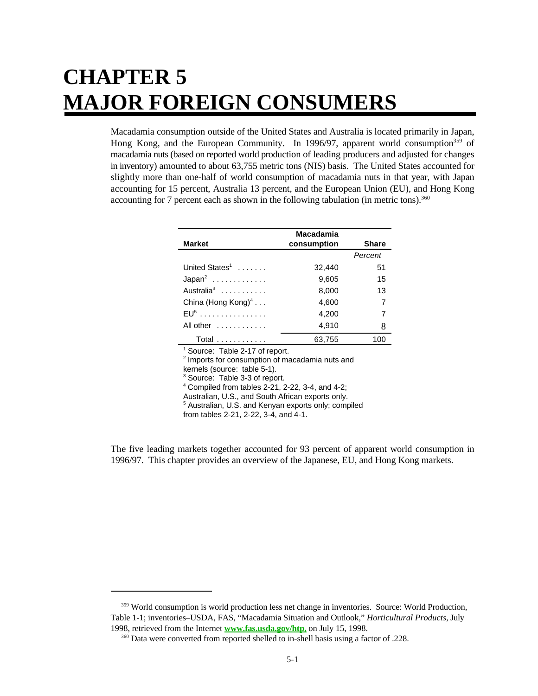# **CHAPTER 5 MAJOR FOREIGN CONSUMERS**

Macadamia consumption outside of the United States and Australia is located primarily in Japan, Hong Kong, and the European Community. In 1996/97, apparent world consumption<sup>359</sup> of macadamia nuts (based on reported world production of leading producers and adjusted for changes in inventory) amounted to about 63,755 metric tons (NIS) basis. The United States accounted for slightly more than one-half of world consumption of macadamia nuts in that year, with Japan accounting for 15 percent, Australia 13 percent, and the European Union (EU), and Hong Kong accounting for 7 percent each as shown in the following tabulation (in metric tons).<sup>360</sup>

|                                  | Macadamia   |              |
|----------------------------------|-------------|--------------|
| <b>Market</b>                    | consumption | <b>Share</b> |
|                                  |             | Percent      |
| United States <sup>1</sup>       | 32,440      | 51           |
| $Japan2$                         | 9,605       | 15           |
| Australia <sup>3</sup>           | 8,000       | 13           |
| China (Hong Kong) $4 \ldots$     | 4,600       | 7            |
| $EU5$                            | 4.200       | 7            |
| All other $\ldots \ldots \ldots$ | 4,910       | 8            |
| <b>Total</b>                     | 63,755      | 100          |
|                                  |             |              |

Source: Table 2-17 of report.

 $2$  Imports for consumption of macadamia nuts and kernels (source: table 5-1).

<sup>3</sup> Source: Table 3-3 of report.

 $4$  Compiled from tables 2-21, 2-22, 3-4, and 4-2;

Australian, U.S., and South African exports only.

<sup>5</sup> Australian, U.S. and Kenyan exports only; compiled

from tables 2-21, 2-22, 3-4, and 4-1.

The five leading markets together accounted for 93 percent of apparent world consumption in 1996/97. This chapter provides an overview of the Japanese, EU, and Hong Kong markets.

<sup>&</sup>lt;sup>359</sup> World consumption is world production less net change in inventories. Source: World Production, Table 1-1; inventories–USDA, FAS, "Macadamia Situation and Outlook," *Horticultural Products*, July 1998, retrieved from the Internet **www.fas.usda.gov/htp,** on July 15, 1998.

<sup>&</sup>lt;sup>360</sup> Data were converted from reported shelled to in-shell basis using a factor of .228.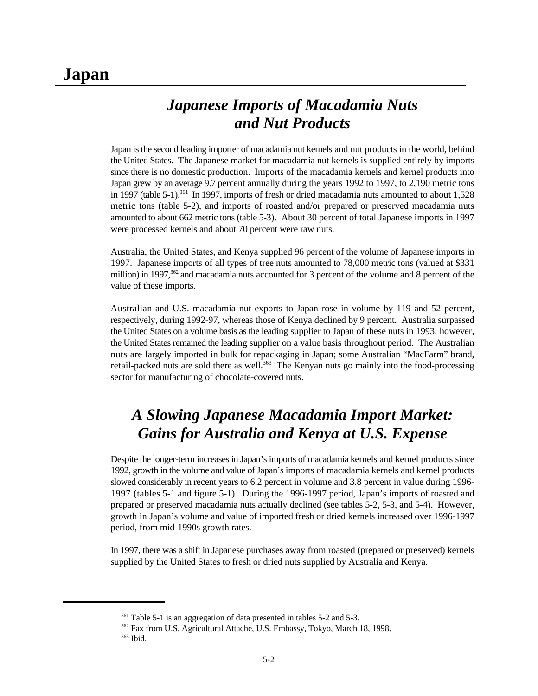# **Japan**

# *Japanese Imports of Macadamia Nuts and Nut Products*

Japan is the second leading importer of macadamia nut kernels and nut products in the world, behind the United States. The Japanese market for macadamia nut kernels is supplied entirely by imports since there is no domestic production. Imports of the macadamia kernels and kernel products into Japan grew by an average 9.7 percent annually during the years 1992 to 1997, to 2,190 metric tons in 1997 (table 5-1).<sup>361</sup> In 1997, imports of fresh or dried macadamia nuts amounted to about  $1,528$ metric tons (table 5-2), and imports of roasted and/or prepared or preserved macadamia nuts amounted to about 662 metric tons (table 5-3). About 30 percent of total Japanese imports in 1997 were processed kernels and about 70 percent were raw nuts.

Australia, the United States, and Kenya supplied 96 percent of the volume of Japanese imports in 1997. Japanese imports of all types of tree nuts amounted to 78,000 metric tons (valued at \$331 million) in 1997,  $362$  and macadamia nuts accounted for 3 percent of the volume and 8 percent of the value of these imports.

Australian and U.S. macadamia nut exports to Japan rose in volume by 119 and 52 percent, respectively, during 1992-97, whereas those of Kenya declined by 9 percent. Australia surpassed the United States on a volume basis as the leading supplier to Japan of these nuts in 1993; however, the United States remained the leading supplier on a value basis throughout period. The Australian nuts are largely imported in bulk for repackaging in Japan; some Australian "MacFarm" brand, retail-packed nuts are sold there as well.<sup>363</sup> The Kenyan nuts go mainly into the food-processing sector for manufacturing of chocolate-covered nuts.

# *A Slowing Japanese Macadamia Import Market: Gains for Australia and Kenya at U.S. Expense*

Despite the longer-term increases in Japan's imports of macadamia kernels and kernel products since 1992, growth in the volume and value of Japan's imports of macadamia kernels and kernel products slowed considerably in recent years to 6.2 percent in volume and 3.8 percent in value during 1996- 1997 (tables 5-1 and figure 5-1). During the 1996-1997 period, Japan's imports of roasted and prepared or preserved macadamia nuts actually declined (see tables 5-2, 5-3, and 5-4). However, growth in Japan's volume and value of imported fresh or dried kernels increased over 1996-1997 period, from mid-1990s growth rates.

In 1997, there was a shift in Japanese purchases away from roasted (prepared or preserved) kernels supplied by the United States to fresh or dried nuts supplied by Australia and Kenya.

 $361$  Table 5-1 is an aggregation of data presented in tables 5-2 and 5-3.

<sup>&</sup>lt;sup>362</sup> Fax from U.S. Agricultural Attache, U.S. Embassy, Tokyo, March 18, 1998.

<sup>363</sup> Ibid.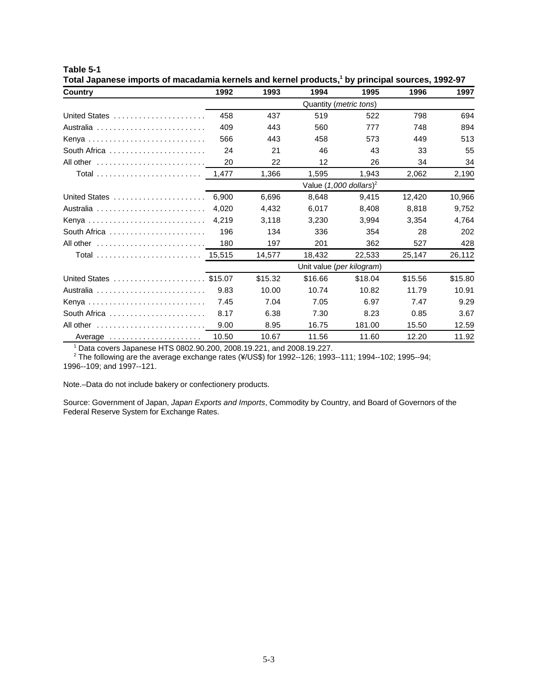| Country                                                  | 1992                            | 1993    | 1994                               | 1995    | 1996    | 1997    |  |  |  |
|----------------------------------------------------------|---------------------------------|---------|------------------------------------|---------|---------|---------|--|--|--|
|                                                          | Quantity ( <i>metric tons</i> ) |         |                                    |         |         |         |  |  |  |
| United States                                            | 458                             | 437     | 519                                | 522     | 798     | 694     |  |  |  |
|                                                          | 409                             | 443     | 560                                | 777     | 748     | 894     |  |  |  |
| Kenya                                                    | 566                             | 443     | 458                                | 573     | 449     | 513     |  |  |  |
| South Africa                                             | 24                              | 21      | 46                                 | 43      | 33      | 55      |  |  |  |
| All other                                                | 20                              | 22      | 12                                 | 26      | 34      | 34      |  |  |  |
|                                                          | 1,477                           | 1,366   | 1,595                              | 1,943   | 2,062   | 2,190   |  |  |  |
|                                                          |                                 |         | Value (1,000 dollars) <sup>2</sup> |         |         |         |  |  |  |
| United States                                            | 6,900                           | 6,696   | 8,648                              | 9,415   | 12,420  | 10,966  |  |  |  |
| Australia                                                | 4.020                           | 4,432   | 6,017                              | 8,408   | 8.818   | 9,752   |  |  |  |
|                                                          | 4,219                           | 3,118   | 3,230                              | 3,994   | 3,354   | 4,764   |  |  |  |
| South Africa $\dots\dots\dots\dots\dots\dots\dots\dots$  | 196                             | 134     | 336                                | 354     | 28      | 202     |  |  |  |
| All other                                                | 180                             | 197     | 201                                | 362     | 527     | 428     |  |  |  |
|                                                          |                                 | 14,577  | 18,432                             | 22,533  | 25,147  | 26,112  |  |  |  |
|                                                          |                                 |         | Unit value (per kilogram)          |         |         |         |  |  |  |
| United States  \$15.07                                   |                                 | \$15.32 | \$16.66                            | \$18.04 | \$15.56 | \$15.80 |  |  |  |
|                                                          | 9.83                            | 10.00   | 10.74                              | 10.82   | 11.79   | 10.91   |  |  |  |
| Kenya                                                    | 7.45                            | 7.04    | 7.05                               | 6.97    | 7.47    | 9.29    |  |  |  |
| South Africa $\ldots \ldots \ldots \ldots \ldots \ldots$ | 8.17                            | 6.38    | 7.30                               | 8.23    | 0.85    | 3.67    |  |  |  |
|                                                          | 9.00                            | 8.95    | 16.75                              | 181.00  | 15.50   | 12.59   |  |  |  |
| Average                                                  | 10.50                           | 10.67   | 11.56                              | 11.60   | 12.20   | 11.92   |  |  |  |

Total Japanese imports of macadamia kernels and kernel products,<sup>1</sup> by principal sources, 1992-97

 $1$  Data covers Japanese HTS 0802.90.200, 2008.19.221, and 2008.19.227.

 $^2$  The following are the average exchange rates (¥/US\$) for 1992--126; 1993--111; 1994--102; 1995--94; 1996--109; and 1997--121.

Note.–Data do not include bakery or confectionery products.

**Table 5-1**

Source: Government of Japan, *Japan Exports and Imports*, Commodity by Country, and Board of Governors of the Federal Reserve System for Exchange Rates.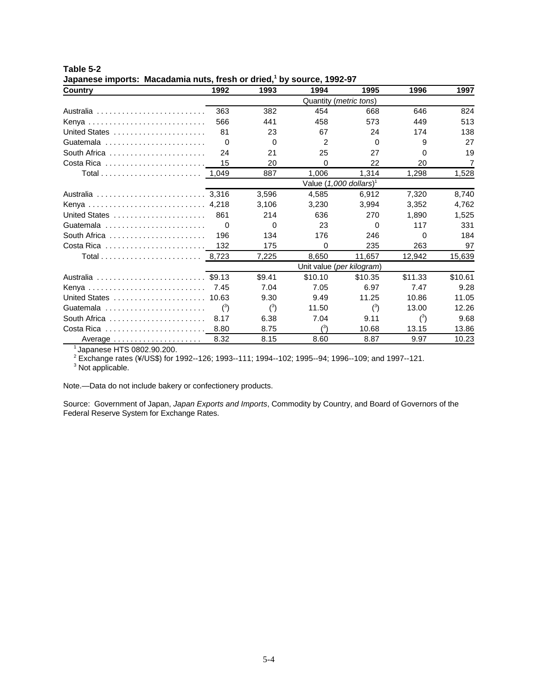| Country                                                      | 1992                            | 1993     | 1994                                 | 1995     | 1996    | 1997           |  |  |  |  |
|--------------------------------------------------------------|---------------------------------|----------|--------------------------------------|----------|---------|----------------|--|--|--|--|
|                                                              | Quantity ( <i>metric tons</i> ) |          |                                      |          |         |                |  |  |  |  |
|                                                              | 363                             | 382      | 454                                  | 668      | 646     | 824            |  |  |  |  |
|                                                              | 566                             | 441      | 458                                  | 573      | 449     | 513            |  |  |  |  |
| United States                                                | 81                              | 23       | 67                                   | 24       | 174     | 138            |  |  |  |  |
| Guatemala                                                    | $\Omega$                        | $\Omega$ | 2                                    | $\Omega$ | 9       | 27             |  |  |  |  |
| South Africa $\ldots \ldots \ldots \ldots \ldots \ldots$     | 24                              | 21       | 25                                   | 27       | 0       | 19             |  |  |  |  |
| Costa Rica                                                   | 15                              | 20       | $\Omega$                             | 22       | 20      | $\overline{7}$ |  |  |  |  |
| Total 1.049                                                  |                                 | 887      | 1.006                                | 1,314    | 1,298   | 1,528          |  |  |  |  |
|                                                              |                                 |          | Value $(1,000$ dollars) <sup>1</sup> |          |         |                |  |  |  |  |
|                                                              |                                 | 3,596    | 4.585                                | 6.912    | 7,320   | 8,740          |  |  |  |  |
| Kenya  4,218                                                 |                                 | 3.106    | 3.230                                | 3.994    | 3.352   | 4.762          |  |  |  |  |
| United States                                                | 861                             | 214      | 636                                  | 270      | 1.890   | 1,525          |  |  |  |  |
| Guatemala $\ldots \ldots \ldots \ldots \ldots \ldots \ldots$ | $\Omega$                        | $\Omega$ | 23                                   | $\Omega$ | 117     | 331            |  |  |  |  |
| South Africa $\ldots \ldots \ldots \ldots \ldots \ldots$     | 196                             | 134      | 176                                  | 246      | 0       | 184            |  |  |  |  |
| Costa Rica $\ldots \ldots \ldots \ldots \ldots \ldots$       | 132                             | 175      | $\Omega$                             | 235      | 263     | 97             |  |  |  |  |
|                                                              |                                 | 7,225    | 8,650                                | 11,657   | 12,942  | 15,639         |  |  |  |  |
|                                                              |                                 |          | Unit value (per kilogram)            |          |         |                |  |  |  |  |
| Australia  \$9.13                                            |                                 | \$9.41   | \$10.10                              | \$10.35  | \$11.33 | \$10.61        |  |  |  |  |
| Kenya                                                        | 7.45                            | 7.04     | 7.05                                 | 6.97     | 7.47    | 9.28           |  |  |  |  |
| United States                                                | 10.63                           | 9.30     | 9.49                                 | 11.25    | 10.86   | 11.05          |  |  |  |  |
| Guatemala                                                    | $^{\left(3\right)}$             | $(^3)$   | 11.50                                | $(^3)$   | 13.00   | 12.26          |  |  |  |  |
| South Africa $\ldots \ldots \ldots \ldots \ldots \ldots$     | 8.17                            | 6.38     | 7.04                                 | 9.11     | $(^3)$  | 9.68           |  |  |  |  |
|                                                              |                                 | 8.75     | (3)                                  | 10.68    | 13.15   | 13.86          |  |  |  |  |
| Average                                                      | 8.32                            | 8.15     | 8.60                                 | 8.87     | 9.97    | 10.23          |  |  |  |  |

**Table 5-2 Japanese imports: Macadamia nuts, fresh or dried,<sup>1</sup> by source, 1992-97** 

<sup>1</sup> Japanese HTS 0802.90.200.

Exchange rates (¥/US\$) for 1992--126; 1993--111; 1994--102; 1995--94; 1996--109; and 1997--121. <sup>2</sup>

<sup>3</sup> Not applicable.

Note.—Data do not include bakery or confectionery products.

Source: Government of Japan, *Japan Exports and Imports*, Commodity by Country, and Board of Governors of the Federal Reserve System for Exchange Rates.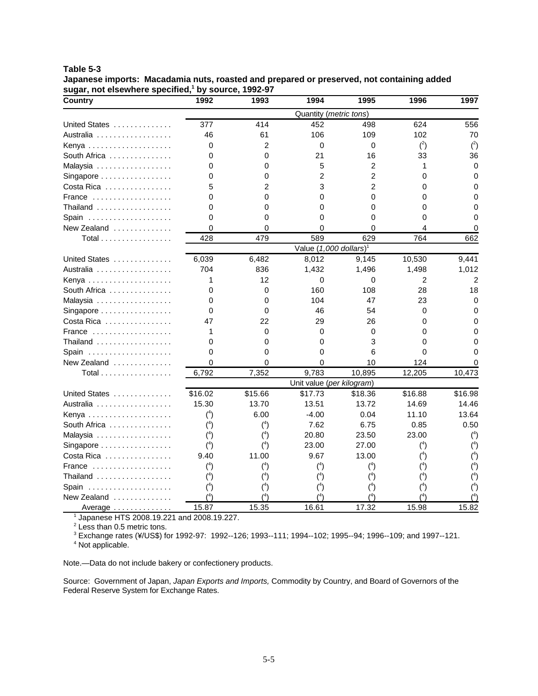#### **Table 5-3**

**Japanese imports: Macadamia nuts, roasted and prepared or preserved, not containing added** sugar, not elsewhere specified,<sup>1</sup> by source, 1992-97

| <b>Country</b>         | 1992     | 1993           | 1994                                 | 1995           | 1996     | 1997     |
|------------------------|----------|----------------|--------------------------------------|----------------|----------|----------|
|                        |          |                | Quantity (metric tons)               |                |          |          |
| United States          | 377      | 414            | 452                                  | 498            | 624      | 556      |
| Australia              | 46       | 61             | 106                                  | 109            | 102      | 70       |
| Kenya                  | 0        | 2              | $\mathbf 0$                          | 0              | $(^{2})$ | (2)      |
| South Africa           | 0        | 0              | 21                                   | 16             | 33       | 36       |
| Malaysia               | 0        | 0              | 5                                    | 2              | 1        | 0        |
| Singapore              | 0        | 0              | 2                                    | $\overline{2}$ | 0        | 0        |
| Costa Rica             | 5        | $\mathfrak{p}$ | 3                                    | $\overline{2}$ | 0        | 0        |
| France                 | 0        | 0              | 0                                    | $\Omega$       | 0        |          |
| Thailand               | 0        | 0              | 0                                    | $\Omega$       | 0        | 0        |
| Spain                  | 0        | 0              | 0                                    | $\Omega$       | 0        | O        |
| New Zealand $\ldots$ , | 0        | 0              | 0                                    | $\Omega$       | 4        | O        |
| Total                  | 428      | 479            | 589                                  | 629            | 764      | 662      |
|                        |          |                | Value $(1,000$ dollars) <sup>1</sup> |                |          |          |
| United States          | 6,039    | 6,482          | 8,012                                | 9,145          | 10,530   | 9,441    |
| Australia              | 704      | 836            | 1,432                                | 1,496          | 1,498    | 1,012    |
| Kenya                  | 1        | 12             | 0                                    | 0              | 2        | 2        |
| South Africa           | 0        | 0              | 160                                  | 108            | 28       | 18       |
| Malaysia               | 0        | 0              | 104                                  | 47             | 23       | $\Omega$ |
| Singapore              | 0        | 0              | 46                                   | 54             | 0        | 0        |
| Costa Rica             | 47       | 22             | 29                                   | 26             | 0        | O        |
| France                 | 1        | $\Omega$       | $\Omega$                             | $\Omega$       | 0        | ი        |
| Thailand               | 0        | 0              | 0                                    | 3              | 0        |          |
| Spain                  | 0        | 0              | 0                                    | 6              | 0        |          |
| New Zealand $\ldots$ , | 0        | 0              | $\Omega$                             | 10             | 124      |          |
| Total                  | 6,792    | 7,352          | 9,783                                | 10,895         | 12,205   | 10,473   |
|                        |          |                | Unit value (per kilogram)            |                |          |          |
| United States          | \$16.02  | \$15.66        | \$17.73                              | \$18.36        | \$16.88  | \$16.98  |
| Australia              | 15.30    | 13.70          | 13.51                                | 13.72          | 14.69    | 14.46    |
| Kenya                  | $(^4)$   | 6.00           | $-4.00$                              | 0.04           | 11.10    | 13.64    |
| South Africa           | $(^4)$   | $(^{4})$       | 7.62                                 | 6.75           | 0.85     | 0.50     |
| Malaysia               | $(^{4})$ | $(^{4})$       | 20.80                                | 23.50          | 23.00    | $(^4)$   |
| Singapore              | $(^4)$   | $(^{4})$       | 23.00                                | 27.00          | $(^{4})$ | $(^4)$   |
| Costa Rica             | 9.40     | 11.00          | 9.67                                 | 13.00          | $(^{4})$ | $(^4)$   |
| France                 | $(^4)$   | $(^{4})$       | $(^4)$                               | $(^4)$         | $(^4)$   | $(^4)$   |
| Thailand               | $(^4)$   | $(^{4})$       | $(^{4})$                             | $(^4)$         | $(^4)$   | $(^{4})$ |
| Spain                  | $(^4)$   | $(^4)$         | $(^{4})$                             | $(^4)$         | $(^4)$   | $(^{4})$ |
| New Zealand            | $(^{4})$ | /4             | (4)                                  | $(^{4})$       |          | (4)      |
| Average                | 15.87    | 15.35          | 16.61                                | 17.32          | 15.98    | 15.82    |

<sup>1</sup> Japanese HTS 2008.19.221 and 2008.19.227.

<sup>2</sup> Less than 0.5 metric tons.

Exchange rates (¥/US\$) for 1992-97: 1992--126; 1993--111; 1994--102; 1995--94; 1996--109; and 1997--121. <sup>3</sup>

<sup>4</sup> Not applicable.

Note.—Data do not include bakery or confectionery products.

Source: Government of Japan, *Japan Exports and Imports,* Commodity by Country, and Board of Governors of the Federal Reserve System for Exchange Rates.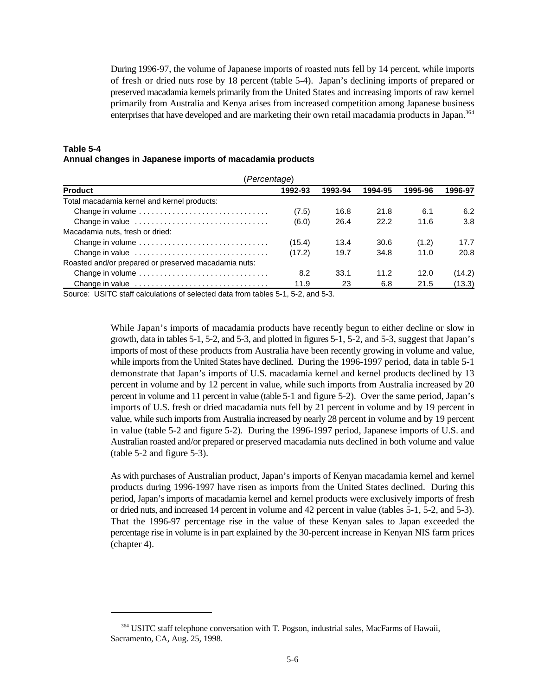During 1996-97, the volume of Japanese imports of roasted nuts fell by 14 percent, while imports of fresh or dried nuts rose by 18 percent (table 5-4). Japan's declining imports of prepared or preserved macadamia kernels primarily from the United States and increasing imports of raw kernel primarily from Australia and Kenya arises from increased competition among Japanese business enterprises that have developed and are marketing their own retail macadamia products in Japan.<sup>364</sup>

#### **Table 5-4 Annual changes in Japanese imports of macadamia products**

| (Percentage)                                         |         |         |         |         |         |  |  |  |
|------------------------------------------------------|---------|---------|---------|---------|---------|--|--|--|
| <b>Product</b>                                       | 1992-93 | 1993-94 | 1994-95 | 1995-96 | 1996-97 |  |  |  |
| Total macadamia kernel and kernel products:          |         |         |         |         |         |  |  |  |
| Change in volume                                     | (7.5)   | 16.8    | 21.8    | 6.1     | 6.2     |  |  |  |
| Change in value                                      | (6.0)   | 26.4    | 22.2    | 11.6    | 3.8     |  |  |  |
| Macadamia nuts, fresh or dried:                      |         |         |         |         |         |  |  |  |
| Change in volume                                     | (15.4)  | 13.4    | 30.6    | (1.2)   | 17.7    |  |  |  |
| Change in value                                      | (17.2)  | 19.7    | 34.8    | 11.0    | 20.8    |  |  |  |
| Roasted and/or prepared or preserved macadamia nuts: |         |         |         |         |         |  |  |  |
| Change in volume                                     | 8.2     | 33.1    | 11.2    | 12.0    | (14.2)  |  |  |  |
|                                                      | 11.9    | 23      | 6.8     | 21.5    | (13.3)  |  |  |  |

Source: USITC staff calculations of selected data from tables 5-1, 5-2, and 5-3.

While Japan's imports of macadamia products have recently begun to either decline or slow in growth, data in tables 5-1, 5-2, and 5-3, and plotted in figures 5-1, 5-2, and 5-3, suggest that Japan's imports of most of these products from Australia have been recently growing in volume and value, while imports from the United States have declined. During the 1996-1997 period, data in table 5-1 demonstrate that Japan's imports of U.S. macadamia kernel and kernel products declined by 13 percent in volume and by 12 percent in value, while such imports from Australia increased by 20 percent in volume and 11 percent in value (table 5-1 and figure 5-2). Over the same period, Japan's imports of U.S. fresh or dried macadamia nuts fell by 21 percent in volume and by 19 percent in value, while such imports from Australia increased by nearly 28 percent in volume and by 19 percent in value (table 5-2 and figure 5-2). During the 1996-1997 period, Japanese imports of U.S. and Australian roasted and/or prepared or preserved macadamia nuts declined in both volume and value (table 5-2 and figure 5-3).

As with purchases of Australian product, Japan's imports of Kenyan macadamia kernel and kernel products during 1996-1997 have risen as imports from the United States declined. During this period, Japan's imports of macadamia kernel and kernel products were exclusively imports of fresh or dried nuts, and increased 14 percent in volume and 42 percent in value (tables 5-1, 5-2, and 5-3). That the 1996-97 percentage rise in the value of these Kenyan sales to Japan exceeded the percentage rise in volume is in part explained by the 30-percent increase in Kenyan NIS farm prices (chapter 4).

<sup>&</sup>lt;sup>364</sup> USITC staff telephone conversation with T. Pogson, industrial sales, MacFarms of Hawaii, Sacramento, CA, Aug. 25, 1998.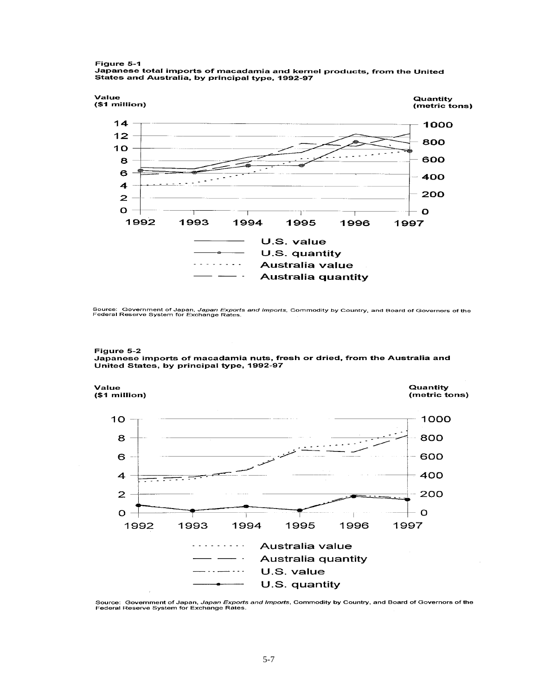#### Figure 5-1

, igure 3-1<br>Japanese total imports of macadamia and kernel products, from the United<br>States and Australia, by principal type, 1992-97



Source: Government of Japan, Ja*pan Exports and Imports*, Commodity by Country, and Board of Governors of the<br>Federal Reserve System for Exchange Rates.





Source: Government of Japan, *Japan Exports and Imports*, Commodity by Country, and Board of Governors of the<br>Federal Reserve System for Exchange Rates.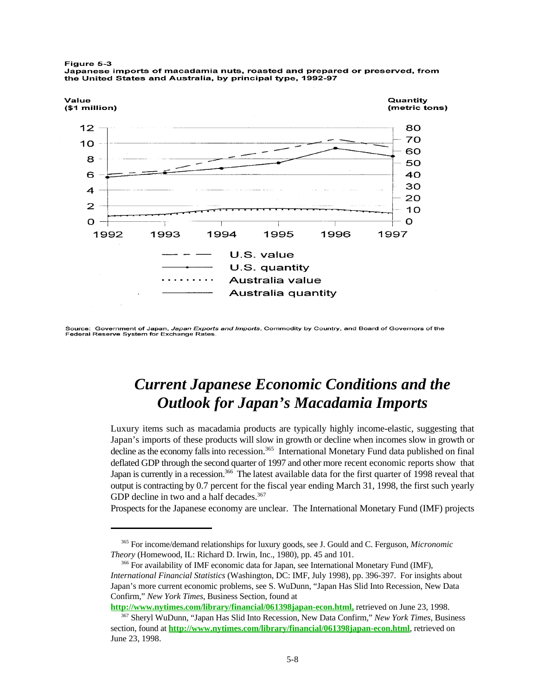

Figure 5-3 Japanese imports of macadamia nuts, roasted and prepared or preserved, from the United States and Australia, by principal type, 1992-97

Source: Government of Japan, Japan Exports and Imports, Commodity by Country, and Board of Governors of the Federal Reserve System for Exchange Rates

# *Current Japanese Economic Conditions and the Outlook for Japan's Macadamia Imports*

Luxury items such as macadamia products are typically highly income-elastic, suggesting that Japan's imports of these products will slow in growth or decline when incomes slow in growth or decline as the economy falls into recession.<sup>365</sup> International Monetary Fund data published on final deflated GDP through the second quarter of 1997 and other more recent economic reports show that Japan is currently in a recession.<sup>366</sup> The latest available data for the first quarter of 1998 reveal that output is contracting by 0.7 percent for the fiscal year ending March 31, 1998, the first such yearly GDP decline in two and a half decades.<sup>367</sup>

Prospects for the Japanese economy are unclear. The International Monetary Fund (IMF) projects

**http://www.nytimes.com/library/financial/061398japan-econ.html,** retrieved on June 23, 1998.

For income/demand relationships for luxury goods, see J. Gould and C. Ferguson, *Micronomic* <sup>365</sup> *Theory* (Homewood, IL: Richard D. Irwin, Inc., 1980), pp. 45 and 101.

<sup>&</sup>lt;sup>366</sup> For availability of IMF economic data for Japan, see International Monetary Fund (IMF), *International Financial Statistics* (Washington, DC: IMF, July 1998), pp. 396-397. For insights about Japan's more current economic problems, see S. WuDunn, "Japan Has Slid Into Recession, New Data Confirm," *New York Times*, Business Section, found at

Sheryl WuDunn, "Japan Has Slid Into Recession, New Data Confirm*,*" *New York Times*, Business <sup>367</sup> section, found at **http://www.nytimes.com/library/financial/061398japan-econ.html**, retrieved on June 23, 1998.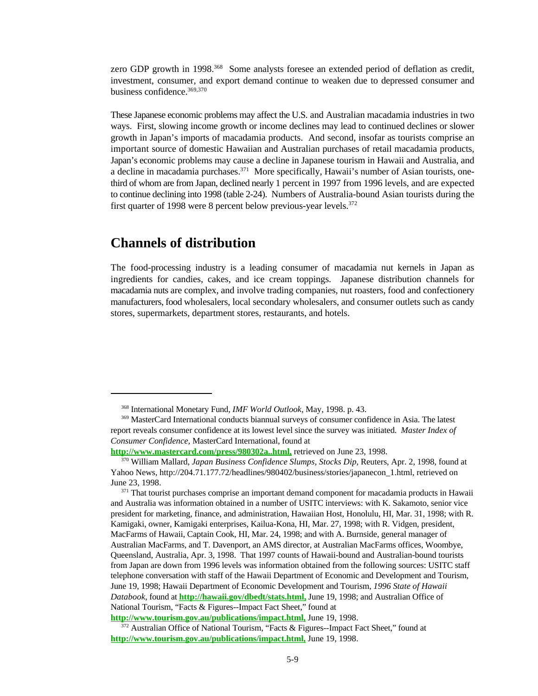zero GDP growth in 1998.<sup>368</sup> Some analysts foresee an extended period of deflation as credit, investment, consumer, and export demand continue to weaken due to depressed consumer and business confidence. 369,370

These Japanese economic problems may affect the U.S. and Australian macadamia industries in two ways. First, slowing income growth or income declines may lead to continued declines or slower growth in Japan's imports of macadamia products. And second, insofar as tourists comprise an important source of domestic Hawaiian and Australian purchases of retail macadamia products, Japan's economic problems may cause a decline in Japanese tourism in Hawaii and Australia, and a decline in macadamia purchases.<sup>371</sup> More specifically, Hawaii's number of Asian tourists, onethird of whom are from Japan, declined nearly 1 percent in 1997 from 1996 levels, and are expected to continue declining into 1998 (table 2-24). Numbers of Australia-bound Asian tourists during the first quarter of 1998 were 8 percent below previous-year levels.<sup>372</sup>

### **Channels of distribution**

The food-processing industry is a leading consumer of macadamia nut kernels in Japan as ingredients for candies, cakes, and ice cream toppings. Japanese distribution channels for macadamia nuts are complex, and involve trading companies, nut roasters, food and confectionery manufacturers, food wholesalers, local secondary wholesalers, and consumer outlets such as candy stores, supermarkets, department stores, restaurants, and hotels.

<sup>&</sup>lt;sup>368</sup> International Monetary Fund, *IMF World Outlook*, May, 1998. p. 43.

<sup>&</sup>lt;sup>369</sup> MasterCard International conducts biannual surveys of consumer confidence in Asia. The latest report reveals consumer confidence at its lowest level since the survey was initiated. *Master Index of Consumer Confidence,* MasterCard International, found at

**http://www.mastercard.com/press/980302a..html,** retrieved on June 23, 1998.

<sup>&</sup>lt;sup>370</sup> William Mallard, *Japan Business Confidence Slumps, Stocks Dip*, Reuters, Apr. 2, 1998, found at Yahoo News, http://204.71.177.72/headlines/980402/business/stories/japanecon\_1.html, retrieved on June 23, 1998.

<sup>&</sup>lt;sup>371</sup> That tourist purchases comprise an important demand component for macadamia products in Hawaii and Australia was information obtained in a number of USITC interviews: with K. Sakamoto, senior vice president for marketing, finance, and administration, Hawaiian Host, Honolulu, HI, Mar. 31, 1998; with R. Kamigaki, owner, Kamigaki enterprises, Kailua-Kona, HI, Mar. 27, 1998; with R. Vidgen, president, MacFarms of Hawaii, Captain Cook, HI, Mar. 24, 1998; and with A. Burnside, general manager of Australian MacFarms, and T. Davenport, an AMS director, at Australian MacFarms offices, Woombye, Queensland, Australia, Apr. 3, 1998. That 1997 counts of Hawaii-bound and Australian-bound tourists from Japan are down from 1996 levels was information obtained from the following sources: USITC staff telephone conversation with staff of the Hawaii Department of Economic and Development and Tourism, June 19, 1998; Hawaii Department of Economic Development and Tourism, *1996 State of Hawaii Databook*, found at **http://hawaii.gov/dbedt/stats.html,** June 19, 1998; and Australian Office of National Tourism, "Facts & Figures--Impact Fact Sheet," found at

**http://www.tourism.gov.au/publications/impact.html,** June 19, 1998.

 $372$  Australian Office of National Tourism, "Facts & Figures--Impact Fact Sheet," found at **http://www.tourism.gov.au/publications/impact.html,** June 19, 1998.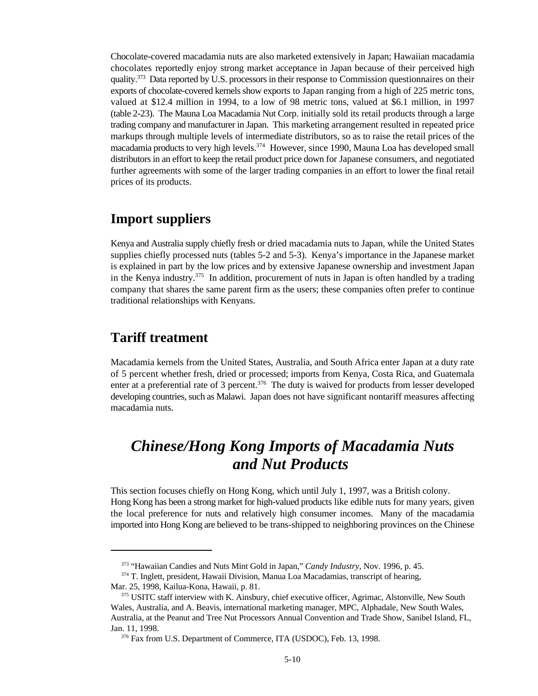Chocolate-covered macadamia nuts are also marketed extensively in Japan; Hawaiian macadamia chocolates reportedly enjoy strong market acceptance in Japan because of their perceived high quality.<sup>373</sup> Data reported by U.S. processors in their response to Commission questionnaires on their exports of chocolate-covered kernels show exports to Japan ranging from a high of 225 metric tons, valued at \$12.4 million in 1994, to a low of 98 metric tons, valued at \$6.1 million, in 1997 (table 2-23). The Mauna Loa Macadamia Nut Corp. initially sold its retail products through a large trading company and manufacturer in Japan. This marketing arrangement resulted in repeated price markups through multiple levels of intermediate distributors, so as to raise the retail prices of the macadamia products to very high levels.<sup>374</sup> However, since 1990, Mauna Loa has developed small distributors in an effort to keep the retail product price down for Japanese consumers, and negotiated further agreements with some of the larger trading companies in an effort to lower the final retail prices of its products.

### **Import suppliers**

Kenya and Australia supply chiefly fresh or dried macadamia nuts to Japan, while the United States supplies chiefly processed nuts (tables 5-2 and 5-3). Kenya's importance in the Japanese market is explained in part by the low prices and by extensive Japanese ownership and investment Japan in the Kenya industry.<sup>375</sup> In addition, procurement of nuts in Japan is often handled by a trading company that shares the same parent firm as the users; these companies often prefer to continue traditional relationships with Kenyans.

### **Tariff treatment**

Macadamia kernels from the United States, Australia, and South Africa enter Japan at a duty rate of 5 percent whether fresh, dried or processed; imports from Kenya, Costa Rica, and Guatemala enter at a preferential rate of 3 percent.<sup>376</sup> The duty is waived for products from lesser developed developing countries, such as Malawi. Japan does not have significant nontariff measures affecting macadamia nuts.

# *Chinese/Hong Kong Imports of Macadamia Nuts and Nut Products*

This section focuses chiefly on Hong Kong, which until July 1, 1997, was a British colony. Hong Kong has been a strong market for high-valued products like edible nuts for many years, given the local preference for nuts and relatively high consumer incomes. Many of the macadamia imported into Hong Kong are believed to be trans-shipped to neighboring provinces on the Chinese

<sup>&</sup>lt;sup>373</sup> "Hawaiian Candies and Nuts Mint Gold in Japan," *Candy Industry*, Nov. 1996, p. 45.

<sup>374</sup> T. Inglett, president, Hawaii Division, Manua Loa Macadamias, transcript of hearing, Mar. 25, 1998, Kailua-Kona, Hawaii, p. 81.

<sup>375</sup> USITC staff interview with K. Ainsbury, chief executive officer, Agrimac, Alstonville, New South Wales, Australia, and A. Beavis, international marketing manager, MPC, Alphadale, New South Wales, Australia, at the Peanut and Tree Nut Processors Annual Convention and Trade Show, Sanibel Island, FL, Jan. 11, 1998.

<sup>&</sup>lt;sup>376</sup> Fax from U.S. Department of Commerce, ITA (USDOC), Feb. 13, 1998.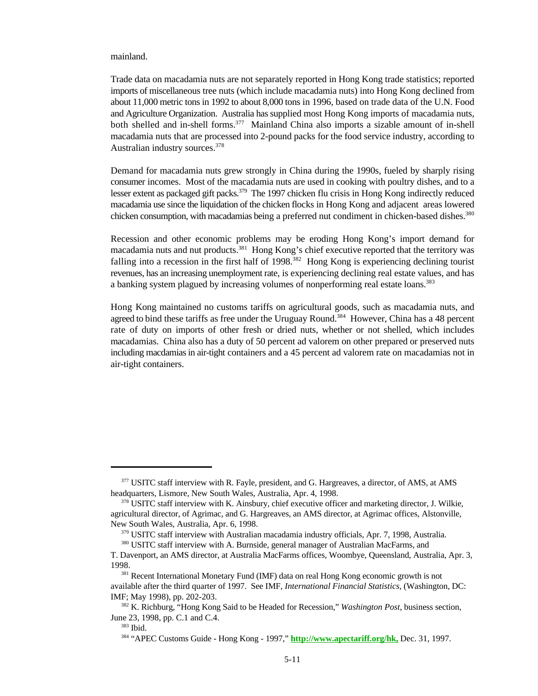#### mainland.

Trade data on macadamia nuts are not separately reported in Hong Kong trade statistics; reported imports of miscellaneous tree nuts (which include macadamia nuts) into Hong Kong declined from about 11,000 metric tons in 1992 to about 8,000 tons in 1996, based on trade data of the U.N. Food and Agriculture Organization. Australia has supplied most Hong Kong imports of macadamia nuts, both shelled and in-shell forms.<sup>377</sup> Mainland China also imports a sizable amount of in-shell macadamia nuts that are processed into 2-pound packs for the food service industry, according to Australian industry sources.<sup>378</sup>

Demand for macadamia nuts grew strongly in China during the 1990s, fueled by sharply rising consumer incomes. Most of the macadamia nuts are used in cooking with poultry dishes, and to a lesser extent as packaged gift packs.<sup>379</sup> The 1997 chicken flu crisis in Hong Kong indirectly reduced macadamia use since the liquidation of the chicken flocks in Hong Kong and adjacent areas lowered chicken consumption, with macadamias being a preferred nut condiment in chicken-based dishes.<sup>380</sup>

Recession and other economic problems may be eroding Hong Kong's import demand for macadamia nuts and nut products.<sup>381</sup> Hong Kong's chief executive reported that the territory was falling into a recession in the first half of 1998.<sup>382</sup> Hong Kong is experiencing declining tourist revenues, has an increasing unemployment rate, is experiencing declining real estate values, and has a banking system plagued by increasing volumes of nonperforming real estate loans.<sup>383</sup>

Hong Kong maintained no customs tariffs on agricultural goods, such as macadamia nuts, and agreed to bind these tariffs as free under the Uruguay Round.<sup>384</sup> However, China has a 48 percent rate of duty on imports of other fresh or dried nuts, whether or not shelled, which includes macadamias. China also has a duty of 50 percent ad valorem on other prepared or preserved nuts including macdamias in air-tight containers and a 45 percent ad valorem rate on macadamias not in air-tight containers.

<sup>&</sup>lt;sup>377</sup> USITC staff interview with R. Fayle, president, and G. Hargreaves, a director, of AMS, at AMS headquarters, Lismore, New South Wales, Australia, Apr. 4, 1998.

<sup>&</sup>lt;sup>378</sup> USITC staff interview with K. Ainsbury, chief executive officer and marketing director, J. Wilkie, agricultural director, of Agrimac, and G. Hargreaves, an AMS director, at Agrimac offices, Alstonville, New South Wales, Australia, Apr. 6, 1998.

 $379$  USITC staff interview with Australian macadamia industry officials, Apr. 7, 1998, Australia.

<sup>380</sup> USITC staff interview with A. Burnside, general manager of Australian MacFarms, and

T. Davenport, an AMS director, at Australia MacFarms offices, Woombye, Queensland, Australia, Apr. 3, 1998.

<sup>&</sup>lt;sup>381</sup> Recent International Monetary Fund (IMF) data on real Hong Kong economic growth is not available after the third quarter of 1997. See IMF, *International Financial Statistics*, (Washington, DC: IMF; May 1998), pp. 202-203.

<sup>&</sup>lt;sup>382</sup> K. Richburg, "Hong Kong Said to be Headed for Recession," *Washington Post*, business section, June 23, 1998, pp. C.1 and C.4.

<sup>383</sup> Ibid.

<sup>&</sup>lt;sup>384</sup> "APEC Customs Guide - Hong Kong - 1997," **http://www.apectariff.org/hk**, Dec. 31, 1997.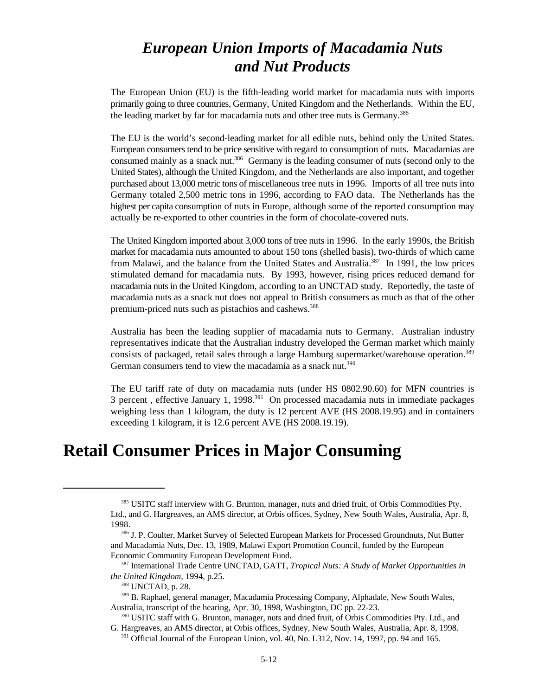# *European Union Imports of Macadamia Nuts and Nut Products*

The European Union (EU) is the fifth-leading world market for macadamia nuts with imports primarily going to three countries, Germany, United Kingdom and the Netherlands. Within the EU, the leading market by far for macadamia nuts and other tree nuts is Germany.<sup>385</sup>

The EU is the world's second-leading market for all edible nuts, behind only the United States. European consumers tend to be price sensitive with regard to consumption of nuts. Macadamias are consumed mainly as a snack nut.<sup>386</sup> Germany is the leading consumer of nuts (second only to the United States), although the United Kingdom, and the Netherlands are also important, and together purchased about 13,000 metric tons of miscellaneous tree nuts in 1996. Imports of all tree nuts into Germany totaled 2,500 metric tons in 1996, according to FAO data. The Netherlands has the highest per capita consumption of nuts in Europe, although some of the reported consumption may actually be re-exported to other countries in the form of chocolate-covered nuts.

The United Kingdom imported about 3,000 tons of tree nuts in 1996. In the early 1990s, the British market for macadamia nuts amounted to about 150 tons (shelled basis), two-thirds of which came from Malawi, and the balance from the United States and Australia.<sup>387</sup> In 1991, the low prices stimulated demand for macadamia nuts. By 1993, however, rising prices reduced demand for macadamia nuts in the United Kingdom, according to an UNCTAD study. Reportedly, the taste of macadamia nuts as a snack nut does not appeal to British consumers as much as that of the other premium-priced nuts such as pistachios and cashews.<sup>388</sup>

Australia has been the leading supplier of macadamia nuts to Germany. Australian industry representatives indicate that the Australian industry developed the German market which mainly consists of packaged, retail sales through a large Hamburg supermarket/warehouse operation.<sup>389</sup> German consumers tend to view the macadamia as a snack nut.<sup>390</sup>

The EU tariff rate of duty on macadamia nuts (under HS 0802.90.60) for MFN countries is 3 percent, effective January 1, 1998.<sup>391</sup> On processed macadamia nuts in immediate packages weighing less than 1 kilogram, the duty is 12 percent AVE (HS 2008.19.95) and in containers exceeding 1 kilogram, it is 12.6 percent AVE (HS 2008.19.19).

# **Retail Consumer Prices in Major Consuming**

<sup>385</sup> USITC staff interview with G. Brunton, manager, nuts and dried fruit, of Orbis Commodities Pty. Ltd., and G. Hargreaves, an AMS director, at Orbis offices, Sydney, New South Wales, Australia, Apr. 8, 1998.

<sup>&</sup>lt;sup>386</sup> J. P. Coulter, Market Survey of Selected European Markets for Processed Groundnuts, Nut Butter and Macadamia Nuts, Dec. 13, 1989, Malawi Export Promotion Council, funded by the European Economic Community European Development Fund.

International Trade Centre UNCTAD, GATT, *Tropical Nuts: A Study of Market Opportunities in* <sup>387</sup> *the United Kingdom*, 1994, p.25.

<sup>&</sup>lt;sup>388</sup> UNCTAD, p. 28.

<sup>&</sup>lt;sup>389</sup> B. Raphael, general manager, Macadamia Processing Company, Alphadale, New South Wales, Australia, transcript of the hearing, Apr. 30, 1998, Washington, DC pp. 22-23.

<sup>&</sup>lt;sup>390</sup> USITC staff with G. Brunton, manager, nuts and dried fruit, of Orbis Commodities Pty. Ltd., and G. Hargreaves, an AMS director, at Orbis offices, Sydney, New South Wales, Australia, Apr. 8, 1998.

<sup>&</sup>lt;sup>391</sup> Official Journal of the European Union, vol. 40, No. L312, Nov. 14, 1997, pp. 94 and 165.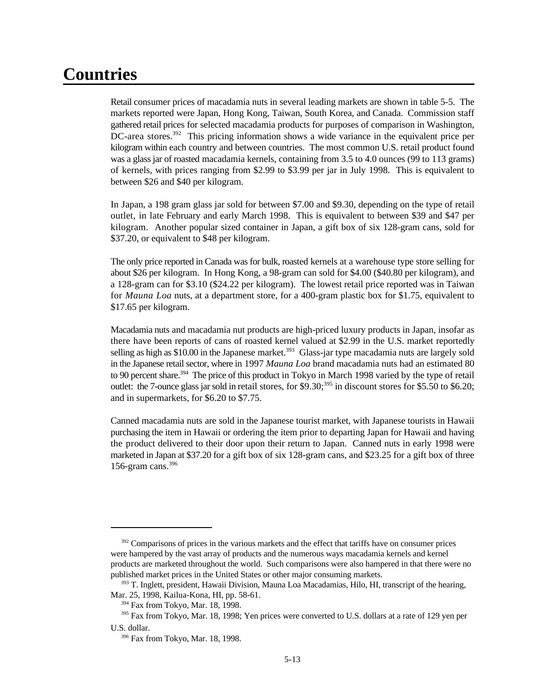# **Countries**

Retail consumer prices of macadamia nuts in several leading markets are shown in table 5-5. The markets reported were Japan, Hong Kong, Taiwan, South Korea, and Canada. Commission staff gathered retail prices for selected macadamia products for purposes of comparison in Washington, DC-area stores.<sup>392</sup> This pricing information shows a wide variance in the equivalent price per kilogram within each country and between countries. The most common U.S. retail product found was a glass jar of roasted macadamia kernels, containing from 3.5 to 4.0 ounces (99 to 113 grams) of kernels, with prices ranging from \$2.99 to \$3.99 per jar in July 1998. This is equivalent to between \$26 and \$40 per kilogram.

In Japan, a 198 gram glass jar sold for between \$7.00 and \$9.30, depending on the type of retail outlet, in late February and early March 1998. This is equivalent to between \$39 and \$47 per kilogram. Another popular sized container in Japan, a gift box of six 128-gram cans, sold for \$37.20, or equivalent to \$48 per kilogram.

The only price reported in Canada was for bulk, roasted kernels at a warehouse type store selling for about \$26 per kilogram. In Hong Kong, a 98-gram can sold for \$4.00 (\$40.80 per kilogram), and a 128-gram can for \$3.10 (\$24.22 per kilogram). The lowest retail price reported was in Taiwan for *Mauna Loa* nuts, at a department store, for a 400-gram plastic box for \$1.75, equivalent to \$17.65 per kilogram.

Macadamia nuts and macadamia nut products are high-priced luxury products in Japan, insofar as there have been reports of cans of roasted kernel valued at \$2.99 in the U.S. market reportedly selling as high as \$10.00 in the Japanese market.<sup>393</sup> Glass-jar type macadamia nuts are largely sold in the Japanese retail sector, where in 1997 *Mauna Loa* brand macadamia nuts had an estimated 80 to 90 percent share.<sup>394</sup> The price of this product in Tokyo in March 1998 varied by the type of retail outlet: the 7-ounce glass jar sold in retail stores, for \$9.30;<sup>395</sup> in discount stores for \$5.50 to \$6.20; and in supermarkets, for \$6.20 to \$7.75.

Canned macadamia nuts are sold in the Japanese tourist market, with Japanese tourists in Hawaii purchasing the item in Hawaii or ordering the item prior to departing Japan for Hawaii and having the product delivered to their door upon their return to Japan. Canned nuts in early 1998 were marketed in Japan at \$37.20 for a gift box of six 128-gram cans, and \$23.25 for a gift box of three 156-gram cans. $396$ 

 $392$  Comparisons of prices in the various markets and the effect that tariffs have on consumer prices were hampered by the vast array of products and the numerous ways macadamia kernels and kernel products are marketed throughout the world. Such comparisons were also hampered in that there were no published market prices in the United States or other major consuming markets.

<sup>&</sup>lt;sup>393</sup> T. Inglett, president, Hawaii Division, Mauna Loa Macadamias, Hilo, HI, transcript of the hearing, Mar. 25, 1998, Kailua-Kona, HI, pp. 58-61.

 $394$  Fax from Tokyo, Mar. 18, 1998.

<sup>&</sup>lt;sup>395</sup> Fax from Tokyo, Mar. 18, 1998; Yen prices were converted to U.S. dollars at a rate of 129 yen per U.S. dollar.

<sup>&</sup>lt;sup>396</sup> Fax from Tokyo, Mar. 18, 1998.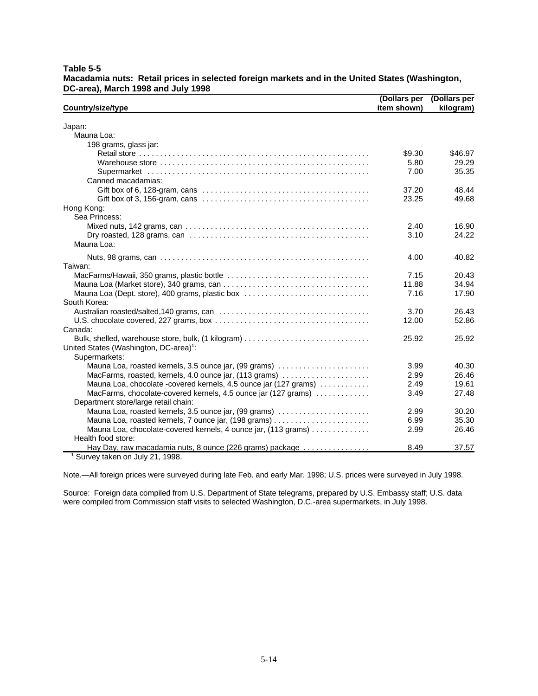|                                                                                                                            | (Dollars per | (Dollars per |
|----------------------------------------------------------------------------------------------------------------------------|--------------|--------------|
| Country/size/type                                                                                                          | item shown)  | kilogram)    |
| Japan:                                                                                                                     |              |              |
| Mauna Loa:                                                                                                                 |              |              |
| 198 grams, glass jar:                                                                                                      |              |              |
|                                                                                                                            | \$9.30       | \$46.97      |
|                                                                                                                            | 5.80         | 29.29        |
|                                                                                                                            | 7.00         | 35.35        |
| Canned macadamias:                                                                                                         |              |              |
| Gift box of 6, 128-gram, cans $\ldots \ldots \ldots \ldots \ldots \ldots \ldots \ldots \ldots \ldots \ldots \ldots \ldots$ | 37.20        | 48.44        |
|                                                                                                                            | 23.25        | 49.68        |
| Hong Kong:                                                                                                                 |              |              |
| Sea Princess:                                                                                                              |              |              |
|                                                                                                                            | 2.40         | 16.90        |
|                                                                                                                            | 3.10         | 24.22        |
| Mauna Loa:                                                                                                                 |              |              |
|                                                                                                                            | 4.00         | 40.82        |
| Taiwan:                                                                                                                    |              |              |
|                                                                                                                            | 7.15         | 20.43        |
|                                                                                                                            | 11.88        | 34.94        |
| Mauna Loa (Dept. store), 400 grams, plastic box                                                                            | 7.16         | 17.90        |
| South Korea:                                                                                                               |              |              |
|                                                                                                                            | 3.70         | 26.43        |
|                                                                                                                            | 12.00        | 52.86        |
| Canada:                                                                                                                    |              |              |
|                                                                                                                            | 25.92        | 25.92        |
| United States (Washington, DC-area) <sup>1</sup> :                                                                         |              |              |
| Supermarkets:                                                                                                              |              |              |
| Mauna Loa, roasted kernels, 3.5 ounce jar, (99 grams)                                                                      | 3.99         | 40.30        |
| MacFarms, roasted, kernels, 4.0 ounce jar, (113 grams)                                                                     | 2.99         | 26.46        |
| Mauna Loa, chocolate -covered kernels, 4.5 ounce jar (127 grams)                                                           | 2.49         | 19.61        |
| MacFarms, chocolate-covered kernels, 4.5 ounce jar (127 grams)                                                             | 3.49         | 27.48        |
| Department store/large retail chain:                                                                                       |              |              |
| Mauna Loa, roasted kernels, 3.5 ounce jar, (99 grams)                                                                      | 2.99         | 30.20        |
| Mauna Loa, roasted kernels, 7 ounce jar, (198 grams)                                                                       | 6.99         | 35.30        |
| Mauna Loa, chocolate-covered kernels, 4 ounce jar, (113 grams)                                                             | 2.99         | 26.46        |
| Health food store:                                                                                                         |              |              |
| Hay Day, raw macadamia nuts, 8 ounce (226 grams) package                                                                   | 8.49         | 37.57        |
| <sup>1</sup> Survey taken on July 21, 1998.                                                                                |              |              |

**Table 5-5 Macadamia nuts: Retail prices in selected foreign markets and in the United States (Washington, DC-area), March 1998 and July 1998**

Note.—All foreign prices were surveyed during late Feb. and early Mar. 1998; U.S. prices were surveyed in July 1998.

Source: Foreign data compiled from U.S. Department of State telegrams, prepared by U.S. Embassy staff; U.S. data were compiled from Commission staff visits to selected Washington, D.C.-area supermarkets, in July 1998.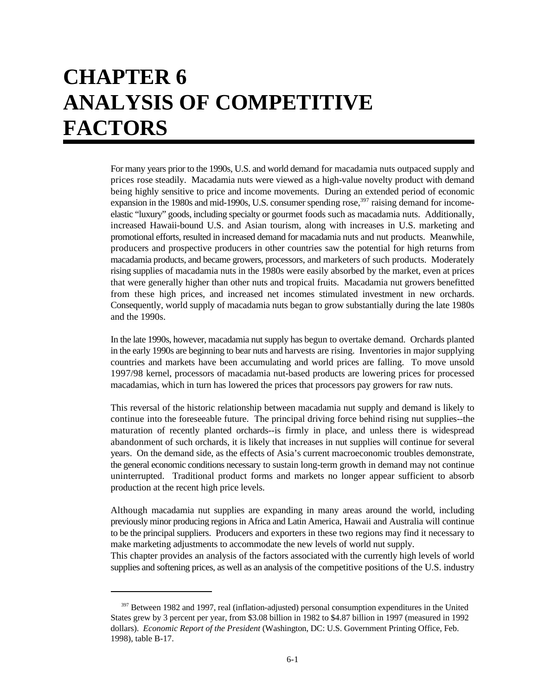# **CHAPTER 6 ANALYSIS OF COMPETITIVE FACTORS**

For many years prior to the 1990s, U.S. and world demand for macadamia nuts outpaced supply and prices rose steadily. Macadamia nuts were viewed as a high-value novelty product with demand being highly sensitive to price and income movements. During an extended period of economic expansion in the 1980s and mid-1990s, U.S. consumer spending rose,  $397$  raising demand for incomeelastic "luxury" goods, including specialty or gourmet foods such as macadamia nuts. Additionally, increased Hawaii-bound U.S. and Asian tourism, along with increases in U.S. marketing and promotional efforts, resulted in increased demand for macadamia nuts and nut products. Meanwhile, producers and prospective producers in other countries saw the potential for high returns from macadamia products, and became growers, processors, and marketers of such products. Moderately rising supplies of macadamia nuts in the 1980s were easily absorbed by the market, even at prices that were generally higher than other nuts and tropical fruits. Macadamia nut growers benefitted from these high prices, and increased net incomes stimulated investment in new orchards. Consequently, world supply of macadamia nuts began to grow substantially during the late 1980s and the 1990s.

In the late 1990s, however, macadamia nut supply has begun to overtake demand. Orchards planted in the early 1990s are beginning to bear nuts and harvests are rising. Inventories in major supplying countries and markets have been accumulating and world prices are falling. To move unsold 1997/98 kernel, processors of macadamia nut-based products are lowering prices for processed macadamias, which in turn has lowered the prices that processors pay growers for raw nuts.

This reversal of the historic relationship between macadamia nut supply and demand is likely to continue into the foreseeable future. The principal driving force behind rising nut supplies--the maturation of recently planted orchards--is firmly in place, and unless there is widespread abandonment of such orchards, it is likely that increases in nut supplies will continue for several years. On the demand side, as the effects of Asia's current macroeconomic troubles demonstrate, the general economic conditions necessary to sustain long-term growth in demand may not continue uninterrupted. Traditional product forms and markets no longer appear sufficient to absorb production at the recent high price levels.

Although macadamia nut supplies are expanding in many areas around the world, including previously minor producing regions in Africa and Latin America, Hawaii and Australia will continue to be the principal suppliers. Producers and exporters in these two regions may find it necessary to make marketing adjustments to accommodate the new levels of world nut supply.

This chapter provides an analysis of the factors associated with the currently high levels of world supplies and softening prices, as well as an analysis of the competitive positions of the U.S. industry

<sup>&</sup>lt;sup>397</sup> Between 1982 and 1997, real (inflation-adjusted) personal consumption expenditures in the United States grew by 3 percent per year, from \$3.08 billion in 1982 to \$4.87 billion in 1997 (measured in 1992 dollars). *Economic Report of the President* (Washington, DC: U.S. Government Printing Office, Feb. 1998), table B-17.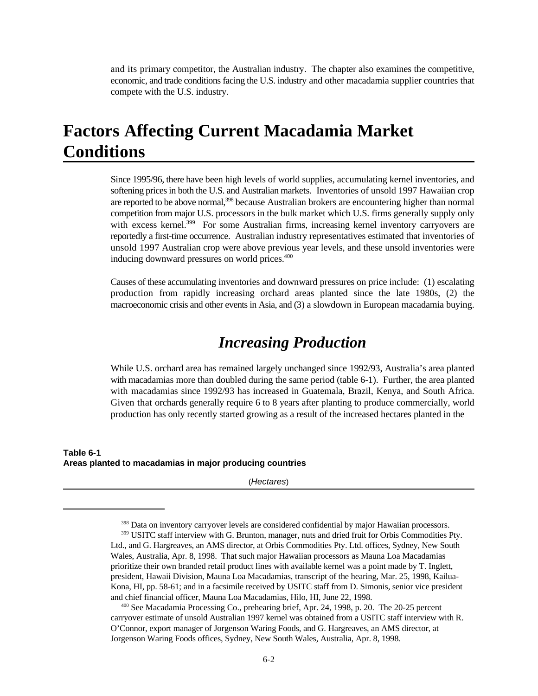and its primary competitor, the Australian industry. The chapter also examines the competitive, economic, and trade conditions facing the U.S. industry and other macadamia supplier countries that compete with the U.S. industry.

# **Factors Affecting Current Macadamia Market Conditions**

Since 1995/96, there have been high levels of world supplies, accumulating kernel inventories, and softening prices in both the U.S. and Australian markets. Inventories of unsold 1997 Hawaiian crop are reported to be above normal,<sup>398</sup> because Australian brokers are encountering higher than normal competition from major U.S. processors in the bulk market which U.S. firms generally supply only with excess kernel.<sup>399</sup> For some Australian firms, increasing kernel inventory carryovers are reportedly a first-time occurrence. Australian industry representatives estimated that inventories of unsold 1997 Australian crop were above previous year levels, and these unsold inventories were inducing downward pressures on world prices.<sup>400</sup>

Causes of these accumulating inventories and downward pressures on price include: (1) escalating production from rapidly increasing orchard areas planted since the late 1980s, (2) the macroeconomic crisis and other events in Asia, and (3) a slowdown in European macadamia buying.

## *Increasing Production*

While U.S. orchard area has remained largely unchanged since 1992/93, Australia's area planted with macadamias more than doubled during the same period (table 6-1). Further, the area planted with macadamias since 1992/93 has increased in Guatemala, Brazil, Kenya, and South Africa. Given that orchards generally require 6 to 8 years after planting to produce commercially, world production has only recently started growing as a result of the increased hectares planted in the

#### **Table 6-1 Areas planted to macadamias in major producing countries**

(*Hectares*)

<sup>&</sup>lt;sup>398</sup> Data on inventory carryover levels are considered confidential by major Hawaiian processors.

<sup>&</sup>lt;sup>399</sup> USITC staff interview with G. Brunton, manager, nuts and dried fruit for Orbis Commodities Pty. Ltd., and G. Hargreaves, an AMS director, at Orbis Commodities Pty. Ltd. offices, Sydney, New South Wales, Australia, Apr. 8, 1998. That such major Hawaiian processors as Mauna Loa Macadamias prioritize their own branded retail product lines with available kernel was a point made by T. Inglett, president, Hawaii Division, Mauna Loa Macadamias, transcript of the hearing, Mar. 25, 1998, Kailua-Kona, HI, pp. 58-61; and in a facsimile received by USITC staff from D. Simonis, senior vice president and chief financial officer, Mauna Loa Macadamias, Hilo, HI, June 22, 1998.

 $\frac{400}{2}$  See Macadamia Processing Co., prehearing brief, Apr. 24, 1998, p. 20. The 20-25 percent carryover estimate of unsold Australian 1997 kernel was obtained from a USITC staff interview with R. O'Connor, export manager of Jorgenson Waring Foods, and G. Hargreaves, an AMS director, at Jorgenson Waring Foods offices, Sydney, New South Wales, Australia, Apr. 8, 1998.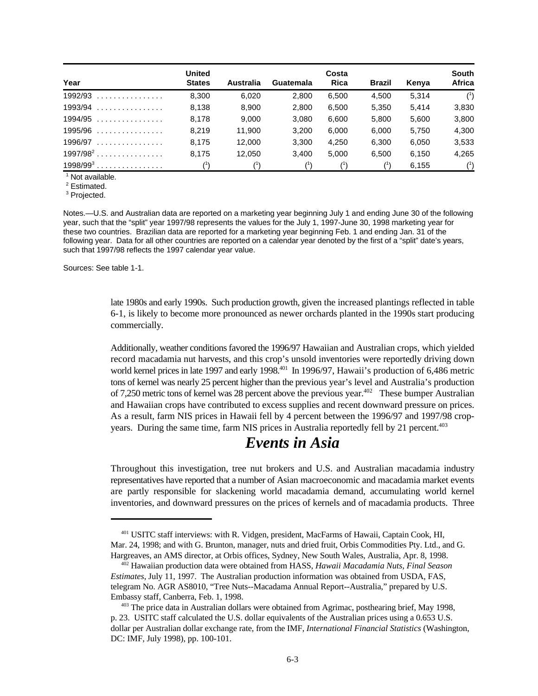| Year        | <b>United</b><br><b>States</b> | Australia | Guatemala   | Costa<br>Rica | <b>Brazil</b> | Kenya | South<br>Africa |
|-------------|--------------------------------|-----------|-------------|---------------|---------------|-------|-----------------|
| $1992/93$   | 8.300                          | 6,020     | 2.800       | 6,500         | 4.500         | 5.314 | $(^{1})$        |
| $1993/94$   | 8.138                          | 8,900     | 2.800       | 6,500         | 5,350         | 5.414 | 3,830           |
| $1994/95$   | 8.178                          | 9.000     | 3.080       | 6.600         | 5.800         | 5.600 | 3,800           |
| $1995/96$   | 8.219                          | 11.900    | 3.200       | 6.000         | 6.000         | 5.750 | 4.300           |
| $1996/97$   | 8.175                          | 12,000    | 3.300       | 4,250         | 6,300         | 6,050 | 3,533           |
| $1997/98^2$ | 8.175                          | 12.050    | 3.400       | 5.000         | 6.500         | 6.150 | 4.265           |
| $1998/99^3$ |                                |           | $^{\prime}$ |               |               | 6.155 | $^{\text{1}}$   |

 $1$  Not available.

 $2$  Estimated.

<sup>3</sup> Projected.

Notes.—U.S. and Australian data are reported on a marketing year beginning July 1 and ending June 30 of the following year, such that the "split" year 1997/98 represents the values for the July 1, 1997-June 30, 1998 marketing year for these two countries. Brazilian data are reported for a marketing year beginning Feb. 1 and ending Jan. 31 of the following year. Data for all other countries are reported on a calendar year denoted by the first of a "split" date's years, such that 1997/98 reflects the 1997 calendar year value.

Sources: See table 1-1.

late 1980s and early 1990s. Such production growth, given the increased plantings reflected in table 6-1, is likely to become more pronounced as newer orchards planted in the 1990s start producing commercially.

Additionally, weather conditions favored the 1996/97 Hawaiian and Australian crops, which yielded record macadamia nut harvests, and this crop's unsold inventories were reportedly driving down world kernel prices in late 1997 and early 1998.<sup>401</sup> In 1996/97, Hawaii's production of 6,486 metric tons of kernel was nearly 25 percent higher than the previous year's level and Australia's production of 7,250 metric tons of kernel was 28 percent above the previous year.<sup> $402$ </sup> These bumper Australian and Hawaiian crops have contributed to excess supplies and recent downward pressure on prices. As a result, farm NIS prices in Hawaii fell by 4 percent between the 1996/97 and 1997/98 cropyears. During the same time, farm NIS prices in Australia reportedly fell by 21 percent.<sup>403</sup>

# *Events in Asia*

Throughout this investigation, tree nut brokers and U.S. and Australian macadamia industry representatives have reported that a number of Asian macroeconomic and macadamia market events are partly responsible for slackening world macadamia demand, accumulating world kernel inventories, and downward pressures on the prices of kernels and of macadamia products. Three

<sup>&</sup>lt;sup>401</sup> USITC staff interviews: with R. Vidgen, president, MacFarms of Hawaii, Captain Cook, HI, Mar. 24, 1998; and with G. Brunton, manager, nuts and dried fruit, Orbis Commodities Pty. Ltd., and G. Hargreaves, an AMS director, at Orbis offices, Sydney, New South Wales, Australia, Apr. 8, 1998.

<sup>&</sup>lt;sup>402</sup> Hawaiian production data were obtained from HASS, *Hawaii Macadamia Nuts, Final Season Estimates*, July 11, 1997. The Australian production information was obtained from USDA, FAS, telegram No. AGR AS8010, "Tree Nuts--Macadama Annual Report--Australia," prepared by U.S. Embassy staff, Canberra, Feb. 1, 1998.

 $\frac{403}{3}$  The price data in Australian dollars were obtained from Agrimac, posthearing brief, May 1998, p. 23. USITC staff calculated the U.S. dollar equivalents of the Australian prices using a 0.653 U.S. dollar per Australian dollar exchange rate, from the IMF, *International Financial Statistics* (Washington, DC: IMF, July 1998), pp. 100-101.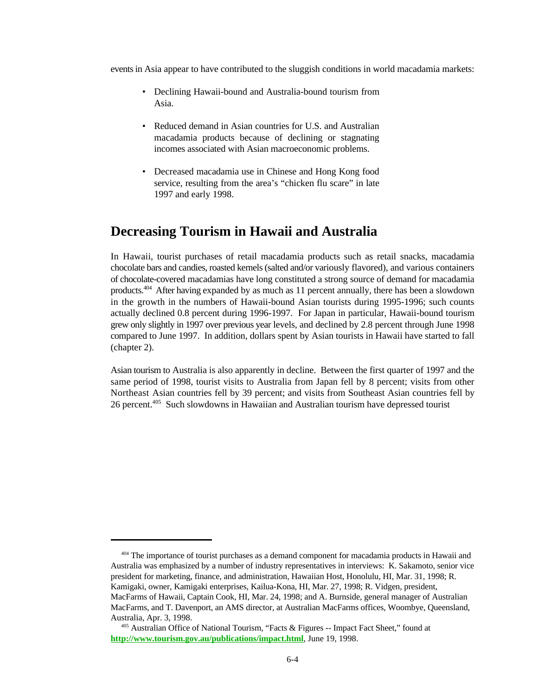events in Asia appear to have contributed to the sluggish conditions in world macadamia markets:

- Declining Hawaii-bound and Australia-bound tourism from Asia.
- Reduced demand in Asian countries for U.S. and Australian macadamia products because of declining or stagnating incomes associated with Asian macroeconomic problems.
- Decreased macadamia use in Chinese and Hong Kong food service, resulting from the area's "chicken flu scare" in late 1997 and early 1998.

### **Decreasing Tourism in Hawaii and Australia**

In Hawaii, tourist purchases of retail macadamia products such as retail snacks, macadamia chocolate bars and candies, roasted kernels (salted and/or variously flavored), and various containers of chocolate-covered macadamias have long constituted a strong source of demand for macadamia products. $404$  After having expanded by as much as 11 percent annually, there has been a slowdown in the growth in the numbers of Hawaii-bound Asian tourists during 1995-1996; such counts actually declined 0.8 percent during 1996-1997. For Japan in particular, Hawaii-bound tourism grew only slightly in 1997 over previous year levels, and declined by 2.8 percent through June 1998 compared to June 1997. In addition, dollars spent by Asian tourists in Hawaii have started to fall (chapter 2).

Asian tourism to Australia is also apparently in decline. Between the first quarter of 1997 and the same period of 1998, tourist visits to Australia from Japan fell by 8 percent; visits from other Northeast Asian countries fell by 39 percent; and visits from Southeast Asian countries fell by 26 percent.<sup>405</sup> Such slowdowns in Hawaiian and Australian tourism have depressed tourist

 $404$  The importance of tourist purchases as a demand component for macadamia products in Hawaii and Australia was emphasized by a number of industry representatives in interviews: K. Sakamoto, senior vice president for marketing, finance, and administration, Hawaiian Host, Honolulu, HI, Mar. 31, 1998; R. Kamigaki, owner, Kamigaki enterprises, Kailua-Kona, HI, Mar. 27, 1998; R. Vidgen, president, MacFarms of Hawaii, Captain Cook, HI, Mar. 24, 1998; and A. Burnside, general manager of Australian MacFarms, and T. Davenport, an AMS director, at Australian MacFarms offices, Woombye, Queensland, Australia, Apr. 3, 1998.

<sup>&</sup>lt;sup>405</sup> Australian Office of National Tourism, "Facts & Figures  $-$  Impact Fact Sheet," found at **http://www.tourism.gov.au/publications/impact.html**, June 19, 1998.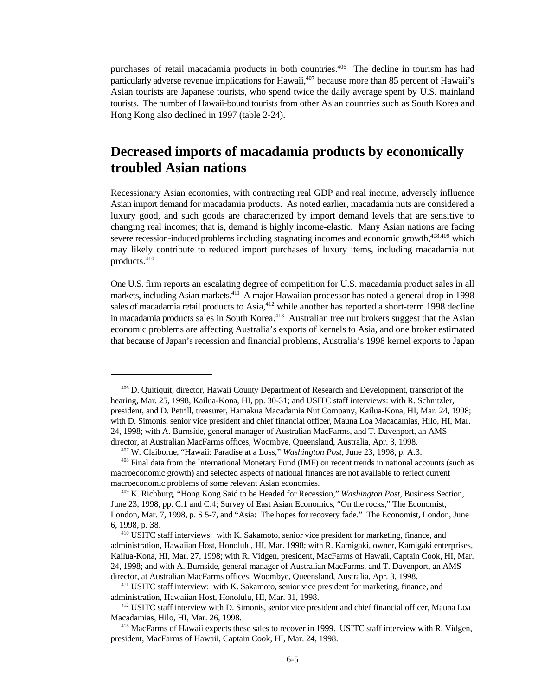purchases of retail macadamia products in both countries.<sup>406</sup> The decline in tourism has had particularly adverse revenue implications for Hawaii, $407$  because more than 85 percent of Hawaii's Asian tourists are Japanese tourists, who spend twice the daily average spent by U.S. mainland tourists. The number of Hawaii-bound tourists from other Asian countries such as South Korea and Hong Kong also declined in 1997 (table 2-24).

### **Decreased imports of macadamia products by economically troubled Asian nations**

Recessionary Asian economies, with contracting real GDP and real income, adversely influence Asian import demand for macadamia products. As noted earlier, macadamia nuts are considered a luxury good, and such goods are characterized by import demand levels that are sensitive to changing real incomes; that is, demand is highly income-elastic. Many Asian nations are facing severe recession-induced problems including stagnating incomes and economic growth, $408,409$  which may likely contribute to reduced import purchases of luxury items, including macadamia nut products.<sup>410</sup>

One U.S. firm reports an escalating degree of competition for U.S. macadamia product sales in all markets, including Asian markets.<sup>411</sup> A major Hawaiian processor has noted a general drop in 1998 sales of macadamia retail products to Asia,  $412$  while another has reported a short-term 1998 decline in macadamia products sales in South Korea.<sup>413</sup> Australian tree nut brokers suggest that the Asian economic problems are affecting Australia's exports of kernels to Asia, and one broker estimated that because of Japan's recession and financial problems, Australia's 1998 kernel exports to Japan

<sup>&</sup>lt;sup>406</sup> D. Quitiquit, director, Hawaii County Department of Research and Development, transcript of the hearing, Mar. 25, 1998, Kailua-Kona, HI, pp. 30-31; and USITC staff interviews: with R. Schnitzler, president, and D. Petrill, treasurer, Hamakua Macadamia Nut Company, Kailua-Kona, HI, Mar. 24, 1998; with D. Simonis, senior vice president and chief financial officer, Mauna Loa Macadamias, Hilo, HI, Mar. 24, 1998; with A. Burnside, general manager of Australian MacFarms, and T. Davenport, an AMS director, at Australian MacFarms offices, Woombye, Queensland, Australia, Apr. 3, 1998.

<sup>&</sup>lt;sup>407</sup> W. Claiborne, "Hawaii: Paradise at a Loss," *Washington Post*, June 23, 1998, p. A.3.

<sup>&</sup>lt;sup>408</sup> Final data from the International Monetary Fund (IMF) on recent trends in national accounts (such as macroeconomic growth) and selected aspects of national finances are not available to reflect current macroeconomic problems of some relevant Asian economies.

<sup>&</sup>lt;sup>409</sup> K. Richburg, "Hong Kong Said to be Headed for Recession," *Washington Post*, Business Section, June 23, 1998, pp. C.1 and C.4; Survey of East Asian Economics, "On the rocks," The Economist, London, Mar. 7, 1998, p. S 5-7, and "Asia: The hopes for recovery fade." The Economist, London, June 6, 1998, p. 38.

<sup>&</sup>lt;sup>410</sup> USITC staff interviews: with K. Sakamoto, senior vice president for marketing, finance, and administration, Hawaiian Host, Honolulu, HI, Mar. 1998; with R. Kamigaki, owner, Kamigaki enterprises, Kailua-Kona, HI, Mar. 27, 1998; with R. Vidgen, president, MacFarms of Hawaii, Captain Cook, HI, Mar. 24, 1998; and with A. Burnside, general manager of Australian MacFarms, and T. Davenport, an AMS director, at Australian MacFarms offices, Woombye, Queensland, Australia, Apr. 3, 1998.

 $411$  USITC staff interview: with K. Sakamoto, senior vice president for marketing, finance, and administration, Hawaiian Host, Honolulu, HI, Mar. 31, 1998.

<sup>&</sup>lt;sup>412</sup> USITC staff interview with D. Simonis, senior vice president and chief financial officer, Mauna Loa Macadamias, Hilo, HI, Mar. 26, 1998.

<sup>&</sup>lt;sup>413</sup> MacFarms of Hawaii expects these sales to recover in 1999. USITC staff interview with R. Vidgen, president, MacFarms of Hawaii, Captain Cook, HI, Mar. 24, 1998.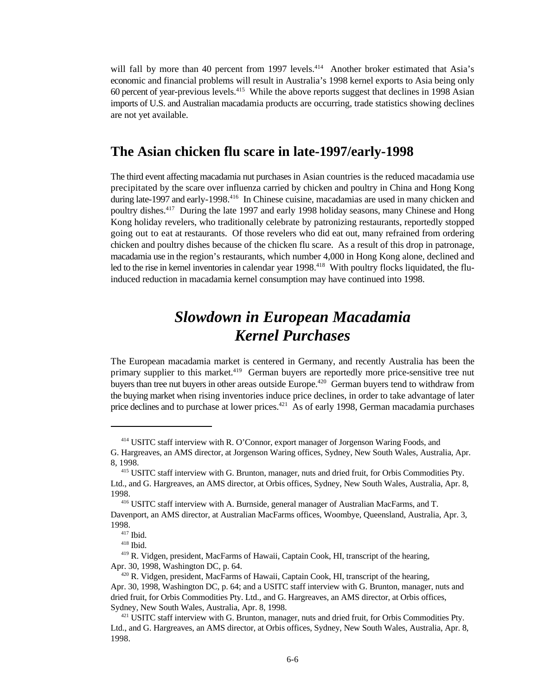will fall by more than 40 percent from 1997 levels.<sup>414</sup> Another broker estimated that Asia's economic and financial problems will result in Australia's 1998 kernel exports to Asia being only 60 percent of year-previous levels.<sup>415</sup> While the above reports suggest that declines in 1998 Asian imports of U.S. and Australian macadamia products are occurring, trade statistics showing declines are not yet available.

#### **The Asian chicken flu scare in late-1997/early-1998**

The third event affecting macadamia nut purchases in Asian countries is the reduced macadamia use precipitated by the scare over influenza carried by chicken and poultry in China and Hong Kong during late-1997 and early-1998.<sup>416</sup> In Chinese cuisine, macadamias are used in many chicken and poultry dishes.  $417$  During the late 1997 and early 1998 holiday seasons, many Chinese and Hong Kong holiday revelers, who traditionally celebrate by patronizing restaurants, reportedly stopped going out to eat at restaurants. Of those revelers who did eat out, many refrained from ordering chicken and poultry dishes because of the chicken flu scare. As a result of this drop in patronage, macadamia use in the region's restaurants, which number 4,000 in Hong Kong alone, declined and led to the rise in kernel inventories in calendar year 1998.<sup>418</sup> With poultry flocks liquidated, the fluinduced reduction in macadamia kernel consumption may have continued into 1998.

# *Slowdown in European Macadamia Kernel Purchases*

The European macadamia market is centered in Germany, and recently Australia has been the primary supplier to this market.<sup>419</sup> German buyers are reportedly more price-sensitive tree nut buyers than tree nut buyers in other areas outside Europe.<sup>420</sup> German buyers tend to withdraw from the buying market when rising inventories induce price declines, in order to take advantage of later price declines and to purchase at lower prices.<sup> $421$ </sup> As of early 1998, German macadamia purchases

<sup>&</sup>lt;sup>414</sup> USITC staff interview with R. O'Connor, export manager of Jorgenson Waring Foods, and

G. Hargreaves, an AMS director, at Jorgenson Waring offices, Sydney, New South Wales, Australia, Apr. 8, 1998.

<sup>&</sup>lt;sup>415</sup> USITC staff interview with G. Brunton, manager, nuts and dried fruit, for Orbis Commodities Pty. Ltd., and G. Hargreaves, an AMS director, at Orbis offices, Sydney, New South Wales, Australia, Apr. 8, 1998.

<sup>&</sup>lt;sup>416</sup> USITC staff interview with A. Burnside, general manager of Australian MacFarms, and T. Davenport, an AMS director, at Australian MacFarms offices, Woombye, Queensland, Australia, Apr. 3, 1998.

 $417$  Ibid.

 $418$  Ibid.

<sup>&</sup>lt;sup>419</sup> R. Vidgen, president, MacFarms of Hawaii, Captain Cook, HI, transcript of the hearing, Apr. 30, 1998, Washington DC, p. 64.

<sup>&</sup>lt;sup>420</sup> R. Vidgen, president, MacFarms of Hawaii, Captain Cook, HI, transcript of the hearing, Apr. 30, 1998, Washington DC, p. 64; and a USITC staff interview with G. Brunton, manager, nuts and dried fruit, for Orbis Commodities Pty. Ltd., and G. Hargreaves, an AMS director, at Orbis offices, Sydney, New South Wales, Australia, Apr. 8, 1998.

<sup>&</sup>lt;sup>421</sup> USITC staff interview with G. Brunton, manager, nuts and dried fruit, for Orbis Commodities Pty. Ltd., and G. Hargreaves, an AMS director, at Orbis offices, Sydney, New South Wales, Australia, Apr. 8, 1998.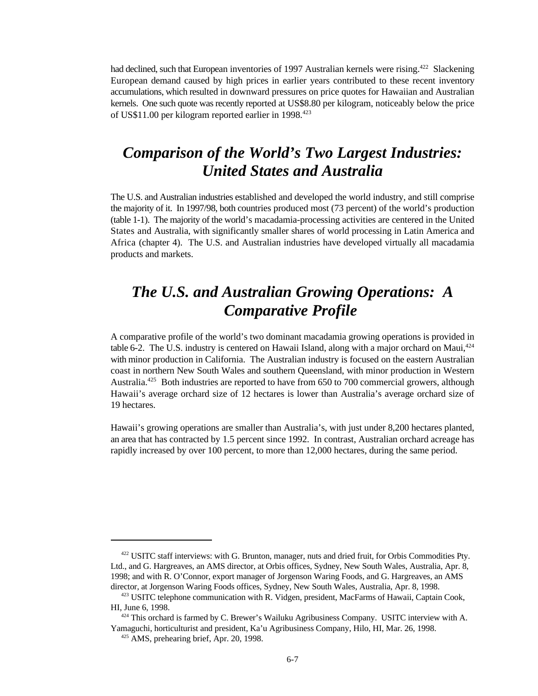had declined, such that European inventories of 1997 Australian kernels were rising.<sup>422</sup> Slackening European demand caused by high prices in earlier years contributed to these recent inventory accumulations, which resulted in downward pressures on price quotes for Hawaiian and Australian kernels. One such quote was recently reported at US\$8.80 per kilogram, noticeably below the price of US\$11.00 per kilogram reported earlier in 1998.<sup>423</sup>

# *Comparison of the World's Two Largest Industries: United States and Australia*

The U.S. and Australian industries established and developed the world industry, and still comprise the majority of it. In 1997/98, both countries produced most (73 percent) of the world's production (table 1-1). The majority of the world's macadamia-processing activities are centered in the United States and Australia, with significantly smaller shares of world processing in Latin America and Africa (chapter 4). The U.S. and Australian industries have developed virtually all macadamia products and markets.

# *The U.S. and Australian Growing Operations: A Comparative Profile*

A comparative profile of the world's two dominant macadamia growing operations is provided in table 6-2. The U.S. industry is centered on Hawaii Island, along with a major orchard on Maui, $424$ with minor production in California. The Australian industry is focused on the eastern Australian coast in northern New South Wales and southern Queensland, with minor production in Western Australia.<sup>425</sup> Both industries are reported to have from 650 to 700 commercial growers, although Hawaii's average orchard size of 12 hectares is lower than Australia's average orchard size of 19 hectares.

Hawaii's growing operations are smaller than Australia's, with just under 8,200 hectares planted, an area that has contracted by 1.5 percent since 1992. In contrast, Australian orchard acreage has rapidly increased by over 100 percent, to more than 12,000 hectares, during the same period.

<sup>422</sup> USITC staff interviews: with G. Brunton, manager, nuts and dried fruit, for Orbis Commodities Pty. Ltd., and G. Hargreaves, an AMS director, at Orbis offices, Sydney, New South Wales, Australia, Apr. 8, 1998; and with R. O'Connor, export manager of Jorgenson Waring Foods, and G. Hargreaves, an AMS director, at Jorgenson Waring Foods offices, Sydney, New South Wales, Australia, Apr. 8, 1998.

<sup>423</sup> USITC telephone communication with R. Vidgen, president, MacFarms of Hawaii, Captain Cook, HI, June 6, 1998.

 $424$  This orchard is farmed by C. Brewer's Wailuku Agribusiness Company. USITC interview with A. Yamaguchi, horticulturist and president, Ka'u Agribusiness Company, Hilo, HI, Mar. 26, 1998.

 $425$  AMS, prehearing brief, Apr. 20, 1998.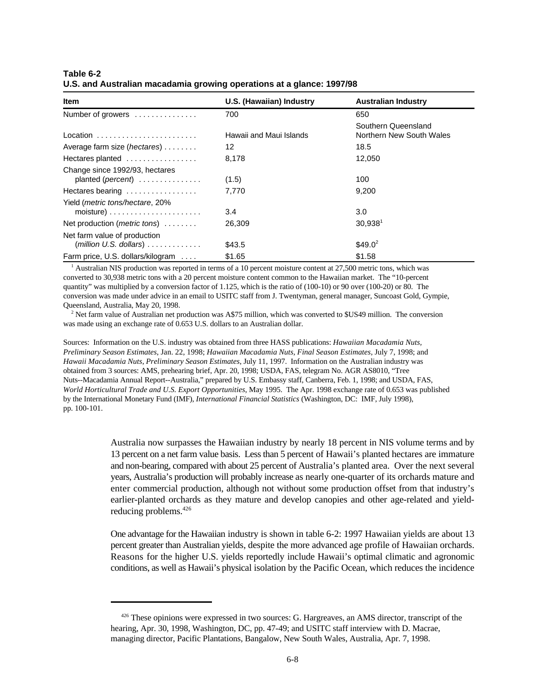| Table 6-2                                                             |  |  |
|-----------------------------------------------------------------------|--|--|
| U.S. and Australian macadamia growing operations at a glance: 1997/98 |  |  |

| <b>Item</b>                                                                   | U.S. (Hawaiian) Industry | <b>Australian Industry</b>                      |
|-------------------------------------------------------------------------------|--------------------------|-------------------------------------------------|
| Number of growers                                                             | 700                      | 650                                             |
| $Location \dots \dots \dots \dots \dots \dots \dots \dots \dots$              | Hawaii and Maui Islands  | Southern Queensland<br>Northern New South Wales |
| Average farm size ( <i>hectares</i> )                                         | 12                       | 18.5                                            |
| Hectares planted                                                              | 8.178                    | 12.050                                          |
| Change since 1992/93, hectares<br>planted (percent)                           | (1.5)                    | 100                                             |
| Hectares bearing                                                              | 7.770                    | 9,200                                           |
| Yield ( <i>metric tons/hectare, 20%</i>                                       | 3.4                      | 3.0                                             |
| Net production (metric tons)                                                  | 26.309                   | 30.938 <sup>1</sup>                             |
| Net farm value of production<br>$(million U.S. dollars) \ldots \ldots \ldots$ | \$43.5                   | $$49.0^2$                                       |
| Farm price, U.S. dollars/kilogram                                             | \$1.65                   | \$1.58                                          |

 $^1$  Australian NIS production was reported in terms of a 10 percent moisture content at 27,500 metric tons, which was converted to 30,938 metric tons with a 20 percent moisture content common to the Hawaiian market. The "10-percent quantity" was multiplied by a conversion factor of 1.125, which is the ratio of (100-10) or 90 over (100-20) or 80. The conversion was made under advice in an email to USITC staff from J. Twentyman, general manager, Suncoast Gold, Gympie, Queensland, Australia, May 20, 1998.

 $<sup>2</sup>$  Net farm value of Australian net production was A\$75 million, which was converted to \$US49 million. The conversion</sup> was made using an exchange rate of 0.653 U.S. dollars to an Australian dollar.

Sources: Information on the U.S. industry was obtained from three HASS publications: *Hawaiian Macadamia Nuts, Preliminary Season Estimates*, Jan. 22, 1998; *Hawaiian Macadamia Nuts, Final Season Estimates*, July 7, 1998; and *Hawaii Macadamia Nuts*, *Preliminary Season Estimates*, July 11, 1997. Information on the Australian industry was obtained from 3 sources: AMS, prehearing brief, Apr. 20, 1998; USDA, FAS, telegram No. AGR AS8010, "Tree Nuts--Macadamia Annual Report--Australia," prepared by U.S. Embassy staff, Canberra, Feb. 1, 1998; and USDA, FAS, *World Horticultural Trade and U.S. Export Opportunities*, May 1995. The Apr. 1998 exchange rate of 0.653 was published by the International Monetary Fund (IMF), *International Financial Statistics* (Washington, DC: IMF, July 1998), pp. 100-101.

> Australia now surpasses the Hawaiian industry by nearly 18 percent in NIS volume terms and by 13 percent on a net farm value basis. Less than 5 percent of Hawaii's planted hectares are immature and non-bearing, compared with about 25 percent of Australia's planted area. Over the next several years, Australia's production will probably increase as nearly one-quarter of its orchards mature and enter commercial production, although not without some production offset from that industry's earlier-planted orchards as they mature and develop canopies and other age-related and yieldreducing problems.<sup>426</sup>

> One advantage for the Hawaiian industry is shown in table 6-2: 1997 Hawaiian yields are about 13 percent greater than Australian yields, despite the more advanced age profile of Hawaiian orchards. Reasons for the higher U.S. yields reportedly include Hawaii's optimal climatic and agronomic conditions, as well as Hawaii's physical isolation by the Pacific Ocean, which reduces the incidence

<sup>&</sup>lt;sup>426</sup> These opinions were expressed in two sources: G. Hargreaves, an AMS director, transcript of the hearing, Apr. 30, 1998, Washington, DC, pp. 47-49; and USITC staff interview with D. Macrae, managing director, Pacific Plantations, Bangalow, New South Wales, Australia, Apr. 7, 1998.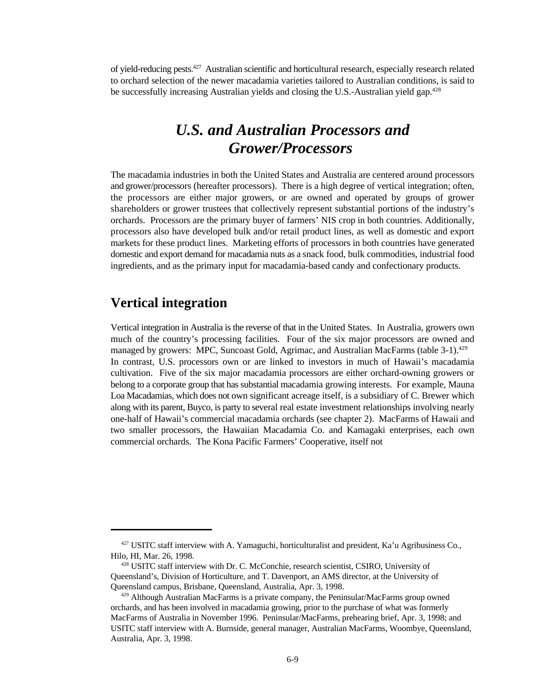of vield-reducing pests.<sup>427</sup> Australian scientific and horticultural research, especially research related to orchard selection of the newer macadamia varieties tailored to Australian conditions, is said to be successfully increasing Australian yields and closing the U.S.-Australian yield gap.<sup>428</sup>

# *U.S. and Australian Processors and Grower/Processors*

The macadamia industries in both the United States and Australia are centered around processors and grower/processors (hereafter processors). There is a high degree of vertical integration; often, the processors are either major growers, or are owned and operated by groups of grower shareholders or grower trustees that collectively represent substantial portions of the industry's orchards. Processors are the primary buyer of farmers' NIS crop in both countries. Additionally, processors also have developed bulk and/or retail product lines, as well as domestic and export markets for these product lines. Marketing efforts of processors in both countries have generated domestic and export demand for macadamia nuts as a snack food, bulk commodities, industrial food ingredients, and as the primary input for macadamia-based candy and confectionary products.

### **Vertical integration**

Vertical integration in Australia is the reverse of that in the United States. In Australia, growers own much of the country's processing facilities. Four of the six major processors are owned and managed by growers: MPC, Suncoast Gold, Agrimac, and Australian MacFarms (table 3-1).<sup>429</sup> In contrast, U.S. processors own or are linked to investors in much of Hawaii's macadamia cultivation. Five of the six major macadamia processors are either orchard-owning growers or belong to a corporate group that has substantial macadamia growing interests. For example, Mauna Loa Macadamias, which does not own significant acreage itself, is a subsidiary of C. Brewer which along with its parent, Buyco, is party to several real estate investment relationships involving nearly one-half of Hawaii's commercial macadamia orchards (see chapter 2). MacFarms of Hawaii and two smaller processors, the Hawaiian Macadamia Co. and Kamagaki enterprises, each own commercial orchards. The Kona Pacific Farmers' Cooperative, itself not

 $427$  USITC staff interview with A. Yamaguchi, horticulturalist and president, Ka'u Agribusiness Co., Hilo, HI, Mar. 26, 1998.

<sup>&</sup>lt;sup>428</sup> USITC staff interview with Dr. C. McConchie, research scientist, CSIRO, University of Queensland's, Division of Horticulture, and T. Davenport, an AMS director, at the University of Queensland campus, Brisbane, Queensland, Australia, Apr. 3, 1998.

 $429$  Although Australian MacFarms is a private company, the Peninsular/MacFarms group owned orchards, and has been involved in macadamia growing, prior to the purchase of what was formerly MacFarms of Australia in November 1996. Peninsular/MacFarms, prehearing brief, Apr. 3, 1998; and USITC staff interview with A. Burnside, general manager, Australian MacFarms, Woombye, Queensland, Australia, Apr. 3, 1998.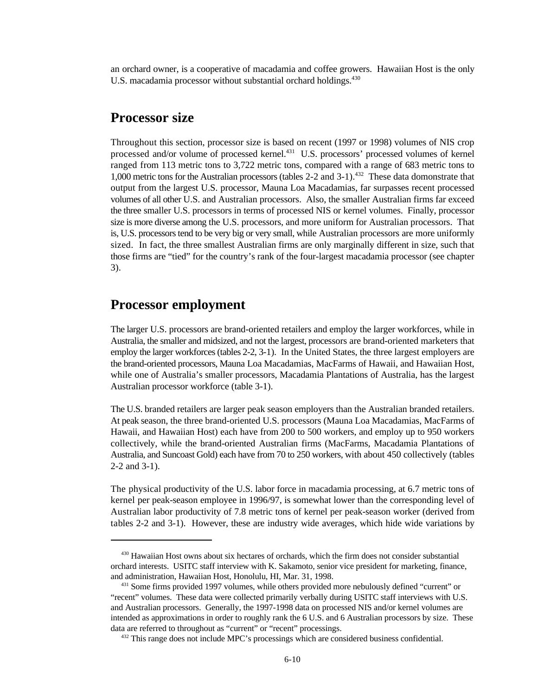an orchard owner, is a cooperative of macadamia and coffee growers. Hawaiian Host is the only U.S. macadamia processor without substantial orchard holdings.<sup>430</sup>

#### **Processor size**

Throughout this section, processor size is based on recent (1997 or 1998) volumes of NIS crop processed and/or volume of processed kernel.<sup>431</sup> U.S. processors' processed volumes of kernel ranged from 113 metric tons to 3,722 metric tons, compared with a range of 683 metric tons to 1,000 metric tons for the Australian processors (tables 2-2 and 3-1).<sup>432</sup> These data domonstrate that output from the largest U.S. processor, Mauna Loa Macadamias, far surpasses recent processed volumes of all other U.S. and Australian processors. Also, the smaller Australian firms far exceed the three smaller U.S. processors in terms of processed NIS or kernel volumes. Finally, processor size is more diverse among the U.S. processors, and more uniform for Australian processors. That is, U.S. processors tend to be very big or very small, while Australian processors are more uniformly sized. In fact, the three smallest Australian firms are only marginally different in size, such that those firms are "tied" for the country's rank of the four-largest macadamia processor (see chapter 3).

#### **Processor employment**

The larger U.S. processors are brand-oriented retailers and employ the larger workforces, while in Australia, the smaller and midsized, and not the largest, processors are brand-oriented marketers that employ the larger workforces (tables 2-2, 3-1). In the United States, the three largest employers are the brand-oriented processors, Mauna Loa Macadamias, MacFarms of Hawaii, and Hawaiian Host, while one of Australia's smaller processors, Macadamia Plantations of Australia, has the largest Australian processor workforce (table 3-1).

The U.S. branded retailers are larger peak season employers than the Australian branded retailers. At peak season, the three brand-oriented U.S. processors (Mauna Loa Macadamias, MacFarms of Hawaii, and Hawaiian Host) each have from 200 to 500 workers, and employ up to 950 workers collectively, while the brand-oriented Australian firms (MacFarms, Macadamia Plantations of Australia, and Suncoast Gold) each have from 70 to 250 workers, with about 450 collectively (tables 2-2 and 3-1).

The physical productivity of the U.S. labor force in macadamia processing, at 6.7 metric tons of kernel per peak-season employee in 1996/97, is somewhat lower than the corresponding level of Australian labor productivity of 7.8 metric tons of kernel per peak-season worker (derived from tables 2-2 and 3-1). However, these are industry wide averages, which hide wide variations by

<sup>&</sup>lt;sup>430</sup> Hawaiian Host owns about six hectares of orchards, which the firm does not consider substantial orchard interests. USITC staff interview with K. Sakamoto, senior vice president for marketing, finance, and administration, Hawaiian Host, Honolulu, HI, Mar. 31, 1998.

<sup>&</sup>lt;sup>431</sup> Some firms provided 1997 volumes, while others provided more nebulously defined "current" or "recent" volumes. These data were collected primarily verbally during USITC staff interviews with U.S. and Australian processors. Generally, the 1997-1998 data on processed NIS and/or kernel volumes are intended as approximations in order to roughly rank the 6 U.S. and 6 Australian processors by size. These data are referred to throughout as "current" or "recent" processings.

<sup>&</sup>lt;sup>432</sup> This range does not include MPC's processings which are considered business confidential.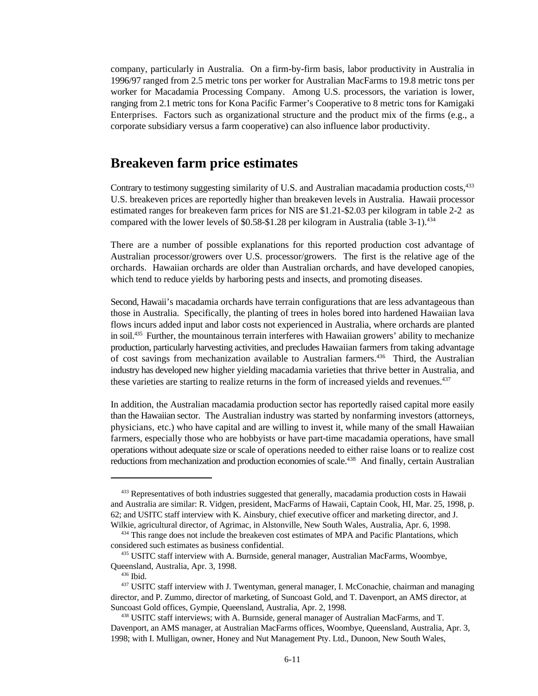company, particularly in Australia. On a firm-by-firm basis, labor productivity in Australia in 1996/97 ranged from 2.5 metric tons per worker for Australian MacFarms to 19.8 metric tons per worker for Macadamia Processing Company. Among U.S. processors, the variation is lower, ranging from 2.1 metric tons for Kona Pacific Farmer's Cooperative to 8 metric tons for Kamigaki Enterprises. Factors such as organizational structure and the product mix of the firms (e.g., a corporate subsidiary versus a farm cooperative) can also influence labor productivity.

#### **Breakeven farm price estimates**

Contrary to testimony suggesting similarity of U.S. and Australian macadamia production costs,<sup>433</sup> U.S. breakeven prices are reportedly higher than breakeven levels in Australia. Hawaii processor estimated ranges for breakeven farm prices for NIS are \$1.21-\$2.03 per kilogram in table 2-2 as compared with the lower levels of  $$0.58-\$1.28$  per kilogram in Australia (table 3-1).<sup>434</sup>

There are a number of possible explanations for this reported production cost advantage of Australian processor/growers over U.S. processor/growers. The first is the relative age of the orchards. Hawaiian orchards are older than Australian orchards, and have developed canopies, which tend to reduce yields by harboring pests and insects, and promoting diseases.

Second, Hawaii's macadamia orchards have terrain configurations that are less advantageous than those in Australia. Specifically, the planting of trees in holes bored into hardened Hawaiian lava flows incurs added input and labor costs not experienced in Australia, where orchards are planted in soil.<sup>435</sup> Further, the mountainous terrain interferes with Hawaiian growers' ability to mechanize production, particularly harvesting activities, and precludes Hawaiian farmers from taking advantage of cost savings from mechanization available to Australian farmers.<sup>436</sup> Third, the Australian industry has developed new higher yielding macadamia varieties that thrive better in Australia, and these varieties are starting to realize returns in the form of increased yields and revenues.<sup>437</sup>

In addition, the Australian macadamia production sector has reportedly raised capital more easily than the Hawaiian sector. The Australian industry was started by nonfarming investors (attorneys, physicians, etc.) who have capital and are willing to invest it, while many of the small Hawaiian farmers, especially those who are hobbyists or have part-time macadamia operations, have small operations without adequate size or scale of operations needed to either raise loans or to realize cost reductions from mechanization and production economies of scale.<sup>438</sup> And finally, certain Australian

<sup>&</sup>lt;sup>433</sup> Representatives of both industries suggested that generally, macadamia production costs in Hawaii and Australia are similar: R. Vidgen, president, MacFarms of Hawaii, Captain Cook, HI, Mar. 25, 1998, p. 62; and USITC staff interview with K. Ainsbury, chief executive officer and marketing director, and J. Wilkie, agricultural director, of Agrimac, in Alstonville, New South Wales, Australia, Apr. 6, 1998.

 $434$  This range does not include the breakeven cost estimates of MPA and Pacific Plantations, which considered such estimates as business confidential.

<sup>435</sup> USITC staff interview with A. Burnside, general manager, Australian MacFarms, Woombye, Queensland, Australia, Apr. 3, 1998.

 $436$  Ibid.

<sup>&</sup>lt;sup>437</sup> USITC staff interview with J. Twentyman, general manager, I. McConachie, chairman and managing director, and P. Zummo, director of marketing, of Suncoast Gold, and T. Davenport, an AMS director, at Suncoast Gold offices, Gympie, Queensland, Australia, Apr. 2, 1998.

<sup>438</sup> USITC staff interviews; with A. Burnside, general manager of Australian MacFarms, and T. Davenport, an AMS manager, at Australian MacFarms offices, Woombye, Queensland, Australia, Apr. 3, 1998; with I. Mulligan, owner, Honey and Nut Management Pty. Ltd., Dunoon, New South Wales,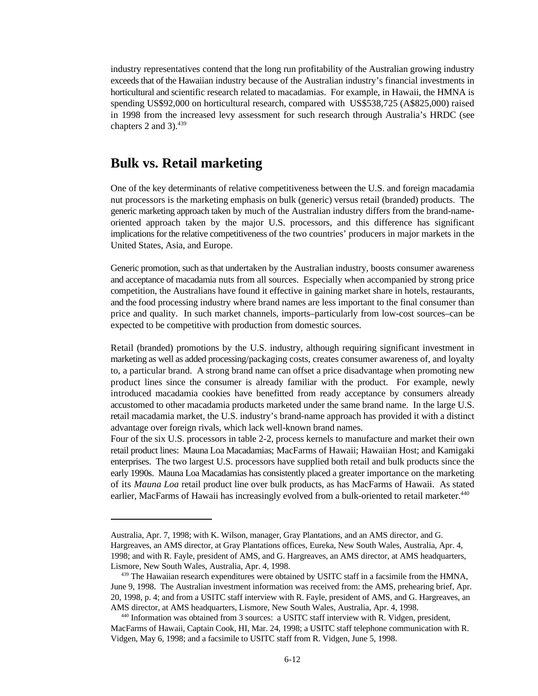industry representatives contend that the long run profitability of the Australian growing industry exceeds that of the Hawaiian industry because of the Australian industry's financial investments in horticultural and scientific research related to macadamias. For example, in Hawaii, the HMNA is spending US\$92,000 on horticultural research, compared with US\$538,725 (A\$825,000) raised in 1998 from the increased levy assessment for such research through Australia's HRDC (see chapters 2 and  $3$ ).<sup>439</sup>

### **Bulk vs. Retail marketing**

One of the key determinants of relative competitiveness between the U.S. and foreign macadamia nut processors is the marketing emphasis on bulk (generic) versus retail (branded) products. The generic marketing approach taken by much of the Australian industry differs from the brand-nameoriented approach taken by the major U.S. processors, and this difference has significant implications for the relative competitiveness of the two countries' producers in major markets in the United States, Asia, and Europe.

Generic promotion, such as that undertaken by the Australian industry, boosts consumer awareness and acceptance of macadamia nuts from all sources. Especially when accompanied by strong price competition, the Australians have found it effective in gaining market share in hotels, restaurants, and the food processing industry where brand names are less important to the final consumer than price and quality. In such market channels, imports–particularly from low-cost sources–can be expected to be competitive with production from domestic sources.

Retail (branded) promotions by the U.S. industry, although requiring significant investment in marketing as well as added processing/packaging costs, creates consumer awareness of, and loyalty to, a particular brand. A strong brand name can offset a price disadvantage when promoting new product lines since the consumer is already familiar with the product. For example, newly introduced macadamia cookies have benefitted from ready acceptance by consumers already accustomed to other macadamia products marketed under the same brand name. In the large U.S. retail macadamia market, the U.S. industry's brand-name approach has provided it with a distinct advantage over foreign rivals, which lack well-known brand names.

Four of the six U.S. processors in table 2-2, process kernels to manufacture and market their own retail product lines: Mauna Loa Macadamias; MacFarms of Hawaii; Hawaiian Host; and Kamigaki enterprises. The two largest U.S. processors have supplied both retail and bulk products since the early 1990s. Mauna Loa Macadamias has consistently placed a greater importance on the marketing of its *Mauna Loa* retail product line over bulk products, as has MacFarms of Hawaii. As stated earlier, MacFarms of Hawaii has increasingly evolved from a bulk-oriented to retail marketer.<sup>440</sup>

Australia, Apr. 7, 1998; with K. Wilson, manager, Gray Plantations, and an AMS director, and G. Hargreaves, an AMS director, at Gray Plantations offices, Eureka, New South Wales, Australia, Apr. 4, 1998; and with R. Fayle, president of AMS, and G. Hargreaves, an AMS director, at AMS headquarters, Lismore, New South Wales, Australia, Apr. 4, 1998.

 $439$  The Hawaiian research expenditures were obtained by USITC staff in a facsimile from the HMNA, June 9, 1998. The Australian investment information was received from: the AMS, prehearing brief, Apr. 20, 1998, p. 4; and from a USITC staff interview with R. Fayle, president of AMS, and G. Hargreaves, an AMS director, at AMS headquarters, Lismore, New South Wales, Australia, Apr. 4, 1998.

 $440$  Information was obtained from 3 sources: a USITC staff interview with R. Vidgen, president, MacFarms of Hawaii, Captain Cook, HI, Mar. 24, 1998; a USITC staff telephone communication with R. Vidgen, May 6, 1998; and a facsimile to USITC staff from R. Vidgen, June 5, 1998.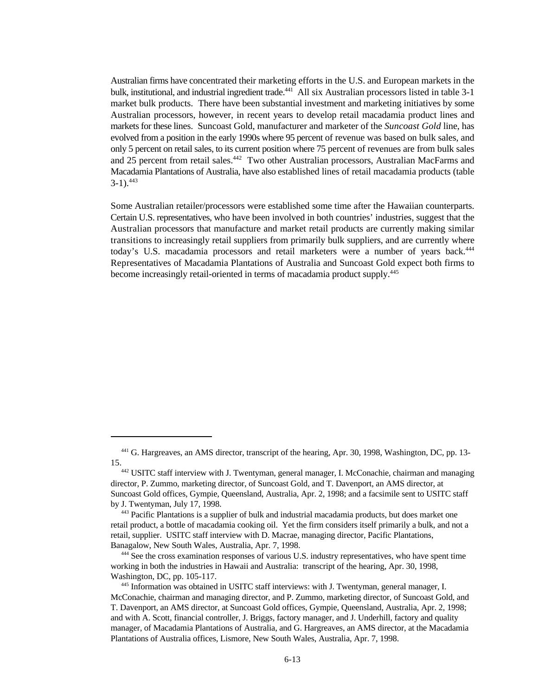Australian firms have concentrated their marketing efforts in the U.S. and European markets in the bulk, institutional, and industrial ingredient trade.<sup>441</sup> All six Australian processors listed in table 3-1 market bulk products. There have been substantial investment and marketing initiatives by some Australian processors, however, in recent years to develop retail macadamia product lines and markets for these lines. Suncoast Gold, manufacturer and marketer of the *Suncoast Gold* line, has evolved from a position in the early 1990s where 95 percent of revenue was based on bulk sales, and only 5 percent on retail sales, to its current position where 75 percent of revenues are from bulk sales and 25 percent from retail sales.<sup>442</sup> Two other Australian processors, Australian MacFarms and Macadamia Plantations of Australia, have also established lines of retail macadamia products (table  $3-1$ ).  $443$ 

Some Australian retailer/processors were established some time after the Hawaiian counterparts. Certain U.S. representatives, who have been involved in both countries' industries, suggest that the Australian processors that manufacture and market retail products are currently making similar transitions to increasingly retail suppliers from primarily bulk suppliers, and are currently where today's U.S. macadamia processors and retail marketers were a number of years back.<sup>444</sup> Representatives of Macadamia Plantations of Australia and Suncoast Gold expect both firms to become increasingly retail-oriented in terms of macadamia product supply.<sup>445</sup>

<sup>&</sup>lt;sup>441</sup> G. Hargreaves, an AMS director, transcript of the hearing, Apr. 30, 1998, Washington, DC, pp. 13-15.

<sup>&</sup>lt;sup>442</sup> USITC staff interview with J. Twentyman, general manager, I. McConachie, chairman and managing director, P. Zummo, marketing director, of Suncoast Gold, and T. Davenport, an AMS director, at Suncoast Gold offices, Gympie, Queensland, Australia, Apr. 2, 1998; and a facsimile sent to USITC staff by J. Twentyman, July 17, 1998.

<sup>&</sup>lt;sup>443</sup> Pacific Plantations is a supplier of bulk and industrial macadamia products, but does market one retail product, a bottle of macadamia cooking oil. Yet the firm considers itself primarily a bulk, and not a retail, supplier. USITC staff interview with D. Macrae, managing director, Pacific Plantations, Banagalow, New South Wales, Australia, Apr. 7, 1998.

<sup>&</sup>lt;sup>444</sup> See the cross examination responses of various U.S. industry representatives, who have spent time working in both the industries in Hawaii and Australia: transcript of the hearing, Apr. 30, 1998, Washington, DC, pp. 105-117.

<sup>&</sup>lt;sup>445</sup> Information was obtained in USITC staff interviews: with J. Twentyman, general manager, I. McConachie, chairman and managing director, and P. Zummo, marketing director, of Suncoast Gold, and T. Davenport, an AMS director, at Suncoast Gold offices, Gympie, Queensland, Australia, Apr. 2, 1998; and with A. Scott, financial controller, J. Briggs, factory manager, and J. Underhill, factory and quality manager, of Macadamia Plantations of Australia, and G. Hargreaves, an AMS director, at the Macadamia Plantations of Australia offices, Lismore, New South Wales, Australia, Apr. 7, 1998.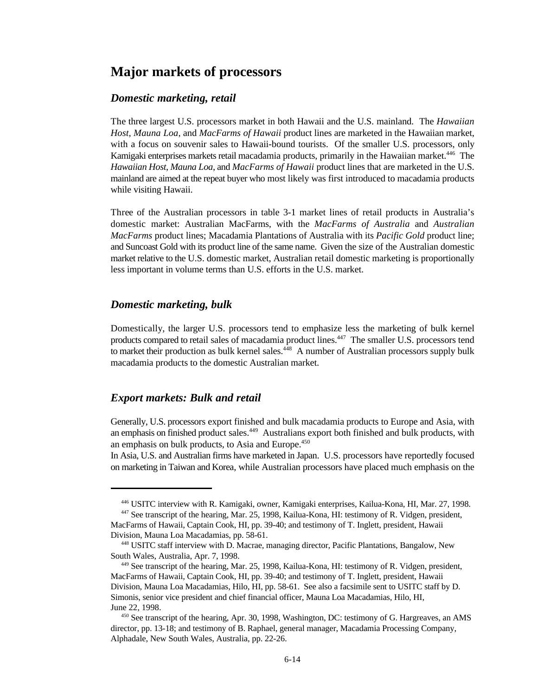### **Major markets of processors**

#### *Domestic marketing, retail*

The three largest U.S. processors market in both Hawaii and the U.S. mainland. The *Hawaiian Host, Mauna Loa*, and *MacFarms of Hawaii* product lines are marketed in the Hawaiian market, with a focus on souvenir sales to Hawaii-bound tourists. Of the smaller U.S. processors, only Kamigaki enterprises markets retail macadamia products, primarily in the Hawaiian market.<sup>446</sup> The *Hawaiian Host*, *Mauna Loa*, and *MacFarms of Hawaii* product lines that are marketed in the U.S. mainland are aimed at the repeat buyer who most likely was first introduced to macadamia products while visiting Hawaii.

Three of the Australian processors in table 3-1 market lines of retail products in Australia's domestic market: Australian MacFarms, with the *MacFarms of Australia* and *Australian MacFarms* product lines; Macadamia Plantations of Australia with its *Pacific Gold* product line; and Suncoast Gold with its product line of the same name. Given the size of the Australian domestic market relative to the U.S. domestic market, Australian retail domestic marketing is proportionally less important in volume terms than U.S. efforts in the U.S. market.

#### *Domestic marketing, bulk*

Domestically, the larger U.S. processors tend to emphasize less the marketing of bulk kernel products compared to retail sales of macadamia product lines.<sup>447</sup> The smaller U.S. processors tend to market their production as bulk kernel sales.  $448$  A number of Australian processors supply bulk macadamia products to the domestic Australian market.

#### *Export markets: Bulk and retail*

Generally, U.S. processors export finished and bulk macadamia products to Europe and Asia, with an emphasis on finished product sales.  $449$  Australians export both finished and bulk products, with an emphasis on bulk products, to Asia and Europe.<sup>450</sup>

In Asia, U.S. and Australian firms have marketed in Japan. U.S. processors have reportedly focused on marketing in Taiwan and Korea, while Australian processors have placed much emphasis on the

<sup>&</sup>lt;sup>446</sup> USITC interview with R. Kamigaki, owner, Kamigaki enterprises, Kailua-Kona, HI, Mar. 27, 1998.

<sup>&</sup>lt;sup>447</sup> See transcript of the hearing, Mar. 25, 1998, Kailua-Kona, HI: testimony of R. Vidgen, president, MacFarms of Hawaii, Captain Cook, HI, pp. 39-40; and testimony of T. Inglett, president, Hawaii Division, Mauna Loa Macadamias, pp. 58-61.

<sup>&</sup>lt;sup>448</sup> USITC staff interview with D. Macrae, managing director, Pacific Plantations, Bangalow, New South Wales, Australia, Apr. 7, 1998.

<sup>&</sup>lt;sup>449</sup> See transcript of the hearing, Mar. 25, 1998, Kailua-Kona, HI: testimony of R. Vidgen, president, MacFarms of Hawaii, Captain Cook, HI, pp. 39-40; and testimony of T. Inglett, president, Hawaii Division, Mauna Loa Macadamias, Hilo, HI, pp. 58-61. See also a facsimile sent to USITC staff by D. Simonis, senior vice president and chief financial officer, Mauna Loa Macadamias, Hilo, HI, June 22, 1998.

 $450$  See transcript of the hearing, Apr. 30, 1998, Washington, DC: testimony of G. Hargreaves, an AMS director, pp. 13-18; and testimony of B. Raphael, general manager, Macadamia Processing Company, Alphadale, New South Wales, Australia, pp. 22-26.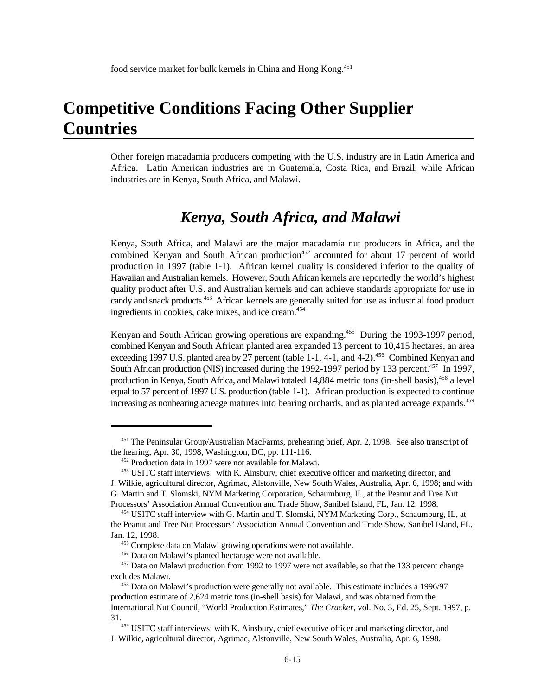# **Competitive Conditions Facing Other Supplier Countries**

Other foreign macadamia producers competing with the U.S. industry are in Latin America and Africa. Latin American industries are in Guatemala, Costa Rica, and Brazil, while African industries are in Kenya, South Africa, and Malawi.

#### *Kenya, South Africa, and Malawi*

Kenya, South Africa, and Malawi are the major macadamia nut producers in Africa, and the combined Kenyan and South African production<sup>452</sup> accounted for about 17 percent of world production in 1997 (table 1-1). African kernel quality is considered inferior to the quality of Hawaiian and Australian kernels. However, South African kernels are reportedly the world's highest quality product after U.S. and Australian kernels and can achieve standards appropriate for use in candy and snack products.<sup>453</sup> African kernels are generally suited for use as industrial food product ingredients in cookies, cake mixes, and ice cream.<sup>454</sup>

Kenyan and South African growing operations are expanding.<sup>455</sup> During the 1993-1997 period, combined Kenyan and South African planted area expanded 13 percent to 10,415 hectares, an area exceeding 1997 U.S. planted area by 27 percent (table 1-1, 4-1, and 4-2).<sup>456</sup> Combined Kenyan and South African production (NIS) increased during the 1992-1997 period by 133 percent.<sup>457</sup> In 1997, production in Kenya, South Africa, and Malawi totaled 14,884 metric tons (in-shell basis).<sup>458</sup> a level equal to 57 percent of 1997 U.S. production (table 1-1). African production is expected to continue increasing as nonbearing acreage matures into bearing orchards, and as planted acreage expands.<sup>459</sup>

<sup>&</sup>lt;sup>451</sup> The Peninsular Group/Australian MacFarms, prehearing brief, Apr. 2, 1998. See also transcript of the hearing, Apr. 30, 1998, Washington, DC, pp. 111-116.

 $452$  Production data in 1997 were not available for Malawi.

<sup>453</sup> USITC staff interviews: with K. Ainsbury, chief executive officer and marketing director, and J. Wilkie, agricultural director, Agrimac, Alstonville, New South Wales, Australia, Apr. 6, 1998; and with G. Martin and T. Slomski, NYM Marketing Corporation, Schaumburg, IL, at the Peanut and Tree Nut Processors' Association Annual Convention and Trade Show, Sanibel Island, FL, Jan. 12, 1998.

<sup>454</sup> USITC staff interview with G. Martin and T. Slomski, NYM Marketing Corp., Schaumburg, IL, at the Peanut and Tree Nut Processors' Association Annual Convention and Trade Show, Sanibel Island, FL, Jan. 12, 1998.

<sup>&</sup>lt;sup>455</sup> Complete data on Malawi growing operations were not available.

<sup>456</sup> Data on Malawi's planted hectarage were not available.

 $457$  Data on Malawi production from 1992 to 1997 were not available, so that the 133 percent change excludes Malawi.

 $458$  Data on Malawi's production were generally not available. This estimate includes a 1996/97 production estimate of 2,624 metric tons (in-shell basis) for Malawi, and was obtained from the International Nut Council, "World Production Estimates," *The Cracker*, vol. No. 3, Ed. 25, Sept. 1997, p. 31.

<sup>459</sup> USITC staff interviews: with K. Ainsbury, chief executive officer and marketing director, and J. Wilkie, agricultural director, Agrimac, Alstonville, New South Wales, Australia, Apr. 6, 1998.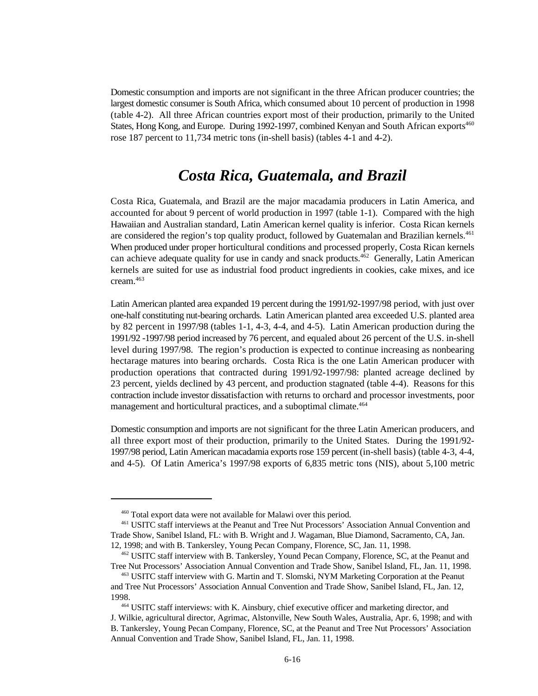Domestic consumption and imports are not significant in the three African producer countries; the largest domestic consumer is South Africa, which consumed about 10 percent of production in 1998 (table 4-2). All three African countries export most of their production, primarily to the United States, Hong Kong, and Europe. During 1992-1997, combined Kenyan and South African exports<sup>460</sup> rose 187 percent to 11,734 metric tons (in-shell basis) (tables 4-1 and 4-2).

#### *Costa Rica, Guatemala, and Brazil*

Costa Rica, Guatemala, and Brazil are the major macadamia producers in Latin America, and accounted for about 9 percent of world production in 1997 (table 1-1). Compared with the high Hawaiian and Australian standard, Latin American kernel quality is inferior. Costa Rican kernels are considered the region's top quality product, followed by Guatemalan and Brazilian kernels.<sup>461</sup> When produced under proper horticultural conditions and processed properly, Costa Rican kernels can achieve adequate quality for use in candy and snack products.<sup>462</sup> Generally, Latin American kernels are suited for use as industrial food product ingredients in cookies, cake mixes, and ice cream.<sup>463</sup>

Latin American planted area expanded 19 percent during the 1991/92-1997/98 period, with just over one-half constituting nut-bearing orchards. Latin American planted area exceeded U.S. planted area by 82 percent in 1997/98 (tables 1-1, 4-3, 4-4, and 4-5). Latin American production during the 1991/92 -1997/98 period increased by 76 percent, and equaled about 26 percent of the U.S. in-shell level during 1997/98. The region's production is expected to continue increasing as nonbearing hectarage matures into bearing orchards. Costa Rica is the one Latin American producer with production operations that contracted during 1991/92-1997/98: planted acreage declined by 23 percent, yields declined by 43 percent, and production stagnated (table 4-4). Reasons for this contraction include investor dissatisfaction with returns to orchard and processor investments, poor management and horticultural practices, and a suboptimal climate.<sup>464</sup>

Domestic consumption and imports are not significant for the three Latin American producers, and all three export most of their production, primarily to the United States. During the 1991/92- 1997/98 period, Latin American macadamia exports rose 159 percent (in-shell basis) (table 4-3, 4-4, and 4-5). Of Latin America's 1997/98 exports of 6,835 metric tons (NIS), about 5,100 metric

 $460$  Total export data were not available for Malawi over this period.

USITC staff interviews at the Peanut and Tree Nut Processors' Association Annual Convention and <sup>461</sup> Trade Show, Sanibel Island, FL: with B. Wright and J. Wagaman, Blue Diamond, Sacramento, CA, Jan. 12, 1998; and with B. Tankersley, Young Pecan Company, Florence, SC, Jan. 11, 1998.

<sup>&</sup>lt;sup>462</sup> USITC staff interview with B. Tankersley, Yound Pecan Company, Florence, SC, at the Peanut and Tree Nut Processors' Association Annual Convention and Trade Show, Sanibel Island, FL, Jan. 11, 1998.

<sup>&</sup>lt;sup>463</sup> USITC staff interview with G. Martin and T. Slomski, NYM Marketing Corporation at the Peanut and Tree Nut Processors' Association Annual Convention and Trade Show, Sanibel Island, FL, Jan. 12, 1998.

<sup>&</sup>lt;sup>464</sup> USITC staff interviews: with K. Ainsbury, chief executive officer and marketing director, and J. Wilkie, agricultural director, Agrimac, Alstonville, New South Wales, Australia, Apr. 6, 1998; and with B. Tankersley, Young Pecan Company, Florence, SC, at the Peanut and Tree Nut Processors' Association Annual Convention and Trade Show, Sanibel Island, FL, Jan. 11, 1998.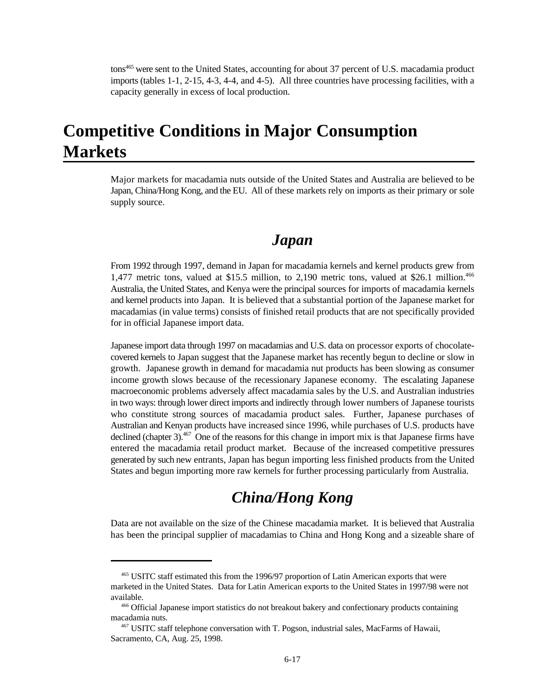tons<sup>465</sup> were sent to the United States, accounting for about 37 percent of U.S. macadamia product imports (tables 1-1, 2-15, 4-3, 4-4, and 4-5). All three countries have processing facilities, with a capacity generally in excess of local production.

### **Competitive Conditions in Major Consumption Markets**

Major markets for macadamia nuts outside of the United States and Australia are believed to be Japan, China/Hong Kong, and the EU. All of these markets rely on imports as their primary or sole supply source.

#### *Japan*

From 1992 through 1997, demand in Japan for macadamia kernels and kernel products grew from 1,477 metric tons, valued at \$15.5 million, to 2,190 metric tons, valued at \$26.1 million.<sup>466</sup> Australia, the United States, and Kenya were the principal sources for imports of macadamia kernels and kernel products into Japan. It is believed that a substantial portion of the Japanese market for macadamias (in value terms) consists of finished retail products that are not specifically provided for in official Japanese import data.

Japanese import data through 1997 on macadamias and U.S. data on processor exports of chocolatecovered kernels to Japan suggest that the Japanese market has recently begun to decline or slow in growth. Japanese growth in demand for macadamia nut products has been slowing as consumer income growth slows because of the recessionary Japanese economy. The escalating Japanese macroeconomic problems adversely affect macadamia sales by the U.S. and Australian industries in two ways: through lower direct imports and indirectly through lower numbers of Japanese tourists who constitute strong sources of macadamia product sales. Further, Japanese purchases of Australian and Kenyan products have increased since 1996, while purchases of U.S. products have declined (chapter 3).  $467$  One of the reasons for this change in import mix is that Japanese firms have entered the macadamia retail product market. Because of the increased competitive pressures generated by such new entrants, Japan has begun importing less finished products from the United States and begun importing more raw kernels for further processing particularly from Australia.

### *China/Hong Kong*

Data are not available on the size of the Chinese macadamia market. It is believed that Australia has been the principal supplier of macadamias to China and Hong Kong and a sizeable share of

<sup>&</sup>lt;sup>465</sup> USITC staff estimated this from the 1996/97 proportion of Latin American exports that were marketed in the United States. Data for Latin American exports to the United States in 1997/98 were not available.

<sup>466</sup> Official Japanese import statistics do not breakout bakery and confectionary products containing macadamia nuts.

<sup>&</sup>lt;sup>467</sup> USITC staff telephone conversation with T. Pogson, industrial sales, MacFarms of Hawaii, Sacramento, CA, Aug. 25, 1998.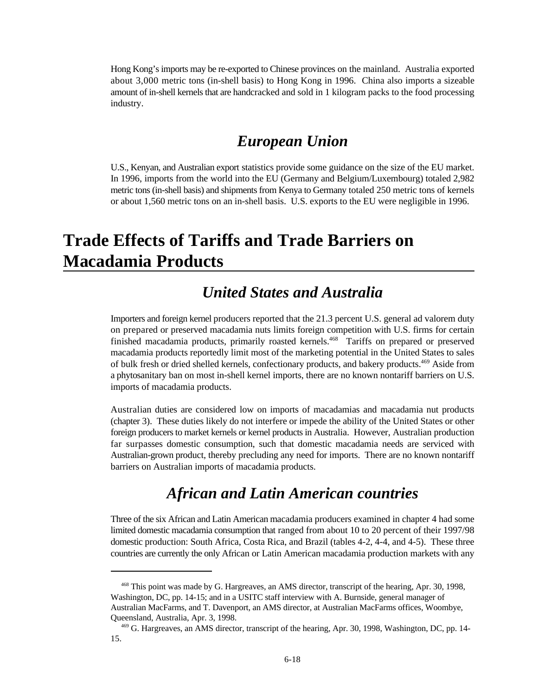Hong Kong's imports may be re-exported to Chinese provinces on the mainland. Australia exported about 3,000 metric tons (in-shell basis) to Hong Kong in 1996. China also imports a sizeable amount of in-shell kernels that are handcracked and sold in 1 kilogram packs to the food processing industry.

#### *European Union*

U.S., Kenyan, and Australian export statistics provide some guidance on the size of the EU market. In 1996, imports from the world into the EU (Germany and Belgium/Luxembourg) totaled 2,982 metric tons (in-shell basis) and shipments from Kenya to Germany totaled 250 metric tons of kernels or about 1,560 metric tons on an in-shell basis. U.S. exports to the EU were negligible in 1996.

# **Trade Effects of Tariffs and Trade Barriers on Macadamia Products**

### *United States and Australia*

Importers and foreign kernel producers reported that the 21.3 percent U.S. general ad valorem duty on prepared or preserved macadamia nuts limits foreign competition with U.S. firms for certain finished macadamia products, primarily roasted kernels.<sup>468</sup> Tariffs on prepared or preserved macadamia products reportedly limit most of the marketing potential in the United States to sales of bulk fresh or dried shelled kernels, confectionary products, and bakery products.<sup>469</sup> Aside from a phytosanitary ban on most in-shell kernel imports, there are no known nontariff barriers on U.S. imports of macadamia products.

Australian duties are considered low on imports of macadamias and macadamia nut products (chapter 3). These duties likely do not interfere or impede the ability of the United States or other foreign producers to market kernels or kernel products in Australia. However, Australian production far surpasses domestic consumption, such that domestic macadamia needs are serviced with Australian-grown product, thereby precluding any need for imports. There are no known nontariff barriers on Australian imports of macadamia products.

#### *African and Latin American countries*

Three of the six African and Latin American macadamia producers examined in chapter 4 had some limited domestic macadamia consumption that ranged from about 10 to 20 percent of their 1997/98 domestic production: South Africa, Costa Rica, and Brazil (tables 4-2, 4-4, and 4-5). These three countries are currently the only African or Latin American macadamia production markets with any

<sup>&</sup>lt;sup>468</sup> This point was made by G. Hargreaves, an AMS director, transcript of the hearing, Apr. 30, 1998, Washington, DC, pp. 14-15; and in a USITC staff interview with A. Burnside, general manager of Australian MacFarms, and T. Davenport, an AMS director, at Australian MacFarms offices, Woombye, Queensland, Australia, Apr. 3, 1998.

<sup>&</sup>lt;sup>469</sup> G. Hargreaves, an AMS director, transcript of the hearing, Apr. 30, 1998, Washington, DC, pp. 14-15.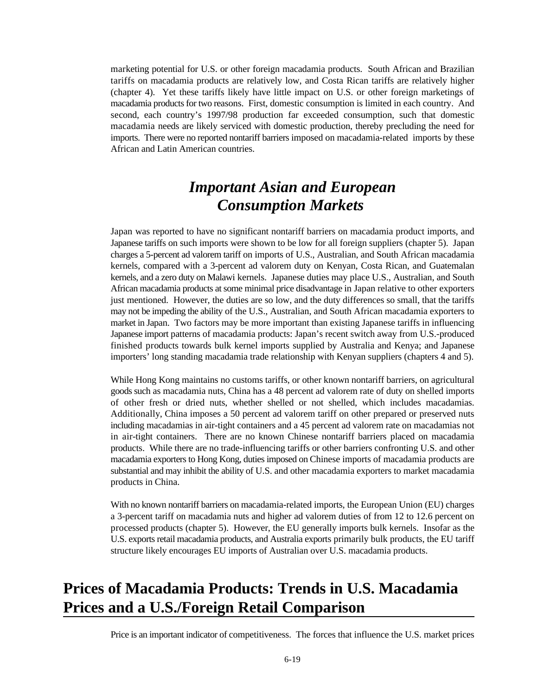marketing potential for U.S. or other foreign macadamia products. South African and Brazilian tariffs on macadamia products are relatively low, and Costa Rican tariffs are relatively higher (chapter 4). Yet these tariffs likely have little impact on U.S. or other foreign marketings of macadamia products for two reasons. First, domestic consumption is limited in each country. And second, each country's 1997/98 production far exceeded consumption, such that domestic macadamia needs are likely serviced with domestic production, thereby precluding the need for imports. There were no reported nontariff barriers imposed on macadamia-related imports by these African and Latin American countries.

### *Important Asian and European Consumption Markets*

Japan was reported to have no significant nontariff barriers on macadamia product imports, and Japanese tariffs on such imports were shown to be low for all foreign suppliers (chapter 5). Japan charges a 5-percent ad valorem tariff on imports of U.S., Australian, and South African macadamia kernels, compared with a 3-percent ad valorem duty on Kenyan, Costa Rican, and Guatemalan kernels, and a zero duty on Malawi kernels. Japanese duties may place U.S., Australian, and South African macadamia products at some minimal price disadvantage in Japan relative to other exporters just mentioned. However, the duties are so low, and the duty differences so small, that the tariffs may not be impeding the ability of the U.S., Australian, and South African macadamia exporters to market in Japan. Two factors may be more important than existing Japanese tariffs in influencing Japanese import patterns of macadamia products: Japan's recent switch away from U.S.-produced finished products towards bulk kernel imports supplied by Australia and Kenya; and Japanese importers' long standing macadamia trade relationship with Kenyan suppliers (chapters 4 and 5).

While Hong Kong maintains no customs tariffs, or other known nontariff barriers, on agricultural goods such as macadamia nuts, China has a 48 percent ad valorem rate of duty on shelled imports of other fresh or dried nuts, whether shelled or not shelled, which includes macadamias. Additionally, China imposes a 50 percent ad valorem tariff on other prepared or preserved nuts including macadamias in air-tight containers and a 45 percent ad valorem rate on macadamias not in air-tight containers. There are no known Chinese nontariff barriers placed on macadamia products. While there are no trade-influencing tariffs or other barriers confronting U.S. and other macadamia exporters to Hong Kong, duties imposed on Chinese imports of macadamia products are substantial and may inhibit the ability of U.S. and other macadamia exporters to market macadamia products in China.

With no known nontariff barriers on macadamia-related imports, the European Union (EU) charges a 3-percent tariff on macadamia nuts and higher ad valorem duties of from 12 to 12.6 percent on processed products (chapter 5). However, the EU generally imports bulk kernels. Insofar as the U.S. exports retail macadamia products, and Australia exports primarily bulk products, the EU tariff structure likely encourages EU imports of Australian over U.S. macadamia products.

### **Prices of Macadamia Products: Trends in U.S. Macadamia Prices and a U.S./Foreign Retail Comparison**

Price is an important indicator of competitiveness. The forces that influence the U.S. market prices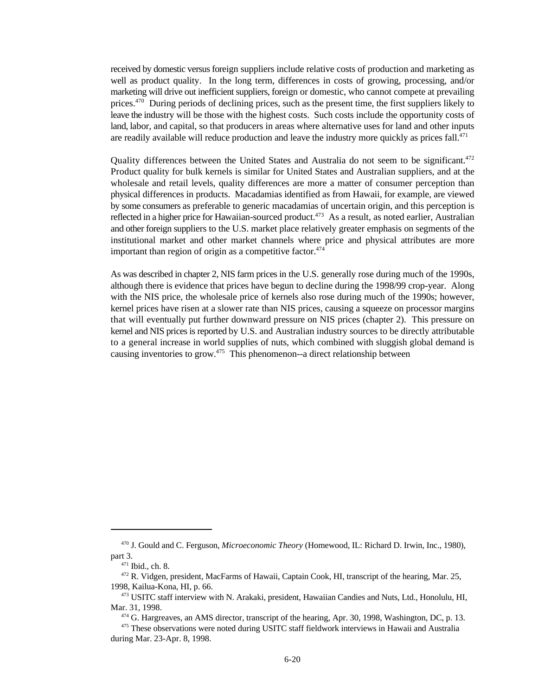received by domestic versus foreign suppliers include relative costs of production and marketing as well as product quality. In the long term, differences in costs of growing, processing, and/or marketing will drive out inefficient suppliers, foreign or domestic, who cannot compete at prevailing prices. $470$  During periods of declining prices, such as the present time, the first suppliers likely to leave the industry will be those with the highest costs. Such costs include the opportunity costs of land, labor, and capital, so that producers in areas where alternative uses for land and other inputs are readily available will reduce production and leave the industry more quickly as prices fall.<sup>471</sup>

Quality differences between the United States and Australia do not seem to be significant.<sup>472</sup> Product quality for bulk kernels is similar for United States and Australian suppliers, and at the wholesale and retail levels, quality differences are more a matter of consumer perception than physical differences in products. Macadamias identified as from Hawaii, for example, are viewed by some consumers as preferable to generic macadamias of uncertain origin, and this perception is reflected in a higher price for Hawaiian-sourced product.<sup>473</sup> As a result, as noted earlier, Australian and other foreign suppliers to the U.S. market place relatively greater emphasis on segments of the institutional market and other market channels where price and physical attributes are more important than region of origin as a competitive factor. $474$ 

As was described in chapter 2, NIS farm prices in the U.S. generally rose during much of the 1990s, although there is evidence that prices have begun to decline during the 1998/99 crop-year. Along with the NIS price, the wholesale price of kernels also rose during much of the 1990s; however, kernel prices have risen at a slower rate than NIS prices, causing a squeeze on processor margins that will eventually put further downward pressure on NIS prices (chapter 2). This pressure on kernel and NIS prices is reported by U.S. and Australian industry sources to be directly attributable to a general increase in world supplies of nuts, which combined with sluggish global demand is causing inventories to grow.  $475$  This phenomenon--a direct relationship between

<sup>&</sup>lt;sup>470</sup> J. Gould and C. Ferguson, *Microeconomic Theory* (Homewood, IL: Richard D. Irwin, Inc., 1980), part 3.

 $471$  Ibid., ch. 8.

<sup>&</sup>lt;sup>472</sup> R. Vidgen, president, MacFarms of Hawaii, Captain Cook, HI, transcript of the hearing, Mar. 25, 1998, Kailua-Kona, HI, p. 66.

<sup>&</sup>lt;sup>473</sup> USITC staff interview with N. Arakaki, president, Hawaiian Candies and Nuts, Ltd., Honolulu, HI, Mar. 31, 1998.

<sup>&</sup>lt;sup>474</sup> G. Hargreaves, an AMS director, transcript of the hearing, Apr. 30, 1998, Washington, DC, p. 13.

<sup>&</sup>lt;sup>475</sup> These observations were noted during USITC staff fieldwork interviews in Hawaii and Australia during Mar. 23-Apr. 8, 1998.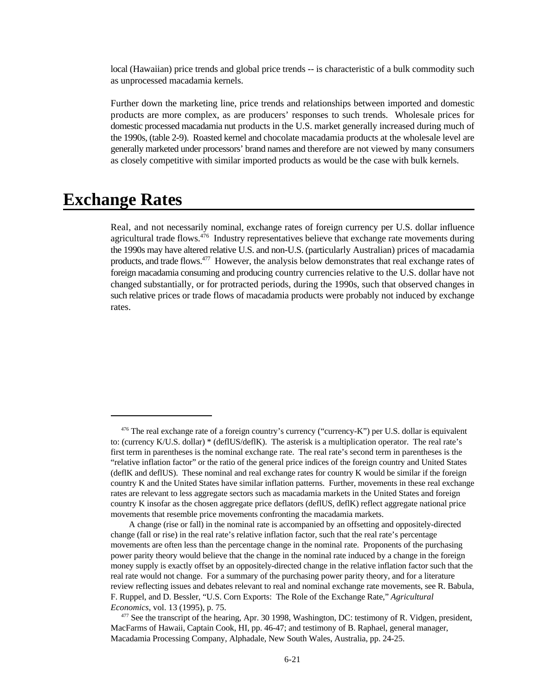local (Hawaiian) price trends and global price trends -- is characteristic of a bulk commodity such as unprocessed macadamia kernels.

Further down the marketing line, price trends and relationships between imported and domestic products are more complex, as are producers' responses to such trends. Wholesale prices for domestic processed macadamia nut products in the U.S. market generally increased during much of the 1990s, (table 2-9). Roasted kernel and chocolate macadamia products at the wholesale level are generally marketed under processors' brand names and therefore are not viewed by many consumers as closely competitive with similar imported products as would be the case with bulk kernels.

#### **Exchange Rates**

Real, and not necessarily nominal, exchange rates of foreign currency per U.S. dollar influence agricultural trade flows.  $476$  Industry representatives believe that exchange rate movements during the 1990s may have altered relative U.S. and non-U.S. (particularly Australian) prices of macadamia products, and trade flows. $477$  However, the analysis below demonstrates that real exchange rates of foreign macadamia consuming and producing country currencies relative to the U.S. dollar have not changed substantially, or for protracted periods, during the 1990s, such that observed changes in such relative prices or trade flows of macadamia products were probably not induced by exchange rates.

 $476$  The real exchange rate of a foreign country's currency ("currency-K") per U.S. dollar is equivalent to: (currency K/U.S. dollar) \* (deflUS/deflK). The asterisk is a multiplication operator. The real rate's first term in parentheses is the nominal exchange rate. The real rate's second term in parentheses is the "relative inflation factor" or the ratio of the general price indices of the foreign country and United States (deflK and deflUS). These nominal and real exchange rates for country K would be similar if the foreign country K and the United States have similar inflation patterns. Further, movements in these real exchange rates are relevant to less aggregate sectors such as macadamia markets in the United States and foreign country K insofar as the chosen aggregate price deflators (deflUS, deflK) reflect aggregate national price movements that resemble price movements confronting the macadamia markets.

A change (rise or fall) in the nominal rate is accompanied by an offsetting and oppositely-directed change (fall or rise) in the real rate's relative inflation factor, such that the real rate's percentage movements are often less than the percentage change in the nominal rate. Proponents of the purchasing power parity theory would believe that the change in the nominal rate induced by a change in the foreign money supply is exactly offset by an oppositely-directed change in the relative inflation factor such that the real rate would not change. For a summary of the purchasing power parity theory, and for a literature review reflecting issues and debates relevant to real and nominal exchange rate movements, see R. Babula, F. Ruppel, and D. Bessler, "U.S. Corn Exports: The Role of the Exchange Rate," *Agricultural Economics*, vol. 13 (1995), p. 75.

 $477$  See the transcript of the hearing, Apr. 30 1998, Washington, DC: testimony of R. Vidgen, president, MacFarms of Hawaii, Captain Cook, HI, pp. 46-47; and testimony of B. Raphael, general manager, Macadamia Processing Company, Alphadale, New South Wales, Australia, pp. 24-25.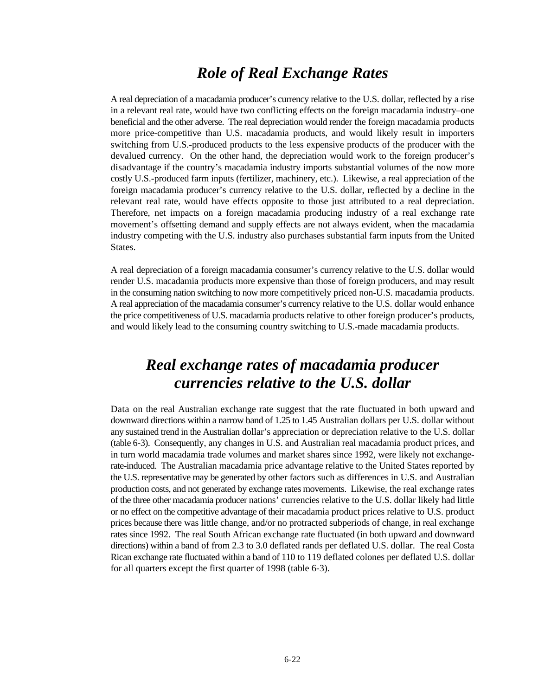#### *Role of Real Exchange Rates*

A real depreciation of a macadamia producer's currency relative to the U.S. dollar, reflected by a rise in a relevant real rate, would have two conflicting effects on the foreign macadamia industry–one beneficial and the other adverse. The real depreciation would render the foreign macadamia products more price-competitive than U.S. macadamia products, and would likely result in importers switching from U.S.-produced products to the less expensive products of the producer with the devalued currency. On the other hand, the depreciation would work to the foreign producer's disadvantage if the country's macadamia industry imports substantial volumes of the now more costly U.S.-produced farm inputs (fertilizer, machinery, etc.). Likewise, a real appreciation of the foreign macadamia producer's currency relative to the U.S. dollar, reflected by a decline in the relevant real rate, would have effects opposite to those just attributed to a real depreciation. Therefore, net impacts on a foreign macadamia producing industry of a real exchange rate movement's offsetting demand and supply effects are not always evident, when the macadamia industry competing with the U.S. industry also purchases substantial farm inputs from the United States.

A real depreciation of a foreign macadamia consumer's currency relative to the U.S. dollar would render U.S. macadamia products more expensive than those of foreign producers, and may result in the consuming nation switching to now more competitively priced non-U.S. macadamia products. A real appreciation of the macadamia consumer's currency relative to the U.S. dollar would enhance the price competitiveness of U.S. macadamia products relative to other foreign producer's products, and would likely lead to the consuming country switching to U.S.-made macadamia products.

### *Real exchange rates of macadamia producer currencies relative to the U.S. dollar*

Data on the real Australian exchange rate suggest that the rate fluctuated in both upward and downward directions within a narrow band of 1.25 to 1.45 Australian dollars per U.S. dollar without any sustained trend in the Australian dollar's appreciation or depreciation relative to the U.S. dollar (table 6-3). Consequently, any changes in U.S. and Australian real macadamia product prices, and in turn world macadamia trade volumes and market shares since 1992, were likely not exchangerate-induced. The Australian macadamia price advantage relative to the United States reported by the U.S. representative may be generated by other factors such as differences in U.S. and Australian production costs, and not generated by exchange rates movements. Likewise, the real exchange rates of the three other macadamia producer nations' currencies relative to the U.S. dollar likely had little or no effect on the competitive advantage of their macadamia product prices relative to U.S. product prices because there was little change, and/or no protracted subperiods of change, in real exchange rates since 1992. The real South African exchange rate fluctuated (in both upward and downward directions) within a band of from 2.3 to 3.0 deflated rands per deflated U.S. dollar. The real Costa Rican exchange rate fluctuated within a band of 110 to 119 deflated colones per deflated U.S. dollar for all quarters except the first quarter of 1998 (table 6-3).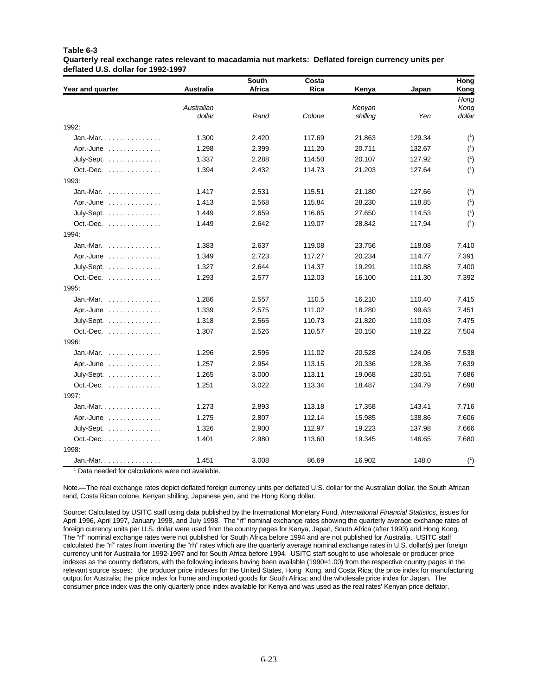#### **Table 6-3 Quarterly real exchange rates relevant to macadamia nut markets: Deflated foreign currency units per deflated U.S. dollar for 1992-1997**

| Year and quarter                         | <b>Australia</b> | <b>South</b><br>Africa | Costa<br>Rica | Kenya    | Japan  | Hong<br>Kong |
|------------------------------------------|------------------|------------------------|---------------|----------|--------|--------------|
|                                          |                  |                        |               |          |        | Hong         |
|                                          | Australian       |                        |               | Kenyan   |        | Kong         |
|                                          | dollar           | Rand                   | Colone        | shilling | Yen    | dollar       |
| 1992:                                    |                  |                        |               |          |        |              |
| Jan.-Mar. $\ldots \ldots \ldots \ldots$  | 1.300            | 2.420                  | 117.69        | 21.863   | 129.34 | $(^{1})$     |
| Apr.-June                                | 1.298            | 2.399                  | 111.20        | 20.711   | 132.67 | $(^{1})$     |
| July-Sept.                               | 1.337            | 2.288                  | 114.50        | 20.107   | 127.92 | $(^{1})$     |
| Oct.-Dec.                                | 1.394            | 2.432                  | 114.73        | 21.203   | 127.64 | $(^{1})$     |
| 1993:                                    |                  |                        |               |          |        |              |
| Jan.-Mar. $\ldots$ , , ,                 | 1.417            | 2.531                  | 115.51        | 21.180   | 127.66 | $(^{1})$     |
| Apr.-June                                | 1.413            | 2.568                  | 115.84        | 28.230   | 118.85 | $(^{1})$     |
| July-Sept.                               | 1.449            | 2.659                  | 116.85        | 27.650   | 114.53 | $(^{1})$     |
| Oct.-Dec.                                | 1.449            | 2.642                  | 119.07        | 28.842   | 117.94 | $(^{1})$     |
| 1994:                                    |                  |                        |               |          |        |              |
| Jan.-Mar. $\ldots$ ,                     | 1.383            | 2.637                  | 119.08        | 23.756   | 118.08 | 7.410        |
| Apr.-June                                | 1.349            | 2.723                  | 117.27        | 20.234   | 114.77 | 7.391        |
| July-Sept.                               | 1.327            | 2.644                  | 114.37        | 19.291   | 110.88 | 7.400        |
| Oct.-Dec.                                | 1.293            | 2.577                  | 112.03        | 16.100   | 111.30 | 7.392        |
| 1995:                                    |                  |                        |               |          |        |              |
| Jan.-Mar. $\ldots$ , , ,                 | 1.286            | 2.557                  | 110.5         | 16.210   | 110.40 | 7.415        |
| Apr.-June                                | 1.339            | 2.575                  | 111.02        | 18.280   | 99.63  | 7.451        |
| July-Sept.                               | 1.318            | 2.565                  | 110.73        | 21.820   | 110.03 | 7.475        |
| Oct.-Dec.                                | 1.307            | 2.526                  | 110.57        | 20.150   | 118.22 | 7.504        |
| 1996:                                    |                  |                        |               |          |        |              |
| Jan.-Mar. $\dots\dots\dots\dots$         | 1.296            | 2.595                  | 111.02        | 20.528   | 124.05 | 7.538        |
| Apr.-June                                | 1.257            | 2.954                  | 113.15        | 20.336   | 128.36 | 7.639        |
| July-Sept.                               | 1.265            | 3.000                  | 113.11        | 19.068   | 130.51 | 7.686        |
| Oct.-Dec.                                | 1.251            | 3.022                  | 113.34        | 18.487   | 134.79 | 7.698        |
| 1997:                                    |                  |                        |               |          |        |              |
| Jan.-Mar. $\ldots$ , $\ldots$ , $\ldots$ | 1.273            | 2.893                  | 113.18        | 17.358   | 143.41 | 7.716        |
| Apr.-June                                | 1.275            | 2.807                  | 112.14        | 15.985   | 138.86 | 7.606        |
| July-Sept.                               | 1.326            | 2.900                  | 112.97        | 19.223   | 137.98 | 7.666        |
| Oct.-Dec.                                | 1.401            | 2.980                  | 113.60        | 19.345   | 146.65 | 7.680        |
| 1998:                                    |                  |                        |               |          |        |              |
| Jan.-Mar.                                | 1.451            | 3.008                  | 86.69         | 16.902   | 148.0  | (1)          |

 $1$  Data needed for calculations were not available.

Note.—The real exchange rates depict deflated foreign currency units per deflated U.S. dollar for the Australian dollar, the South African rand, Costa Rican colone, Kenyan shilling, Japanese yen, and the Hong Kong dollar.

Source: Calculated by USITC staff using data published by the International Monetary Fund, *International Financial Statistics*, issues for April 1996, April 1997, January 1998, and July 1998. The "rf" nominal exchange rates showing the quarterly average exchange rates of foreign currency units per U.S. dollar were used from the country pages for Kenya, Japan, South Africa (after 1993) and Hong Kong. The "rf" nominal exchange rates were not published for South Africa before 1994 and are not published for Australia. USITC staff calculated the "rf" rates from inverting the "rh" rates which are the quarterly average nominal exchange rates in U.S. dollar(s) per foreign currency unit for Australia for 1992-1997 and for South Africa before 1994. USITC staff sought to use wholesale or producer price indexes as the country deflators, with the following indexes having been available (1990=1.00) from the respective country pages in the relevant source issues: the producer price indexes for the United States, Hong Kong, and Costa Rica; the price index for manufacturing output for Australia; the price index for home and imported goods for South Africa; and the wholesale price index for Japan. The consumer price index was the only quarterly price index available for Kenya and was used as the real rates' Kenyan price deflator.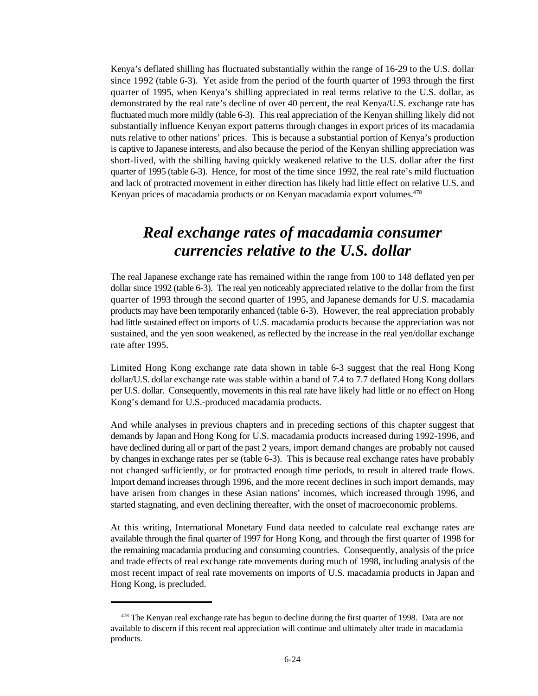Kenya's deflated shilling has fluctuated substantially within the range of 16-29 to the U.S. dollar since 1992 (table 6-3). Yet aside from the period of the fourth quarter of 1993 through the first quarter of 1995, when Kenya's shilling appreciated in real terms relative to the U.S. dollar, as demonstrated by the real rate's decline of over 40 percent, the real Kenya/U.S. exchange rate has fluctuated much more mildly (table 6-3). This real appreciation of the Kenyan shilling likely did not substantially influence Kenyan export patterns through changes in export prices of its macadamia nuts relative to other nations' prices. This is because a substantial portion of Kenya's production is captive to Japanese interests, and also because the period of the Kenyan shilling appreciation was short-lived, with the shilling having quickly weakened relative to the U.S. dollar after the first quarter of 1995 (table 6-3). Hence, for most of the time since 1992, the real rate's mild fluctuation and lack of protracted movement in either direction has likely had little effect on relative U.S. and Kenyan prices of macadamia products or on Kenyan macadamia export volumes.<sup>478</sup>

### *Real exchange rates of macadamia consumer currencies relative to the U.S. dollar*

The real Japanese exchange rate has remained within the range from 100 to 148 deflated yen per dollar since 1992 (table 6-3). The real yen noticeably appreciated relative to the dollar from the first quarter of 1993 through the second quarter of 1995, and Japanese demands for U.S. macadamia products may have been temporarily enhanced (table 6-3). However, the real appreciation probably had little sustained effect on imports of U.S. macadamia products because the appreciation was not sustained, and the yen soon weakened, as reflected by the increase in the real yen/dollar exchange rate after 1995.

Limited Hong Kong exchange rate data shown in table 6-3 suggest that the real Hong Kong dollar/U.S. dollar exchange rate was stable within a band of 7.4 to 7.7 deflated Hong Kong dollars per U.S. dollar. Consequently, movements in this real rate have likely had little or no effect on Hong Kong's demand for U.S.-produced macadamia products.

And while analyses in previous chapters and in preceding sections of this chapter suggest that demands by Japan and Hong Kong for U.S. macadamia products increased during 1992-1996, and have declined during all or part of the past 2 years, import demand changes are probably not caused by changes in exchange rates per se (table 6-3). This is because real exchange rates have probably not changed sufficiently, or for protracted enough time periods, to result in altered trade flows. Import demand increases through 1996, and the more recent declines in such import demands, may have arisen from changes in these Asian nations' incomes, which increased through 1996, and started stagnating, and even declining thereafter, with the onset of macroeconomic problems.

At this writing, International Monetary Fund data needed to calculate real exchange rates are available through the final quarter of 1997 for Hong Kong, and through the first quarter of 1998 for the remaining macadamia producing and consuming countries. Consequently, analysis of the price and trade effects of real exchange rate movements during much of 1998, including analysis of the most recent impact of real rate movements on imports of U.S. macadamia products in Japan and Hong Kong, is precluded.

 $478$  The Kenyan real exchange rate has begun to decline during the first quarter of 1998. Data are not available to discern if this recent real appreciation will continue and ultimately alter trade in macadamia products.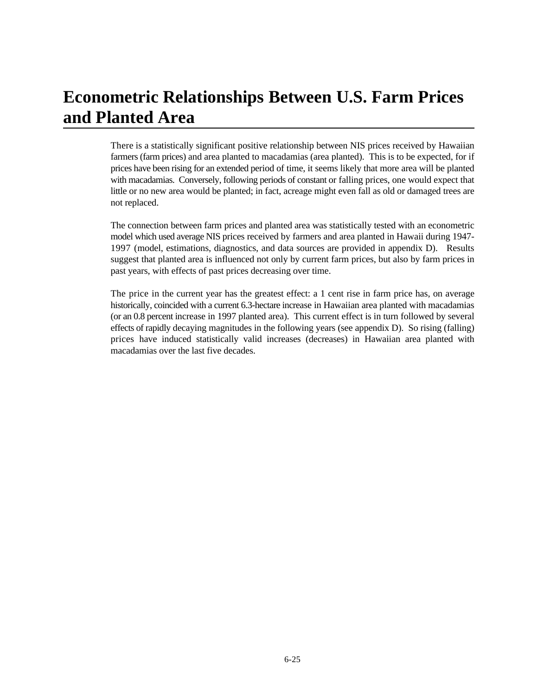# **Econometric Relationships Between U.S. Farm Prices and Planted Area**

There is a statistically significant positive relationship between NIS prices received by Hawaiian farmers (farm prices) and area planted to macadamias (area planted). This is to be expected, for if prices have been rising for an extended period of time, it seems likely that more area will be planted with macadamias. Conversely, following periods of constant or falling prices, one would expect that little or no new area would be planted; in fact, acreage might even fall as old or damaged trees are not replaced.

The connection between farm prices and planted area was statistically tested with an econometric model which used average NIS prices received by farmers and area planted in Hawaii during 1947- 1997 (model, estimations, diagnostics, and data sources are provided in appendix D). Results suggest that planted area is influenced not only by current farm prices, but also by farm prices in past years, with effects of past prices decreasing over time.

The price in the current year has the greatest effect: a 1 cent rise in farm price has, on average historically, coincided with a current 6.3-hectare increase in Hawaiian area planted with macadamias (or an 0.8 percent increase in 1997 planted area). This current effect is in turn followed by several effects of rapidly decaying magnitudes in the following years (see appendix D). So rising (falling) prices have induced statistically valid increases (decreases) in Hawaiian area planted with macadamias over the last five decades.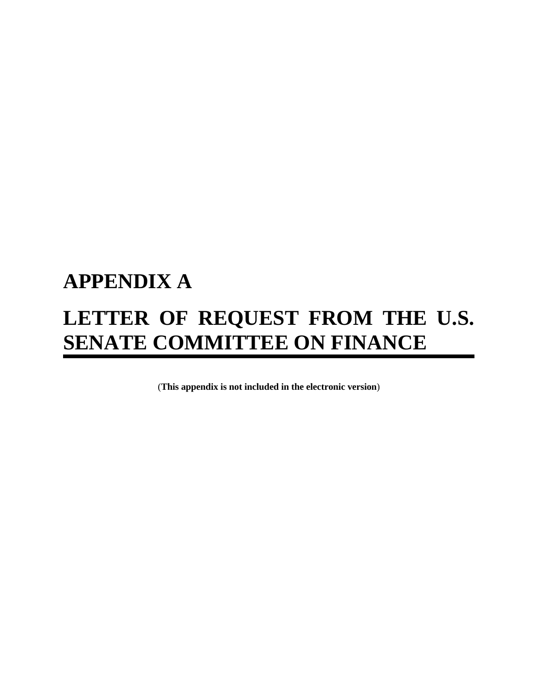# **APPENDIX A LETTER OF REQUEST FROM THE U.S. SENATE COMMITTEE ON FINANCE**

(**This appendix is not included in the electronic version**)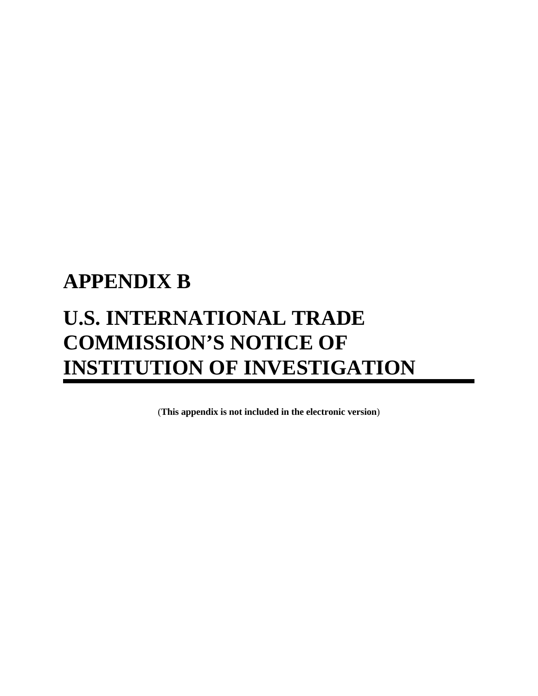# **APPENDIX B U.S. INTERNATIONAL TRADE COMMISSION'S NOTICE OF INSTITUTION OF INVESTIGATION**

(**This appendix is not included in the electronic version**)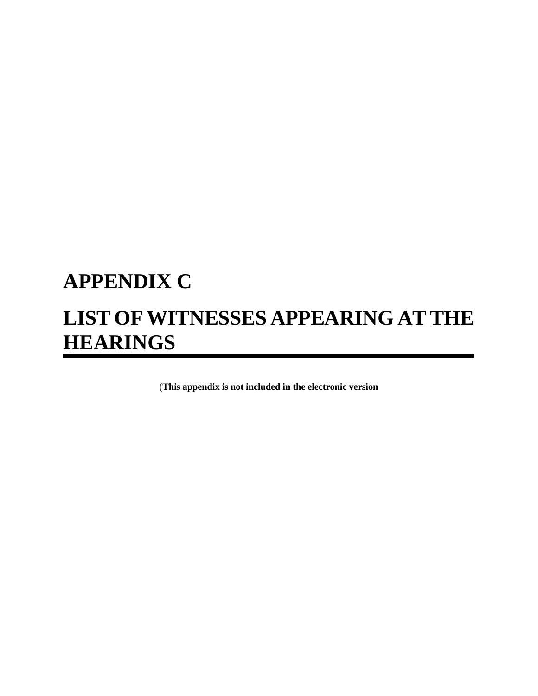# **APPENDIX C LIST OF WITNESSES APPEARING AT THE HEARINGS**

(**This appendix is not included in the electronic version**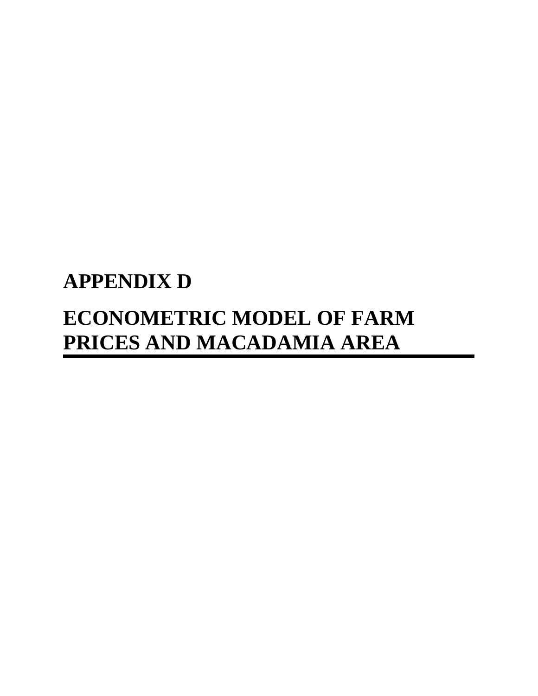# **APPENDIX D ECONOMETRIC MODEL OF FARM PRICES AND MACADAMIA AREA**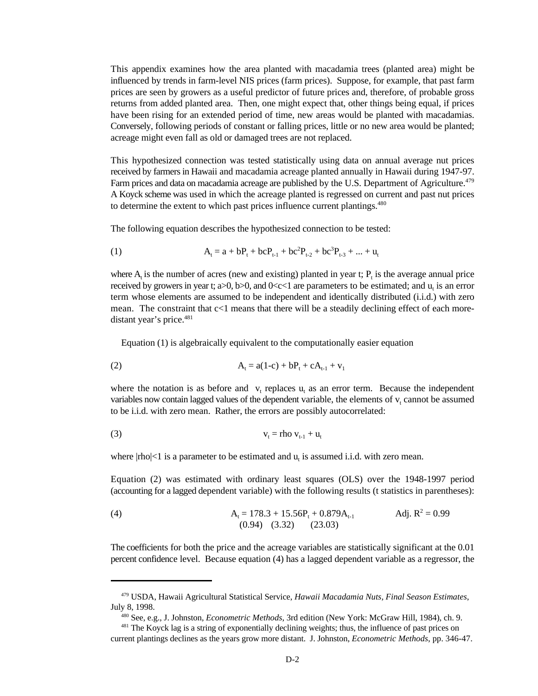This appendix examines how the area planted with macadamia trees (planted area) might be influenced by trends in farm-level NIS prices (farm prices). Suppose, for example, that past farm prices are seen by growers as a useful predictor of future prices and, therefore, of probable gross returns from added planted area. Then, one might expect that, other things being equal, if prices have been rising for an extended period of time, new areas would be planted with macadamias. Conversely, following periods of constant or falling prices, little or no new area would be planted; acreage might even fall as old or damaged trees are not replaced.

This hypothesized connection was tested statistically using data on annual average nut prices received by farmers in Hawaii and macadamia acreage planted annually in Hawaii during 1947-97. Farm prices and data on macadamia acreage are published by the U.S. Department of Agriculture.<sup>479</sup> A Koyck scheme was used in which the acreage planted is regressed on current and past nut prices to determine the extent to which past prices influence current plantings.<sup>480</sup>

The following equation describes the hypothesized connection to be tested:

(1) 
$$
A_t = a + bP_t + b cP_{t-1} + b c^2 P_{t-2} + b c^3 P_{t-3} + ... + u_t
$$

where  $A_t$  is the number of acres (new and existing) planted in year t;  $P_t$  is the average annual price received by growers in year t;  $a>0$ ,  $b>0$ , and  $0 < c < 1$  are parameters to be estimated; and  $u<sub>i</sub>$  is an error term whose elements are assumed to be independent and identically distributed (i.i.d.) with zero mean. The constraint that c<1 means that there will be a steadily declining effect of each moredistant year's price.<sup>481</sup>

Equation (1) is algebraically equivalent to the computationally easier equation

(2) 
$$
A_t = a(1-c) + bP_t + cA_{t-1} + v_1
$$

where the notation is as before and  $v_t$  replaces  $u_t$  as an error term. Because the independent variables now contain lagged values of the dependent variable, the elements of  $v_t$  cannot be assumed to be i.i.d. with zero mean. Rather, the errors are possibly autocorrelated:

$$
v_t = rho v_{t-1} + u_t
$$

where  $|rho| < 1$  is a parameter to be estimated and u, is assumed i.i.d. with zero mean.

Equation (2) was estimated with ordinary least squares (OLS) over the 1948-1997 period (accounting for a lagged dependent variable) with the following results (t statistics in parentheses):

(4) 
$$
A_t = 178.3 + 15.56P_t + 0.879A_{t-1}
$$
 Adj.  $R^2 = 0.99$   
(0.94) (3.32) (23.03)

The coefficients for both the price and the acreage variables are statistically significant at the 0.01 percent confidence level. Because equation (4) has a lagged dependent variable as a regressor, the

<sup>&</sup>lt;sup>479</sup> USDA, Hawaii Agricultural Statistical Service, *Hawaii Macadamia Nuts, Final Season Estimates*, July 8, 1998.

See, e.g., J. Johnston, *Econometric Methods*, 3rd edition (New York: McGraw Hill, 1984), ch. 9. <sup>480</sup>

<sup>&</sup>lt;sup>481</sup> The Koyck lag is a string of exponentially declining weights; thus, the influence of past prices on current plantings declines as the years grow more distant. J. Johnston, *Econometric Methods*, pp. 346-47.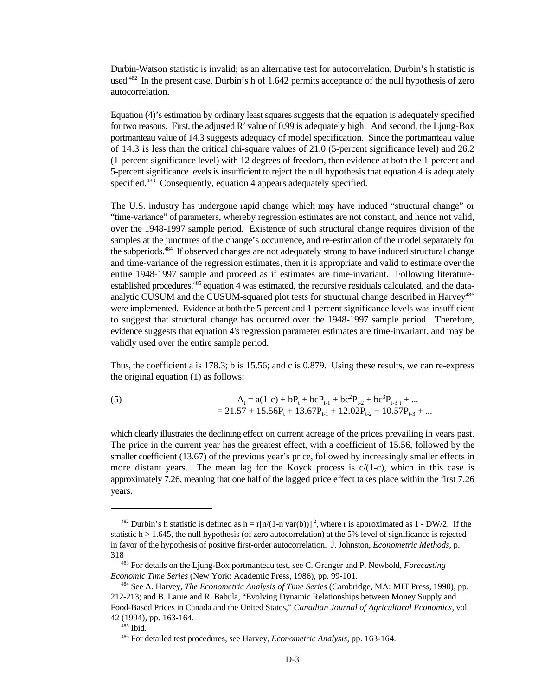Durbin-Watson statistic is invalid; as an alternative test for autocorrelation, Durbin's h statistic is used. $482$  In the present case, Durbin's h of 1.642 permits acceptance of the null hypothesis of zero autocorrelation.

Equation (4)'s estimation by ordinary least squares suggests that the equation is adequately specified for two reasons. First, the adjusted  $R^2$  value of 0.99 is adequately high. And second, the Ljung-Box portmanteau value of 14.3 suggests adequacy of model specification. Since the portmanteau value of 14.3 is less than the critical chi-square values of 21.0 (5-percent significance level) and 26.2 (1-percent significance level) with 12 degrees of freedom, then evidence at both the 1-percent and 5-percent significance levels is insufficient to reject the null hypothesis that equation 4 is adequately specified.<sup>483</sup> Consequently, equation 4 appears adequately specified.

The U.S. industry has undergone rapid change which may have induced "structural change" or "time-variance" of parameters, whereby regression estimates are not constant, and hence not valid, over the 1948-1997 sample period. Existence of such structural change requires division of the samples at the junctures of the change's occurrence, and re-estimation of the model separately for the subperiods.<sup>484</sup> If observed changes are not adequately strong to have induced structural change and time-variance of the regression estimates, then it is appropriate and valid to estimate over the entire 1948-1997 sample and proceed as if estimates are time-invariant. Following literatureestablished procedures, <sup>485</sup> equation 4 was estimated, the recursive residuals calculated, and the dataanalytic CUSUM and the CUSUM-squared plot tests for structural change described in Harvey<sup>486</sup> were implemented. Evidence at both the 5-percent and 1-percent significance levels was insufficient to suggest that structural change has occurred over the 1948-1997 sample period. Therefore, evidence suggests that equation 4's regression parameter estimates are time-invariant, and may be validly used over the entire sample period.

Thus, the coefficient a is 178.3; b is 15.56; and c is 0.879. Using these results, we can re-express the original equation (1) as follows:

(5) 
$$
A_t = a(1-c) + bP_t + bcP_{t-1} + bc^2P_{t-2} + bc^3P_{t-3,t} + ...
$$

$$
= 21.57 + 15.56P_t + 13.67P_{t-1} + 12.02P_{t-2} + 10.57P_{t-3} + ...
$$

which clearly illustrates the declining effect on current acreage of the prices prevailing in years past. The price in the current year has the greatest effect, with a coefficient of 15.56, followed by the smaller coefficient (13.67) of the previous year's price, followed by increasingly smaller effects in more distant years. The mean lag for the Koyck process is  $c/(1-c)$ , which in this case is approximately 7.26, meaning that one half of the lagged price effect takes place within the first 7.26 years.

<sup>&</sup>lt;sup>482</sup> Durbin's h statistic is defined as  $h = r[n/(1-n \text{ var}(b))]^2$ , where r is approximated as  $1 - DW/2$ . If the statistic  $h > 1.645$ , the null hypothesis (of zero autocorrelation) at the 5% level of significance is rejected in favor of the hypothesis of positive first-order autocorrelation. J. Johnston, *Econometric Methods*, p. 318

<sup>&</sup>lt;sup>483</sup> For details on the Ljung-Box portmanteau test, see C. Granger and P. Newbold, *Forecasting Economic Time Series* (New York: Academic Press, 1986), pp. 99-101.

<sup>&</sup>lt;sup>484</sup> See A. Harvey, *The Econometric Analysis of Time Series* (Cambridge, MA: MIT Press, 1990), pp. 212-213; and B. Larue and R. Babula, "Evolving Dynamic Relationships between Money Supply and Food-Based Prices in Canada and the United States," *Canadian Journal of Agricultural Economics*, vol. 42 (1994), pp. 163-164.

 $485$  Ibid.

<sup>&</sup>lt;sup>486</sup> For detailed test procedures, see Harvey, *Econometric Analysis*, pp. 163-164.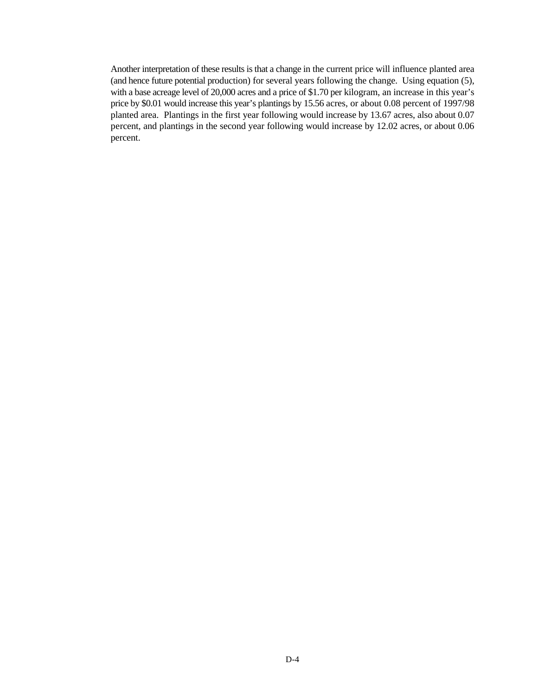Another interpretation of these results is that a change in the current price will influence planted area (and hence future potential production) for several years following the change. Using equation (5), with a base acreage level of 20,000 acres and a price of \$1.70 per kilogram, an increase in this year's price by \$0.01 would increase this year's plantings by 15.56 acres, or about 0.08 percent of 1997/98 planted area. Plantings in the first year following would increase by 13.67 acres, also about 0.07 percent, and plantings in the second year following would increase by 12.02 acres, or about 0.06 percent.